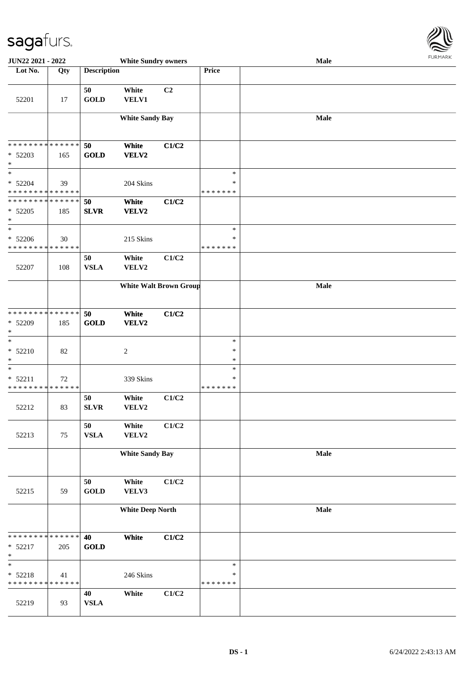

| JUN22 2021 - 2022                                  |        |                    | <b>White Sundry owners</b>    |       |                                   | Male | <b>FUNITANN</b> |
|----------------------------------------------------|--------|--------------------|-------------------------------|-------|-----------------------------------|------|-----------------|
| Lot No.                                            | Qty    | <b>Description</b> |                               |       | Price                             |      |                 |
| 52201                                              | 17     | 50<br><b>GOLD</b>  | White<br>VELV1                | C2    |                                   |      |                 |
|                                                    |        |                    | <b>White Sandy Bay</b>        |       |                                   | Male |                 |
| * * * * * * * * * * * * * *<br>$* 52203$<br>$\ast$ | 165    | 50<br><b>GOLD</b>  | White<br>VELV2                | C1/C2 |                                   |      |                 |
| $\ast$<br>$* 52204$<br>* * * * * * * * * * * * * * | 39     |                    | 204 Skins                     |       | $\ast$<br>$\ast$<br>* * * * * * * |      |                 |
| * * * * * * * * * * * * * *<br>$* 52205$<br>$\ast$ | 185    | 50<br><b>SLVR</b>  | White<br>VELV2                | C1/C2 |                                   |      |                 |
| $\ast$<br>$* 52206$<br>* * * * * * * * * * * * * * | 30     |                    | 215 Skins                     |       | $\ast$<br>$\ast$<br>* * * * * * * |      |                 |
| 52207                                              | 108    | 50<br><b>VSLA</b>  | White<br>VELV2                | C1/C2 |                                   |      |                 |
|                                                    |        |                    | <b>White Walt Brown Group</b> |       |                                   | Male |                 |
| * * * * * * * * * * * * * *<br>* 52209<br>$\ast$   | 185    | 50<br><b>GOLD</b>  | White<br>VELV2                | C1/C2 |                                   |      |                 |
| $\ast$<br>$* 52210$<br>$\ast$                      | 82     |                    | $\overline{c}$                |       | $\ast$<br>$\ast$<br>$\ast$        |      |                 |
| $\ast$<br>$* 52211$<br>* * * * * * * * * * * * * * | $72\,$ |                    | 339 Skins                     |       | $\ast$<br>*<br>* * * * * * *      |      |                 |
| 52212                                              | 83     | 50<br><b>SLVR</b>  | White<br>VELV2                | C1/C2 |                                   |      |                 |
| 52213                                              | 75     | 50<br>${\bf VSLA}$ | White<br>VELV2                | C1/C2 |                                   |      |                 |
|                                                    |        |                    | <b>White Sandy Bay</b>        |       |                                   | Male |                 |
| 52215                                              | 59     | 50<br><b>GOLD</b>  | White<br>VELV3                | C1/C2 |                                   |      |                 |
|                                                    |        |                    | <b>White Deep North</b>       |       |                                   | Male |                 |
| * * * * * * * * * * * * * * *<br>* 52217<br>$\ast$ | 205    | 40<br><b>GOLD</b>  | White                         | C1/C2 |                                   |      |                 |
| $\ast$<br>$* 52218$<br>* * * * * * * * * * * * * * | 41     |                    | 246 Skins                     |       | $\ast$<br>$\ast$<br>* * * * * * * |      |                 |
| 52219                                              | 93     | 40<br><b>VSLA</b>  | White                         | C1/C2 |                                   |      |                 |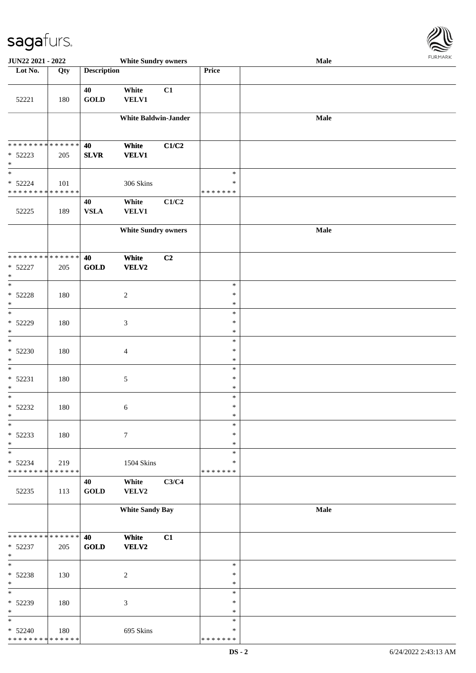

| JUN22 2021 - 2022                  |     |                    | <b>White Sundry owners</b>  |                |                  | Male |  |
|------------------------------------|-----|--------------------|-----------------------------|----------------|------------------|------|--|
| Lot No.                            | Qty | <b>Description</b> |                             |                | <b>Price</b>     |      |  |
|                                    |     |                    |                             |                |                  |      |  |
| 52221                              | 180 | 40<br><b>GOLD</b>  | White<br><b>VELV1</b>       | C1             |                  |      |  |
|                                    |     |                    | <b>White Baldwin-Jander</b> |                |                  | Male |  |
|                                    |     |                    |                             |                |                  |      |  |
| * * * * * * * * * * * * * *        |     | 40                 | White                       | C1/C2          |                  |      |  |
| * 52223                            | 205 | <b>SLVR</b>        | <b>VELV1</b>                |                |                  |      |  |
| $\ast$                             |     |                    |                             |                |                  |      |  |
| $\overline{\phantom{a}}$           |     |                    |                             |                | $\ast$           |      |  |
| $* 52224$                          | 101 |                    | 306 Skins                   |                | $\ast$           |      |  |
| * * * * * * * * * * * * * *        |     |                    |                             |                | * * * * * * *    |      |  |
|                                    |     | 40                 | White                       | C1/C2          |                  |      |  |
| 52225                              | 189 | <b>VSLA</b>        | <b>VELV1</b>                |                |                  |      |  |
|                                    |     |                    | <b>White Sundry owners</b>  |                |                  | Male |  |
|                                    |     |                    |                             |                |                  |      |  |
| **************                     |     |                    |                             |                |                  |      |  |
|                                    |     | 40                 | White<br>VELV2              | C <sub>2</sub> |                  |      |  |
| * 52227<br>$\ast$                  | 205 | GOLD               |                             |                |                  |      |  |
| $\ast$                             |     |                    |                             |                | $\ast$           |      |  |
| $* 52228$                          | 180 |                    | $\overline{c}$              |                | $\ast$           |      |  |
| $\ast$                             |     |                    |                             |                | $\ast$           |      |  |
| $\frac{1}{1}$                      |     |                    |                             |                | $\ast$           |      |  |
| * 52229                            | 180 |                    | $\mathfrak{Z}$              |                | $\ast$           |      |  |
| $\ast$<br>$\overline{\phantom{a}}$ |     |                    |                             |                | $\ast$<br>$\ast$ |      |  |
| $* 52230$                          | 180 |                    | $\overline{4}$              |                | $\ast$           |      |  |
| $\ast$                             |     |                    |                             |                | $\ast$           |      |  |
| $\ast$                             |     |                    |                             |                | $\ast$           |      |  |
| $* 52231$                          | 180 |                    | $\mathfrak{S}$              |                | $\ast$           |      |  |
| $\ast$                             |     |                    |                             |                | $\ast$           |      |  |
| $\ast$                             |     |                    |                             |                | $\ast$           |      |  |
| $* 52232$<br>$*$                   | 180 |                    | 6                           |                | $\ast$<br>$\ast$ |      |  |
| $\ast$                             |     |                    |                             |                | $\ast$           |      |  |
| $* 52233$                          | 180 |                    | $\boldsymbol{7}$            |                | $\ast$           |      |  |
| $\ast$                             |     |                    |                             |                | $\ast$           |      |  |
| $\ast$                             |     |                    |                             |                | $\ast$           |      |  |
| * 52234                            | 219 |                    | 1504 Skins                  |                | ∗                |      |  |
| * * * * * * * * * * * * * *        |     | 40                 | White                       | C3/C4          | * * * * * * *    |      |  |
| 52235                              | 113 | <b>GOLD</b>        | VELV2                       |                |                  |      |  |
|                                    |     |                    |                             |                |                  |      |  |
|                                    |     |                    | <b>White Sandy Bay</b>      |                |                  | Male |  |
|                                    |     |                    |                             |                |                  |      |  |
| * * * * * * * * * * * * * *        |     | 40                 | White                       | C1             |                  |      |  |
| $* 52237$                          | 205 | <b>GOLD</b>        | VELV2                       |                |                  |      |  |
| $\ast$                             |     |                    |                             |                |                  |      |  |
| $\ast$                             |     |                    |                             |                | $\ast$           |      |  |
| * 52238<br>$\ast$                  | 130 |                    | $\sqrt{2}$                  |                | $\ast$<br>$\ast$ |      |  |
| $\ast$                             |     |                    |                             |                | $\ast$           |      |  |
| * 52239                            | 180 |                    | 3                           |                | ∗                |      |  |
| $\ast$                             |     |                    |                             |                | $\ast$           |      |  |
| $\ast$                             |     |                    |                             |                | $\ast$           |      |  |
| $* 52240$                          | 180 |                    | 695 Skins                   |                | $\ast$           |      |  |
| * * * * * * * * * * * * * *        |     |                    |                             |                | * * * * * * *    |      |  |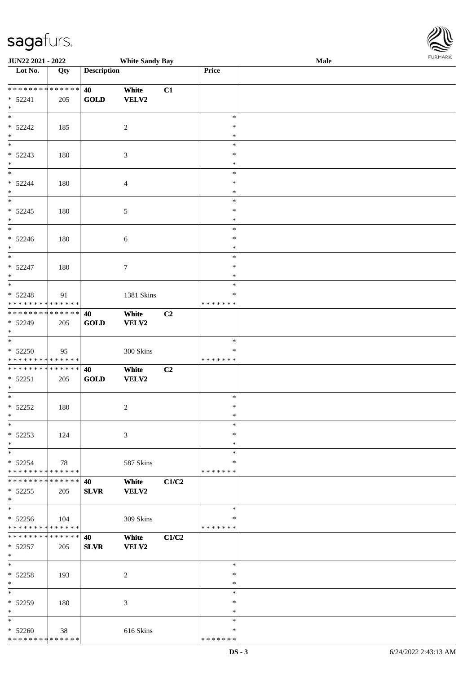\* \* \* \* \* \* \* \* \* \* \* \* \* \* \*

| <b>JUN22 2021 - 2022</b>                                                                 |     |                    | <b>White Sandy Bay</b> |                |                    | Male | <b>FURPIARA</b> |
|------------------------------------------------------------------------------------------|-----|--------------------|------------------------|----------------|--------------------|------|-----------------|
| Lot No.                                                                                  | Qty | <b>Description</b> |                        |                | Price              |      |                 |
|                                                                                          |     |                    |                        |                |                    |      |                 |
|                                                                                          |     | 40                 | White                  | C1             |                    |      |                 |
| $* 52241$                                                                                | 205 | <b>GOLD</b>        | <b>VELV2</b>           |                |                    |      |                 |
| $\ast$                                                                                   |     |                    |                        |                |                    |      |                 |
|                                                                                          |     |                    |                        |                | $\ast$             |      |                 |
| $* 52242$                                                                                | 185 |                    | $\overline{c}$         |                | $\ast$             |      |                 |
| $\ast$                                                                                   |     |                    |                        |                | $\ast$             |      |                 |
|                                                                                          |     |                    |                        |                | $\ast$             |      |                 |
| $* 52243$                                                                                | 180 |                    | 3                      |                | $\ast$             |      |                 |
| $*$                                                                                      |     |                    |                        |                | $\ast$             |      |                 |
| $\overline{\phantom{0}}$                                                                 |     |                    |                        |                | $\ast$             |      |                 |
| $* 52244$                                                                                | 180 |                    | $\overline{4}$         |                | ∗                  |      |                 |
| $\ast$                                                                                   |     |                    |                        |                | $\ast$             |      |                 |
| $\overline{\phantom{0}}$                                                                 |     |                    |                        |                | $\ast$             |      |                 |
| $* 52245$                                                                                | 180 |                    | $\sqrt{5}$             |                | $\ast$             |      |                 |
| $*$                                                                                      |     |                    |                        |                | $\ast$             |      |                 |
| $\overline{\phantom{0}}$                                                                 |     |                    |                        |                | $\ast$             |      |                 |
| $* 52246$                                                                                | 180 |                    | $\sqrt{6}$             |                | $\ast$             |      |                 |
| $*$                                                                                      |     |                    |                        |                | $\ast$             |      |                 |
| $*$                                                                                      |     |                    |                        |                | $\ast$             |      |                 |
| $* 52247$                                                                                | 180 |                    | $\tau$                 |                | $\ast$             |      |                 |
| $\ast$                                                                                   |     |                    |                        |                | $\ast$             |      |                 |
| $\overline{\ast}$                                                                        |     |                    |                        |                | $\ast$             |      |                 |
| $* 52248$                                                                                | 91  |                    | 1381 Skins             |                | ∗                  |      |                 |
| * * * * * * * * <mark>* * * * * * *</mark>                                               |     |                    |                        |                | * * * * * * *      |      |                 |
| * * * * * * * * <mark>* * * * * * *</mark>                                               |     | 40                 | White                  | C <sub>2</sub> |                    |      |                 |
| $* 52249$                                                                                | 205 | <b>GOLD</b>        | <b>VELV2</b>           |                |                    |      |                 |
| $*$                                                                                      |     |                    |                        |                |                    |      |                 |
| $*$                                                                                      |     |                    |                        |                | $\ast$             |      |                 |
| $* 52250$                                                                                | 95  |                    | 300 Skins              |                | ∗                  |      |                 |
| * * * * * * * * <mark>* * * * * *</mark>                                                 |     |                    |                        |                | * * * * * * *      |      |                 |
| * * * * * * * * <mark>* * * * * * *</mark>                                               |     | 40                 | White                  | C2             |                    |      |                 |
| $* 52251$                                                                                |     | GOLD               | <b>VELV2</b>           |                |                    |      |                 |
| $\ast$                                                                                   | 205 |                    |                        |                |                    |      |                 |
| $*$                                                                                      |     |                    |                        |                | $\ast$             |      |                 |
| $* 52252$                                                                                |     |                    |                        |                | $\ast$             |      |                 |
| $*$                                                                                      | 180 |                    | 2                      |                | $\star$            |      |                 |
| $\ast$                                                                                   |     |                    |                        |                | $\ast$             |      |                 |
|                                                                                          |     |                    |                        |                | $\ast$             |      |                 |
| $* 52253$                                                                                | 124 |                    | 3                      |                |                    |      |                 |
| $\ast$<br>$\overline{\ast}$                                                              |     |                    |                        |                | $\ast$<br>$\ast$   |      |                 |
|                                                                                          |     |                    |                        |                |                    |      |                 |
| $* 52254$                                                                                | 78  |                    | 587 Skins              |                | *<br>* * * * * * * |      |                 |
| * * * * * * * * <mark>* * * * * * *</mark><br>* * * * * * * * * * * * * * <mark>*</mark> |     |                    |                        |                |                    |      |                 |
|                                                                                          |     | 40                 | White                  | C1/C2          |                    |      |                 |
| $*52255$                                                                                 | 205 | <b>SLVR</b>        | <b>VELV2</b>           |                |                    |      |                 |
| $\ast$<br>$\overline{\ast}$                                                              |     |                    |                        |                |                    |      |                 |
|                                                                                          |     |                    |                        |                | $\ast$             |      |                 |
| $* 52256$                                                                                | 104 |                    | 309 Skins              |                | ∗                  |      |                 |
| * * * * * * * * <mark>* * * * * *</mark>                                                 |     |                    |                        |                | *******            |      |                 |
| * * * * * * * * * * * * * * <mark>*</mark>                                               |     | 40                 | White                  | C1/C2          |                    |      |                 |
| $* 52257$                                                                                | 205 | <b>SLVR</b>        | <b>VELV2</b>           |                |                    |      |                 |
| $\ast$                                                                                   |     |                    |                        |                |                    |      |                 |
| $\ast$                                                                                   |     |                    |                        |                | $\ast$             |      |                 |
| $* 52258$                                                                                | 193 |                    | 2                      |                | $\ast$             |      |                 |
| $*$                                                                                      |     |                    |                        |                | $\ast$             |      |                 |
| $\ast$                                                                                   |     |                    |                        |                | $\ast$             |      |                 |
| * 52259                                                                                  | 180 |                    | 3                      |                | $\ast$             |      |                 |
| $\ast$                                                                                   |     |                    |                        |                | $\ast$             |      |                 |
| $*$                                                                                      |     |                    |                        |                | $\ast$             |      |                 |
| $* 52260$                                                                                | 38  |                    | 616 Skins              |                | $\ast$             |      |                 |

\* \* \* \* \* \* \*

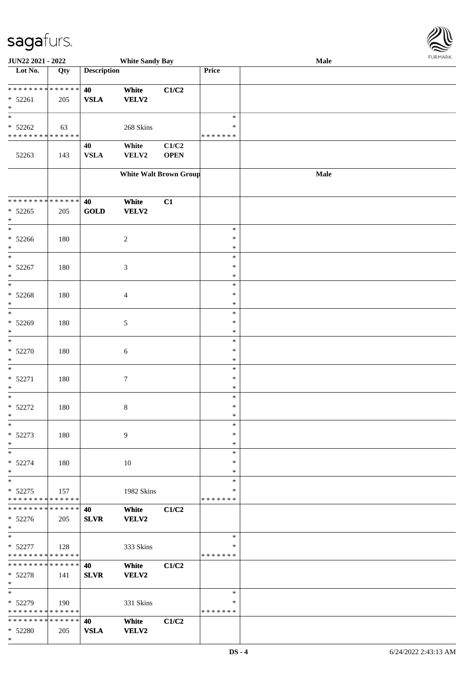

| JUN22 2021 - 2022             |                   |                    | <b>White Sandy Bay</b>        |             |               | Male |  |
|-------------------------------|-------------------|--------------------|-------------------------------|-------------|---------------|------|--|
| Lot No.                       | $\overline{Q}$ ty | <b>Description</b> |                               |             | Price         |      |  |
|                               |                   |                    |                               |             |               |      |  |
| ******** <mark>******</mark>  |                   | 40                 | White                         | C1/C2       |               |      |  |
| * 52261                       | 205               | <b>VSLA</b>        | VELV2                         |             |               |      |  |
| $\ast$                        |                   |                    |                               |             |               |      |  |
| $\ast$                        |                   |                    |                               |             | $\ast$        |      |  |
|                               |                   |                    |                               |             |               |      |  |
| $* 52262$                     | 63                |                    | 268 Skins                     |             | ∗             |      |  |
| * * * * * * * * * * * * * *   |                   |                    |                               |             | * * * * * * * |      |  |
|                               |                   | 40                 | White                         | C1/C2       |               |      |  |
| 52263                         | 143               | <b>VSLA</b>        | VELV2                         | <b>OPEN</b> |               |      |  |
|                               |                   |                    |                               |             |               |      |  |
|                               |                   |                    | <b>White Walt Brown Group</b> |             |               | Male |  |
|                               |                   |                    |                               |             |               |      |  |
|                               |                   |                    |                               |             |               |      |  |
| * * * * * * * * * * * * * *   |                   | 40                 | White                         | C1          |               |      |  |
|                               |                   |                    |                               |             |               |      |  |
| $* 52265$                     | 205               | <b>GOLD</b>        | VELV2                         |             |               |      |  |
| $\ast$                        |                   |                    |                               |             |               |      |  |
| $\ast$                        |                   |                    |                               |             | $\ast$        |      |  |
| $* 52266$                     | 180               |                    | $\boldsymbol{2}$              |             | $\ast$        |      |  |
| $\ast$                        |                   |                    |                               |             | $\ast$        |      |  |
| $\ast$                        |                   |                    |                               |             | $\ast$        |      |  |
| $* 52267$                     | 180               |                    | 3                             |             | $\ast$        |      |  |
| $\ast$                        |                   |                    |                               |             | $\ast$        |      |  |
| $\ast$                        |                   |                    |                               |             | $\ast$        |      |  |
| $* 52268$                     | 180               |                    | 4                             |             | $\ast$        |      |  |
| $\ast$                        |                   |                    |                               |             | $\ast$        |      |  |
| $\ast$                        |                   |                    |                               |             | $\ast$        |      |  |
|                               |                   |                    |                               |             |               |      |  |
| * 52269                       | 180               |                    | 5                             |             | $\ast$        |      |  |
| $\ast$                        |                   |                    |                               |             | $\ast$        |      |  |
| $\ast$                        |                   |                    |                               |             | $\ast$        |      |  |
| $* 52270$                     | 180               |                    | 6                             |             | $\ast$        |      |  |
| $\ast$                        |                   |                    |                               |             | $\ast$        |      |  |
| $\ast$                        |                   |                    |                               |             | $\ast$        |      |  |
| $* 52271$                     | 180               |                    | 7                             |             | $\ast$        |      |  |
| $\ast$                        |                   |                    |                               |             | $\ast$        |      |  |
| $\ast$                        |                   |                    |                               |             | $\ast$        |      |  |
| $* 52272$                     | 180               |                    | 8                             |             | $\ast$        |      |  |
| $*$                           |                   |                    |                               |             | $\ast$        |      |  |
| $\ast$                        |                   |                    |                               |             | $\ast$        |      |  |
|                               |                   |                    |                               |             |               |      |  |
| $* 52273$                     | 180               |                    | 9                             |             | $\ast$        |      |  |
| $\ast$                        |                   |                    |                               |             | $\ast$        |      |  |
| $\ast$                        |                   |                    |                               |             | $\ast$        |      |  |
| $* 52274$                     | 180               |                    | 10                            |             | $\ast$        |      |  |
| $*$                           |                   |                    |                               |             | $\ast$        |      |  |
| $\ast$                        |                   |                    |                               |             | $\ast$        |      |  |
| $* 52275$                     | 157               |                    | 1982 Skins                    |             | $\ast$        |      |  |
| * * * * * * * * * * * * * *   |                   |                    |                               |             | * * * * * * * |      |  |
| * * * * * * * * * * * * * * * |                   | 40                 | White                         | C1/C2       |               |      |  |
| $* 52276$                     | 205               | <b>SLVR</b>        | VELV2                         |             |               |      |  |
| $*$                           |                   |                    |                               |             |               |      |  |
| $\ast$                        |                   |                    |                               |             | $\ast$        |      |  |
|                               |                   |                    |                               |             |               |      |  |
| $* 52277$                     | 128               |                    | 333 Skins                     |             | $\ast$        |      |  |
| * * * * * * * * * * * * * *   |                   |                    |                               |             | *******       |      |  |
| * * * * * * * * * * * * * * * |                   | 40                 | White                         | C1/C2       |               |      |  |
| * 52278                       | 141               | <b>SLVR</b>        | VELV2                         |             |               |      |  |
| $*$                           |                   |                    |                               |             |               |      |  |
| $\ast$                        |                   |                    |                               |             | $\ast$        |      |  |
| $* 52279$                     | 190               |                    | 331 Skins                     |             | ∗             |      |  |
| * * * * * * * * * * * * * *   |                   |                    |                               |             | *******       |      |  |
| * * * * * * * * * * * * * *   |                   | 40                 | White                         | C1/C2       |               |      |  |
| * 52280                       | 205               | <b>VSLA</b>        | <b>VELV2</b>                  |             |               |      |  |
| $*$                           |                   |                    |                               |             |               |      |  |
|                               |                   |                    |                               |             |               |      |  |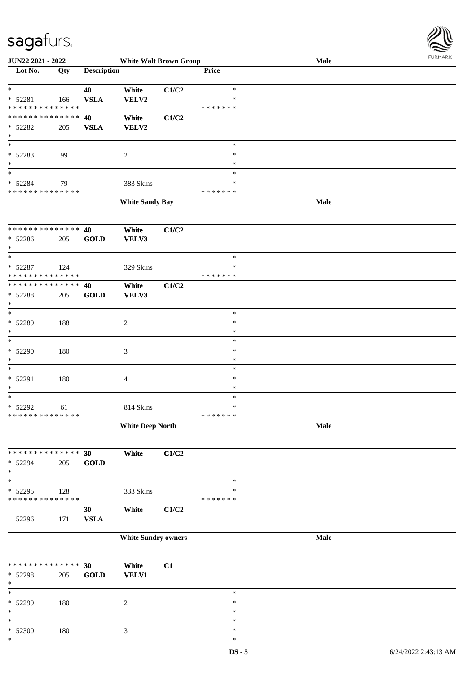

| <b>JUN22 2021 - 2022</b>                   |             |                    | <b>White Walt Brown Group</b> |       |               | Male |  |
|--------------------------------------------|-------------|--------------------|-------------------------------|-------|---------------|------|--|
| Lot No.                                    | Qty         | <b>Description</b> |                               |       | Price         |      |  |
|                                            |             |                    |                               |       |               |      |  |
| $*$                                        |             | 40                 | White                         | C1/C2 | $\ast$        |      |  |
| * 52281                                    | 166         | <b>VSLA</b>        | VELV2                         |       | $\ast$        |      |  |
| * * * * * * * * * * * * * *                |             |                    |                               |       | *******       |      |  |
| * * * * * * * * * * * * * * *              |             | 40                 | White                         | C1/C2 |               |      |  |
| $* 52282$                                  | 205         | <b>VSLA</b>        | VELV2                         |       |               |      |  |
| $\ast$                                     |             |                    |                               |       |               |      |  |
| $\overline{\phantom{0}}$                   |             |                    |                               |       | $\ast$        |      |  |
| * 52283                                    | 99          |                    | $\overline{c}$                |       | $\ast$        |      |  |
| $*$                                        |             |                    |                               |       | $\ast$        |      |  |
| $*$                                        |             |                    |                               |       | $\ast$        |      |  |
|                                            |             |                    |                               |       |               |      |  |
| $* 52284$                                  | 79          |                    | 383 Skins                     |       | $\ast$        |      |  |
| * * * * * * * * * * * * * *                |             |                    |                               |       | *******       |      |  |
|                                            |             |                    | <b>White Sandy Bay</b>        |       |               | Male |  |
|                                            |             |                    |                               |       |               |      |  |
|                                            |             |                    |                               |       |               |      |  |
| * * * * * * * * <mark>* * * * * * *</mark> |             | 40                 | White                         | C1/C2 |               |      |  |
| $* 52286$                                  | 205         | <b>GOLD</b>        | VELV3                         |       |               |      |  |
| $*$                                        |             |                    |                               |       |               |      |  |
| $*$                                        |             |                    |                               |       | $\ast$        |      |  |
| $* 52287$                                  | 124         |                    | 329 Skins                     |       | $\ast$        |      |  |
| * * * * * * * * * * * * * *                |             |                    |                               |       | *******       |      |  |
| * * * * * * * * * * * * * * *              |             | 40                 | White                         | C1/C2 |               |      |  |
| * 52288                                    | 205         | <b>GOLD</b>        | VELV3                         |       |               |      |  |
| $\ast$                                     |             |                    |                               |       |               |      |  |
| $*$                                        |             |                    |                               |       | $\ast$        |      |  |
| * 52289                                    | 188         |                    | $\overline{c}$                |       | $\ast$        |      |  |
| $\ast$                                     |             |                    |                               |       | $\ast$        |      |  |
| $*$                                        |             |                    |                               |       | $\ast$        |      |  |
|                                            |             |                    |                               |       | $\ast$        |      |  |
| * 52290                                    | 180         |                    | $\mathfrak{Z}$                |       |               |      |  |
| $*$                                        |             |                    |                               |       | $\ast$        |      |  |
| $*$                                        |             |                    |                               |       | $\ast$        |      |  |
| * 52291                                    | 180         |                    | 4                             |       | $\ast$        |      |  |
| *                                          |             |                    |                               |       | $\ast$        |      |  |
| $*$                                        |             |                    |                               |       | $\ast$        |      |  |
| * 52292                                    | 61          |                    | 814 Skins                     |       | $\ast$        |      |  |
| * * * * * * * * <mark>* * * * * * *</mark> |             |                    |                               |       | * * * * * * * |      |  |
|                                            |             |                    | <b>White Deep North</b>       |       |               | Male |  |
|                                            |             |                    |                               |       |               |      |  |
|                                            |             |                    |                               |       |               |      |  |
| * * * * * * * * <mark>* * * * * *</mark>   |             | 30                 | White                         | C1/C2 |               |      |  |
| * 52294                                    | 205         | <b>GOLD</b>        |                               |       |               |      |  |
| $\ast$                                     |             |                    |                               |       |               |      |  |
| $\ast$                                     |             |                    |                               |       | $\ast$        |      |  |
| * 52295                                    | 128         |                    | 333 Skins                     |       | $\ast$        |      |  |
| * * * * * * * *                            | * * * * * * |                    |                               |       | * * * * * * * |      |  |
|                                            |             | 30                 | White                         | C1/C2 |               |      |  |
| 52296                                      | 171         | ${\bf VSLA}$       |                               |       |               |      |  |
|                                            |             |                    |                               |       |               |      |  |
|                                            |             |                    | <b>White Sundry owners</b>    |       |               | Male |  |
|                                            |             |                    |                               |       |               |      |  |
|                                            |             |                    |                               |       |               |      |  |
| * * * * * * * * <mark>*</mark>             | * * * * * * | 30                 |                               |       |               |      |  |
|                                            |             |                    | White                         | C1    |               |      |  |
| * 52298                                    | 205         | <b>GOLD</b>        | <b>VELV1</b>                  |       |               |      |  |
| $\ast$                                     |             |                    |                               |       |               |      |  |
| $\ast$                                     |             |                    |                               |       | $\ast$        |      |  |
| * 52299                                    | 180         |                    | $\overline{c}$                |       | $\ast$        |      |  |
| $\ast$                                     |             |                    |                               |       | $\ast$        |      |  |
| $\ast$                                     |             |                    |                               |       | $\ast$        |      |  |
| $* 52300$                                  | 180         |                    | $\mathfrak{Z}$                |       | $\ast$        |      |  |
| $\ast$                                     |             |                    |                               |       | $\ast$        |      |  |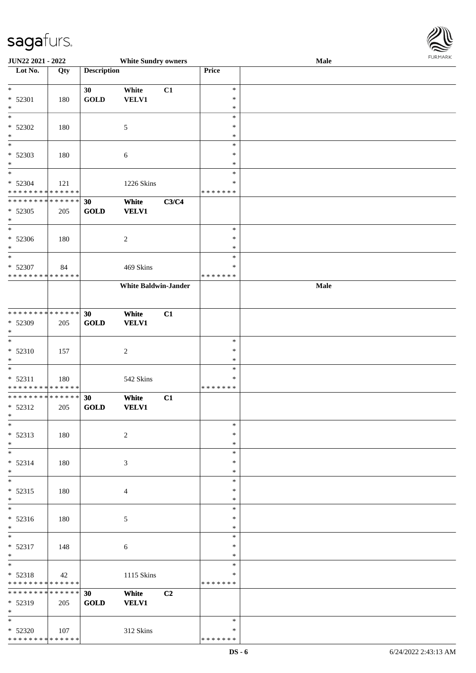

| JUN22 2021 - 2022                         |             |                    | <b>White Sundry owners</b>  |       |                  | Male |  |
|-------------------------------------------|-------------|--------------------|-----------------------------|-------|------------------|------|--|
| Lot No.                                   | Qty         | <b>Description</b> |                             |       | Price            |      |  |
|                                           |             |                    |                             |       |                  |      |  |
| $\ast$                                    |             | 30                 | White                       | C1    | $\ast$           |      |  |
| * 52301                                   | 180         | <b>GOLD</b>        | <b>VELV1</b>                |       | $\ast$           |      |  |
| $\ast$                                    |             |                    |                             |       | $\ast$           |      |  |
| $\overline{\phantom{a}^*}$                |             |                    |                             |       | $\ast$           |      |  |
| * 52302                                   | 180         |                    | $\mathfrak{S}$              |       | ∗                |      |  |
| $\ast$                                    |             |                    |                             |       | $\ast$           |      |  |
| $\overline{\phantom{a}^*}$                |             |                    |                             |       | $\ast$           |      |  |
| * 52303                                   | 180         |                    | 6                           |       | $\ast$           |      |  |
| $\ast$                                    |             |                    |                             |       | $\ast$           |      |  |
| $_{\ast}$                                 |             |                    |                             |       | $\ast$           |      |  |
| * 52304                                   | 121         |                    | 1226 Skins                  |       | *                |      |  |
| * * * * * * * * * * * * * *               |             |                    |                             |       | * * * * * * *    |      |  |
| **************                            |             | 30                 | White                       | C3/C4 |                  |      |  |
| $* 52305$                                 | 205         | <b>GOLD</b>        | <b>VELV1</b>                |       |                  |      |  |
| $\ast$                                    |             |                    |                             |       |                  |      |  |
| $\overline{\phantom{1}}$                  |             |                    |                             |       | $\ast$           |      |  |
| $* 52306$                                 | 180         |                    | $\overline{c}$              |       | $\ast$           |      |  |
| $\ast$                                    |             |                    |                             |       | $\ast$           |      |  |
| $\ast$                                    |             |                    |                             |       | $\ast$           |      |  |
| * 52307                                   | 84          |                    | 469 Skins                   |       | ∗                |      |  |
| * * * * * * * * * * * * * *               |             |                    |                             |       | * * * * * * *    |      |  |
|                                           |             |                    | <b>White Baldwin-Jander</b> |       |                  | Male |  |
|                                           |             |                    |                             |       |                  |      |  |
|                                           |             |                    |                             |       |                  |      |  |
| **************                            |             | 30                 | White                       | C1    |                  |      |  |
| * 52309                                   |             | <b>GOLD</b>        | <b>VELV1</b>                |       |                  |      |  |
| $\ast$                                    | 205         |                    |                             |       |                  |      |  |
| $\ast$                                    |             |                    |                             |       | $\ast$           |      |  |
|                                           |             |                    |                             |       | $\ast$           |      |  |
| $* 52310$                                 | 157         |                    | $\boldsymbol{2}$            |       |                  |      |  |
| $\ast$<br>$\ast$                          |             |                    |                             |       | $\ast$<br>$\ast$ |      |  |
|                                           |             |                    |                             |       | $\ast$           |      |  |
| $* 52311$<br>******** <mark>******</mark> | 180         |                    | 542 Skins                   |       | * * * * * * *    |      |  |
| ******** <mark>******</mark>              |             |                    |                             |       |                  |      |  |
|                                           |             | 30                 | White                       | C1    |                  |      |  |
| $* 52312$<br>$*$                          | 205         | <b>GOLD</b>        | <b>VELV1</b>                |       |                  |      |  |
| $\ast$                                    |             |                    |                             |       | $\ast$           |      |  |
|                                           |             |                    |                             |       |                  |      |  |
| $* 52313$                                 | 180         |                    | $\overline{c}$              |       | $\ast$           |      |  |
| $\ast$                                    |             |                    |                             |       | $\ast$           |      |  |
| $\ast$                                    |             |                    |                             |       | $\ast$           |      |  |
| $* 52314$                                 | 180         |                    | 3                           |       | *                |      |  |
| $*$                                       |             |                    |                             |       | *                |      |  |
| $\ast$                                    |             |                    |                             |       | $\ast$           |      |  |
| $* 52315$                                 | 180         |                    | 4                           |       | ∗                |      |  |
| $*$<br>$\overline{\phantom{a}^*}$         |             |                    |                             |       | $\ast$           |      |  |
|                                           |             |                    |                             |       | $\ast$           |      |  |
| $* 52316$                                 | 180         |                    | $\mathfrak{S}$              |       | *                |      |  |
| $*$                                       |             |                    |                             |       | $\ast$           |      |  |
| $\ast$                                    |             |                    |                             |       | $\ast$           |      |  |
| $* 52317$                                 | 148         |                    | $\sqrt{6}$                  |       | $\ast$           |      |  |
| $*$                                       |             |                    |                             |       | $\ast$           |      |  |
| $\ast$                                    |             |                    |                             |       | $\ast$           |      |  |
| $* 52318$                                 | 42          |                    | 1115 Skins                  |       | $\ast$           |      |  |
| ******** <mark>******</mark>              |             |                    |                             |       | * * * * * * *    |      |  |
| ******** <mark>******</mark>              |             | 30                 | White                       | C2    |                  |      |  |
| * 52319                                   | 205         | <b>GOLD</b>        | <b>VELV1</b>                |       |                  |      |  |
| $*$                                       |             |                    |                             |       |                  |      |  |
| $*$                                       |             |                    |                             |       | $\ast$           |      |  |
| $* 52320$                                 | $\vert$ 107 |                    | 312 Skins                   |       | ∗                |      |  |
| * * * * * * * * * * * * * *               |             |                    |                             |       | * * * * * * *    |      |  |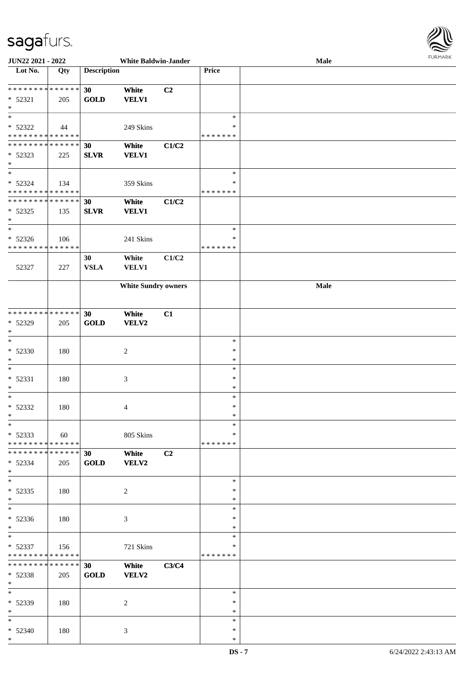

| <b>JUN22 2021 - 2022</b>                   |     |                    | <b>White Baldwin-Jander</b> |                |               | Male |  |
|--------------------------------------------|-----|--------------------|-----------------------------|----------------|---------------|------|--|
| Lot No.                                    | Qty | <b>Description</b> |                             |                | Price         |      |  |
|                                            |     |                    |                             |                |               |      |  |
| ******** <mark>******</mark>               |     |                    |                             |                |               |      |  |
|                                            |     | 30                 | White                       | C <sub>2</sub> |               |      |  |
| $* 52321$                                  | 205 | <b>GOLD</b>        | <b>VELV1</b>                |                |               |      |  |
| $*$                                        |     |                    |                             |                |               |      |  |
|                                            |     |                    |                             |                | $\ast$        |      |  |
| * 52322                                    | 44  |                    | 249 Skins                   |                | *             |      |  |
| * * * * * * * * * * * * * *                |     |                    |                             |                |               |      |  |
|                                            |     |                    |                             |                | * * * * * * * |      |  |
| * * * * * * * * <mark>* * * * * * *</mark> |     | 30                 | White                       | C1/C2          |               |      |  |
| $* 52323$                                  | 225 | <b>SLVR</b>        | <b>VELV1</b>                |                |               |      |  |
| $*$                                        |     |                    |                             |                |               |      |  |
| $*$                                        |     |                    |                             |                | $\ast$        |      |  |
|                                            |     |                    |                             |                | $\ast$        |      |  |
| $* 52324$                                  | 134 |                    | 359 Skins                   |                |               |      |  |
| * * * * * * * * * * * * * *                |     |                    |                             |                | * * * * * * * |      |  |
| * * * * * * * * <mark>* * * * * * *</mark> |     | 30                 | White                       | C1/C2          |               |      |  |
| $* 52325$                                  | 135 | <b>SLVR</b>        | <b>VELV1</b>                |                |               |      |  |
| $\ast$                                     |     |                    |                             |                |               |      |  |
| $*$                                        |     |                    |                             |                | $\ast$        |      |  |
|                                            |     |                    |                             |                |               |      |  |
| $* 52326$                                  | 106 |                    | 241 Skins                   |                | $\ast$        |      |  |
| * * * * * * * * <mark>* * * * * * *</mark> |     |                    |                             |                | * * * * * * * |      |  |
|                                            |     | 30                 | White                       | C1/C2          |               |      |  |
| 52327                                      | 227 | <b>VSLA</b>        | <b>VELV1</b>                |                |               |      |  |
|                                            |     |                    |                             |                |               |      |  |
|                                            |     |                    |                             |                |               |      |  |
|                                            |     |                    | <b>White Sundry owners</b>  |                |               | Male |  |
|                                            |     |                    |                             |                |               |      |  |
|                                            |     |                    |                             |                |               |      |  |
| * * * * * * * * * * * * * * *              |     | 30                 | White                       | C1             |               |      |  |
| * 52329                                    | 205 | <b>GOLD</b>        | VELV2                       |                |               |      |  |
|                                            |     |                    |                             |                |               |      |  |
| $*$                                        |     |                    |                             |                |               |      |  |
| $\ast$                                     |     |                    |                             |                | $\ast$        |      |  |
| * 52330                                    | 180 |                    | $\overline{c}$              |                | $\ast$        |      |  |
| $*$                                        |     |                    |                             |                | $\ast$        |      |  |
| $*$                                        |     |                    |                             |                | $\ast$        |      |  |
|                                            |     |                    |                             |                |               |      |  |
| * 52331                                    | 180 |                    | $\ensuremath{\mathfrak{Z}}$ |                | $\ast$        |      |  |
| $\ast$                                     |     |                    |                             |                | $\ast$        |      |  |
| $*$                                        |     |                    |                             |                | $\ast$        |      |  |
| $* 52332$                                  | 180 |                    | 4                           |                | $\ast$        |      |  |
| $*$                                        |     |                    |                             |                | $\ast$        |      |  |
|                                            |     |                    |                             |                | $\ast$        |      |  |
| $*$                                        |     |                    |                             |                |               |      |  |
| $* 52333$                                  | 60  |                    | 805 Skins                   |                | ∗             |      |  |
| * * * * * * * * <mark>* * * * * *</mark>   |     |                    |                             |                | *******       |      |  |
| * * * * * * * * <mark>* * * * * *</mark> * |     | 30                 | White                       | C2             |               |      |  |
| $* 52334$                                  | 205 | <b>GOLD</b>        | <b>VELV2</b>                |                |               |      |  |
| $\ast$                                     |     |                    |                             |                |               |      |  |
|                                            |     |                    |                             |                |               |      |  |
| $*$                                        |     |                    |                             |                | $\ast$        |      |  |
| $* 52335$                                  | 180 |                    | $\overline{c}$              |                | ∗             |      |  |
| $*$                                        |     |                    |                             |                | $\ast$        |      |  |
| $*$                                        |     |                    |                             |                | $\ast$        |      |  |
| $* 52336$                                  |     |                    |                             |                | ∗             |      |  |
|                                            | 180 |                    | 3                           |                |               |      |  |
| $*$                                        |     |                    |                             |                | $\ast$        |      |  |
| $*$ $-$                                    |     |                    |                             |                | $\ast$        |      |  |
| $* 52337$                                  | 156 |                    | 721 Skins                   |                | $\ast$        |      |  |
| * * * * * * * * <mark>* * * * * *</mark>   |     |                    |                             |                | *******       |      |  |
| * * * * * * * * * * * * * * <mark>*</mark> |     | 30 <sup>°</sup>    | White                       | C3/C4          |               |      |  |
|                                            |     |                    |                             |                |               |      |  |
| * 52338                                    | 205 | <b>GOLD</b>        | <b>VELV2</b>                |                |               |      |  |
| $*$                                        |     |                    |                             |                |               |      |  |
| $*$                                        |     |                    |                             |                | $\ast$        |      |  |
| * 52339                                    | 180 |                    | 2                           |                | $\ast$        |      |  |
| $*$                                        |     |                    |                             |                | $\ast$        |      |  |
| $*$                                        |     |                    |                             |                | $\ast$        |      |  |
|                                            |     |                    |                             |                |               |      |  |
| $* 52340$                                  | 180 |                    | 3                           |                | $\ast$        |      |  |
| $*$                                        |     |                    |                             |                | $\ast$        |      |  |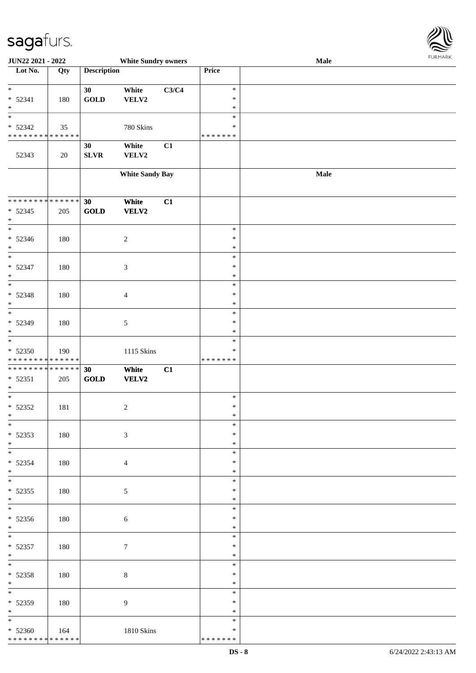

| JUN22 2021 - 2022               |     |                    | <b>White Sundry owners</b> |       |                  | <b>Male</b> |  |
|---------------------------------|-----|--------------------|----------------------------|-------|------------------|-------------|--|
| Lot No.                         | Qty | <b>Description</b> |                            |       | Price            |             |  |
|                                 |     |                    |                            |       |                  |             |  |
| $\ast$                          |     | 30                 | White                      | C3/C4 | $\ast$           |             |  |
| $* 52341$                       | 180 | <b>GOLD</b>        | VELV2                      |       | $\ast$           |             |  |
| $\ast$                          |     |                    |                            |       | $\ast$           |             |  |
| $_{\ast}$                       |     |                    |                            |       | $\ast$           |             |  |
| $* 52342$                       | 35  |                    | 780 Skins                  |       | $\ast$           |             |  |
| * * * * * * * * * * * * * *     |     |                    |                            |       | * * * * * * *    |             |  |
|                                 |     | 30                 | White                      | C1    |                  |             |  |
| 52343                           | 20  | SLVR               | ${\bf VELV2}$              |       |                  |             |  |
|                                 |     |                    |                            |       |                  |             |  |
|                                 |     |                    | <b>White Sandy Bay</b>     |       |                  | Male        |  |
|                                 |     |                    |                            |       |                  |             |  |
|                                 |     |                    |                            |       |                  |             |  |
| * * * * * * * * * * * * * *     |     | 30                 | White                      | C1    |                  |             |  |
| $* 52345$                       | 205 | <b>GOLD</b>        | <b>VELV2</b>               |       |                  |             |  |
| $\ast$                          |     |                    |                            |       |                  |             |  |
| $_{\ast}$                       |     |                    |                            |       | $\ast$           |             |  |
| $* 52346$                       | 180 |                    | $\overline{c}$             |       | $\ast$           |             |  |
| $\ast$                          |     |                    |                            |       | $\ast$           |             |  |
| $\overline{\phantom{a}^*}$      |     |                    |                            |       | $\ast$           |             |  |
| $* 52347$                       | 180 |                    | $\mathfrak{Z}$             |       | $\ast$           |             |  |
| $\ast$                          |     |                    |                            |       | $\ast$           |             |  |
| $\overline{\ast}$               |     |                    |                            |       | $\ast$           |             |  |
| $* 52348$                       | 180 |                    | $\overline{4}$             |       | $\ast$           |             |  |
| $\ast$                          |     |                    |                            |       | $\ast$           |             |  |
| $\overline{\phantom{a}^*}$      |     |                    |                            |       | $\ast$           |             |  |
| $* 52349$                       | 180 |                    | 5                          |       | $\ast$           |             |  |
| $\ast$                          |     |                    |                            |       | $\ast$           |             |  |
| $\overline{\phantom{a}^*}$      |     |                    |                            |       | $\ast$           |             |  |
| $* 52350$                       | 190 |                    | 1115 Skins                 |       | $\ast$           |             |  |
| * * * * * * * * * * * * * *     |     |                    |                            |       | * * * * * * *    |             |  |
| * * * * * * * * * * * * * * *   |     | 30                 | White                      | C1    |                  |             |  |
| $* 52351$                       | 205 | <b>GOLD</b>        | <b>VELV2</b>               |       |                  |             |  |
| $\ast$                          |     |                    |                            |       |                  |             |  |
| $\ast$                          |     |                    |                            |       | $\ast$           |             |  |
| $* 52352$                       | 181 |                    | $\overline{c}$             |       | $\ast$           |             |  |
| $*$                             |     |                    |                            |       | $\ast$           |             |  |
| $*$                             |     |                    |                            |       | $\ast$           |             |  |
| $* 52353$                       | 180 |                    | 3                          |       | $\ast$           |             |  |
| $*$                             |     |                    |                            |       | $\ast$           |             |  |
| $\overline{\phantom{0}}$        |     |                    |                            |       | $\ast$           |             |  |
| $* 52354$                       | 180 |                    | $\overline{4}$             |       | $\ast$           |             |  |
| $*$                             |     |                    |                            |       | $\ast$           |             |  |
| $\overline{\phantom{0}}$        |     |                    |                            |       | $\ast$           |             |  |
| $* 52355$                       | 180 |                    |                            |       | $\ast$           |             |  |
| $*$                             |     |                    | 5                          |       | $\ast$           |             |  |
|                                 |     |                    |                            |       | $\ast$           |             |  |
|                                 |     |                    |                            |       | $\ast$           |             |  |
| $* 52356$<br>$*$                | 180 |                    | $\sqrt{6}$                 |       | $\ast$           |             |  |
| $*$ $*$                         |     |                    |                            |       | $\ast$           |             |  |
|                                 |     |                    |                            |       | $\ast$           |             |  |
| $* 52357$                       | 180 |                    | $\tau$                     |       |                  |             |  |
| $*$<br>$\ast$                   |     |                    |                            |       | $\ast$<br>$\ast$ |             |  |
|                                 |     |                    |                            |       | $\ast$           |             |  |
| $* 52358$                       | 180 |                    | 8                          |       |                  |             |  |
| $*$<br>$\overline{\phantom{0}}$ |     |                    |                            |       | $\ast$           |             |  |
|                                 |     |                    |                            |       | $\ast$           |             |  |
| * 52359                         | 180 |                    | 9                          |       | $\ast$           |             |  |
| $*$<br>$\overline{\phantom{0}}$ |     |                    |                            |       | $\ast$           |             |  |
|                                 |     |                    |                            |       | $\ast$           |             |  |
| $* 52360$                       | 164 |                    | 1810 Skins                 |       | ∗                |             |  |
| * * * * * * * * * * * * * *     |     |                    |                            |       | * * * * * * *    |             |  |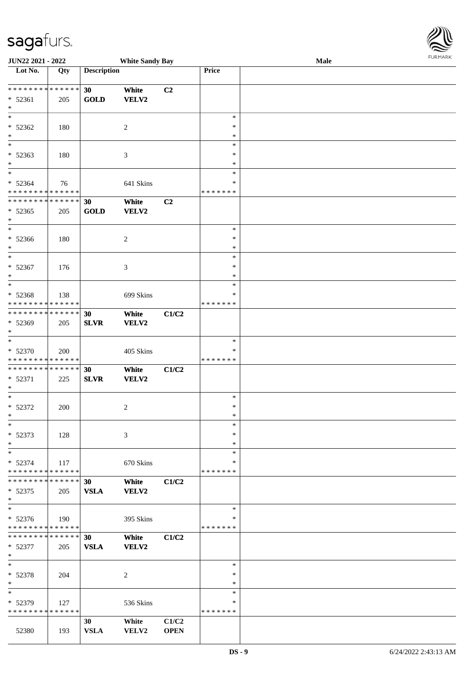| <b>JUN22 2021 - 2022</b>                   |     |                    | <b>White Sandy Bay</b> |             |               | Male | <b>FUNITANN</b> |
|--------------------------------------------|-----|--------------------|------------------------|-------------|---------------|------|-----------------|
| Lot No.                                    | Qty | <b>Description</b> |                        |             | Price         |      |                 |
|                                            |     |                    |                        |             |               |      |                 |
| ******** <mark>******</mark>               |     | 30 <sup>°</sup>    | White                  | C2          |               |      |                 |
| $* 52361$                                  | 205 | <b>GOLD</b>        | <b>VELV2</b>           |             |               |      |                 |
| $\ast$                                     |     |                    |                        |             |               |      |                 |
| $\ast$                                     |     |                    |                        |             | $\ast$        |      |                 |
| $* 52362$                                  | 180 |                    | 2                      |             | *             |      |                 |
| $*$                                        |     |                    |                        |             | *             |      |                 |
|                                            |     |                    |                        |             |               |      |                 |
| $\ast$                                     |     |                    |                        |             | $\ast$        |      |                 |
| $* 52363$                                  | 180 |                    | 3                      |             | ∗             |      |                 |
| $\ast$                                     |     |                    |                        |             | *             |      |                 |
| $*$                                        |     |                    |                        |             | $\ast$        |      |                 |
| $* 52364$                                  | 76  |                    | 641 Skins              |             | *             |      |                 |
| * * * * * * * * <mark>* * * * * *</mark>   |     |                    |                        |             | * * * * * * * |      |                 |
| * * * * * * * * <mark>* * * * * * *</mark> |     | 30                 | White                  | C2          |               |      |                 |
| $* 52365$                                  | 205 | <b>GOLD</b>        | VELV2                  |             |               |      |                 |
| $\ast$                                     |     |                    |                        |             |               |      |                 |
| $\overline{\ast}$                          |     |                    |                        |             | $\ast$        |      |                 |
| * 52366                                    | 180 |                    | $\overline{c}$         |             | $\ast$        |      |                 |
|                                            |     |                    |                        |             |               |      |                 |
| $\ast$<br>$*$                              |     |                    |                        |             | $\ast$        |      |                 |
|                                            |     |                    |                        |             | $\ast$        |      |                 |
| $* 52367$                                  | 176 |                    | 3                      |             | $\ast$        |      |                 |
| $\ast$                                     |     |                    |                        |             | $\ast$        |      |                 |
|                                            |     |                    |                        |             | $\ast$        |      |                 |
| $* 52368$                                  | 138 |                    | 699 Skins              |             | *             |      |                 |
| * * * * * * * * <mark>* * * * * * *</mark> |     |                    |                        |             | * * * * * * * |      |                 |
| * * * * * * * * * * * * * * *              |     | 30                 | White                  | C1/C2       |               |      |                 |
| * 52369                                    | 205 | <b>SLVR</b>        | <b>VELV2</b>           |             |               |      |                 |
| $\ast$                                     |     |                    |                        |             |               |      |                 |
|                                            |     |                    |                        |             | $\ast$        |      |                 |
|                                            |     |                    |                        |             |               |      |                 |
| * 52370                                    | 200 |                    | 405 Skins              |             | ∗             |      |                 |
| * * * * * * * * <mark>* * * * * *</mark>   |     |                    |                        |             | * * * * * * * |      |                 |
| * * * * * * * * <mark>* * * * * * *</mark> |     | 30                 | White                  | C1/C2       |               |      |                 |
| $* 52371$                                  | 225 | <b>SLVR</b>        | <b>VELV2</b>           |             |               |      |                 |
| $*$                                        |     |                    |                        |             |               |      |                 |
| $\ast$                                     |     |                    |                        |             | $\ast$        |      |                 |
| * 52372                                    | 200 |                    | 2                      |             | $\ast$        |      |                 |
| $\ast$                                     |     |                    |                        |             | $\ast$        |      |                 |
| $\ast$                                     |     |                    |                        |             | $\ast$        |      |                 |
| * 52373                                    | 128 |                    | 3                      |             | $\ast$        |      |                 |
| $\ast$                                     |     |                    |                        |             | $\ast$        |      |                 |
| $\ast$                                     |     |                    |                        |             | $\ast$        |      |                 |
|                                            |     |                    |                        |             |               |      |                 |
| $* 52374$                                  | 117 |                    | 670 Skins              |             | *             |      |                 |
| * * * * * * * * <mark>* * * * * * *</mark> |     |                    |                        |             | *******       |      |                 |
| * * * * * * * * * * * * * * <mark>*</mark> |     | 30                 | White                  | C1/C2       |               |      |                 |
| $*52375$                                   | 205 | <b>VSLA</b>        | <b>VELV2</b>           |             |               |      |                 |
| $\ast$                                     |     |                    |                        |             |               |      |                 |
|                                            |     |                    |                        |             | $\ast$        |      |                 |
| $* 52376$                                  | 190 |                    | 395 Skins              |             | ∗             |      |                 |
| * * * * * * * * <mark>* * * * * *</mark>   |     |                    |                        |             | * * * * * * * |      |                 |
| * * * * * * * * * * * * * * <mark>*</mark> |     | 30                 | White                  | C1/C2       |               |      |                 |
| * 52377                                    | 205 | <b>VSLA</b>        | <b>VELV2</b>           |             |               |      |                 |
| $\ast$                                     |     |                    |                        |             |               |      |                 |
| $*$                                        |     |                    |                        |             | $\ast$        |      |                 |
|                                            |     |                    |                        |             |               |      |                 |
| * 52378                                    | 204 |                    | 2                      |             | ∗             |      |                 |
| $\ast$                                     |     |                    |                        |             | $\ast$        |      |                 |
| $\ast$                                     |     |                    |                        |             | $\ast$        |      |                 |
| * 52379                                    | 127 |                    | 536 Skins              |             | ∗             |      |                 |
| * * * * * * * * * * * * * * *              |     |                    |                        |             | *******       |      |                 |
|                                            |     | 30 <sup>°</sup>    | White                  | C1/C2       |               |      |                 |
| 52380                                      | 193 | <b>VSLA</b>        | <b>VELV2</b>           | <b>OPEN</b> |               |      |                 |

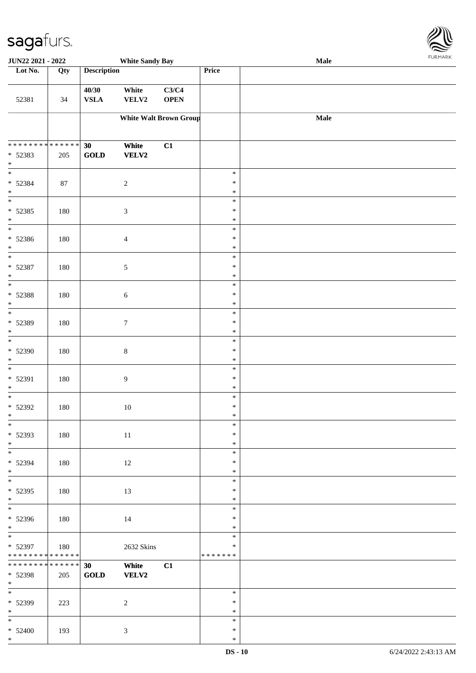

| JUN22 2021 - 2022                                                          |                    |                                      | <b>White Sandy Bay</b>        |                      |                                   | Male | <b>FURMARK</b> |
|----------------------------------------------------------------------------|--------------------|--------------------------------------|-------------------------------|----------------------|-----------------------------------|------|----------------|
| Lot No.                                                                    | Qty                | <b>Description</b>                   |                               |                      | Price                             |      |                |
| 52381                                                                      | 34                 | 40/30<br><b>VSLA</b>                 | White<br>VELV2                | C3/C4<br><b>OPEN</b> |                                   |      |                |
|                                                                            |                    |                                      | <b>White Walt Brown Group</b> |                      |                                   | Male |                |
| ******** <mark>******</mark><br>* 52383<br>$\ast$                          | 205                | 30<br><b>GOLD</b>                    | White<br>VELV2                | C1                   |                                   |      |                |
| $\ast$<br>* 52384<br>$\ast$                                                | $87\,$             |                                      | $\sqrt{2}$                    |                      | $\ast$<br>$\ast$<br>$\ast$        |      |                |
| $\ast$<br>$* 52385$<br>$\ast$                                              | 180                |                                      | $\mathfrak{Z}$                |                      | $\ast$<br>$\ast$<br>$\ast$        |      |                |
| $\overline{\phantom{a}^*}$<br>$* 52386$<br>$\ast$                          | 180                |                                      | $\overline{4}$                |                      | $\ast$<br>$\ast$<br>$\ast$        |      |                |
| $*$<br>* 52387<br>$\ast$                                                   | 180                |                                      | 5                             |                      | $\ast$<br>$\ast$<br>$\ast$        |      |                |
| $\overline{\phantom{a}^*}$<br>* 52388<br>$\ast$                            | 180                |                                      | 6                             |                      | $\ast$<br>$\ast$<br>$\ast$        |      |                |
| $\overline{\phantom{0}}$<br>* 52389<br>$\ast$                              | 180                |                                      | $\tau$                        |                      | $\ast$<br>$\ast$<br>$\ast$        |      |                |
| $\overline{\phantom{a}}$<br>* 52390<br>$\ast$                              | 180                |                                      | $\,8\,$                       |                      | $\ast$<br>$\ast$<br>$\ast$        |      |                |
| $\ast$<br>* 52391<br>$\ast$<br>$\overline{\phantom{0}}$                    | 180                |                                      | 9                             |                      | $\ast$<br>$\ast$<br>$\ast$        |      |                |
| * 52392<br>$\ast$<br>$\overline{\phantom{a}^*}$                            | 180                |                                      | 10                            |                      | $\ast$<br>$\ast$<br>$\ast$        |      |                |
| * 52393<br>$\ast$                                                          | 180                |                                      | $11\,$                        |                      | $\ast$<br>$\ast$<br>$\ast$        |      |                |
| $\overline{\phantom{0}}$<br>* 52394<br>$\ast$<br>$\overline{\phantom{0}}$  | 180                |                                      | 12                            |                      | $\ast$<br>$\ast$<br>$\ast$        |      |                |
| $* 52395$<br>$\ast$<br>$\overline{\phantom{0}}$                            | 180                |                                      | 13                            |                      | $\ast$<br>$\ast$<br>$\ast$        |      |                |
| $* 52396$<br>$*$                                                           | 180                |                                      | 14                            |                      | $\ast$<br>$\ast$<br>$\ast$        |      |                |
| $\overline{\ast}$<br>* 52397<br>* * * * * * * * <mark>* * * * * * *</mark> | 180                |                                      | 2632 Skins                    |                      | $\ast$<br>$\ast$<br>* * * * * * * |      |                |
| ********<br>* 52398<br>$*$                                                 | * * * * * *<br>205 | 30<br>$\operatorname{\mathbf{GOLD}}$ | White<br><b>VELV2</b>         | C1                   |                                   |      |                |
| $\overline{\phantom{a}^*}$<br>* 52399<br>$\ast$                            | 223                |                                      | $\overline{c}$                |                      | $\ast$<br>$\ast$<br>$\ast$        |      |                |
| $\ast$<br>$* 52400$<br>$*$                                                 | 193                |                                      | 3                             |                      | $\ast$<br>$\ast$<br>$\ast$        |      |                |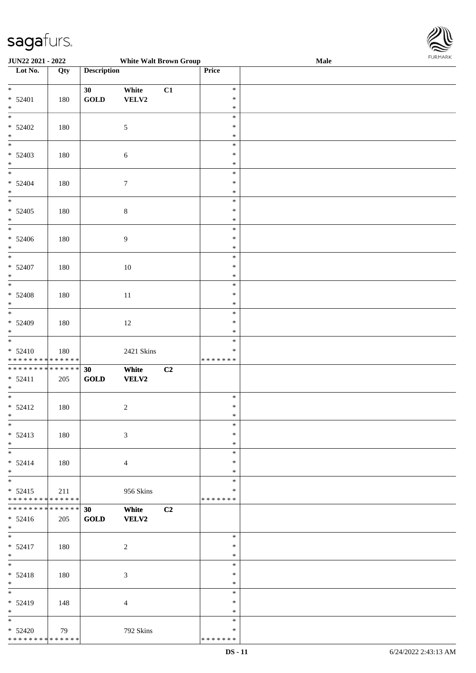

| JUN22 2021 - 2022             |     |                                | <b>White Walt Brown Group</b> |    |               | Male |
|-------------------------------|-----|--------------------------------|-------------------------------|----|---------------|------|
| Lot No.                       | Qty | <b>Description</b>             |                               |    | Price         |      |
|                               |     |                                |                               |    |               |      |
| $*$                           |     | 30                             | White                         | C1 | $\ast$        |      |
| $* 52401$                     | 180 | $\operatorname{GOLD}$          | ${\bf VELV2}$                 |    | $\ast$        |      |
| $\ast$                        |     |                                |                               |    | $\ast$        |      |
| $\overline{\phantom{0}}$      |     |                                |                               |    | $\ast$        |      |
| $* 52402$                     | 180 |                                | $\sqrt{5}$                    |    | $\ast$        |      |
| $\ast$                        |     |                                |                               |    | $\ast$        |      |
| $\overline{\phantom{0}}$      |     |                                |                               |    |               |      |
|                               |     |                                |                               |    | $\ast$        |      |
| $* 52403$                     | 180 |                                | $\sqrt{6}$                    |    | $\ast$        |      |
| $\ast$                        |     |                                |                               |    | $\ast$        |      |
| $\overline{\phantom{0}}$      |     |                                |                               |    | $\ast$        |      |
| $* 52404$                     | 180 |                                | $\tau$                        |    | $\ast$        |      |
| $\ast$                        |     |                                |                               |    | $\ast$        |      |
| $\overline{\phantom{1}}$      |     |                                |                               |    | $\ast$        |      |
| $* 52405$                     | 180 |                                | $8\,$                         |    | $\ast$        |      |
| $\ast$                        |     |                                |                               |    | $\ast$        |      |
| $\overline{\phantom{a}^*}$    |     |                                |                               |    | $\ast$        |      |
| $* 52406$                     | 180 |                                | $\overline{9}$                |    | $\ast$        |      |
| $\ast$                        |     |                                |                               |    | $\ast$        |      |
| $\frac{1}{\ast}$              |     |                                |                               |    | $\ast$        |      |
|                               |     |                                |                               |    |               |      |
| $* 52407$                     | 180 |                                | $10\,$                        |    | $\ast$        |      |
| $\ast$<br>$\overline{\ast}$   |     |                                |                               |    | $\ast$        |      |
|                               |     |                                |                               |    | $\ast$        |      |
| $* 52408$                     | 180 |                                | $11\,$                        |    | $\ast$        |      |
| $\ast$                        |     |                                |                               |    | $\ast$        |      |
| $\overline{\phantom{1}}$      |     |                                |                               |    | $\ast$        |      |
| $* 52409$                     | 180 |                                | 12                            |    | $\ast$        |      |
| $\ast$                        |     |                                |                               |    | $\ast$        |      |
| $\overline{\phantom{a}^*}$    |     |                                |                               |    | $\ast$        |      |
| $* 52410$                     | 180 |                                | 2421 Skins                    |    | $\ast$        |      |
| * * * * * * * * * * * * * *   |     |                                |                               |    | * * * * * * * |      |
| * * * * * * * * * * * * * * * |     | 30                             | White                         | C2 |               |      |
| $* 52411$                     | 205 | $\operatorname{\mathbf{GOLD}}$ | <b>VELV2</b>                  |    |               |      |
| $*$                           |     |                                |                               |    |               |      |
| $\ast$                        |     |                                |                               |    | $\ast$        |      |
|                               |     |                                |                               |    |               |      |
| $* 52412$                     | 180 |                                | $\boldsymbol{2}$              |    | $\ast$        |      |
| $*$                           |     |                                |                               |    | $\ast$        |      |
| $*$                           |     |                                |                               |    | $\ast$        |      |
| $* 52413$                     | 180 |                                | 3                             |    | $\ast$        |      |
| $\ast$                        |     |                                |                               |    | $\ast$        |      |
| $\overline{\phantom{0}}$      |     |                                |                               |    | $\ast$        |      |
| $* 52414$                     | 180 |                                | $\overline{4}$                |    | $\ast$        |      |
| $*$                           |     |                                |                               |    | $\ast$        |      |
| $\overline{\phantom{1}}$      |     |                                |                               |    | $\ast$        |      |
| $* 52415$                     | 211 |                                | 956 Skins                     |    | $\ast$        |      |
| * * * * * * * * * * * * * *   |     |                                |                               |    | *******       |      |
| ******** <mark>******</mark>  |     | 30                             | White                         | C2 |               |      |
|                               |     |                                | <b>VELV2</b>                  |    |               |      |
| $* 52416$<br>$*$              | 205 | $\operatorname{\mathbf{GOLD}}$ |                               |    |               |      |
| $*$                           |     |                                |                               |    |               |      |
|                               |     |                                |                               |    | $\ast$        |      |
| $* 52417$                     | 180 |                                | $\sqrt{2}$                    |    | $\ast$        |      |
| $*$                           |     |                                |                               |    | $\ast$        |      |
| $*$                           |     |                                |                               |    | $\ast$        |      |
| $* 52418$                     | 180 |                                | 3                             |    | $\ast$        |      |
| $\ast$                        |     |                                |                               |    | $\ast$        |      |
| $\overline{\phantom{a}^*}$    |     |                                |                               |    | $\ast$        |      |
| * 52419                       | 148 |                                | $\overline{4}$                |    | $\ast$        |      |
| $\ast$                        |     |                                |                               |    | $\ast$        |      |
| $\overline{\phantom{0}}$      |     |                                |                               |    | $\ast$        |      |
| $* 52420$                     | 79  |                                | 792 Skins                     |    | $\ast$        |      |
| * * * * * * * * * * * * * *   |     |                                |                               |    | * * * * * * * |      |
|                               |     |                                |                               |    |               |      |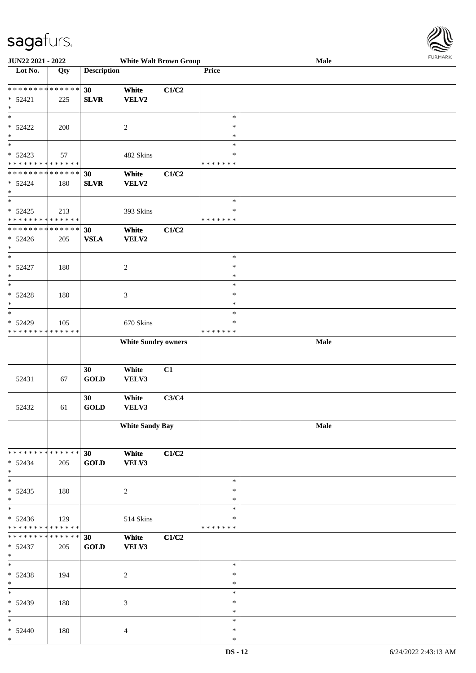

| <b>JUN22 2021 - 2022</b>                   |             |                    | <b>White Walt Brown Group</b> |       |               | Male |  |
|--------------------------------------------|-------------|--------------------|-------------------------------|-------|---------------|------|--|
| Lot No.                                    | Qty         | <b>Description</b> |                               |       | Price         |      |  |
|                                            |             |                    |                               |       |               |      |  |
| * * * * * * * * <mark>* * * * * *</mark>   |             | 30                 | White                         | C1/C2 |               |      |  |
| $* 52421$                                  | 225         | <b>SLVR</b>        | VELV2                         |       |               |      |  |
| $\ast$                                     |             |                    |                               |       |               |      |  |
|                                            |             |                    |                               |       | $\ast$        |      |  |
|                                            |             |                    |                               |       |               |      |  |
| $* 52422$                                  | 200         |                    | $\overline{c}$                |       | $\ast$        |      |  |
| $\ast$                                     |             |                    |                               |       | $\ast$        |      |  |
| $_{*}$                                     |             |                    |                               |       | $\ast$        |      |  |
| $* 52423$                                  | 57          |                    | 482 Skins                     |       | $\ast$        |      |  |
| * * * * * * * * * * * * * *                |             |                    |                               |       | * * * * * * * |      |  |
| * * * * * * * * <mark>* * * * * * *</mark> |             | 30                 | White                         | C1/C2 |               |      |  |
| $* 52424$                                  | 180         | <b>SLVR</b>        | VELV2                         |       |               |      |  |
| $\ast$                                     |             |                    |                               |       |               |      |  |
| $*$                                        |             |                    |                               |       | $\ast$        |      |  |
|                                            |             |                    |                               |       |               |      |  |
| $* 52425$                                  | 213         |                    | 393 Skins                     |       | $\ast$        |      |  |
| * * * * * * * * * * * * * *                |             |                    |                               |       | * * * * * * * |      |  |
| * * * * * * * * * * * * * * *              |             | 30                 | White                         | C1/C2 |               |      |  |
| $* 52426$                                  | 205         | <b>VSLA</b>        | VELV2                         |       |               |      |  |
| $*$                                        |             |                    |                               |       |               |      |  |
| $*$                                        |             |                    |                               |       | $\ast$        |      |  |
| $* 52427$                                  | 180         |                    | $\overline{c}$                |       | $\ast$        |      |  |
| $\ast$                                     |             |                    |                               |       | $\ast$        |      |  |
| $*$                                        |             |                    |                               |       | $\ast$        |      |  |
|                                            |             |                    |                               |       |               |      |  |
| $* 52428$                                  | 180         |                    | $\mathfrak{Z}$                |       | $\ast$        |      |  |
| $\ast$                                     |             |                    |                               |       | $\ast$        |      |  |
| $*$                                        |             |                    |                               |       | $\ast$        |      |  |
| $* 52429$                                  | 105         |                    | 670 Skins                     |       | $\ast$        |      |  |
| * * * * * * * *                            | * * * * * * |                    |                               |       | * * * * * * * |      |  |
|                                            |             |                    | <b>White Sundry owners</b>    |       |               | Male |  |
|                                            |             |                    |                               |       |               |      |  |
|                                            |             |                    |                               |       |               |      |  |
|                                            |             |                    |                               |       |               |      |  |
|                                            |             | 30                 | White                         | C1    |               |      |  |
| 52431                                      | 67          | <b>GOLD</b>        | VELV3                         |       |               |      |  |
|                                            |             |                    |                               |       |               |      |  |
|                                            |             | 30                 | White                         | C3/C4 |               |      |  |
| 52432                                      | 61          | <b>GOLD</b>        | VELV3                         |       |               |      |  |
|                                            |             |                    |                               |       |               |      |  |
|                                            |             |                    | <b>White Sandy Bay</b>        |       |               | Male |  |
|                                            |             |                    |                               |       |               |      |  |
|                                            |             |                    |                               |       |               |      |  |
| * * * * * * * * <mark>* * * * * *</mark> * |             | 30                 | White                         | C1/C2 |               |      |  |
|                                            |             |                    |                               |       |               |      |  |
| $* 52434$                                  | 205         | <b>GOLD</b>        | VELV3                         |       |               |      |  |
| $*$                                        |             |                    |                               |       |               |      |  |
| $\ast$                                     |             |                    |                               |       | $\ast$        |      |  |
| $* 52435$                                  | 180         |                    | $\boldsymbol{2}$              |       | $\ast$        |      |  |
| $*$                                        |             |                    |                               |       | $\ast$        |      |  |
| $*$                                        |             |                    |                               |       | $\ast$        |      |  |
| $* 52436$                                  | 129         |                    | 514 Skins                     |       | ∗             |      |  |
| * * * * * * * * * * * * * *                |             |                    |                               |       | *******       |      |  |
| * * * * * * * * * * * * * * *              |             | 30                 | White                         | C1/C2 |               |      |  |
| $* 52437$                                  | 205         | <b>GOLD</b>        | VELV3                         |       |               |      |  |
| $*$                                        |             |                    |                               |       |               |      |  |
| $*$                                        |             |                    |                               |       | $\ast$        |      |  |
|                                            |             |                    |                               |       |               |      |  |
| $* 52438$                                  | 194         |                    | $\overline{c}$                |       | $\ast$        |      |  |
| $*$                                        |             |                    |                               |       | $\ast$        |      |  |
| $*$                                        |             |                    |                               |       | $\ast$        |      |  |
| * 52439                                    | 180         |                    | 3                             |       | $\ast$        |      |  |
| $*$                                        |             |                    |                               |       | $\ast$        |      |  |
| $*$                                        |             |                    |                               |       | $\ast$        |      |  |
| $* 52440$                                  | 180         |                    | 4                             |       | $\ast$        |      |  |
| $\ast$                                     |             |                    |                               |       | $\ast$        |      |  |
|                                            |             |                    |                               |       |               |      |  |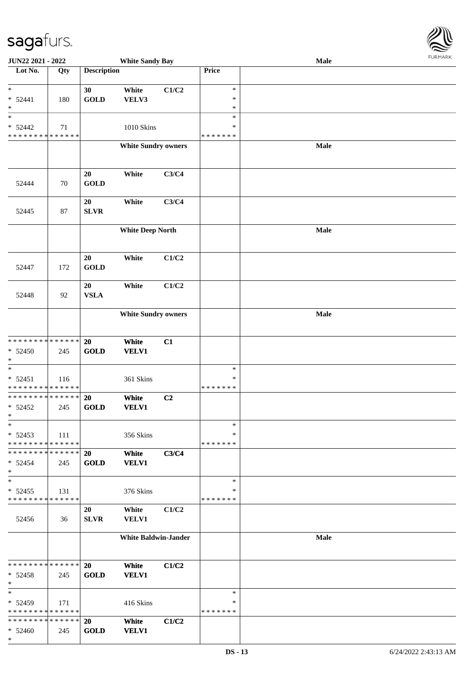\*

| JUN22 2021 - 2022             |     |                    | <b>White Sandy Bay</b>      |                |               | <b>Male</b> |  |
|-------------------------------|-----|--------------------|-----------------------------|----------------|---------------|-------------|--|
| Lot No.                       | Qty | <b>Description</b> |                             |                | Price         |             |  |
|                               |     |                    |                             |                |               |             |  |
| $\ast$                        |     | 30                 | White                       | C1/C2          | $\ast$        |             |  |
| $* 52441$                     | 180 | <b>GOLD</b>        | VELV3                       |                | $\ast$        |             |  |
| $\ast$                        |     |                    |                             |                | $\ast$        |             |  |
| $\ast$                        |     |                    |                             |                | $\ast$        |             |  |
| $* 52442$                     | 71  |                    | 1010 Skins                  |                | $\ast$        |             |  |
| * * * * * * * * * * * * * *   |     |                    |                             |                | * * * * * * * |             |  |
|                               |     |                    | <b>White Sundry owners</b>  |                |               | Male        |  |
|                               |     |                    |                             |                |               |             |  |
|                               |     |                    |                             |                |               |             |  |
|                               |     | 20                 | White                       | C3/C4          |               |             |  |
| 52444                         | 70  | <b>GOLD</b>        |                             |                |               |             |  |
|                               |     |                    |                             |                |               |             |  |
|                               |     | 20                 | White                       | C3/C4          |               |             |  |
| 52445                         | 87  | <b>SLVR</b>        |                             |                |               |             |  |
|                               |     |                    |                             |                |               |             |  |
|                               |     |                    | <b>White Deep North</b>     |                |               | Male        |  |
|                               |     |                    |                             |                |               |             |  |
|                               |     |                    |                             |                |               |             |  |
|                               |     | 20                 | White                       | C1/C2          |               |             |  |
| 52447                         | 172 | <b>GOLD</b>        |                             |                |               |             |  |
|                               |     |                    |                             |                |               |             |  |
|                               |     | 20                 | White                       | C1/C2          |               |             |  |
| 52448                         | 92  | <b>VSLA</b>        |                             |                |               |             |  |
|                               |     |                    |                             |                |               |             |  |
|                               |     |                    | <b>White Sundry owners</b>  |                |               | Male        |  |
|                               |     |                    |                             |                |               |             |  |
|                               |     |                    |                             |                |               |             |  |
| * * * * * * * * * * * * * * * |     | 20                 | White                       | C1             |               |             |  |
| * 52450                       | 245 | <b>GOLD</b>        | <b>VELV1</b>                |                |               |             |  |
| $\ast$                        |     |                    |                             |                |               |             |  |
| $\ast$                        |     |                    |                             |                | $\ast$        |             |  |
| $* 52451$                     | 116 |                    | 361 Skins                   |                | $\ast$        |             |  |
| * * * * * * * * * * * * * *   |     |                    |                             |                | *******       |             |  |
| ******** <mark>******</mark>  |     | 20                 | White                       | C <sub>2</sub> |               |             |  |
| $* 52452$                     | 245 | <b>GOLD</b>        | <b>VELV1</b>                |                |               |             |  |
| $\ast$                        |     |                    |                             |                |               |             |  |
| $\ast$                        |     |                    |                             |                | $\ast$        |             |  |
| $* 52453$                     | 111 |                    | 356 Skins                   |                | ∗             |             |  |
| * * * * * * * * * * * * * *   |     |                    |                             |                | * * * * * * * |             |  |
| * * * * * * * * * * * * * * * |     | 20                 | White                       | C3/C4          |               |             |  |
| $* 52454$                     | 245 | <b>GOLD</b>        | <b>VELV1</b>                |                |               |             |  |
| $\ast$                        |     |                    |                             |                |               |             |  |
| $\ast$                        |     |                    |                             |                | $\ast$        |             |  |
| $* 52455$                     | 131 |                    | 376 Skins                   |                | *             |             |  |
| * * * * * * * * * * * * * *   |     |                    |                             |                | * * * * * * * |             |  |
|                               |     | 20                 | White                       | C1/C2          |               |             |  |
| 52456                         | 36  | <b>SLVR</b>        | VELV1                       |                |               |             |  |
|                               |     |                    |                             |                |               |             |  |
|                               |     |                    | <b>White Baldwin-Jander</b> |                |               | Male        |  |
|                               |     |                    |                             |                |               |             |  |
|                               |     |                    |                             |                |               |             |  |
| * * * * * * * * * * * * * *   |     | <b>20</b>          | White                       | C1/C2          |               |             |  |
| $* 52458$                     | 245 | <b>GOLD</b>        | <b>VELV1</b>                |                |               |             |  |
| $\ast$                        |     |                    |                             |                |               |             |  |
| $\ast$                        |     |                    |                             |                | $\ast$        |             |  |
| $* 52459$                     | 171 |                    | 416 Skins                   |                | ∗             |             |  |
| * * * * * * * * * * * * * *   |     |                    |                             |                | * * * * * * * |             |  |
| * * * * * * * * * * * * * * * |     | 20                 | White                       | C1/C2          |               |             |  |
| $* 52460$                     | 245 | <b>GOLD</b>        | <b>VELV1</b>                |                |               |             |  |

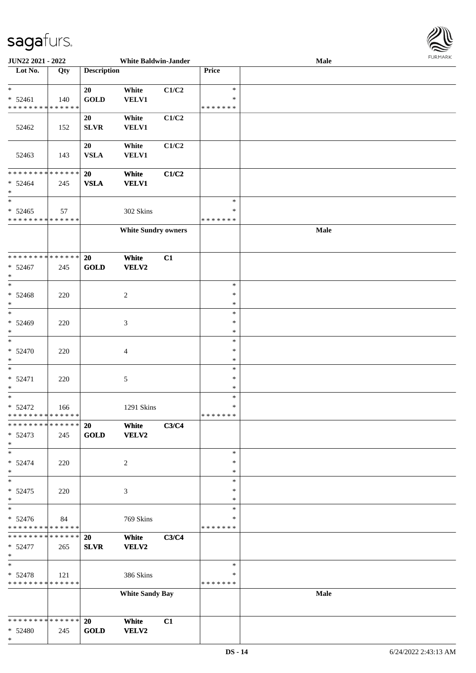

| <b>JUN22 2021 - 2022</b>                   |       |                    | <b>White Baldwin-Jander</b> |       |               | Male |  |
|--------------------------------------------|-------|--------------------|-----------------------------|-------|---------------|------|--|
| Lot No.                                    | Qty   | <b>Description</b> |                             |       | Price         |      |  |
|                                            |       |                    |                             |       |               |      |  |
| $*$                                        |       | 20                 | White                       | C1/C2 | $\ast$        |      |  |
| $* 52461$                                  | 140   | <b>GOLD</b>        | <b>VELV1</b>                |       | ∗             |      |  |
| * * * * * * * * * * * * * *                |       |                    |                             |       | * * * * * * * |      |  |
|                                            |       | 20                 | White                       | C1/C2 |               |      |  |
|                                            |       | <b>SLVR</b>        | <b>VELV1</b>                |       |               |      |  |
| 52462                                      | 152   |                    |                             |       |               |      |  |
|                                            |       |                    |                             |       |               |      |  |
|                                            |       | 20                 | White                       | C1/C2 |               |      |  |
| 52463                                      | 143   | <b>VSLA</b>        | <b>VELV1</b>                |       |               |      |  |
|                                            |       |                    |                             |       |               |      |  |
| * * * * * * * * <mark>* * * * * * *</mark> |       | 20                 | White                       | C1/C2 |               |      |  |
| $* 52464$                                  | 245   | <b>VSLA</b>        | <b>VELV1</b>                |       |               |      |  |
| $*$                                        |       |                    |                             |       |               |      |  |
| $\ast$                                     |       |                    |                             |       | $\ast$        |      |  |
| $* 52465$                                  | 57    |                    | 302 Skins                   |       | $\ast$        |      |  |
| * * * * * * * * * * * * * *                |       |                    |                             |       | * * * * * * * |      |  |
|                                            |       |                    | <b>White Sundry owners</b>  |       |               | Male |  |
|                                            |       |                    |                             |       |               |      |  |
|                                            |       |                    |                             |       |               |      |  |
| * * * * * * * * <mark>* * * * * * *</mark> |       | 20                 | White                       | C1    |               |      |  |
|                                            |       |                    |                             |       |               |      |  |
| $* 52467$<br>$\ast$                        | 245   | GOLD               | <b>VELV2</b>                |       |               |      |  |
|                                            |       |                    |                             |       |               |      |  |
| $*$                                        |       |                    |                             |       | $\ast$        |      |  |
| $* 52468$                                  | 220   |                    | $\overline{c}$              |       | ∗             |      |  |
| $\ast$                                     |       |                    |                             |       | $\ast$        |      |  |
|                                            |       |                    |                             |       | $\ast$        |      |  |
| * 52469                                    | 220   |                    | 3                           |       | $\ast$        |      |  |
| $\ast$                                     |       |                    |                             |       | $\ast$        |      |  |
| $*$                                        |       |                    |                             |       | $\ast$        |      |  |
| $* 52470$                                  | 220   |                    | $\overline{4}$              |       | $\ast$        |      |  |
| $\ast$                                     |       |                    |                             |       | $\ast$        |      |  |
| $*$                                        |       |                    |                             |       | $\ast$        |      |  |
| $* 52471$                                  | 220   |                    | $\sqrt{5}$                  |       | $\ast$        |      |  |
| $\ast$                                     |       |                    |                             |       | $\ast$        |      |  |
| $*$                                        |       |                    |                             |       | $\ast$        |      |  |
| $* 52472$                                  | 166   |                    | 1291 Skins                  |       | $\ast$        |      |  |
| * * * * * * * * <mark>* * * * * * *</mark> |       |                    |                             |       | *******       |      |  |
| * * * * * * * * <mark>* * * * * * *</mark> |       |                    |                             |       |               |      |  |
|                                            |       | 20                 | White                       | C3/C4 |               |      |  |
| $* 52473$                                  | 245   | GOLD               | VELV2                       |       |               |      |  |
| $*$                                        |       |                    |                             |       |               |      |  |
| $*$                                        |       |                    |                             |       | $\ast$        |      |  |
| $* 52474$                                  | 220   |                    | 2                           |       | ∗             |      |  |
| $*$                                        |       |                    |                             |       | ∗             |      |  |
| $*$                                        |       |                    |                             |       | $\ast$        |      |  |
| $* 52475$                                  | 220   |                    | 3                           |       | $\ast$        |      |  |
| $*$                                        |       |                    |                             |       | $\ast$        |      |  |
| $_{*}^{-}$                                 |       |                    |                             |       | $\ast$        |      |  |
| $* 52476$                                  | 84    |                    | 769 Skins                   |       | ∗             |      |  |
| * * * * * * * * * * * * * *                |       |                    |                             |       | *******       |      |  |
| * * * * * * * * <mark>* * * * * *</mark> * |       | 20                 | White                       | C3/C4 |               |      |  |
| $* 52477$                                  | 265   | <b>SLVR</b>        | <b>VELV2</b>                |       |               |      |  |
| $\ast$                                     |       |                    |                             |       |               |      |  |
| $*$                                        |       |                    |                             |       | $\ast$        |      |  |
| $* 52478$                                  |       |                    | 386 Skins                   |       | ∗             |      |  |
| * * * * * * * * * * * * * * *              | - 121 |                    |                             |       | * * * * * * * |      |  |
|                                            |       |                    |                             |       |               |      |  |
|                                            |       |                    | <b>White Sandy Bay</b>      |       |               | Male |  |
|                                            |       |                    |                             |       |               |      |  |
|                                            |       |                    |                             |       |               |      |  |
| * * * * * * * * <mark>* * * * * * *</mark> |       | 20                 | White                       | C1    |               |      |  |
| $* 52480$                                  | 245   | <b>GOLD</b>        | <b>VELV2</b>                |       |               |      |  |
| $\ast$                                     |       |                    |                             |       |               |      |  |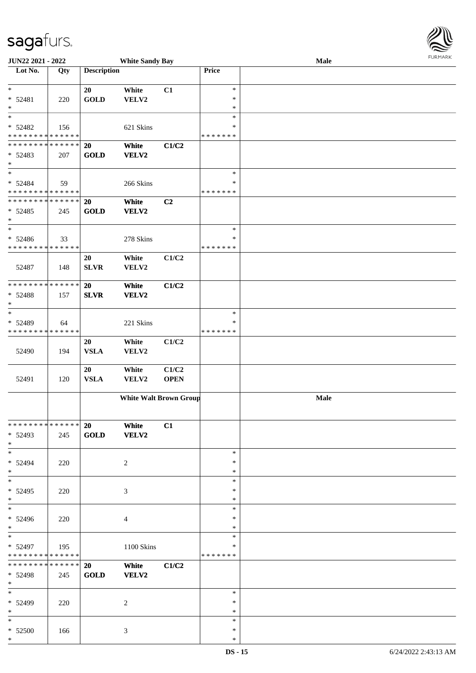\*

| <b>JUN22 2021 - 2022</b>                                                             |     |                          | <b>White Sandy Bay</b>        |                      |                                   | Male | FURMARK |
|--------------------------------------------------------------------------------------|-----|--------------------------|-------------------------------|----------------------|-----------------------------------|------|---------|
| Lot No.                                                                              | Qty | <b>Description</b>       |                               |                      | <b>Price</b>                      |      |         |
| $*$<br>$* 52481$<br>$\ast$                                                           | 220 | 20<br><b>GOLD</b>        | White<br>VELV2                | C1                   | $\ast$<br>$\ast$<br>$\ast$        |      |         |
| $\ast$<br>$* 52482$<br>* * * * * * * * <mark>* * * * * * *</mark>                    | 156 |                          | 621 Skins                     |                      | $\ast$<br>$\ast$<br>* * * * * * * |      |         |
| * * * * * * * * <mark>* * * * * * *</mark><br>* 52483<br>$\ast$<br>$\overline{\ast}$ | 207 | <b>20</b><br><b>GOLD</b> | White<br>VELV2                | C1/C2                |                                   |      |         |
| $* 52484$<br>* * * * * * * * <mark>* * * * * * *</mark>                              | 59  |                          | 266 Skins                     |                      | $\ast$<br>*<br>* * * * * * *      |      |         |
| * * * * * * * * <mark>* * * * * * *</mark><br>$* 52485$<br>$\ast$                    | 245 | <b>20</b><br><b>GOLD</b> | White<br>VELV2                | C2                   | $\ast$                            |      |         |
| * 52486<br>* * * * * * * * <mark>* * * * * * *</mark>                                | 33  |                          | 278 Skins                     |                      | ∗<br>* * * * * * *                |      |         |
| 52487                                                                                | 148 | 20<br><b>SLVR</b>        | White<br>VELV2                | C1/C2                |                                   |      |         |
| **************<br>$* 52488$<br>$\ast$                                                | 157 | <b>20</b><br><b>SLVR</b> | White<br>VELV2                | C1/C2                |                                   |      |         |
| $\ast$<br>* 52489<br>* * * * * * * * <mark>* * * * * * *</mark>                      | 64  |                          | 221 Skins                     |                      | $\ast$<br>$\ast$<br>* * * * * * * |      |         |
| 52490                                                                                | 194 | 20<br><b>VSLA</b>        | White<br>VELV2                | C1/C2                |                                   |      |         |
| 52491                                                                                | 120 | 20<br><b>VSLA</b>        | White<br>VELV2                | C1/C2<br><b>OPEN</b> |                                   |      |         |
|                                                                                      |     |                          | <b>White Walt Brown Group</b> |                      |                                   | Male |         |
| * * * * * * * * <mark>* * * * * * *</mark><br>$* 52493$<br>$*$                       | 245 | <b>20</b><br><b>GOLD</b> | White<br>VELV2                | C1                   |                                   |      |         |
| $\ast$<br>* 52494<br>$*$<br>$*$                                                      | 220 |                          | 2                             |                      | $\ast$<br>∗<br>$\ast$             |      |         |
| * 52495<br>$\ast$<br>$\overline{\ast}$                                               | 220 |                          | 3                             |                      | $\ast$<br>∗<br>$\ast$<br>$\ast$   |      |         |
| * 52496<br>$\ast$<br>$\ast$                                                          | 220 |                          | $\overline{4}$                |                      | $\ast$<br>$\ast$                  |      |         |
| * 52497<br>* * * * * * * * <mark>* * * * * *</mark> *                                | 195 |                          | 1100 Skins                    |                      | ∗<br>∗<br>* * * * * * *           |      |         |
| * * * * * * * * * * * * * * *<br>$* 52498$<br>$\ast$                                 | 245 | <b>20</b><br><b>GOLD</b> | White<br>VELV2                | C1/C2                |                                   |      |         |
| $\ast$<br>* 52499<br>$\ast$                                                          | 220 |                          | 2                             |                      | $\ast$<br>$\ast$<br>*             |      |         |
| $\ast$<br>$* 52500$<br>*                                                             | 166 |                          | 3                             |                      | $\ast$<br>$\ast$<br>$\ast$        |      |         |

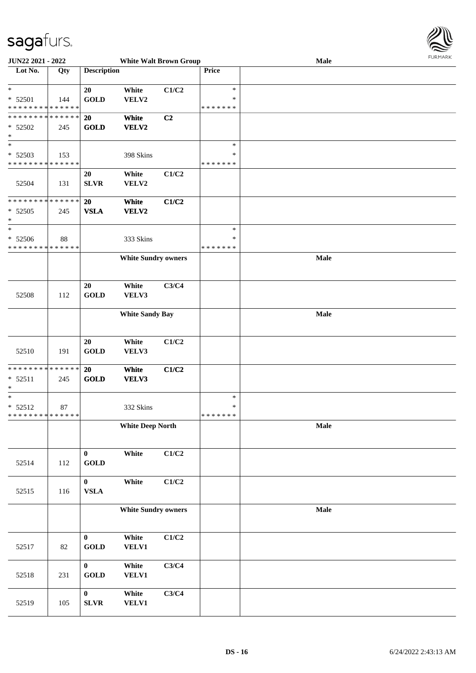

| <b>JUN22 2021 - 2022</b>                   |             |                    | <b>White Walt Brown Group</b> |                |               | Male |  |
|--------------------------------------------|-------------|--------------------|-------------------------------|----------------|---------------|------|--|
| Lot No.                                    | Qty         | <b>Description</b> |                               |                | Price         |      |  |
|                                            |             |                    |                               |                |               |      |  |
| $\ast$                                     |             | 20                 | White                         | C1/C2          | $\ast$        |      |  |
| $* 52501$                                  | 144         | <b>GOLD</b>        | VELV2                         |                | ∗             |      |  |
| * * * * * * * * <mark>* * * * * * *</mark> |             |                    |                               |                | * * * * * * * |      |  |
| * * * * * * * * * * * * * * *              |             | 20                 | White                         | C <sub>2</sub> |               |      |  |
|                                            |             |                    |                               |                |               |      |  |
| $* 52502$                                  | 245         | <b>GOLD</b>        | VELV2                         |                |               |      |  |
| $\ast$                                     |             |                    |                               |                |               |      |  |
| $_{*}^{-}$                                 |             |                    |                               |                | $\ast$        |      |  |
| * 52503                                    | 153         |                    | 398 Skins                     |                | $\ast$        |      |  |
| * * * * * * * *                            | * * * * * * |                    |                               |                | * * * * * * * |      |  |
|                                            |             | 20                 | White                         | C1/C2          |               |      |  |
| 52504                                      | 131         | <b>SLVR</b>        | VELV2                         |                |               |      |  |
|                                            |             |                    |                               |                |               |      |  |
| * * * * * * * * <mark>* * * * * * *</mark> |             | 20                 | White                         | C1/C2          |               |      |  |
| $* 52505$                                  | 245         | <b>VSLA</b>        | <b>VELV2</b>                  |                |               |      |  |
| $\ast$                                     |             |                    |                               |                |               |      |  |
| $\ast$                                     |             |                    |                               |                | $\ast$        |      |  |
|                                            |             |                    |                               |                |               |      |  |
| $* 52506$                                  | 88          |                    | 333 Skins                     |                | $\ast$        |      |  |
| * * * * * * * * * * * * * *                |             |                    |                               |                | * * * * * * * |      |  |
|                                            |             |                    | <b>White Sundry owners</b>    |                |               | Male |  |
|                                            |             |                    |                               |                |               |      |  |
|                                            |             |                    |                               |                |               |      |  |
|                                            |             | 20                 | White                         | C3/C4          |               |      |  |
| 52508                                      | 112         | <b>GOLD</b>        | VELV3                         |                |               |      |  |
|                                            |             |                    |                               |                |               |      |  |
|                                            |             |                    | <b>White Sandy Bay</b>        |                |               | Male |  |
|                                            |             |                    |                               |                |               |      |  |
|                                            |             |                    |                               |                |               |      |  |
|                                            |             | 20                 | White                         | C1/C2          |               |      |  |
|                                            |             |                    |                               |                |               |      |  |
| 52510                                      | 191         | <b>GOLD</b>        | VELV3                         |                |               |      |  |
|                                            |             |                    |                               |                |               |      |  |
| * * * * * * * * <mark>* * * * * *</mark>   |             | 20                 | White                         | C1/C2          |               |      |  |
| $* 52511$                                  | 245         | <b>GOLD</b>        | VELV3                         |                |               |      |  |
| *                                          |             |                    |                               |                |               |      |  |
| $*$                                        |             |                    |                               |                | $\ast$        |      |  |
| $* 52512$                                  | 87          |                    | 332 Skins                     |                | $\ast$        |      |  |
| * * * * * * * * <mark>* * * * * * *</mark> |             |                    |                               |                | *******       |      |  |
|                                            |             |                    | <b>White Deep North</b>       |                |               | Male |  |
|                                            |             |                    |                               |                |               |      |  |
|                                            |             |                    |                               |                |               |      |  |
|                                            |             | $\bf{0}$           | White                         | C1/C2          |               |      |  |
| 52514                                      | 112         | <b>GOLD</b>        |                               |                |               |      |  |
|                                            |             |                    |                               |                |               |      |  |
|                                            |             | $\boldsymbol{0}$   | White                         | C1/C2          |               |      |  |
|                                            |             |                    |                               |                |               |      |  |
| 52515                                      | 116         | ${\bf VSLA}$       |                               |                |               |      |  |
|                                            |             |                    |                               |                |               |      |  |
|                                            |             |                    | <b>White Sundry owners</b>    |                |               | Male |  |
|                                            |             |                    |                               |                |               |      |  |
|                                            |             |                    |                               |                |               |      |  |
|                                            |             | $\bf{0}$           | White                         | C1/C2          |               |      |  |
| 52517                                      | 82          | <b>GOLD</b>        | <b>VELV1</b>                  |                |               |      |  |
|                                            |             |                    |                               |                |               |      |  |
|                                            |             | $\mathbf{0}$       | White                         | C3/C4          |               |      |  |
| 52518                                      | 231         | <b>GOLD</b>        | <b>VELV1</b>                  |                |               |      |  |
|                                            |             |                    |                               |                |               |      |  |
|                                            |             | $\mathbf{0}$       | White                         | C3/C4          |               |      |  |
|                                            |             |                    |                               |                |               |      |  |
| 52519                                      | 105         | ${\bf SLVR}$       | <b>VELV1</b>                  |                |               |      |  |
|                                            |             |                    |                               |                |               |      |  |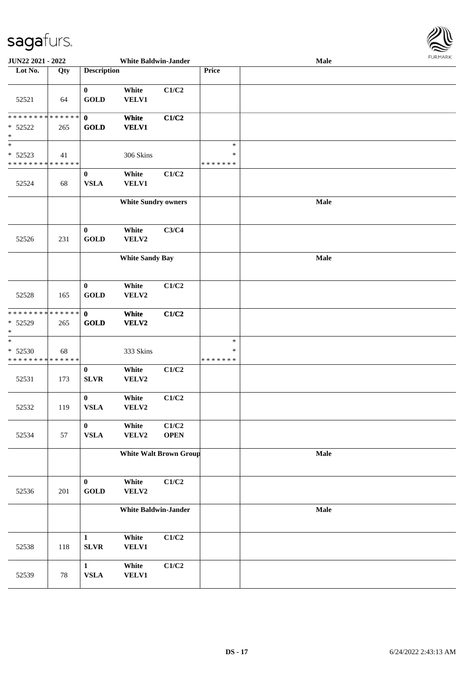

| JUN22 2021 - 2022                                                 |        |                                 | <b>White Baldwin-Jander</b> |                               |                                   | <b>FUNITANN</b><br>Male |  |  |  |  |
|-------------------------------------------------------------------|--------|---------------------------------|-----------------------------|-------------------------------|-----------------------------------|-------------------------|--|--|--|--|
| Lot No.                                                           | Qty    | <b>Description</b>              |                             |                               | Price                             |                         |  |  |  |  |
| 52521                                                             | 64     | $\mathbf{0}$<br><b>GOLD</b>     | White<br>VELV1              | C1/C2                         |                                   |                         |  |  |  |  |
| * * * * * * * * <mark>* * * * * * *</mark><br>$* 52522$<br>$\ast$ | 265    | $\mathbf{0}$<br><b>GOLD</b>     | White<br><b>VELV1</b>       | C1/C2                         |                                   |                         |  |  |  |  |
| $\ast$<br>$* 52523$<br>* * * * * * * * * * * * * *                | 41     |                                 | 306 Skins                   |                               | $\ast$<br>$\ast$<br>* * * * * * * |                         |  |  |  |  |
| 52524                                                             | 68     | $\bf{0}$<br><b>VSLA</b>         | White<br><b>VELV1</b>       | C1/C2                         |                                   |                         |  |  |  |  |
|                                                                   |        |                                 | <b>White Sundry owners</b>  |                               |                                   | Male                    |  |  |  |  |
| 52526                                                             | 231    | $\bf{0}$<br><b>GOLD</b>         | White<br>VELV2              | C3/C4                         |                                   |                         |  |  |  |  |
|                                                                   |        |                                 | <b>White Sandy Bay</b>      |                               |                                   | Male                    |  |  |  |  |
| 52528                                                             | 165    | $\bf{0}$<br><b>GOLD</b>         | White<br>VELV2              | C1/C2                         |                                   |                         |  |  |  |  |
| * * * * * * * * * * * * * * *<br>$* 52529$<br>$\ast$              | 265    | $\mathbf{0}$<br><b>GOLD</b>     | White<br>VELV2              | C1/C2                         |                                   |                         |  |  |  |  |
| $\ast$<br>* 52530<br>* * * * * * * * * * * * * *                  | 68     |                                 | 333 Skins                   |                               | $\ast$<br>∗<br>* * * * * * *      |                         |  |  |  |  |
| 52531                                                             | 173    | $\boldsymbol{0}$<br><b>SLVR</b> | White<br>VELV2              | C1/C2                         |                                   |                         |  |  |  |  |
| 52532                                                             | 119    | $\bf{0}$<br>${\bf VSLA}$        | White<br>VELV2              | C1/C2                         |                                   |                         |  |  |  |  |
| 52534                                                             | 57     | $\bf{0}$<br>${\bf VSLA}$        | White<br>VELV2              | C1/C2<br><b>OPEN</b>          |                                   |                         |  |  |  |  |
|                                                                   |        |                                 |                             | <b>White Walt Brown Group</b> |                                   | Male                    |  |  |  |  |
| 52536                                                             | 201    | $\bf{0}$<br><b>GOLD</b>         | White<br>VELV2              | C1/C2                         |                                   |                         |  |  |  |  |
|                                                                   |        |                                 | <b>White Baldwin-Jander</b> |                               |                                   | Male                    |  |  |  |  |
| 52538                                                             | 118    | $\mathbf{1}$<br><b>SLVR</b>     | White<br><b>VELV1</b>       | C1/C2                         |                                   |                         |  |  |  |  |
| 52539                                                             | $78\,$ | $\mathbf{1}$<br>${\bf VSLA}$    | White<br>VELV1              | C1/C2                         |                                   |                         |  |  |  |  |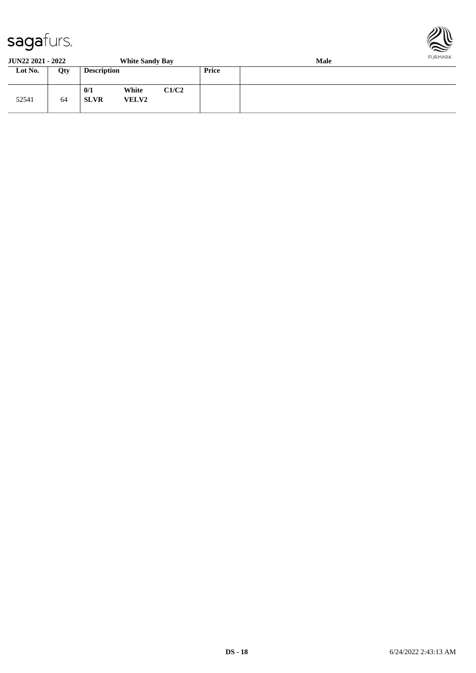

**JUN22 2021 - 2022 White Sandy Bay Male**

| JUR <i>ee E</i> Vel - <i>EVel</i> |     |                    | <b>THE DAIRY DAY</b>  |       |              | wan |  |  |
|-----------------------------------|-----|--------------------|-----------------------|-------|--------------|-----|--|--|
| Lot No.                           | Qty | <b>Description</b> |                       |       | <b>Price</b> |     |  |  |
| 52541                             | 64  | 0/1<br><b>SLVR</b> | White<br><b>VELV2</b> | C1/C2 |              |     |  |  |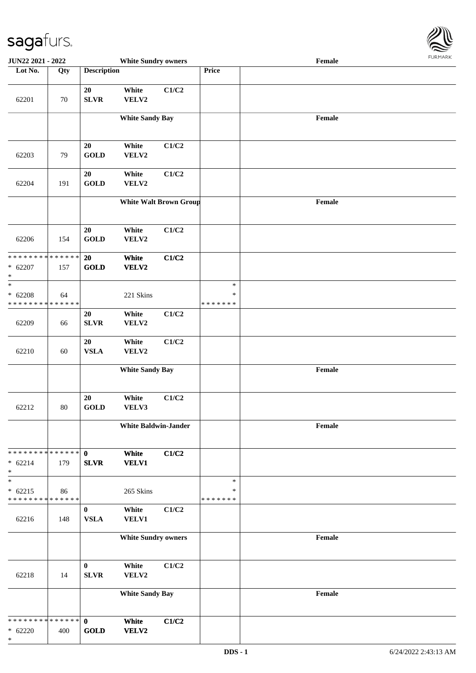

| JUN22 2021 - 2022                                    |                   |                             | <b>White Sundry owners</b>  |                               |                                   | Female |  |
|------------------------------------------------------|-------------------|-----------------------------|-----------------------------|-------------------------------|-----------------------------------|--------|--|
| Lot No.                                              | $\overline{Q}$ ty | <b>Description</b>          |                             |                               | <b>Price</b>                      |        |  |
| 62201                                                | 70                | 20<br><b>SLVR</b>           | White<br>VELV2              | C1/C2                         |                                   |        |  |
|                                                      |                   |                             | <b>White Sandy Bay</b>      |                               |                                   | Female |  |
| 62203                                                | 79                | 20<br><b>GOLD</b>           | White<br>VELV2              | C1/C2                         |                                   |        |  |
| 62204                                                | 191               | 20<br><b>GOLD</b>           | White<br>VELV2              | C1/C2                         |                                   |        |  |
|                                                      |                   |                             |                             | <b>White Walt Brown Group</b> |                                   | Female |  |
| 62206                                                | 154               | 20<br><b>GOLD</b>           | White<br>VELV2              | C1/C2                         |                                   |        |  |
| * * * * * * * * * * * * * *<br>$* 62207$<br>$\ast$   | 157               | 20<br>GOLD                  | White<br>VELV2              | C1/C2                         |                                   |        |  |
| $\ast$<br>$* 62208$<br>* * * * * * * * * * * * * *   | 64                |                             | 221 Skins                   |                               | $\ast$<br>$\ast$<br>* * * * * * * |        |  |
| 62209                                                | 66                | 20<br>${\bf SLVR}$          | White<br>VELV2              | C1/C2                         |                                   |        |  |
| 62210                                                | 60                | 20<br><b>VSLA</b>           | White<br>VELV2              | C1/C2                         |                                   |        |  |
|                                                      |                   |                             | <b>White Sandy Bay</b>      |                               |                                   | Female |  |
| 62212                                                | 80                | 20<br><b>GOLD</b>           | White<br>VELV3              | C1/C2                         |                                   |        |  |
|                                                      |                   |                             | <b>White Baldwin-Jander</b> |                               |                                   | Female |  |
| * * * * * * * * * * * * * * *<br>$* 62214$<br>$\ast$ | 179               | $\mathbf 0$<br><b>SLVR</b>  | White<br><b>VELV1</b>       | C1/C2                         |                                   |        |  |
| $\ast$<br>$* 62215$<br>* * * * * * * * * * * * * *   | 86                |                             | 265 Skins                   |                               | $\ast$<br>$\ast$<br>* * * * * * * |        |  |
| 62216                                                | 148               | $\bf{0}$<br><b>VSLA</b>     | White<br><b>VELV1</b>       | C1/C2                         |                                   |        |  |
|                                                      |                   |                             | <b>White Sundry owners</b>  |                               |                                   | Female |  |
| 62218                                                | 14                | $\bf{0}$<br>${\bf SLVR}$    | White<br>VELV2              | C1/C2                         |                                   |        |  |
|                                                      |                   |                             | <b>White Sandy Bay</b>      |                               |                                   | Female |  |
| * * * * * * * * * * * * * * *<br>$* 62220$<br>$\ast$ | 400               | $\mathbf{0}$<br><b>GOLD</b> | White<br>VELV2              | C1/C2                         |                                   |        |  |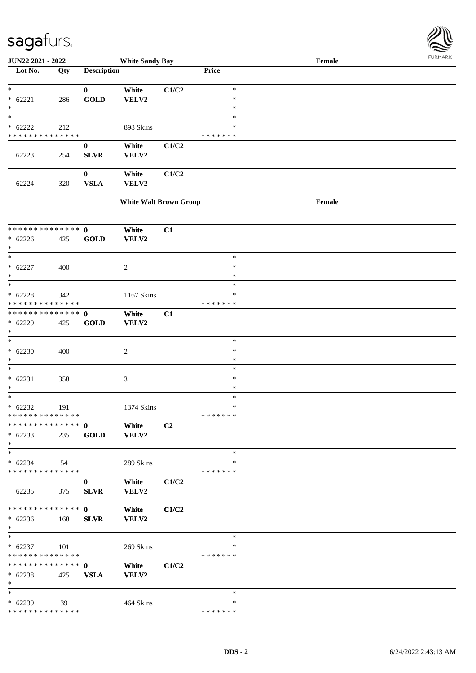| Lot No.                                  | Qty | <b>Description</b> |                               |       | <b>Price</b>            |        |
|------------------------------------------|-----|--------------------|-------------------------------|-------|-------------------------|--------|
|                                          |     |                    |                               |       |                         |        |
| $\ast$                                   |     | $\bf{0}$           | White                         | C1/C2 | $\ast$                  |        |
| $* 62221$                                | 286 | <b>GOLD</b>        | VELV2                         |       | $\ast$                  |        |
| $\ast$<br>$\ast$                         |     |                    |                               |       | $\ast$<br>$\ast$        |        |
| $* 62222$                                | 212 |                    | 898 Skins                     |       | ∗                       |        |
| * * * * * * * * * * * * * *              |     |                    |                               |       | * * * * * * *           |        |
|                                          |     | $\bf{0}$           | White                         | C1/C2 |                         |        |
| 62223                                    | 254 | <b>SLVR</b>        | VELV2                         |       |                         |        |
|                                          |     |                    |                               |       |                         |        |
|                                          |     | $\bf{0}$           | White                         | C1/C2 |                         |        |
| 62224                                    | 320 | <b>VSLA</b>        | VELV2                         |       |                         |        |
|                                          |     |                    | <b>White Walt Brown Group</b> |       |                         | Female |
|                                          |     |                    |                               |       |                         |        |
|                                          |     |                    |                               |       |                         |        |
| **************                           |     | $\mathbf{0}$       | White                         | C1    |                         |        |
| $* 62226$                                | 425 | <b>GOLD</b>        | VELV2                         |       |                         |        |
| $\ast$                                   |     |                    |                               |       |                         |        |
| $\ast$                                   |     |                    |                               |       | $\ast$                  |        |
| $* 62227$                                | 400 |                    | $\boldsymbol{2}$              |       | $\ast$                  |        |
| $\ast$                                   |     |                    |                               |       | $\ast$                  |        |
| $\ast$                                   |     |                    |                               |       | $\ast$                  |        |
| $* 62228$<br>* * * * * * * * * * * * * * | 342 |                    | 1167 Skins                    |       | $\ast$<br>* * * * * * * |        |
| **************                           |     | $\mathbf 0$        | White                         | C1    |                         |        |
| $* 62229$                                | 425 | <b>GOLD</b>        | <b>VELV2</b>                  |       |                         |        |
| $\ast$                                   |     |                    |                               |       |                         |        |
| $\ast$                                   |     |                    |                               |       | $\ast$                  |        |
| $* 62230$                                | 400 |                    | $\overline{c}$                |       | ∗                       |        |
| $\ast$                                   |     |                    |                               |       | $\ast$                  |        |
| $\ast$                                   |     |                    |                               |       | $\ast$                  |        |
| $* 62231$                                | 358 |                    | $\mathfrak{Z}$                |       | $\ast$                  |        |
| $\ast$                                   |     |                    |                               |       | $\ast$                  |        |
| $\ast$                                   |     |                    |                               |       | $\ast$                  |        |
| $* 62232$                                | 191 |                    | 1374 Skins                    |       | ∗                       |        |
| * * * * * * * * * * * * * * *            |     |                    |                               |       | * * * * * * *           |        |
|                                          |     |                    | White                         | C2    |                         |        |
| $* 62233$                                | 235 | GOLD               | <b>VELV2</b>                  |       |                         |        |
| $\ast$<br>$\ast$                         |     |                    |                               |       | $\ast$                  |        |
| $* 62234$                                | 54  |                    | 289 Skins                     |       | ∗                       |        |
| * * * * * * * * * * * * * * *            |     |                    |                               |       | * * * * * * *           |        |
|                                          |     | $\mathbf{0}$       | White                         | C1/C2 |                         |        |
| 62235                                    | 375 | <b>SLVR</b>        | VELV2                         |       |                         |        |
|                                          |     |                    |                               |       |                         |        |
| * * * * * * * * * * * * * * *            |     | $\mathbf{0}$       | White                         | C1/C2 |                         |        |
| $* 62236$                                | 168 | <b>SLVR</b>        | VELV2                         |       |                         |        |
| $\ast$                                   |     |                    |                               |       |                         |        |
| $\ast$                                   |     |                    |                               |       | $\ast$                  |        |
| $* 62237$                                | 101 |                    | 269 Skins                     |       | ∗                       |        |
| * * * * * * * * * * * * * *              |     |                    |                               |       | * * * * * * *           |        |
| * * * * * * * * * * * * * * *            |     | $\mathbf{0}$       | White                         | C1/C2 |                         |        |
| $* 62238$                                | 425 | <b>VSLA</b>        | VELV2                         |       |                         |        |
| $*$<br>$\ast$                            |     |                    |                               |       | $\ast$                  |        |
| $* 62239$                                | 39  |                    | 464 Skins                     |       | ∗                       |        |
| * * * * * * * * * * * * * * *            |     |                    |                               |       | * * * * * * *           |        |
|                                          |     |                    |                               |       |                         |        |

**JUN22 2021 - 2022 White Sandy Bay Female**

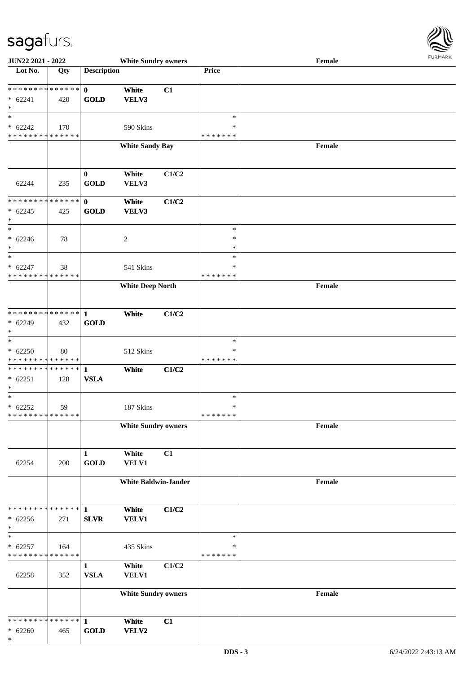

| JUN22 2021 - 2022                                    |     |                              | <b>White Sundry owners</b>  |       |                                      | $\ensuremath{\textnormal{\textbf{Female}}}$ | <b>FURPIARA</b> |  |  |
|------------------------------------------------------|-----|------------------------------|-----------------------------|-------|--------------------------------------|---------------------------------------------|-----------------|--|--|
| Lot No.                                              | Qty | <b>Description</b>           |                             |       | Price                                |                                             |                 |  |  |
| **************<br>$* 62241$<br>$\ast$                | 420 | $\mathbf{0}$<br><b>GOLD</b>  | White<br>VELV3              | C1    |                                      |                                             |                 |  |  |
| $\ast$<br>$* 62242$<br>* * * * * * * * * * * * * *   | 170 |                              | 590 Skins                   |       | $\ast$<br>*<br>* * * * * * *         |                                             |                 |  |  |
|                                                      |     |                              | <b>White Sandy Bay</b>      |       |                                      | Female                                      |                 |  |  |
| 62244                                                | 235 | $\bf{0}$<br><b>GOLD</b>      | White<br>VELV3              | C1/C2 |                                      |                                             |                 |  |  |
| * * * * * * * * * * * * * * *<br>$* 62245$<br>$\ast$ | 425 | $\mathbf{0}$<br><b>GOLD</b>  | White<br>VELV3              | C1/C2 |                                      |                                             |                 |  |  |
| $\ast$<br>$* 62246$<br>$\ast$<br>$\ast$              | 78  |                              | $\boldsymbol{2}$            |       | $\ast$<br>$\ast$<br>$\ast$<br>$\ast$ |                                             |                 |  |  |
| $* 62247$<br>* * * * * * * * * * * * * *             | 38  |                              | 541 Skins                   |       | $\ast$<br>* * * * * * *              |                                             |                 |  |  |
|                                                      |     |                              | <b>White Deep North</b>     |       |                                      | Female                                      |                 |  |  |
| ************** 1<br>$* 62249$<br>$\ast$              | 432 | <b>GOLD</b>                  | White                       | C1/C2 |                                      |                                             |                 |  |  |
| $\ast$<br>$* 62250$<br>* * * * * * * * * * * * * *   | 80  |                              | 512 Skins                   |       | $\ast$<br>∗<br>* * * * * * *         |                                             |                 |  |  |
| ************** 1<br>$* 62251$<br>$\ast$              | 128 | <b>VSLA</b>                  | White                       | C1/C2 |                                      |                                             |                 |  |  |
| $\ast$<br>$* 62252$<br>******** <mark>*****</mark> * | 59  |                              | 187 Skins                   |       | $\ast$<br>$\ast$<br>* * * * * * *    |                                             |                 |  |  |
|                                                      |     |                              | <b>White Sundry owners</b>  |       |                                      | Female                                      |                 |  |  |
| 62254                                                | 200 | $\mathbf{1}$<br><b>GOLD</b>  | White<br>VELV1              | C1    |                                      |                                             |                 |  |  |
|                                                      |     |                              | <b>White Baldwin-Jander</b> |       |                                      | Female                                      |                 |  |  |
| * * * * * * * * * * * * * * *<br>$* 62256$<br>$\ast$ | 271 | $\mathbf{1}$<br><b>SLVR</b>  | White<br><b>VELV1</b>       | C1/C2 |                                      |                                             |                 |  |  |
| $\ast$<br>$* 62257$<br>* * * * * * * * * * * * * *   | 164 |                              | 435 Skins                   |       | $\ast$<br>$\ast$<br>* * * * * * *    |                                             |                 |  |  |
| 62258                                                | 352 | $\mathbf{1}$<br>${\bf VSLA}$ | White<br>VELV1              | C1/C2 |                                      |                                             |                 |  |  |
|                                                      |     |                              | <b>White Sundry owners</b>  |       |                                      | Female                                      |                 |  |  |
| * * * * * * * * * * * * * * *<br>$* 62260$<br>$\ast$ | 465 | $\mathbf{1}$<br><b>GOLD</b>  | White<br>VELV2              | C1    |                                      |                                             |                 |  |  |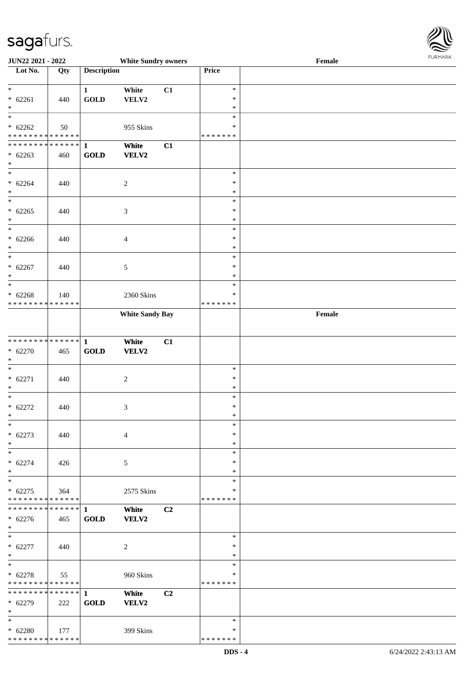

| JUN22 2021 - 2022             |                   |                                | <b>White Sundry owners</b> |                |               | Female                                      |
|-------------------------------|-------------------|--------------------------------|----------------------------|----------------|---------------|---------------------------------------------|
| Lot No.                       | $\overline{Q}$ ty | <b>Description</b>             |                            |                | Price         |                                             |
|                               |                   |                                |                            |                |               |                                             |
| $\ast$                        |                   | $\mathbf{1}$                   | White                      | C1             | $\ast$        |                                             |
| $* 62261$                     | 440               | GOLD                           | VELV2                      |                | $\ast$        |                                             |
| $\ast$                        |                   |                                |                            |                | $\ast$        |                                             |
| $\overline{\ast}$             |                   |                                |                            |                | $\ast$        |                                             |
| $* 62262$                     | 50                |                                | 955 Skins                  |                | ∗             |                                             |
|                               |                   |                                |                            |                |               |                                             |
| * * * * * * * * * * * * * *   |                   |                                |                            |                | * * * * * * * |                                             |
| * * * * * * * * * * * * * * * |                   | $\mathbf{1}$                   | White                      | C1             |               |                                             |
| $* 62263$                     | 460               | GOLD                           | VELV2                      |                |               |                                             |
| $\ast$                        |                   |                                |                            |                |               |                                             |
| $\overline{\phantom{a}^*}$    |                   |                                |                            |                | $\ast$        |                                             |
| $* 62264$                     | 440               |                                | $\boldsymbol{2}$           |                | $\ast$        |                                             |
| $\ast$                        |                   |                                |                            |                | $\ast$        |                                             |
| $\ast$                        |                   |                                |                            |                | $\ast$        |                                             |
| $* 62265$                     | 440               |                                | 3                          |                | $\ast$        |                                             |
| $\ast$                        |                   |                                |                            |                | $\ast$        |                                             |
| $\overline{\phantom{a}^*}$    |                   |                                |                            |                | $\ast$        |                                             |
|                               |                   |                                |                            |                | $\ast$        |                                             |
| $* 62266$                     | 440               |                                | $\overline{\mathcal{A}}$   |                |               |                                             |
| $\ast$                        |                   |                                |                            |                | $\ast$        |                                             |
| $\ast$                        |                   |                                |                            |                | $\ast$        |                                             |
| $* 62267$                     | 440               |                                | 5                          |                | $\ast$        |                                             |
| $\ast$                        |                   |                                |                            |                | $\ast$        |                                             |
| $\ast$                        |                   |                                |                            |                | $\ast$        |                                             |
| $* 62268$                     | 140               |                                | 2360 Skins                 |                | ∗             |                                             |
| * * * * * * * * * * * * * *   |                   |                                |                            |                | * * * * * * * |                                             |
|                               |                   |                                | <b>White Sandy Bay</b>     |                |               | $\ensuremath{\textnormal{\textbf{Female}}}$ |
|                               |                   |                                |                            |                |               |                                             |
|                               |                   |                                |                            |                |               |                                             |
| ******** <mark>******</mark>  |                   |                                |                            |                |               |                                             |
|                               |                   | $\mathbf{1}$                   | White                      | C1             |               |                                             |
| $* 62270$                     | 465               | $\operatorname{\mathbf{GOLD}}$ | VELV2                      |                |               |                                             |
| $\ast$                        |                   |                                |                            |                |               |                                             |
| $\ast$                        |                   |                                |                            |                | $\ast$        |                                             |
| $* 62271$                     | 440               |                                | $\boldsymbol{2}$           |                | $\ast$        |                                             |
| $\ast$                        |                   |                                |                            |                | $\ast$        |                                             |
| $\ast$                        |                   |                                |                            |                | $\ast$        |                                             |
| $* 62272$                     | 440               |                                | 3                          |                | $\ast$        |                                             |
| $\ast$                        |                   |                                |                            |                | $\ast$        |                                             |
| $\ast$                        |                   |                                |                            |                | $\ast$        |                                             |
|                               |                   |                                |                            |                | $\ast$        |                                             |
| $* 62273$                     | 440               |                                | $\overline{4}$             |                |               |                                             |
| $\ast$                        |                   |                                |                            |                | $\ast$        |                                             |
| $\ast$                        |                   |                                |                            |                | $\ast$        |                                             |
| $* 62274$                     | 426               |                                | 5                          |                | $\ast$        |                                             |
| $\ast$                        |                   |                                |                            |                | ∗             |                                             |
| $\ast$                        |                   |                                |                            |                | $\ast$        |                                             |
| $* 62275$                     | 364               |                                | 2575 Skins                 |                | ∗             |                                             |
| * * * * * * * * * * * * * *   |                   |                                |                            |                | * * * * * * * |                                             |
| ******** <mark>******</mark>  |                   | $\mathbf{1}$                   | White                      | C2             |               |                                             |
| $* 62276$                     | 465               | GOLD                           | <b>VELV2</b>               |                |               |                                             |
| $*$                           |                   |                                |                            |                |               |                                             |
| $*$                           |                   |                                |                            |                | $\ast$        |                                             |
|                               |                   |                                |                            |                | $\ast$        |                                             |
| $* 62277$                     | 440               |                                | $\sqrt{2}$                 |                |               |                                             |
| $\ast$                        |                   |                                |                            |                | $\ast$        |                                             |
| $\ast$                        |                   |                                |                            |                | $\ast$        |                                             |
| $* 62278$                     | 55                |                                | 960 Skins                  |                | $\ast$        |                                             |
| * * * * * * * * * * * * * *   |                   |                                |                            |                | * * * * * * * |                                             |
| ******** <mark>******</mark>  |                   | $\mathbf{1}$                   | White                      | C <sub>2</sub> |               |                                             |
| * 62279                       | 222               | <b>GOLD</b>                    | <b>VELV2</b>               |                |               |                                             |
| $\ast$                        |                   |                                |                            |                |               |                                             |
| $*$                           |                   |                                |                            |                | $\ast$        |                                             |
| $* 62280$                     |                   |                                |                            |                | ∗             |                                             |
|                               | $\vert$ 177       |                                | 399 Skins                  |                |               |                                             |
| * * * * * * * * * * * * * *   |                   |                                |                            |                | * * * * * * * |                                             |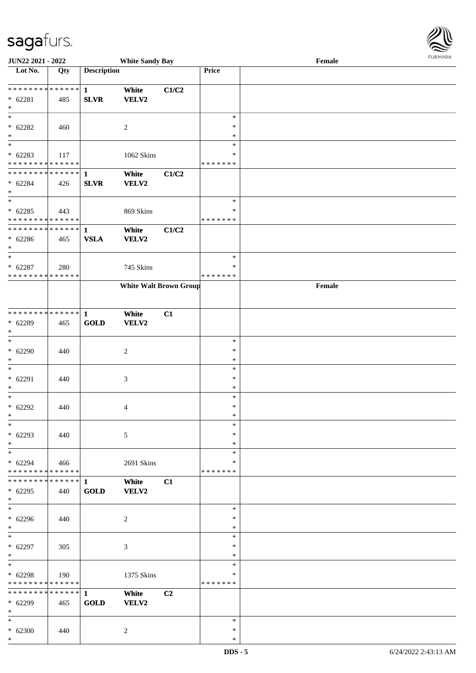\*

| <b>JUN22 2021 - 2022</b>                   |     |                    | <b>White Sandy Bay</b>        |       |                         | Female |  |
|--------------------------------------------|-----|--------------------|-------------------------------|-------|-------------------------|--------|--|
| Lot No.                                    | Qty | <b>Description</b> |                               |       | Price                   |        |  |
|                                            |     |                    |                               |       |                         |        |  |
| **************                             |     | $\mathbf{1}$       | White                         | C1/C2 |                         |        |  |
| $* 62281$<br>$*$                           | 485 | <b>SLVR</b>        | VELV2                         |       |                         |        |  |
|                                            |     |                    |                               |       | $\ast$                  |        |  |
| $* 62282$                                  | 460 |                    | 2                             |       | $\ast$                  |        |  |
| $\ast$                                     |     |                    |                               |       | $\ast$                  |        |  |
| $\overline{\phantom{0}}$                   |     |                    |                               |       | $\ast$                  |        |  |
| $* 62283$                                  | 117 |                    | 1062 Skins                    |       | $\ast$                  |        |  |
| * * * * * * * * * * * * * *                |     |                    |                               |       | * * * * * * *           |        |  |
| * * * * * * * * <mark>* * * * * * *</mark> |     | $\mathbf{1}$       | White                         | C1/C2 |                         |        |  |
| $* 62284$                                  | 426 | <b>SLVR</b>        | VELV2                         |       |                         |        |  |
| $*$                                        |     |                    |                               |       |                         |        |  |
| $_{*}$                                     |     |                    |                               |       | $\ast$                  |        |  |
| $* 62285$<br>* * * * * * * * * * * * * *   | 443 |                    | 869 Skins                     |       | $\ast$<br>* * * * * * * |        |  |
| * * * * * * * * <mark>* * * * * * *</mark> |     | $\mathbf{1}$       | White                         | C1/C2 |                         |        |  |
| $* 62286$                                  | 465 | <b>VSLA</b>        | <b>VELV2</b>                  |       |                         |        |  |
| $*$                                        |     |                    |                               |       |                         |        |  |
| $*$                                        |     |                    |                               |       | $\ast$                  |        |  |
| $* 62287$                                  | 280 |                    | 745 Skins                     |       | ∗                       |        |  |
| * * * * * * * * * * * * * *                |     |                    |                               |       | *******                 |        |  |
|                                            |     |                    | <b>White Walt Brown Group</b> |       |                         | Female |  |
|                                            |     |                    |                               |       |                         |        |  |
|                                            |     |                    |                               |       |                         |        |  |
| ******** <mark>******</mark>               |     | 1                  | White                         | C1    |                         |        |  |
| * 62289<br>$*$                             | 465 | <b>GOLD</b>        | VELV2                         |       |                         |        |  |
| $*$                                        |     |                    |                               |       | $\ast$                  |        |  |
| $* 62290$                                  | 440 |                    | 2                             |       | $\ast$                  |        |  |
| $*$                                        |     |                    |                               |       | $\ast$                  |        |  |
| $*$                                        |     |                    |                               |       | $\ast$                  |        |  |
| $* 62291$                                  | 440 |                    | 3                             |       | $\ast$                  |        |  |
| $*$                                        |     |                    |                               |       | $\ast$                  |        |  |
| $*$                                        |     |                    |                               |       | $\ast$                  |        |  |
| $* 62292$                                  | 440 |                    | 4                             |       | $\ast$                  |        |  |
| $*$<br>$*$                                 |     |                    |                               |       | $\ast$<br>$\ast$        |        |  |
| $* 62293$                                  | 440 |                    | 5                             |       | $\ast$                  |        |  |
| $*$                                        |     |                    |                               |       | $\ast$                  |        |  |
| $*$                                        |     |                    |                               |       | $\ast$                  |        |  |
| $* 62294$                                  | 466 |                    | 2691 Skins                    |       | ∗                       |        |  |
| * * * * * * * * <mark>* * * * * * *</mark> |     |                    |                               |       | *******                 |        |  |
| ******** <mark>******</mark>               |     | 1                  | White                         | C1    |                         |        |  |
| $* 62295$                                  | 440 | <b>GOLD</b>        | VELV2                         |       |                         |        |  |
| $*$                                        |     |                    |                               |       |                         |        |  |
| $_{*}$                                     |     |                    |                               |       | $\ast$                  |        |  |
| $* 62296$                                  | 440 |                    | 2                             |       | $\ast$                  |        |  |
| $*$<br>$*$ $*$                             |     |                    |                               |       | $\ast$<br>$\ast$        |        |  |
| $* 62297$                                  | 305 |                    | 3                             |       | $\ast$                  |        |  |
| $*$                                        |     |                    |                               |       | $\ast$                  |        |  |
| $*$                                        |     |                    |                               |       | $\ast$                  |        |  |
| $* 62298$                                  | 190 |                    | 1375 Skins                    |       | $\ast$                  |        |  |
| * * * * * * * * <mark>* * * * * * *</mark> |     |                    |                               |       | *******                 |        |  |
| * * * * * * * * <mark>* * * * * * *</mark> |     | $\mathbf{1}$       | White                         | C2    |                         |        |  |
| $* 62299$                                  | 465 | <b>GOLD</b>        | <b>VELV2</b>                  |       |                         |        |  |
| $*$                                        |     |                    |                               |       |                         |        |  |
| $*$                                        |     |                    |                               |       | $\ast$                  |        |  |
| $* 62300$                                  | 440 |                    | 2                             |       | $\ast$                  |        |  |

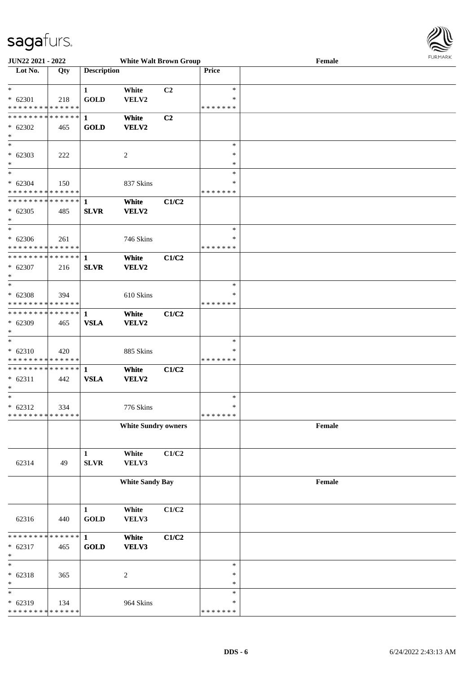

| <b>JUN22 2021 - 2022</b>                   |             |                    | <b>White Walt Brown Group</b> |       |               | Female | 101111111111 |
|--------------------------------------------|-------------|--------------------|-------------------------------|-------|---------------|--------|--------------|
| Lot No.                                    | Qty         | <b>Description</b> |                               |       | Price         |        |              |
|                                            |             |                    |                               |       |               |        |              |
| $*$                                        |             | $\mathbf{1}$       | White                         | C2    | $\ast$        |        |              |
| $* 62301$                                  | 218         | <b>GOLD</b>        | VELV2                         |       | $\ast$        |        |              |
| * * * * * * * * * * * * * *                |             |                    |                               |       | *******       |        |              |
| * * * * * * * * <mark>* * * * * * *</mark> |             | $\mathbf{1}$       | White                         | C2    |               |        |              |
|                                            |             |                    |                               |       |               |        |              |
| $* 62302$                                  | 465         | <b>GOLD</b>        | <b>VELV2</b>                  |       |               |        |              |
| $\ast$<br>$\overline{\phantom{0}}$         |             |                    |                               |       |               |        |              |
|                                            |             |                    |                               |       | $\ast$        |        |              |
| $* 62303$                                  | 222         |                    | 2                             |       | ∗             |        |              |
| $*$                                        |             |                    |                               |       | $\ast$        |        |              |
| $\overline{\ast}$                          |             |                    |                               |       | $\ast$        |        |              |
| $* 62304$                                  | 150         |                    | 837 Skins                     |       | ∗             |        |              |
| * * * * * * * * * * * * * *                |             |                    |                               |       | * * * * * * * |        |              |
|                                            |             |                    | White                         | C1/C2 |               |        |              |
| $* 62305$                                  | 485         | <b>SLVR</b>        | <b>VELV2</b>                  |       |               |        |              |
| $*$                                        |             |                    |                               |       |               |        |              |
| $\ast$                                     |             |                    |                               |       | $\ast$        |        |              |
|                                            |             |                    |                               |       | ∗             |        |              |
| $* 62306$<br>* * * * * * * * * * * * * * * | 261         |                    | 746 Skins                     |       | * * * * * * * |        |              |
|                                            |             |                    |                               |       |               |        |              |
| * * * * * * * * <mark>* * * * * * *</mark> |             | $\mathbf{1}$       | White                         | C1/C2 |               |        |              |
| $* 62307$                                  | 216         | <b>SLVR</b>        | VELV2                         |       |               |        |              |
| $*$                                        |             |                    |                               |       |               |        |              |
| $*$                                        |             |                    |                               |       | $\ast$        |        |              |
| $* 62308$                                  | 394         |                    | 610 Skins                     |       | ∗             |        |              |
| * * * * * * * * * * * * * *                |             |                    |                               |       | * * * * * * * |        |              |
|                                            |             |                    | White                         | C1/C2 |               |        |              |
| $* 62309$                                  | 465         | <b>VSLA</b>        | <b>VELV2</b>                  |       |               |        |              |
| $*$                                        |             |                    |                               |       |               |        |              |
| $\overline{\phantom{0}}$                   |             |                    |                               |       | $\ast$        |        |              |
| $* 62310$                                  | 420         |                    | 885 Skins                     |       | ∗             |        |              |
| * * * * * * * * * * * * * * *              |             |                    |                               |       | * * * * * * * |        |              |
| * * * * * * * * * * * * * * *              |             |                    |                               |       |               |        |              |
|                                            |             | 1                  | White                         | C1/C2 |               |        |              |
| $* 62311$                                  | 442         | <b>VSLA</b>        | <b>VELV2</b>                  |       |               |        |              |
| $\ast$                                     |             |                    |                               |       |               |        |              |
| $*$                                        |             |                    |                               |       | $\ast$        |        |              |
| $* 62312$                                  | 334         |                    | 776 Skins                     |       | $\ast$        |        |              |
| * * * * * * * * * * * * * * *              |             |                    |                               |       | *******       |        |              |
|                                            |             |                    | <b>White Sundry owners</b>    |       |               | Female |              |
|                                            |             |                    |                               |       |               |        |              |
|                                            |             |                    |                               |       |               |        |              |
|                                            |             | $\mathbf{1}$       | White                         | C1/C2 |               |        |              |
| 62314                                      | 49          | SLVR               | VELV3                         |       |               |        |              |
|                                            |             |                    |                               |       |               |        |              |
|                                            |             |                    | <b>White Sandy Bay</b>        |       |               | Female |              |
|                                            |             |                    |                               |       |               |        |              |
|                                            |             |                    |                               |       |               |        |              |
|                                            |             | $\mathbf{1}$       | White                         | C1/C2 |               |        |              |
|                                            |             |                    |                               |       |               |        |              |
| 62316                                      | 440         | <b>GOLD</b>        | VELV3                         |       |               |        |              |
|                                            |             |                    |                               |       |               |        |              |
| * * * * * * * *                            | * * * * * * | $\mathbf{1}$       | White                         | C1/C2 |               |        |              |
| $* 62317$                                  | 465         | <b>GOLD</b>        | VELV3                         |       |               |        |              |
| $\ast$                                     |             |                    |                               |       |               |        |              |
| $\ast$                                     |             |                    |                               |       | $\ast$        |        |              |
| $* 62318$                                  | 365         |                    | $\sqrt{2}$                    |       | $\ast$        |        |              |
| $\ast$                                     |             |                    |                               |       | $\ast$        |        |              |
| $\ast$                                     |             |                    |                               |       | $\ast$        |        |              |
| $* 62319$                                  | 134         |                    | 964 Skins                     |       | $\ast$        |        |              |
| * * * * * * * *                            | * * * * * * |                    |                               |       | * * * * * * * |        |              |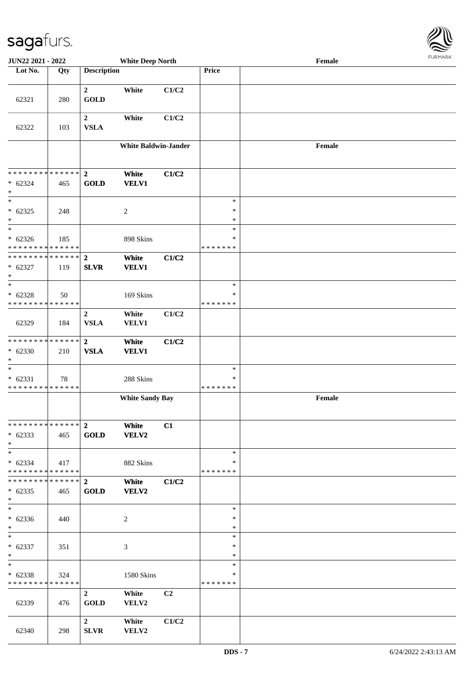| JUN22 2021 - 2022                                                      |     |                                 | <b>White Deep North</b>     |                |                                   | <b>FURMARK</b><br>Female                    |  |  |  |
|------------------------------------------------------------------------|-----|---------------------------------|-----------------------------|----------------|-----------------------------------|---------------------------------------------|--|--|--|
| Lot No.                                                                | Qty | <b>Description</b>              |                             |                | Price                             |                                             |  |  |  |
| 62321                                                                  | 280 | $\overline{2}$<br><b>GOLD</b>   | White                       | C1/C2          |                                   |                                             |  |  |  |
| 62322                                                                  | 103 | $\overline{2}$<br><b>VSLA</b>   | White                       | C1/C2          |                                   |                                             |  |  |  |
|                                                                        |     |                                 | <b>White Baldwin-Jander</b> |                |                                   | $\ensuremath{\textnormal{\textbf{Female}}}$ |  |  |  |
| * * * * * * * * * * * * * * *<br>$* 62324$<br>$\ast$                   | 465 | $\mathbf{2}$<br><b>GOLD</b>     | White<br><b>VELV1</b>       | C1/C2          |                                   |                                             |  |  |  |
| $\ast$<br>$* 62325$<br>$\ast$                                          | 248 |                                 | $\overline{c}$              |                | $\ast$<br>$\ast$<br>$\ast$        |                                             |  |  |  |
| $\overline{\phantom{a}^*}$<br>$* 62326$<br>* * * * * * * * * * * * * * | 185 |                                 | 898 Skins                   |                | $\ast$<br>∗<br>* * * * * * *      |                                             |  |  |  |
| * * * * * * * * * * * * * * *<br>$* 62327$<br>$\ast$                   | 119 | $\overline{2}$<br><b>SLVR</b>   | White<br><b>VELV1</b>       | C1/C2          |                                   |                                             |  |  |  |
| $\ast$<br>$* 62328$<br>* * * * * * * * * * * * * *                     | 50  |                                 | 169 Skins                   |                | $\ast$<br>$\ast$<br>* * * * * * * |                                             |  |  |  |
| 62329                                                                  | 184 | $\boldsymbol{2}$<br><b>VSLA</b> | White<br><b>VELV1</b>       | C1/C2          |                                   |                                             |  |  |  |
| **************<br>$* 62330$<br>$\ast$                                  | 210 | $\overline{2}$<br><b>VSLA</b>   | White<br><b>VELV1</b>       | C1/C2          |                                   |                                             |  |  |  |
| $\ast$<br>$* 62331$<br>* * * * * * * * * * * * * *                     | 78  |                                 | 288 Skins                   |                | $\ast$<br>∗<br>* * * * * * *      |                                             |  |  |  |
|                                                                        |     |                                 | <b>White Sandy Bay</b>      |                |                                   | Female                                      |  |  |  |
| * * * * * * * * * * * * * * *<br>$* 62333$<br>$*$                      | 465 | $\overline{2}$<br><b>GOLD</b>   | White<br><b>VELV2</b>       | C1             |                                   |                                             |  |  |  |
| $\ast$<br>$* 62334$<br>* * * * * * * * * * * * * *                     | 417 |                                 | 882 Skins                   |                | $\ast$<br>∗<br>* * * * * * *      |                                             |  |  |  |
| * * * * * * * * * * * * * * *<br>$* 62335$<br>$\ast$                   | 465 | 2 <sup>1</sup><br><b>GOLD</b>   | White<br><b>VELV2</b>       | C1/C2          |                                   |                                             |  |  |  |
| $\ast$<br>$* 62336$<br>$*$                                             | 440 |                                 | 2                           |                | $\ast$<br>$\ast$<br>$\ast$        |                                             |  |  |  |
| $\ast$<br>$* 62337$<br>$\ast$                                          | 351 |                                 | 3                           |                | $\ast$<br>∗<br>$\ast$             |                                             |  |  |  |
| $\ast$<br>$* 62338$<br>* * * * * * * * * * * * * *                     | 324 |                                 | 1580 Skins                  |                | $\ast$<br>$\ast$<br>* * * * * * * |                                             |  |  |  |
| 62339                                                                  | 476 | $\overline{2}$<br><b>GOLD</b>   | White<br>VELV2              | C <sub>2</sub> |                                   |                                             |  |  |  |
| 62340                                                                  | 298 | $\overline{2}$<br><b>SLVR</b>   | White<br>VELV2              | C1/C2          |                                   |                                             |  |  |  |

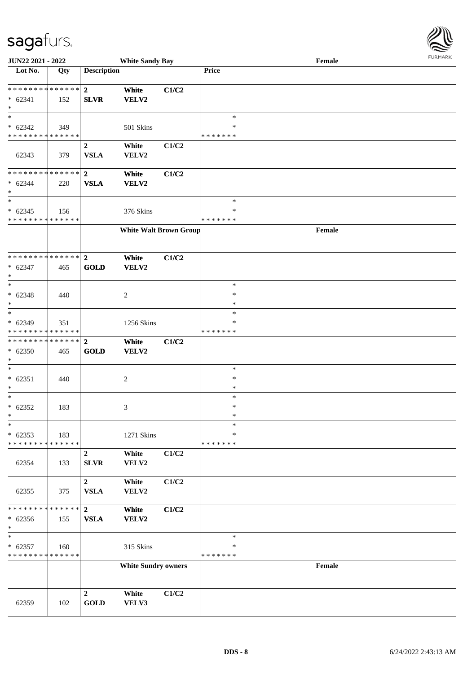

| JUN22 2021 - 2022                                            |     |                                 | <b>White Sandy Bay</b>        |       | $1$ $0.51$ <i>W</i> $0.51$<br>Female |        |  |  |  |  |
|--------------------------------------------------------------|-----|---------------------------------|-------------------------------|-------|--------------------------------------|--------|--|--|--|--|
| Lot No.                                                      | Qty | <b>Description</b>              |                               |       | Price                                |        |  |  |  |  |
| ******** <mark>******</mark><br>$* 62341$<br>$\ast$          | 152 | $\overline{2}$<br><b>SLVR</b>   | White<br>VELV2                | C1/C2 |                                      |        |  |  |  |  |
| $*$<br>$* 62342$<br>* * * * * * * * * * * * * *              | 349 |                                 | 501 Skins                     |       | $\ast$<br>$\ast$<br>* * * * * * *    |        |  |  |  |  |
| 62343                                                        | 379 | $\boldsymbol{2}$<br><b>VSLA</b> | White<br>VELV2                | C1/C2 |                                      |        |  |  |  |  |
| * * * * * * * * * * * * * *<br>$* 62344$<br>$\ast$<br>$\ast$ | 220 | $\mathbf{2}$<br><b>VSLA</b>     | White<br>VELV2                | C1/C2 | $\ast$                               |        |  |  |  |  |
| $* 62345$<br>* * * * * * * * * * * * * *                     | 156 |                                 | 376 Skins                     |       | $\ast$<br>* * * * * * *              |        |  |  |  |  |
|                                                              |     |                                 | <b>White Walt Brown Group</b> |       |                                      | Female |  |  |  |  |
| ******** <mark>******</mark><br>$* 62347$<br>$\ast$          | 465 | $\mathbf{2}$<br><b>GOLD</b>     | White<br>VELV2                | C1/C2 |                                      |        |  |  |  |  |
| $*$<br>$* 62348$<br>$\ast$<br>$\ast$                         | 440 |                                 | $\overline{c}$                |       | $\ast$<br>$\ast$<br>$\ast$<br>$\ast$ |        |  |  |  |  |
| $* 62349$<br>* * * * * * * * * * * * * *                     | 351 |                                 | 1256 Skins                    |       | ∗<br>* * * * * * *                   |        |  |  |  |  |
| * * * * * * * * * * * * * * *<br>$* 62350$<br>$\ast$         | 465 | $\overline{2}$<br><b>GOLD</b>   | White<br>VELV2                | C1/C2 |                                      |        |  |  |  |  |
| $\ast$<br>$* 62351$<br>$\ast$                                | 440 |                                 | $\overline{c}$                |       | $\ast$<br>$\ast$<br>$\ast$           |        |  |  |  |  |
| $*$<br>$* 62352$<br>$*$                                      | 183 |                                 | 3                             |       | $\ast$<br>$\ast$<br>$\ast$           |        |  |  |  |  |
| $\ast$<br>$* 62353$<br>* * * * * * * * * * * * * *           | 183 |                                 | 1271 Skins                    |       | $\ast$<br>*<br>* * * * * * *         |        |  |  |  |  |
| 62354                                                        | 133 | $\overline{2}$<br><b>SLVR</b>   | White<br>VELV2                | C1/C2 |                                      |        |  |  |  |  |
| 62355                                                        | 375 | $\boldsymbol{2}$<br><b>VSLA</b> | White<br>VELV2                | C1/C2 |                                      |        |  |  |  |  |
| * * * * * * * * * * * * * *<br>$* 62356$<br>$*$              | 155 | $\mathbf{2}$<br>${\bf VSLA}$    | White<br>VELV2                | C1/C2 |                                      |        |  |  |  |  |
| $\ast$<br>$* 62357$<br>* * * * * * * * * * * * * *           | 160 |                                 | 315 Skins                     |       | $\ast$<br>*<br>* * * * * * *         |        |  |  |  |  |
|                                                              |     |                                 | <b>White Sundry owners</b>    |       |                                      | Female |  |  |  |  |
| 62359                                                        | 102 | $\overline{2}$<br><b>GOLD</b>   | White<br>VELV3                | C1/C2 |                                      |        |  |  |  |  |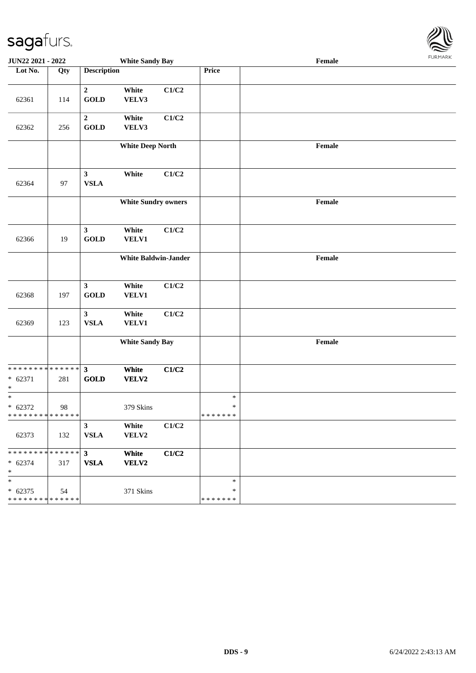

| JUN22 2021 - 2022                                                 |     |                                 | <b>White Sandy Bay</b>      |       |                              | $\ensuremath{\textnormal{\textbf{Female}}}$ | <b>LOKITAKV</b> |  |
|-------------------------------------------------------------------|-----|---------------------------------|-----------------------------|-------|------------------------------|---------------------------------------------|-----------------|--|
| Lot No.                                                           | Qty | <b>Description</b>              |                             |       | Price                        |                                             |                 |  |
| 62361                                                             | 114 | $\boldsymbol{2}$<br><b>GOLD</b> | White<br>VELV3              | C1/C2 |                              |                                             |                 |  |
| 62362                                                             | 256 | $\overline{2}$<br><b>GOLD</b>   | White<br>VELV3              | C1/C2 |                              |                                             |                 |  |
|                                                                   |     |                                 | <b>White Deep North</b>     |       |                              | Female                                      |                 |  |
| 62364                                                             | 97  | $\mathbf{3}$<br><b>VSLA</b>     | White                       | C1/C2 |                              |                                             |                 |  |
|                                                                   |     |                                 | <b>White Sundry owners</b>  |       |                              | Female                                      |                 |  |
| 62366                                                             | 19  | $\mathbf{3}$<br>GOLD            | White<br><b>VELV1</b>       | C1/C2 |                              |                                             |                 |  |
|                                                                   |     |                                 | <b>White Baldwin-Jander</b> |       |                              | $\ensuremath{\textnormal{\textbf{Female}}}$ |                 |  |
| 62368                                                             | 197 | 3 <sup>1</sup><br>GOLD          | White<br>VELV1              | C1/C2 |                              |                                             |                 |  |
| 62369                                                             | 123 | $\mathbf{3}$<br><b>VSLA</b>     | White<br>VELV1              | C1/C2 |                              |                                             |                 |  |
|                                                                   |     | <b>White Sandy Bay</b>          |                             |       |                              | $\ensuremath{\textnormal{\textbf{Female}}}$ |                 |  |
| * * * * * * * * <mark>* * * * * * *</mark><br>$* 62371$<br>$\ast$ | 281 | $\mathbf{3}$<br><b>GOLD</b>     | White<br>VELV2              | C1/C2 |                              |                                             |                 |  |
| $*$<br>$* 62372$<br>* * * * * * * * <mark>* * * * * * *</mark>    | 98  |                                 | 379 Skins                   |       | $\ast$<br>$\ast$<br>*******  |                                             |                 |  |
| 62373                                                             | 132 | 3 <sup>1</sup><br><b>VSLA</b>   | White<br>VELV2              | C1/C2 |                              |                                             |                 |  |
| ******** <mark>******</mark><br>$* 62374$<br>$\ast$               | 317 | $3^{\circ}$<br><b>VSLA</b>      | White<br>VELV2              | C1/C2 |                              |                                             |                 |  |
| $*$<br>$* 62375$<br>* * * * * * * * <mark>* * * * * * *</mark>    | 54  |                                 | 371 Skins                   |       | $\ast$<br>∗<br>* * * * * * * |                                             |                 |  |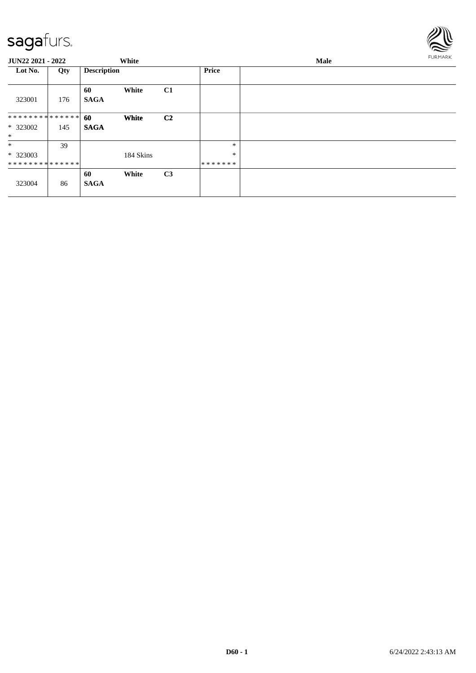

| JUN22 2021 - 2022  |     |                    | White     |                | Male         |  |  | <b>FURMARK</b> |
|--------------------|-----|--------------------|-----------|----------------|--------------|--|--|----------------|
| Lot No.            | Qty | <b>Description</b> |           |                | <b>Price</b> |  |  |                |
| 323001             | 176 | 60<br><b>SAGA</b>  | White     | C1             |              |  |  |                |
| *************** 60 |     |                    | White     | C <sub>2</sub> |              |  |  |                |
| * 323002           | 145 | <b>SAGA</b>        |           |                |              |  |  |                |
| $*$                |     |                    |           |                |              |  |  |                |
| $\ast$             | 39  |                    |           |                | $\ast$       |  |  |                |
| $*323003$          |     |                    | 184 Skins |                | $\ast$       |  |  |                |
| **************     |     |                    |           |                | *******      |  |  |                |
|                    |     | 60                 | White     | C3             |              |  |  |                |
| 323004             | 86  | <b>SAGA</b>        |           |                |              |  |  |                |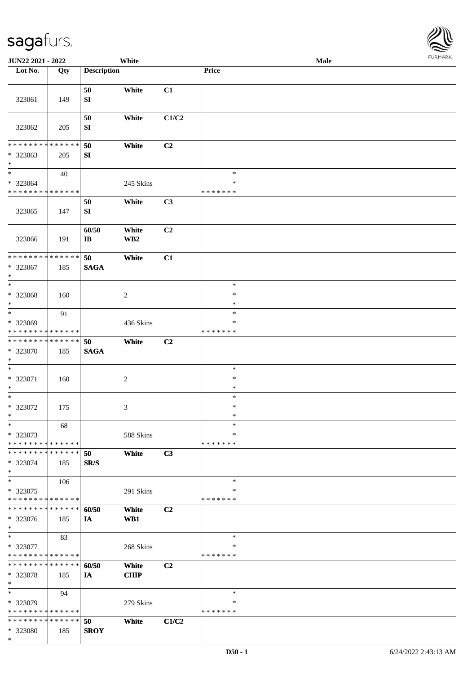\*

| JUN22 2021 - 2022             |     |                    | White           |       |                  | Male |  |
|-------------------------------|-----|--------------------|-----------------|-------|------------------|------|--|
| Lot No.                       | Qty | <b>Description</b> |                 |       | Price            |      |  |
|                               |     |                    |                 |       |                  |      |  |
|                               |     | 50                 | White           | C1    |                  |      |  |
| 323061                        | 149 | SI                 |                 |       |                  |      |  |
|                               |     |                    |                 |       |                  |      |  |
|                               |     | 50                 | White           | C1/C2 |                  |      |  |
| 323062                        | 205 | SI                 |                 |       |                  |      |  |
| ******** <mark>*****</mark> * |     |                    |                 |       |                  |      |  |
|                               |     | 50                 | White           | C2    |                  |      |  |
| * 323063<br>$\ast$            | 205 | SI                 |                 |       |                  |      |  |
| $\ast$                        | 40  |                    |                 |       | $\ast$           |      |  |
| * 323064                      |     |                    | 245 Skins       |       | $\ast$           |      |  |
| * * * * * * * * * * * * * *   |     |                    |                 |       | * * * * * * *    |      |  |
|                               |     | 50                 | White           | C3    |                  |      |  |
| 323065                        | 147 | ${\bf S}{\bf I}$   |                 |       |                  |      |  |
|                               |     |                    |                 |       |                  |      |  |
|                               |     | 60/50              | White           | C2    |                  |      |  |
| 323066                        | 191 | $\bf I\bf B$       | WB <sub>2</sub> |       |                  |      |  |
|                               |     |                    |                 |       |                  |      |  |
| ******** <mark>******</mark>  |     | 50                 | White           | C1    |                  |      |  |
| * 323067                      | 185 | <b>SAGA</b>        |                 |       |                  |      |  |
| $\ast$                        |     |                    |                 |       |                  |      |  |
| $\ast$                        |     |                    |                 |       | $\ast$           |      |  |
| * 323068                      | 160 |                    | $\sqrt{2}$      |       | $\ast$           |      |  |
| $\ast$                        |     |                    |                 |       | $\ast$           |      |  |
| $\ast$                        | 91  |                    |                 |       | $\ast$           |      |  |
| * 323069                      |     |                    | 436 Skins       |       | $\ast$           |      |  |
| **************                |     |                    |                 |       | * * * * * * *    |      |  |
| ******** <mark>******</mark>  |     | 50                 | White           | C2    |                  |      |  |
| * 323070                      | 185 | <b>SAGA</b>        |                 |       |                  |      |  |
| $\ast$<br>$\ast$              |     |                    |                 |       |                  |      |  |
|                               |     |                    |                 |       | $\ast$<br>$\ast$ |      |  |
| * 323071<br>$\ast$            | 160 |                    | $\sqrt{2}$      |       | $\ast$           |      |  |
| $\ast$                        |     |                    |                 |       | $\ast$           |      |  |
| * 323072                      | 175 |                    | 3               |       | $\ast$           |      |  |
| $\ast$                        |     |                    |                 |       | $\ast$           |      |  |
| $\ast$                        | 68  |                    |                 |       | $\ast$           |      |  |
| * 323073                      |     |                    | 588 Skins       |       | ∗                |      |  |
| * * * * * * * * * * * * * *   |     |                    |                 |       | * * * * * * *    |      |  |
| * * * * * * * * * * * * * *   |     | 50                 | White           | C3    |                  |      |  |
| * 323074                      | 185 | SR/S               |                 |       |                  |      |  |
| $\ast$                        |     |                    |                 |       |                  |      |  |
| $\ast$                        | 106 |                    |                 |       | $\ast$           |      |  |
| * 323075                      |     |                    | 291 Skins       |       | ∗                |      |  |
| **************                |     |                    |                 |       | * * * * * * *    |      |  |
| **************                |     | 60/50              | White           | C2    |                  |      |  |
| * 323076                      | 185 | IA                 | WB1             |       |                  |      |  |
| $\ast$                        |     |                    |                 |       |                  |      |  |
| $\ast$                        | 83  |                    |                 |       | $\ast$           |      |  |
| * 323077                      |     |                    | 268 Skins       |       | ∗                |      |  |
| **************                |     |                    |                 |       | * * * * * * *    |      |  |
| **************                |     | 60/50              | White           | C2    |                  |      |  |
| * 323078<br>$\ast$            | 185 | IA                 | <b>CHIP</b>     |       |                  |      |  |
| $\ast$                        | 94  |                    |                 |       | $\ast$           |      |  |
| * 323079                      |     |                    | 279 Skins       |       | ∗                |      |  |
| **************                |     |                    |                 |       | * * * * * * *    |      |  |
| **************                |     | 50                 | White           | C1/C2 |                  |      |  |
| * 323080                      | 185 | <b>SROY</b>        |                 |       |                  |      |  |
|                               |     |                    |                 |       |                  |      |  |

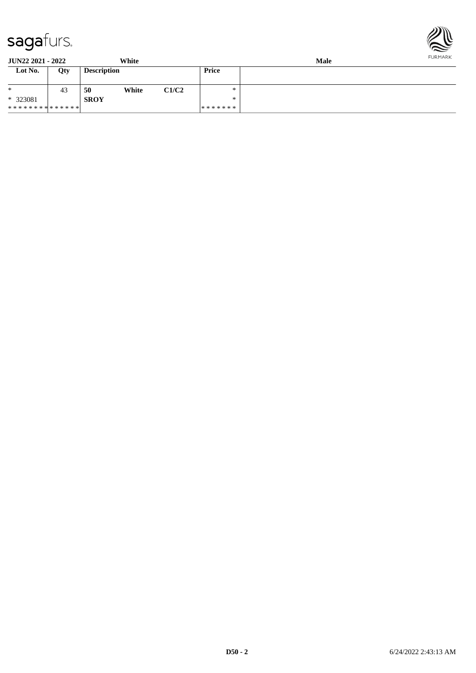

| <b>JUN22 2021 - 2022</b> |     |                    | White |       | <b>Male</b> |  |  |  |
|--------------------------|-----|--------------------|-------|-------|-------------|--|--|--|
| Lot No.                  | Qty | <b>Description</b> |       |       | Price       |  |  |  |
| ∗                        | 43  | 50                 | White | C1/C2 | ∗           |  |  |  |
| * 323081                 |     | <b>SROY</b>        |       |       | ∗           |  |  |  |
| **************           |     |                    |       |       | *******     |  |  |  |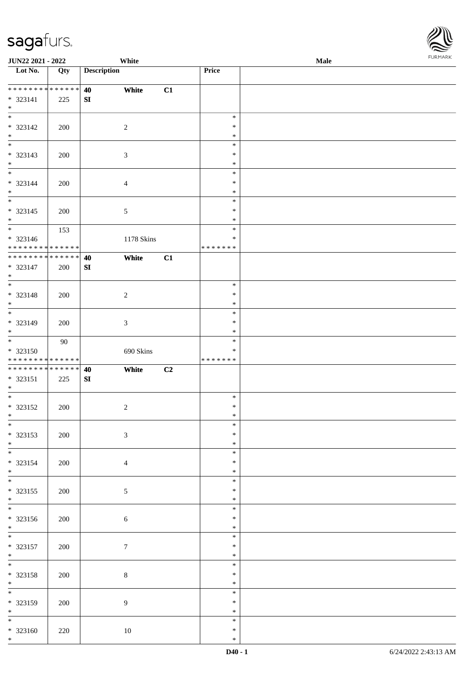\* \* \* \* \* \* \* \* \* \* \* \* \* \* \* 323141 225

\*

**Lot No. Qty Description** 

**SI**

**JUN22 2021 - 2022 White**<br> **Lot No.** Qty **Description** Price

**40 White C1**

| Male | <b>FURMARK</b> |
|------|----------------|
|      |                |
|      |                |
|      |                |
|      |                |
|      |                |
|      |                |
|      |                |
|      |                |
|      |                |

| $\ast$                                                      |     |                  |                |    | $\ast$        |  |
|-------------------------------------------------------------|-----|------------------|----------------|----|---------------|--|
| $* 323142$                                                  | 200 |                  | $\sqrt{2}$     |    | $\ast$        |  |
|                                                             |     |                  |                |    | $\ast$        |  |
| $*$ $*$                                                     |     |                  |                |    | $\ast$        |  |
| $* 323143$                                                  | 200 |                  | $\mathfrak{Z}$ |    | $\ast$        |  |
|                                                             |     |                  |                |    | $\ast$        |  |
| $\begin{array}{c}\n * \\  * \\  \hline\n * \\  \end{array}$ |     |                  |                |    | $\ast$        |  |
| * 323144                                                    | 200 |                  | $\overline{4}$ |    | $\ast$        |  |
| $*$                                                         |     |                  |                |    | $\ast$        |  |
| $\overline{\phantom{a}^*}$                                  |     |                  |                |    | $\ast$        |  |
|                                                             |     |                  |                |    | $\ast$        |  |
| $* 323145$                                                  | 200 |                  | 5              |    |               |  |
| $*$                                                         |     |                  |                |    | $\ast$        |  |
|                                                             | 153 |                  |                |    | $\ast$        |  |
| * 323146                                                    |     |                  | 1178 Skins     |    | $\ast$        |  |
| * * * * * * * * * * * * * *                                 |     |                  |                |    | * * * * * * * |  |
| ******** <mark>******</mark>                                |     | 40               | White          | C1 |               |  |
| * 323147                                                    | 200 | SI               |                |    |               |  |
| $*$                                                         |     |                  |                |    |               |  |
| $\overline{\ast}$                                           |     |                  |                |    | $\ast$        |  |
| * 323148                                                    | 200 |                  | $\sqrt{2}$     |    | $\ast$        |  |
| $*$                                                         |     |                  |                |    | $\ast$        |  |
| $\overline{\phantom{0}}$                                    |     |                  |                |    | $\ast$        |  |
| $* 323149$                                                  |     |                  |                |    | $\ast$        |  |
| $*$                                                         | 200 |                  | $\mathfrak{Z}$ |    | $\ast$        |  |
| $\overline{\phantom{0}}$                                    |     |                  |                |    |               |  |
|                                                             | 90  |                  |                |    | $\ast$        |  |
| $*323150$                                                   |     |                  | 690 Skins      |    | $\ast$        |  |
| * * * * * * * * * * * * * *                                 |     |                  |                |    | * * * * * * * |  |
| ******** <mark>******</mark>                                |     | 40               | White          | C2 |               |  |
| $* 323151$                                                  | 225 | ${\bf S}{\bf I}$ |                |    |               |  |
| $*$                                                         |     |                  |                |    |               |  |
| $\overline{\phantom{0}}$                                    |     |                  |                |    | $\ast$        |  |
| * 323152                                                    | 200 |                  | $\overline{c}$ |    | $\ast$        |  |
| $*$                                                         |     |                  |                |    | $\ast$        |  |
| $\overline{\phantom{0}}$                                    |     |                  |                |    | $\ast$        |  |
| * 323153                                                    | 200 |                  | $\mathfrak{Z}$ |    | $\ast$        |  |
| $*$                                                         |     |                  |                |    | $\ast$        |  |
| $*$                                                         |     |                  |                |    |               |  |
|                                                             |     |                  |                |    | $\ast$        |  |
| $* 323154$                                                  | 200 |                  | $\overline{4}$ |    | $\ast$        |  |
| $\star$                                                     |     |                  |                |    | $\star$       |  |
| $\ast$                                                      |     |                  |                |    | $\ast$        |  |
| $* 323155$                                                  | 200 |                  | $\mathfrak{S}$ |    | $\ast$        |  |
| $*$ $*$                                                     |     |                  |                |    | $\ast$        |  |
|                                                             |     |                  |                |    | $\ast$        |  |
| $* 323156$                                                  | 200 |                  | $\sqrt{6}$     |    | $\ast$        |  |
| $*$                                                         |     |                  |                |    | $\ast$        |  |
| $\overline{\phantom{0}}$                                    |     |                  |                |    | $\ast$        |  |
| * 323157                                                    | 200 |                  | $\overline{7}$ |    | $\ast$        |  |
| $*$                                                         |     |                  |                |    | $\ast$        |  |
| $\overline{\phantom{0}}$                                    |     |                  |                |    | $\ast$        |  |
|                                                             |     |                  |                |    |               |  |
| $* 323158$                                                  | 200 |                  | 8              |    | $\ast$        |  |
| $*$                                                         |     |                  |                |    | $\ast$        |  |
| $\overline{\phantom{0}}$                                    |     |                  |                |    | $\ast$        |  |
| * 323159                                                    | 200 |                  | 9              |    | $\ast$        |  |
| $*$                                                         |     |                  |                |    | $\ast$        |  |
| $\overline{\phantom{0}}$                                    |     |                  |                |    | $\ast$        |  |
| $* 323160$                                                  | 220 |                  | $10\,$         |    | $\ast$        |  |
|                                                             |     |                  |                |    | $\ast$        |  |
| $*$                                                         |     |                  |                |    |               |  |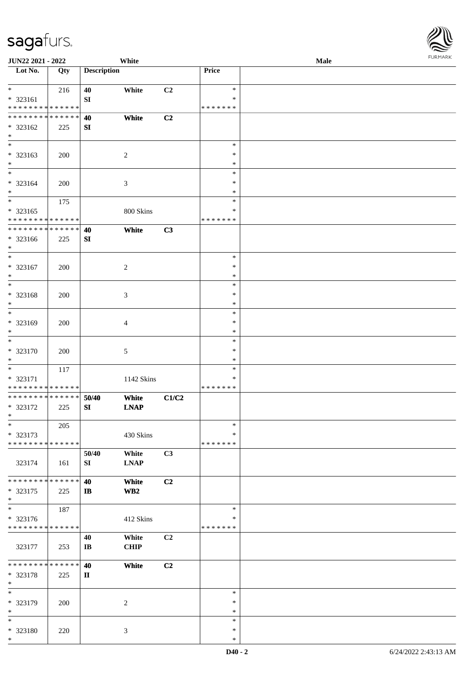| <b>JUN22 2021 - 2022</b>                                                                 |     |                        | White           |                |                  | Male |  |
|------------------------------------------------------------------------------------------|-----|------------------------|-----------------|----------------|------------------|------|--|
| Lot No.                                                                                  | Qty | <b>Description</b>     |                 |                | Price            |      |  |
|                                                                                          |     |                        |                 |                |                  |      |  |
| $*$                                                                                      | 216 | 40                     | White           | C2             | $\ast$           |      |  |
| * 323161                                                                                 |     | ${\bf SI}$             |                 |                | *                |      |  |
| * * * * * * * * <mark>* * * * * * *</mark><br>* * * * * * * * <mark>* * * * * * *</mark> |     |                        |                 |                | * * * * * * *    |      |  |
|                                                                                          |     | 40                     | White           | C2             |                  |      |  |
| * 323162<br>$*$                                                                          | 225 | SI                     |                 |                |                  |      |  |
| $\overline{\phantom{0}}$                                                                 |     |                        |                 |                | $\ast$           |      |  |
| * 323163                                                                                 | 200 |                        | $\overline{c}$  |                | $\ast$           |      |  |
| $*$                                                                                      |     |                        |                 |                | $\ast$           |      |  |
| $\overline{\ast}$                                                                        |     |                        |                 |                | $\ast$           |      |  |
| * 323164                                                                                 | 200 |                        | $\mathfrak{Z}$  |                | $\ast$           |      |  |
| $*$                                                                                      |     |                        |                 |                | $\ast$           |      |  |
| $\overline{\ast}$                                                                        | 175 |                        |                 |                | $\ast$           |      |  |
| * 323165                                                                                 |     |                        | 800 Skins       |                | $\ast$           |      |  |
| * * * * * * * * * * * * * *                                                              |     |                        |                 |                | * * * * * * *    |      |  |
| * * * * * * * * * * * * * *                                                              |     | 40                     | White           | C3             |                  |      |  |
| * 323166                                                                                 | 225 | SI                     |                 |                |                  |      |  |
| $*$                                                                                      |     |                        |                 |                |                  |      |  |
| $\ast$                                                                                   |     |                        |                 |                | $\ast$           |      |  |
| * 323167                                                                                 | 200 |                        | 2               |                | $\ast$           |      |  |
| $*$                                                                                      |     |                        |                 |                | $\ast$           |      |  |
| $*$                                                                                      |     |                        |                 |                | $\ast$           |      |  |
| * 323168                                                                                 | 200 |                        | $\mathfrak{Z}$  |                | $\ast$           |      |  |
| $*$                                                                                      |     |                        |                 |                | $\ast$           |      |  |
| $*$                                                                                      |     |                        |                 |                | $\ast$           |      |  |
| * 323169                                                                                 | 200 |                        | 4               |                | $\ast$           |      |  |
| $\ast$<br>$*$                                                                            |     |                        |                 |                | $\ast$           |      |  |
|                                                                                          |     |                        |                 |                | $\ast$           |      |  |
| * 323170<br>$*$                                                                          | 200 |                        | 5               |                | $\ast$<br>$\ast$ |      |  |
| $\ast$                                                                                   | 117 |                        |                 |                | $\ast$           |      |  |
| * 323171                                                                                 |     |                        | 1142 Skins      |                | $\ast$           |      |  |
| * * * * * * * * <mark>* * * * * * *</mark>                                               |     |                        |                 |                | * * * * * * *    |      |  |
| * * * * * * * * * * * * * * *                                                            |     | 50/40                  | White           | C1/C2          |                  |      |  |
| * 323172                                                                                 | 225 | SI                     | <b>LNAP</b>     |                |                  |      |  |
| $*$ $-$                                                                                  |     |                        |                 |                |                  |      |  |
| $*$                                                                                      | 205 |                        |                 |                | $\ast$           |      |  |
| * 323173                                                                                 |     |                        | 430 Skins       |                | *                |      |  |
| * * * * * * * * * * * * * *                                                              |     |                        |                 |                | * * * * * * *    |      |  |
|                                                                                          |     | 50/40                  | White           | C3             |                  |      |  |
| 323174                                                                                   | 161 | SI                     | <b>LNAP</b>     |                |                  |      |  |
|                                                                                          |     |                        |                 |                |                  |      |  |
| * * * * * * * * <mark>* * * * * *</mark>                                                 |     | 40                     | White           | C <sub>2</sub> |                  |      |  |
| * 323175                                                                                 | 225 | IB                     | WB <sub>2</sub> |                |                  |      |  |
| $*$                                                                                      |     |                        |                 |                |                  |      |  |
| $*$                                                                                      | 187 |                        |                 |                | $\ast$           |      |  |
| * 323176                                                                                 |     |                        | 412 Skins       |                | *                |      |  |
| * * * * * * * * * * * * * *                                                              |     |                        |                 |                | *******          |      |  |
|                                                                                          |     | 40                     | White           | C <sub>2</sub> |                  |      |  |
| 323177                                                                                   | 253 | $\mathbf{I}\mathbf{B}$ | <b>CHIP</b>     |                |                  |      |  |
| * * * * * * * * <mark>* * * * * * *</mark>                                               |     | 40                     | White           | C <sub>2</sub> |                  |      |  |
| * 323178                                                                                 | 225 | $\mathbf{I}$           |                 |                |                  |      |  |
| $*$                                                                                      |     |                        |                 |                |                  |      |  |
| $*$                                                                                      |     |                        |                 |                | $\ast$           |      |  |
| * 323179                                                                                 | 200 |                        | 2               |                | $\ast$           |      |  |
| $\ast$                                                                                   |     |                        |                 |                | $\ast$           |      |  |
| $*$                                                                                      |     |                        |                 |                | $\ast$           |      |  |
| * 323180                                                                                 | 220 |                        | 3               |                | $\ast$           |      |  |
| $*$                                                                                      |     |                        |                 |                | $\ast$           |      |  |

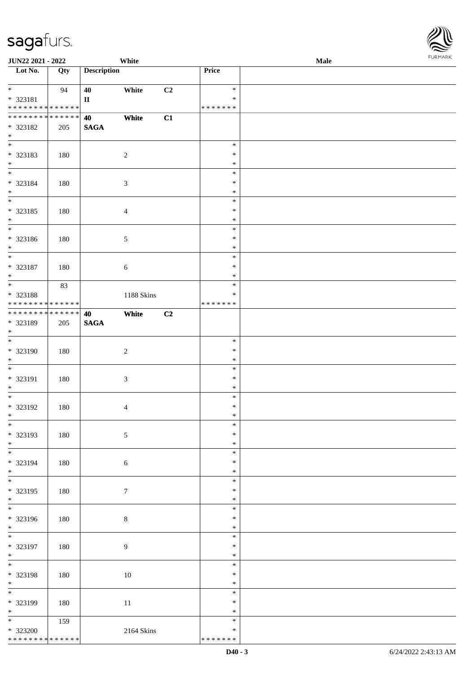| JUN22 2021 - 2022                                                          |     |                    | White          |    |                                      | <b>Male</b> |  |
|----------------------------------------------------------------------------|-----|--------------------|----------------|----|--------------------------------------|-------------|--|
| Lot No.                                                                    | Qty | <b>Description</b> |                |    | Price                                |             |  |
| $*$<br>* 323181<br>* * * * * * * * * * * * * *                             | 94  | 40<br>$\rm II$     | White          | C2 | $\ast$<br>$\ast$<br>* * * * * * *    |             |  |
| * * * * * * * * * * * * * *<br>* 323182<br>$*$                             | 205 | 40<br><b>SAGA</b>  | White          | C1 |                                      |             |  |
| * 323183<br>$*$                                                            | 180 |                    | $\overline{c}$ |    | $\ast$<br>$\ast$<br>$\ast$           |             |  |
| $\overline{\phantom{0}}$<br>* 323184<br>$*$                                | 180 |                    | $\mathfrak{Z}$ |    | $\ast$<br>$\ast$<br>$\ast$           |             |  |
| $\overline{\phantom{0}}$<br>* 323185<br>$*$                                | 180 |                    | $\overline{4}$ |    | $\ast$<br>$\ast$<br>$\ast$           |             |  |
| $\overline{\phantom{0}}$<br>* 323186<br>$*$<br>$\overline{\ast}$           | 180 |                    | $\sqrt{5}$     |    | $\ast$<br>$\ast$<br>$\ast$           |             |  |
| $* 323187$<br>$*$                                                          | 180 |                    | 6              |    | $\ast$<br>$\ast$<br>$\ast$           |             |  |
| * 323188<br>* * * * * * * * * * * * * *                                    | 83  |                    | 1188 Skins     |    | $\ast$<br>$\ast$<br>* * * * * * *    |             |  |
| * * * * * * * * * * * * * *<br>* 323189<br>$*$<br>$\overline{\phantom{0}}$ | 205 | 40<br><b>SAGA</b>  | White          | C2 |                                      |             |  |
| * 323190<br>$*$<br>$*$                                                     | 180 |                    | $\sqrt{2}$     |    | $\ast$<br>$\ast$<br>$\ast$           |             |  |
| * 323191<br>$*$<br>$*$                                                     | 180 |                    | $\sqrt{3}$     |    | $\ast$<br>$\ast$<br>$\ast$<br>$\ast$ |             |  |
| * 323192<br>$*$<br>$*$                                                     | 180 |                    | $\overline{4}$ |    | $\ast$<br>$*$                        |             |  |
| * 323193<br>$*$<br>$\overline{\phantom{0}}$                                | 180 |                    | $\sqrt{5}$     |    | $\ast$<br>$\ast$<br>$\ast$           |             |  |
| * 323194<br>$*$                                                            | 180 |                    | 6              |    | $\ast$<br>$\ast$<br>$\ast$<br>$\ast$ |             |  |
| * 323195<br>$*$                                                            | 180 |                    | $\tau$         |    | $\ast$<br>$\ast$<br>$\ast$           |             |  |
| * 323196<br>$*$                                                            | 180 |                    | $\,8\,$        |    | $\ast$<br>$\ast$                     |             |  |
| * 323197<br>$*$                                                            | 180 |                    | $\overline{9}$ |    | $\ast$<br>$\ast$<br>$\ast$           |             |  |
| $*$<br>* 323198<br>$*$<br>$\overline{\phantom{0}}$                         | 180 |                    | 10             |    | $\ast$<br>$\ast$<br>$\ast$           |             |  |
| * 323199<br>$*$                                                            | 180 |                    | 11             |    | $\ast$<br>$\ast$<br>$\ast$           |             |  |
| $\overline{\ast}$<br>* 323200<br>* * * * * * * * * * * * * *               | 159 |                    | 2164 Skins     |    | $\ast$<br>$\ast$<br>* * * * * * *    |             |  |

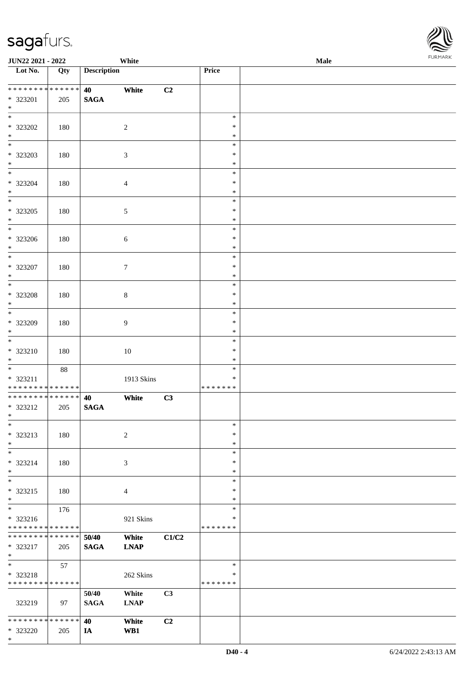\*

| <b>JUN22 2021 - 2022</b>                                           |                    |                      | White                |       |                                   | Male |  |
|--------------------------------------------------------------------|--------------------|----------------------|----------------------|-------|-----------------------------------|------|--|
| Lot No.                                                            | Qty                | <b>Description</b>   |                      |       | Price                             |      |  |
| ____<br>* * * * * * * *<br>* 323201<br>$*$                         | * * * * * *<br>205 | 40<br><b>SAGA</b>    | White                | C2    |                                   |      |  |
| $\overline{\ }$<br>* 323202<br>$\ast$                              | 180                |                      | $\sqrt{2}$           |       | $\ast$<br>$\ast$<br>$\ast$        |      |  |
| * 323203<br>$*$                                                    | 180                |                      | $\sqrt{3}$           |       | $\ast$<br>$\ast$<br>$\ast$        |      |  |
| $\overline{\ast}$<br>* 323204<br>$*$                               | 180                |                      | $\overline{4}$       |       | $\ast$<br>$\ast$<br>$\ast$        |      |  |
| $\overline{\phantom{0}}$<br>* 323205<br>$*$                        | 180                |                      | $\sqrt{5}$           |       | $\ast$<br>$\ast$<br>$\ast$        |      |  |
| * 323206<br>$\ddot{x}$                                             | 180                |                      | 6                    |       | $\ast$<br>$\ast$<br>$\ast$        |      |  |
| * 323207<br>$*$                                                    | 180                |                      | $\tau$               |       | $\ast$<br>$\ast$<br>$\ast$        |      |  |
| $\overline{\phantom{0}}$<br>* 323208<br>$\ast$                     | 180                |                      | $8\,$                |       | $\ast$<br>$\ast$<br>$\ast$        |      |  |
| $*$<br>* 323209<br>$\ast$                                          | 180                |                      | 9                    |       | $\ast$<br>$\ast$<br>$\ast$        |      |  |
| $\ast$<br>* 323210<br>$*$                                          | 180                |                      | 10                   |       | $\ast$<br>$\ast$<br>$\ast$        |      |  |
| * 323211<br>* * * * * * * * * * * * * *                            | $88\,$             |                      | 1913 Skins           |       | $\ast$<br>$\ast$<br>* * * * * * * |      |  |
| * * * * * * * * <mark>* * * * * * *</mark><br>* 323212<br>$*$ $-$  | 205                | 40<br><b>SAGA</b>    | White                | C3    |                                   |      |  |
| $\ast$<br>* 323213<br>$\ast$                                       | 180                |                      | 2                    |       | $\ast$<br>$\ast$<br>$\ast$        |      |  |
| $\ast$<br>* 323214<br>$\ast$                                       | 180                |                      | 3                    |       | $\ast$<br>$\ast$<br>$\ast$        |      |  |
| $*$<br>* 323215<br>$*$                                             | 180                |                      | $\overline{4}$       |       | $\ast$<br>$\ast$<br>$\ast$        |      |  |
| $\ddot{x}$<br>* 323216<br>* * * * * * * * <mark>* * * * * *</mark> | 176                |                      | 921 Skins            |       | $\ast$<br>*<br>* * * * * * *      |      |  |
| * * * * * * * *<br>* 323217<br>$*$                                 | * * * * * *<br>205 | 50/40<br><b>SAGA</b> | White<br><b>LNAP</b> | C1/C2 |                                   |      |  |
| $\ddot{x}$<br>* 323218<br>* * * * * * * * <mark>* * * * * *</mark> | 57                 |                      | 262 Skins            |       | $\ast$<br>$\ast$<br>* * * * * * * |      |  |
| 323219                                                             | 97                 | 50/40<br><b>SAGA</b> | White<br><b>LNAP</b> | C3    |                                   |      |  |
| * * * * * * * * <mark>* * * * * *</mark><br>* 323220               | 205                | 40<br>IA             | White<br>WB1         | C2    |                                   |      |  |

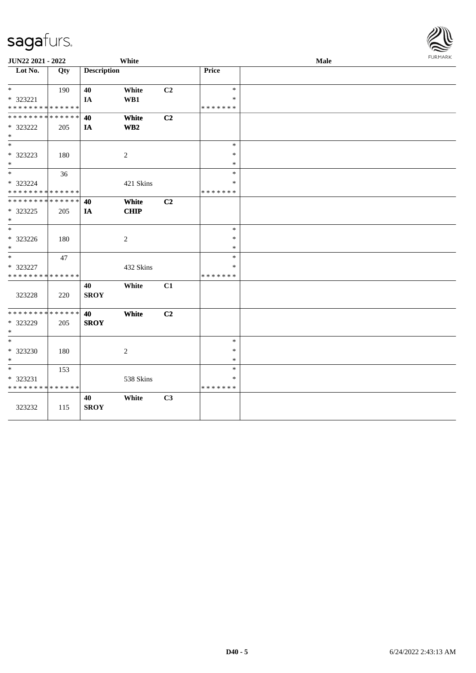| JUN22 2021 - 2022                          |     |                    | White                   |                |               | Male | FURMARK |
|--------------------------------------------|-----|--------------------|-------------------------|----------------|---------------|------|---------|
| Lot No.                                    | Qty | <b>Description</b> |                         |                | Price         |      |         |
| $*$ $-$                                    | 190 | 40                 | White                   | C <sub>2</sub> | $\ast$        |      |         |
| * 323221                                   |     | IA                 | $\mathbf{W}\mathbf{B1}$ |                | $\ast$        |      |         |
| * * * * * * * * <mark>* * * * * * *</mark> |     |                    |                         |                | * * * * * * * |      |         |
| * * * * * * * * * * * * * * *              |     | 40                 | White                   | C2             |               |      |         |
| * 323222                                   | 205 | IA                 | WB2                     |                |               |      |         |
| $*$                                        |     |                    |                         |                |               |      |         |
| $*$                                        |     |                    |                         |                | $\ast$        |      |         |
| * 323223                                   | 180 |                    | 2                       |                | $\ast$        |      |         |
| $\ast$                                     |     |                    |                         |                | $\ast$        |      |         |
| $*$                                        | 36  |                    |                         |                | $\ast$        |      |         |
| * 323224                                   |     |                    | 421 Skins               |                | $\ast$        |      |         |
| * * * * * * * * * * * * * *                |     |                    |                         |                | * * * * * * * |      |         |
| * * * * * * * * * * * * * * *              |     | 40                 | White                   | C2             |               |      |         |
| * 323225                                   | 205 | IA                 | <b>CHIP</b>             |                |               |      |         |
| $*$                                        |     |                    |                         |                |               |      |         |
| $*$                                        |     |                    |                         |                | $\ast$        |      |         |
| * 323226                                   | 180 |                    | 2                       |                | $\ast$        |      |         |
| $*$                                        |     |                    |                         |                | $\ast$        |      |         |
| $*$                                        | 47  |                    |                         |                | $\ast$        |      |         |
| $* 323227$                                 |     |                    | 432 Skins               |                | $\ast$        |      |         |
| * * * * * * * * * * * * * *                |     |                    |                         |                | * * * * * * * |      |         |
|                                            |     | 40                 | White                   | C1             |               |      |         |
| 323228                                     | 220 | <b>SROY</b>        |                         |                |               |      |         |
|                                            |     |                    |                         |                |               |      |         |
| * * * * * * * * * * * * * *                |     | 40                 | White                   | C <sub>2</sub> |               |      |         |
| * 323229                                   | 205 | <b>SROY</b>        |                         |                |               |      |         |
| $*$                                        |     |                    |                         |                |               |      |         |
| $*$                                        |     |                    |                         |                | $\ast$        |      |         |
| * 323230                                   | 180 |                    | 2                       |                | $\ast$        |      |         |
| $*$                                        |     |                    |                         |                | $\ast$        |      |         |
| $*$                                        | 153 |                    |                         |                | $\ast$        |      |         |
| * 323231                                   |     |                    | 538 Skins               |                | ∗             |      |         |
| * * * * * * * * * * * * * *                |     |                    |                         |                | * * * * * * * |      |         |
|                                            |     | 40                 | White                   | C <sub>3</sub> |               |      |         |
| 323232                                     | 115 | <b>SROY</b>        |                         |                |               |      |         |
|                                            |     |                    |                         |                |               |      |         |

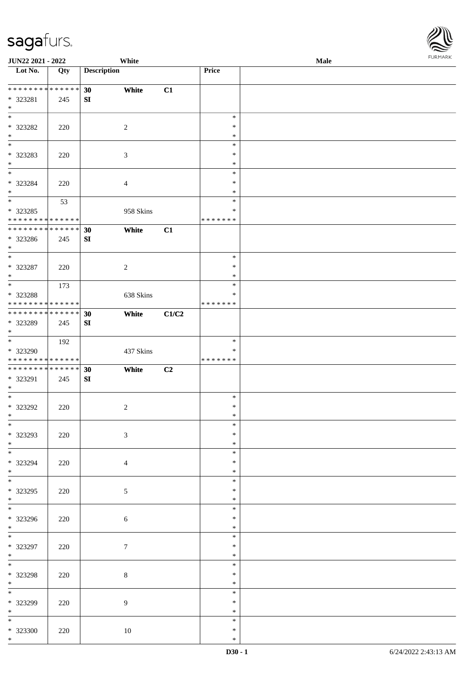| JUN22 2021 - 2022                          |     |                    | White          |       |               | Male | <b>I</b> OIN IMPOS |
|--------------------------------------------|-----|--------------------|----------------|-------|---------------|------|--------------------|
| Lot No.                                    | Qty | <b>Description</b> |                |       | Price         |      |                    |
|                                            |     |                    |                |       |               |      |                    |
| * * * * * * * * * * * * * *                |     | 30                 | White          | C1    |               |      |                    |
| * 323281                                   | 245 | SI                 |                |       |               |      |                    |
| $*$                                        |     |                    |                |       |               |      |                    |
| $\overline{\ast}$                          |     |                    |                |       | $\ast$        |      |                    |
| $* 323282$                                 | 220 |                    | $\overline{c}$ |       | $\ast$        |      |                    |
| $*$                                        |     |                    |                |       | $\ast$        |      |                    |
| $\overline{\phantom{0}}$                   |     |                    |                |       | $\ast$        |      |                    |
| * 323283                                   | 220 |                    | 3              |       | $\ast$        |      |                    |
| $*$                                        |     |                    |                |       | $\ast$        |      |                    |
|                                            |     |                    |                |       | $\ast$        |      |                    |
| * 323284                                   | 220 |                    | $\overline{4}$ |       | $\ast$        |      |                    |
| $*$                                        |     |                    |                |       | $\ast$        |      |                    |
|                                            | 53  |                    |                |       | $\ast$        |      |                    |
| * 323285                                   |     |                    | 958 Skins      |       | $\ast$        |      |                    |
| * * * * * * * * * * * * * *                |     |                    |                |       | * * * * * * * |      |                    |
| ******** <mark>******</mark>               |     | 30                 | White          | C1    |               |      |                    |
| * 323286                                   | 245 | SI                 |                |       |               |      |                    |
| $*$                                        |     |                    |                |       |               |      |                    |
| $*$                                        |     |                    |                |       | $\ast$        |      |                    |
| * 323287                                   | 220 |                    | $\sqrt{2}$     |       | $\ast$        |      |                    |
| $\ast$                                     |     |                    |                |       | $\ast$        |      |                    |
|                                            | 173 |                    |                |       | $\ast$        |      |                    |
| * 323288                                   |     |                    | 638 Skins      |       | $\ast$        |      |                    |
| * * * * * * * * * * * * * *                |     |                    |                |       | * * * * * * * |      |                    |
| * * * * * * * * * * * * * *                |     | 30                 | White          | C1/C2 |               |      |                    |
| * 323289                                   | 245 | SI                 |                |       |               |      |                    |
| $*$                                        |     |                    |                |       |               |      |                    |
|                                            | 192 |                    |                |       | $\ast$        |      |                    |
| * 323290                                   |     |                    | 437 Skins      |       | $\ast$        |      |                    |
| * * * * * * * * * * * * * *                |     |                    |                |       | * * * * * * * |      |                    |
| * * * * * * * * <mark>* * * * * * *</mark> |     | 30                 | White          | C2    |               |      |                    |
| * 323291                                   | 245 | SI                 |                |       |               |      |                    |
| $*$                                        |     |                    |                |       |               |      |                    |
| $*$                                        |     |                    |                |       | $\ast$        |      |                    |
| $* 323292$                                 | 220 |                    | $\sqrt{2}$     |       | $\ast$        |      |                    |
| $*$                                        |     |                    |                |       | $\ast$        |      |                    |
| $\ast$                                     |     |                    |                |       | $\ast$        |      |                    |
| * 323293                                   | 220 |                    | $\mathfrak{Z}$ |       | $\ast$        |      |                    |
| $*$                                        |     |                    |                |       | $\ast$        |      |                    |
|                                            |     |                    |                |       | $\ast$        |      |                    |
| * 323294                                   | 220 |                    | $\overline{4}$ |       | $\ast$        |      |                    |
| $*$                                        |     |                    |                |       | $\ast$        |      |                    |
| $*$                                        |     |                    |                |       | $\ast$        |      |                    |
| * 323295                                   | 220 |                    | 5              |       | $\ast$        |      |                    |
| $*$                                        |     |                    |                |       | $\ast$        |      |                    |
| $*$                                        |     |                    |                |       | $\ast$        |      |                    |
| * 323296                                   | 220 |                    | 6              |       | $\ast$        |      |                    |
| $*$                                        |     |                    |                |       | $\ast$        |      |                    |
|                                            |     |                    |                |       | $\ast$        |      |                    |
| * 323297                                   | 220 |                    | $\tau$         |       | $\ast$        |      |                    |
| $*$                                        |     |                    |                |       | $\ast$        |      |                    |
| $*$                                        |     |                    |                |       | $\ast$        |      |                    |
| * 323298                                   | 220 |                    | $\,8\,$        |       | $\ast$        |      |                    |
| $*$                                        |     |                    |                |       | $\ast$        |      |                    |
| $*$                                        |     |                    |                |       | $\ast$        |      |                    |
| * 323299                                   | 220 |                    | $\overline{9}$ |       | $\ast$        |      |                    |
| $*$                                        |     |                    |                |       | $\ast$        |      |                    |
| $\ast$                                     |     |                    |                |       | $\ast$        |      |                    |
| * 323300                                   | 220 |                    | 10             |       | $\ast$        |      |                    |
| $*$                                        |     |                    |                |       | $\ast$        |      |                    |

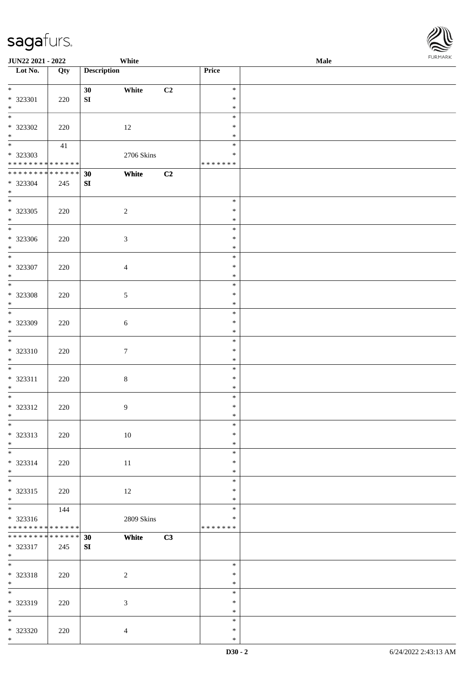| <b>JUN22 2021 - 2022</b>                                                                 |                      |                       | White          |    |                                      | Male | <b>I</b> ON PUNK |
|------------------------------------------------------------------------------------------|----------------------|-----------------------|----------------|----|--------------------------------------|------|------------------|
| Lot No.                                                                                  | Qty                  | <b>Description</b>    |                |    | Price                                |      |                  |
| $\ddot{x}$<br>* 323301                                                                   | 220                  | 30 <sup>1</sup><br>SI | White          | C2 | $\ast$<br>$\ast$                     |      |                  |
| $*$<br>$\overline{\ast}$<br>* 323302                                                     | 220                  |                       | 12             |    | $\ast$<br>$\ast$<br>$\ast$<br>$\ast$ |      |                  |
| $*$<br>$\overline{\mathbf{r}}$<br>* 323303<br>* * * * * * * * <mark>* * * * * * *</mark> | 41                   |                       | 2706 Skins     |    | $\ast$<br>$\ast$<br>* * * * * * *    |      |                  |
| ******** <mark>******</mark><br>* 323304<br>$\ast$                                       | 245                  | 30<br>SI              | White          | C2 |                                      |      |                  |
| * 323305<br>$*$                                                                          | 220                  |                       | $\overline{2}$ |    | $\ast$<br>$\ast$<br>$\ast$           |      |                  |
| $\overline{\phantom{0}}$<br>* 323306<br>$*$                                              | 220                  |                       | $\mathfrak{Z}$ |    | $\ast$<br>$\ast$<br>$\ast$           |      |                  |
| $\overline{\phantom{0}}$<br>* 323307<br>$\ast$                                           | 220                  |                       | $\overline{4}$ |    | $\ast$<br>$\ast$<br>$\ast$           |      |                  |
| $\overline{\phantom{0}}$<br>* 323308<br>$*$                                              | 220                  |                       | 5              |    | $\ast$<br>$\ast$<br>$\ast$           |      |                  |
| * 323309<br>$\ast$                                                                       | 220                  |                       | $\sqrt{6}$     |    | $\ast$<br>$\ast$<br>$\ast$           |      |                  |
| $\overline{\ast}$<br>$* 323310$<br>$\ast$                                                | 220                  |                       | $\tau$         |    | $\ast$<br>$\ast$<br>$\ast$           |      |                  |
| * 323311<br>$*$                                                                          | 220                  |                       | $\,8\,$        |    | $\ast$<br>$\ast$<br>$\ast$           |      |                  |
| * 323312<br>$\ddot{x}$                                                                   | 220                  |                       | $\overline{9}$ |    | $\ast$<br>$\ast$<br>$\ast$           |      |                  |
| $\ast$<br>* 323313<br>$\ast$                                                             | 220                  |                       | 10             |    | $\ast$<br>$\ast$<br>$\ast$           |      |                  |
| $\ddot{x}$<br>* 323314<br>$*$                                                            | 220                  |                       | 11             |    | $\ast$<br>$\ast$<br>$\ast$           |      |                  |
| $\overline{\phantom{0}}$<br>* 323315<br>$*$                                              | 220                  |                       | 12             |    | $\ast$<br>$\ast$<br>$\ast$           |      |                  |
| $\overline{\mathbf{r}}$<br>* 323316<br>* * * * * * * * <mark>* * * * * * *</mark>        | 144                  |                       | 2809 Skins     |    | $\ast$<br>∗<br>* * * * * * *         |      |                  |
| * * * * * * * * <mark>*</mark><br>* 323317<br>$*$                                        | * * * * * *  <br>245 | 30<br>SI              | White          | C3 |                                      |      |                  |
| $\ast$<br>* 323318<br>$*$                                                                | 220                  |                       | 2              |    | $\ast$<br>$\ast$<br>$\ast$           |      |                  |
| $\overline{\ast}$<br>* 323319<br>$*$                                                     | 220                  |                       | $\mathfrak{Z}$ |    | $\ast$<br>$\ast$<br>$\ast$           |      |                  |
| * 323320<br>$\ast$                                                                       | 220                  |                       | $\overline{4}$ |    | $\ast$<br>$\ast$<br>$\ast$           |      |                  |

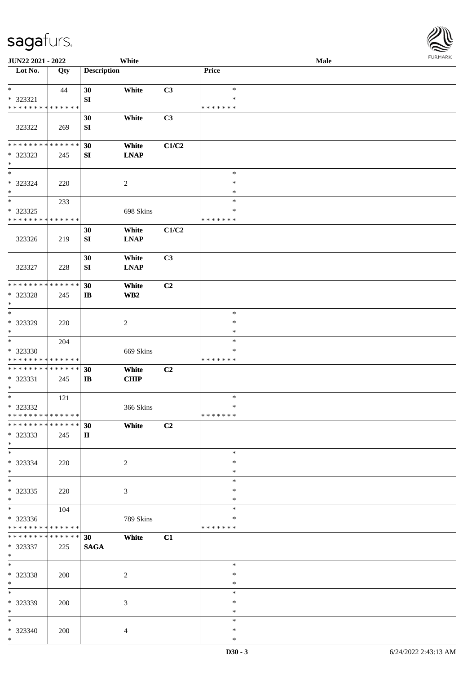| JUN22 2021 - 2022            |             |                    | White            |       |               | <b>Male</b> |  |
|------------------------------|-------------|--------------------|------------------|-------|---------------|-------------|--|
| Lot No.                      | Qty         | <b>Description</b> |                  |       | Price         |             |  |
|                              |             |                    |                  |       |               |             |  |
| $\ast$                       | 44          | 30                 | White            | C3    | $\ast$        |             |  |
| * 323321                     |             | SI                 |                  |       | $\ast$        |             |  |
| * * * * * * * * * * * * * *  |             |                    |                  |       | * * * * * * * |             |  |
|                              |             | 30                 | White            | C3    |               |             |  |
|                              |             |                    |                  |       |               |             |  |
| 323322                       | 269         | SI                 |                  |       |               |             |  |
|                              |             |                    |                  |       |               |             |  |
| * * * * * * * * * * * * * *  |             | 30                 | White            | C1/C2 |               |             |  |
| * 323323                     | 245         | SI                 | <b>LNAP</b>      |       |               |             |  |
| $\ast$                       |             |                    |                  |       |               |             |  |
| $\ast$                       |             |                    |                  |       | $\ast$        |             |  |
| * 323324                     | 220         |                    | $\boldsymbol{2}$ |       | $\ast$        |             |  |
| $\ast$                       |             |                    |                  |       | $\ast$        |             |  |
| $\ast$                       | 233         |                    |                  |       | $\ast$        |             |  |
|                              |             |                    |                  |       | $\ast$        |             |  |
| $*323325$                    |             |                    | 698 Skins        |       |               |             |  |
| * * * * * * * * * * * * * *  |             |                    |                  |       | * * * * * * * |             |  |
|                              |             | 30                 | White            | C1/C2 |               |             |  |
| 323326                       | 219         | ${\bf SI}$         | <b>LNAP</b>      |       |               |             |  |
|                              |             |                    |                  |       |               |             |  |
|                              |             | 30                 | White            | C3    |               |             |  |
| 323327                       | 228         | SI                 | <b>LNAP</b>      |       |               |             |  |
|                              |             |                    |                  |       |               |             |  |
| * * * * * * * *              | * * * * * * |                    |                  |       |               |             |  |
|                              |             | 30                 | White            | C2    |               |             |  |
| * 323328                     | 245         | $\mathbf{I}$       | WB2              |       |               |             |  |
| $\ast$                       |             |                    |                  |       |               |             |  |
| $\overline{\phantom{a}^*}$   |             |                    |                  |       | $\ast$        |             |  |
| * 323329                     | 220         |                    | $\overline{c}$   |       | $\ast$        |             |  |
| $\ast$                       |             |                    |                  |       | $\ast$        |             |  |
| $\ast$                       | 204         |                    |                  |       | $\ast$        |             |  |
| * 323330                     |             |                    | 669 Skins        |       | *             |             |  |
| * * * * * * * * * * * * * *  |             |                    |                  |       | *******       |             |  |
| **************               |             |                    |                  |       |               |             |  |
|                              |             | 30                 | White            | C2    |               |             |  |
| * 323331                     | 245         | $\mathbf{I}$       | CHIP             |       |               |             |  |
| $*$                          |             |                    |                  |       |               |             |  |
| $\ast$                       | 121         |                    |                  |       | $\ast$        |             |  |
| * 323332                     |             |                    | 366 Skins        |       | $\ast$        |             |  |
| ******** <mark>******</mark> |             |                    |                  |       | *******       |             |  |
| ******** <mark>******</mark> |             | 30                 | White            | C2    |               |             |  |
| * 323333                     | 245         | $\mathbf{I}$       |                  |       |               |             |  |
| $*$                          |             |                    |                  |       |               |             |  |
| $\ast$                       |             |                    |                  |       | $\ast$        |             |  |
|                              |             |                    |                  |       |               |             |  |
| * 323334                     | 220         |                    | $\overline{c}$   |       | $\ast$        |             |  |
| $*$                          |             |                    |                  |       | $\ast$        |             |  |
| $\overline{\phantom{a}^*}$   |             |                    |                  |       | $\ast$        |             |  |
| * 323335                     | 220         |                    | 3                |       | $\ast$        |             |  |
| $*$                          |             |                    |                  |       | $\ast$        |             |  |
| $\overline{\phantom{1}}$     | 104         |                    |                  |       | $\ast$        |             |  |
| * 323336                     |             |                    | 789 Skins        |       | *             |             |  |
| * * * * * * * * * * * * * *  |             |                    |                  |       | *******       |             |  |
| * * * * * * * * * * * * * *  |             | 30 <sup>°</sup>    | White            | C1    |               |             |  |
|                              |             |                    |                  |       |               |             |  |
| * 323337                     | 225         | <b>SAGA</b>        |                  |       |               |             |  |
| $*$                          |             |                    |                  |       |               |             |  |
| $\ast$                       |             |                    |                  |       | $\ast$        |             |  |
| * 323338                     | 200         |                    | $\overline{c}$   |       | $\ast$        |             |  |
| $*$                          |             |                    |                  |       | $\ast$        |             |  |
| $\ast$                       |             |                    |                  |       | $\ast$        |             |  |
| * 323339                     | 200         |                    | 3                |       | $\ast$        |             |  |
| $\ast$                       |             |                    |                  |       | $\ast$        |             |  |
| $*$                          |             |                    |                  |       | $\ast$        |             |  |
|                              |             |                    |                  |       |               |             |  |
| * 323340                     | 200         |                    | $\overline{4}$   |       | $\ast$        |             |  |
| $*$                          |             |                    |                  |       | $\ast$        |             |  |

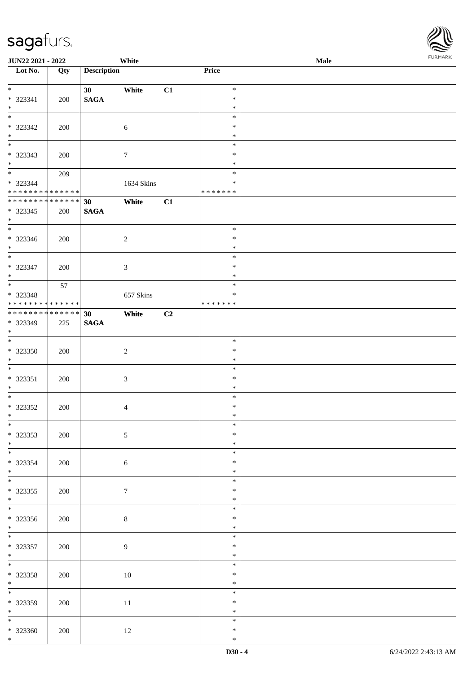| <b>JUN22 2021 - 2022</b>                   |     |                    | White           |    |                  | Male | $1 \times 1$ |
|--------------------------------------------|-----|--------------------|-----------------|----|------------------|------|--------------|
| Lot No.                                    | Qty | <b>Description</b> |                 |    | Price            |      |              |
| $\ddot{x}$                                 |     |                    |                 |    |                  |      |              |
|                                            |     | 30                 | White           | C1 | $\ast$<br>$\ast$ |      |              |
| $* 323341$<br>$*$                          | 200 | <b>SAGA</b>        |                 |    | $\ast$           |      |              |
| $\frac{1}{\ast}$                           |     |                    |                 |    | $\ast$           |      |              |
| * 323342                                   | 200 |                    | $\sqrt{6}$      |    | $\ast$           |      |              |
| $*$                                        |     |                    |                 |    | $\ast$           |      |              |
|                                            |     |                    |                 |    | $\ast$           |      |              |
| * 323343                                   | 200 |                    | $\tau$          |    | $\ast$           |      |              |
| $*$                                        |     |                    |                 |    | $\ast$           |      |              |
| $\overline{\mathbf{r}}$                    | 209 |                    |                 |    | $\ast$           |      |              |
| * 323344                                   |     |                    | 1634 Skins      |    | $\ast$           |      |              |
| * * * * * * * * <mark>* * * * * * *</mark> |     |                    |                 |    | * * * * * * *    |      |              |
| * * * * * * * * * * * * * *                |     | 30                 | White           | C1 |                  |      |              |
| * 323345                                   | 200 | <b>SAGA</b>        |                 |    |                  |      |              |
| $*$                                        |     |                    |                 |    |                  |      |              |
| $*$                                        |     |                    |                 |    | $\ast$           |      |              |
| * 323346                                   | 200 |                    | $\sqrt{2}$      |    | $\ast$           |      |              |
| $*$                                        |     |                    |                 |    | $\ast$           |      |              |
| $\overline{\ast}$                          |     |                    |                 |    | $\ast$           |      |              |
| * 323347                                   | 200 |                    | $\mathfrak{Z}$  |    | $\ast$           |      |              |
| $*$                                        |     |                    |                 |    | $\ast$           |      |              |
|                                            | 57  |                    |                 |    | $\ast$           |      |              |
| * 323348                                   |     |                    | 657 Skins       |    | ∗                |      |              |
| * * * * * * * * <mark>* * * * * * *</mark> |     |                    |                 |    | * * * * * * *    |      |              |
| * * * * * * * * * * * * * * <mark>*</mark> |     | 30                 | White           | C2 |                  |      |              |
| * 323349                                   | 225 | <b>SAGA</b>        |                 |    |                  |      |              |
| $\ast$<br>$\overline{\ast}$                |     |                    |                 |    |                  |      |              |
|                                            |     |                    |                 |    | $\ast$           |      |              |
| $* 323350$                                 | 200 |                    | $\sqrt{2}$      |    | $\ast$<br>$\ast$ |      |              |
| $\ast$                                     |     |                    |                 |    | $\ast$           |      |              |
| * 323351                                   |     |                    |                 |    | $\ast$           |      |              |
| $*$                                        | 200 |                    | $\sqrt{3}$      |    | $\ast$           |      |              |
|                                            |     |                    |                 |    | $\ast$           |      |              |
| * 323352                                   | 200 |                    | $\overline{4}$  |    | $\ast$           |      |              |
| $\ddot{x}$                                 |     |                    |                 |    | $\ast$           |      |              |
| $\overline{\ast}$                          |     |                    |                 |    | $\ast$           |      |              |
| * 323353                                   | 200 |                    | $\mathfrak{S}$  |    | $\ast$           |      |              |
| $*$                                        |     |                    |                 |    | $\ast$           |      |              |
| $\overline{\ast}$                          |     |                    |                 |    | $\ast$           |      |              |
| * 323354                                   | 200 |                    | $6\phantom{.}6$ |    | $\ast$           |      |              |
| $*$                                        |     |                    |                 |    | $\ast$           |      |              |
| $\overline{\phantom{0}}$                   |     |                    |                 |    | $\ast$           |      |              |
| * 323355                                   | 200 |                    | $\overline{7}$  |    | $\ast$           |      |              |
| $*$                                        |     |                    |                 |    | $\ast$           |      |              |
| $\overline{\mathbf{r}}$                    |     |                    |                 |    | $\ast$           |      |              |
| * 323356                                   | 200 |                    | $\,8\,$         |    | $\ast$           |      |              |
| $\ast$                                     |     |                    |                 |    | $\ast$           |      |              |
| $*$                                        |     |                    |                 |    | $\ast$           |      |              |
| * 323357                                   | 200 |                    | 9               |    | $\ast$           |      |              |
| $*$                                        |     |                    |                 |    | $\ast$           |      |              |
| $*$                                        |     |                    |                 |    | $\ast$           |      |              |
| * 323358                                   | 200 |                    | 10              |    | $\ast$           |      |              |
| $*$                                        |     |                    |                 |    | $\ast$           |      |              |
| $\overline{\ast}$                          |     |                    |                 |    | $\ast$           |      |              |
| * 323359                                   | 200 |                    | 11              |    | $\ast$           |      |              |
| $*$                                        |     |                    |                 |    | $\ast$           |      |              |
|                                            |     |                    |                 |    | $\ast$           |      |              |
| $* 323360$                                 | 200 |                    | 12              |    | $\ast$           |      |              |
| $\ast$                                     |     |                    |                 |    | $\ast$           |      |              |

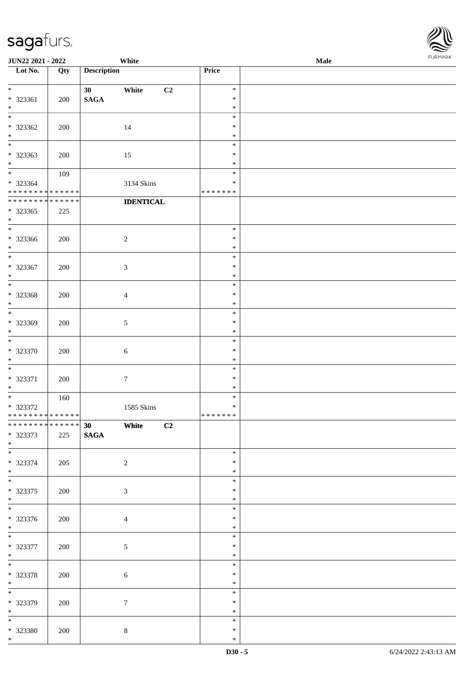| <b>JUN22 2021 - 2022</b>                   |         |                    | White            |                  | Male |  |
|--------------------------------------------|---------|--------------------|------------------|------------------|------|--|
| Lot No.                                    | Qty     | <b>Description</b> |                  | Price            |      |  |
| $\ddot{x}$                                 |         | 30 <sub>1</sub>    | C2<br>White      | $\ast$           |      |  |
| * 323361                                   | 200     | <b>SAGA</b>        |                  | $\ast$           |      |  |
| $*$                                        |         |                    |                  | $\ast$           |      |  |
| $\overline{\ast}$                          |         |                    |                  | $\ast$           |      |  |
| * 323362                                   | 200     |                    | 14               | $\ast$           |      |  |
| $*$                                        |         |                    |                  | $\ast$           |      |  |
|                                            |         |                    |                  | $\ast$           |      |  |
| * 323363                                   | 200     |                    | 15               | $\ast$           |      |  |
| $\ast$                                     |         |                    |                  | $\ast$           |      |  |
| $\ddot{x}$                                 | 109     |                    |                  | $\ast$           |      |  |
| * 323364                                   |         |                    | 3134 Skins       | $\ast$           |      |  |
| * * * * * * * * <mark>* * * * * * *</mark> |         |                    |                  | * * * * * * *    |      |  |
| ******** <mark>******</mark>               |         |                    | <b>IDENTICAL</b> |                  |      |  |
| * 323365                                   | 225     |                    |                  |                  |      |  |
| $*$                                        |         |                    |                  |                  |      |  |
|                                            |         |                    |                  | $\ast$           |      |  |
| * 323366<br>$\ast$                         | 200     |                    | $\overline{2}$   | $\ast$<br>$\ast$ |      |  |
|                                            |         |                    |                  | $\ast$           |      |  |
| * 323367                                   | 200     |                    | 3                | $\ast$           |      |  |
| $*$                                        |         |                    |                  | $\ast$           |      |  |
| $\overline{\ast}$                          |         |                    |                  | $\ast$           |      |  |
| * 323368                                   | 200     |                    | $\overline{4}$   | $\ast$           |      |  |
| $*$                                        |         |                    |                  | $\ast$           |      |  |
|                                            |         |                    |                  | $\ast$           |      |  |
| * 323369                                   | 200     |                    | 5                | $\ast$           |      |  |
| $\ast$                                     |         |                    |                  | $\ast$           |      |  |
|                                            |         |                    |                  | $\ast$           |      |  |
| * 323370                                   | 200     |                    | $\sqrt{6}$       | $\ast$           |      |  |
| $\ast$                                     |         |                    |                  | $\ast$           |      |  |
| $\ddot{x}$                                 |         |                    |                  | $\ast$           |      |  |
| * 323371                                   | 200     |                    | $\tau$           | $\ast$<br>$\ast$ |      |  |
| $*$<br>$\overline{\mathbf{r}}$             | $160\,$ |                    |                  | $\ast$           |      |  |
| * 323372                                   |         |                    | 1585 Skins       | $\ast$           |      |  |
| * * * * * * * * * * * * * * *              |         |                    |                  | *******          |      |  |
| ******** <mark>******</mark>               |         | 30 White           | C2               |                  |      |  |
| * 323373                                   | 225     | <b>SAGA</b>        |                  |                  |      |  |
| $*$                                        |         |                    |                  |                  |      |  |
| $\overline{\phantom{0}}$                   |         |                    |                  | $\ast$           |      |  |
| * 323374                                   | 205     |                    | 2                | $\ast$           |      |  |
| $*$                                        |         |                    |                  | $\ast$           |      |  |
| $\ddot{x}$                                 |         |                    |                  | $\ast$           |      |  |
| * 323375                                   | 200     |                    | 3                | $\ast$           |      |  |
| $\ast$                                     |         |                    |                  | $\ast$<br>$\ast$ |      |  |
|                                            |         |                    |                  | $\ast$           |      |  |
| * 323376<br>$*$                            | 200     |                    | $\overline{4}$   | $\ast$           |      |  |
| $*$                                        |         |                    |                  | $\ast$           |      |  |
| * 323377                                   | 200     |                    | $\mathfrak{S}$   | $\ast$           |      |  |
| $*$                                        |         |                    |                  | $\ast$           |      |  |
| $*$                                        |         |                    |                  | $\ast$           |      |  |
| * 323378                                   | 200     |                    | $\sqrt{6}$       | $\ast$           |      |  |
| $*$                                        |         |                    |                  | $\ast$           |      |  |
| $\overline{\ast}$                          |         |                    |                  | $\ast$           |      |  |
| * 323379                                   | 200     |                    | $\tau$           | $\ast$           |      |  |
| $*$ $-$                                    |         |                    |                  | $\ast$           |      |  |
|                                            |         |                    |                  | $\ast$           |      |  |
| * 323380                                   | 200     |                    | $\,8\,$          | $\ast$           |      |  |
| $*$                                        |         |                    |                  | $\ast$           |      |  |

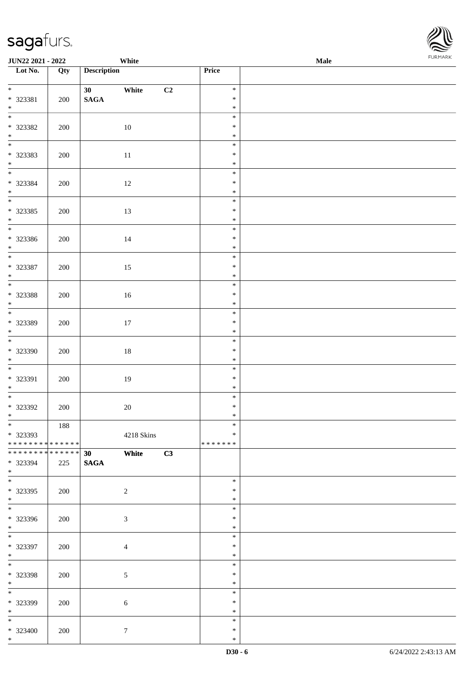| <b>JUN22 2021 - 2022</b>                                                    |     | White                                       |            |    |                                   | <b>Male</b> |  |
|-----------------------------------------------------------------------------|-----|---------------------------------------------|------------|----|-----------------------------------|-------------|--|
| Lot No.                                                                     | Qty | <b>Description</b>                          |            |    | Price                             |             |  |
| $\ddot{x}$<br>* 323381<br>$*$                                               | 200 | White<br>30 <sup>°</sup><br>$\mathbf{SAGA}$ |            | C2 | $\ast$<br>$\ast$<br>$\ast$        |             |  |
| $\overline{\mathbf{r}}$<br>* 323382<br>$*$<br>$*$                           | 200 | 10                                          |            |    | $\ast$<br>$\ast$<br>$\ast$        |             |  |
| * 323383<br>$*$                                                             | 200 | 11                                          |            |    | $\ast$<br>$\ast$<br>$\ast$        |             |  |
| $*$<br>* 323384<br>$*$                                                      | 200 | 12                                          |            |    | $\ast$<br>$\ast$<br>$\ast$        |             |  |
| $\overline{\ast}$<br>* 323385<br>$*$                                        | 200 | 13                                          |            |    | $\ast$<br>$\ast$<br>$\ast$        |             |  |
| * 323386<br>$*$                                                             | 200 | 14                                          |            |    | $\ast$<br>$\ast$<br>$\ast$        |             |  |
| $\overline{\phantom{0}}$<br>* 323387<br>$*$                                 | 200 | 15                                          |            |    | $\ast$<br>$\ast$<br>$\ast$        |             |  |
| $\overline{\ast}$<br>* 323388<br>$*$                                        | 200 | 16                                          |            |    | $\ast$<br>$\ast$<br>$\ast$        |             |  |
| $\overline{\phantom{0}}$<br>* 323389<br>$\ast$                              | 200 | 17                                          |            |    | $\ast$<br>$\ast$<br>$\ast$        |             |  |
| $*$<br>* 323390<br>$*$                                                      | 200 | $18\,$                                      |            |    | $\ast$<br>$\ast$<br>$\ast$        |             |  |
| $*$<br>* 323391<br>$*$                                                      | 200 | 19                                          |            |    | $\ast$<br>$\ast$<br>$\ast$        |             |  |
| * 323392<br>$\ast$                                                          | 200 | 20                                          |            |    | $\ast$<br>$\ast$<br>$\ast$        |             |  |
| $\overline{\ast}$<br>* 323393<br>* * * * * * * * <mark>* * * * * * *</mark> | 188 |                                             | 4218 Skins |    | $\ast$<br>$\ast$<br>* * * * * * * |             |  |
| * * * * * * * * <mark>* * * * * *</mark><br>* 323394<br>$\ast$              | 225 | White<br>30<br><b>SAGA</b>                  |            | C3 |                                   |             |  |
| $*$<br>* 323395<br>$*$                                                      | 200 | $\overline{c}$                              |            |    | $\ast$<br>$\ast$<br>$\ast$        |             |  |
| $\overline{\mathbf{r}}$<br>* 323396<br>$*$                                  | 200 | $\sqrt{3}$                                  |            |    | $\ast$<br>∗<br>$\ast$             |             |  |
| $\ast$<br>* 323397<br>$*$                                                   | 200 | $\overline{4}$                              |            |    | $\ast$<br>$\ast$<br>$\ast$        |             |  |
| $*$<br>* 323398<br>$*$                                                      | 200 | $\mathfrak{S}$                              |            |    | $\ast$<br>$\ast$<br>$\ast$        |             |  |
| * 323399<br>$*$                                                             | 200 | $\sqrt{6}$                                  |            |    | $\ast$<br>$\ast$<br>$\ast$        |             |  |
| $*$<br>$* 323400$<br>$\ast$                                                 | 200 | $\tau$                                      |            |    | $\ast$<br>$\ast$<br>$\ast$        |             |  |

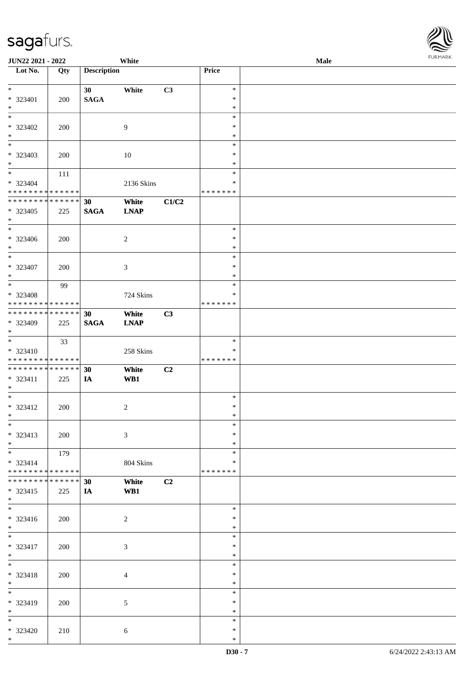| <b>JUN22 2021 - 2022</b>                                 |     |                    | White          |       |                  | Male | <b>FUNITANN</b> |
|----------------------------------------------------------|-----|--------------------|----------------|-------|------------------|------|-----------------|
| Lot No.                                                  | Qty | <b>Description</b> |                |       | Price            |      |                 |
|                                                          |     |                    |                |       |                  |      |                 |
| $*$                                                      |     | 30 <sup>1</sup>    | White          | C3    | $\ast$           |      |                 |
| $* 323401$                                               | 200 | <b>SAGA</b>        |                |       | $\ast$           |      |                 |
| $*$                                                      |     |                    |                |       | $\ast$           |      |                 |
| $\ast$                                                   |     |                    |                |       | $\ast$           |      |                 |
| * 323402                                                 | 200 |                    | 9              |       | ∗                |      |                 |
| $*$                                                      |     |                    |                |       | $\ast$           |      |                 |
| $*$                                                      |     |                    |                |       | $\ast$           |      |                 |
| * 323403                                                 | 200 |                    | 10             |       | $\ast$           |      |                 |
| $\ast$<br>$*$                                            |     |                    |                |       | $\ast$           |      |                 |
|                                                          | 111 |                    |                |       | $\ast$           |      |                 |
| * 323404                                                 |     |                    | 2136 Skins     |       | $\ast$           |      |                 |
| * * * * * * * * <mark>* * * * * * *</mark>               |     |                    |                |       | * * * * * * *    |      |                 |
| * * * * * * * * <mark>* * * * * * *</mark>               |     | 30                 | White          | C1/C2 |                  |      |                 |
| * 323405                                                 | 225 | <b>SAGA</b>        | <b>LNAP</b>    |       |                  |      |                 |
| $*$<br>$\overline{\phantom{0}}$                          |     |                    |                |       |                  |      |                 |
|                                                          |     |                    |                |       | $\ast$           |      |                 |
| * 323406                                                 | 200 |                    | $\overline{c}$ |       | $\ast$           |      |                 |
| $*$<br>$*$                                               |     |                    |                |       | $\ast$           |      |                 |
|                                                          |     |                    |                |       | $\ast$           |      |                 |
| $* 323407$                                               | 200 |                    | 3              |       | $\ast$           |      |                 |
| $*$<br>$\overline{\ }$                                   |     |                    |                |       | $\ast$<br>$\ast$ |      |                 |
|                                                          | 99  |                    |                |       |                  |      |                 |
| * 323408<br>* * * * * * * * <mark>* * * * * * *</mark>   |     |                    | 724 Skins      |       | $\ast$           |      |                 |
| * * * * * * * * <mark>* * * * * * *</mark>               |     |                    |                |       | * * * * * * *    |      |                 |
|                                                          |     | 30                 | White          | C3    |                  |      |                 |
| * 323409                                                 | 225 | <b>SAGA</b>        | <b>LNAP</b>    |       |                  |      |                 |
| $\ast$<br>$\overline{\phantom{0}}$                       |     |                    |                |       | $\ast$           |      |                 |
|                                                          | 33  |                    |                |       | $\ast$           |      |                 |
| $* 323410$<br>* * * * * * * * <mark>* * * * * * *</mark> |     |                    | 258 Skins      |       | * * * * * * *    |      |                 |
| * * * * * * * * <mark>* * * * * * *</mark>               |     |                    | White          | C2    |                  |      |                 |
| * 323411                                                 |     | 30                 |                |       |                  |      |                 |
| $*$                                                      | 225 | IA                 | WB1            |       |                  |      |                 |
| $\overline{\phantom{0}}$                                 |     |                    |                |       | $\ast$           |      |                 |
| * 323412                                                 | 200 |                    | $\overline{c}$ |       | $\ast$           |      |                 |
| $\ddot{x}$                                               |     |                    |                |       | $\ast$           |      |                 |
| $\ast$                                                   |     |                    |                |       | $\ast$           |      |                 |
| $* 323413$                                               | 200 |                    | $\mathfrak{Z}$ |       | $\ast$           |      |                 |
| $*$                                                      |     |                    |                |       | $\ast$           |      |                 |
| $\overline{\ast}$                                        | 179 |                    |                |       | $\ast$           |      |                 |
| $* 323414$                                               |     |                    | 804 Skins      |       | *                |      |                 |
| * * * * * * * * <mark>* * * * * * *</mark>               |     |                    |                |       | * * * * * * *    |      |                 |
| * * * * * * * * <mark>* * * * * * *</mark>               |     | 30 <sup>°</sup>    | White          | C2    |                  |      |                 |
| $* 323415$                                               | 225 | <b>IA</b>          | WB1            |       |                  |      |                 |
| $\ast$                                                   |     |                    |                |       |                  |      |                 |
| $\overline{\phantom{0}}$                                 |     |                    |                |       | $\ast$           |      |                 |
| $* 323416$                                               | 200 |                    | 2              |       | $\ast$           |      |                 |
| $\ddot{x}$                                               |     |                    |                |       | $\ast$           |      |                 |
| $\overline{\ast}$                                        |     |                    |                |       | $\ast$           |      |                 |
| * 323417                                                 | 200 |                    | $\mathfrak{Z}$ |       | $\ast$           |      |                 |
| $*$                                                      |     |                    |                |       | $\ast$           |      |                 |
| $*$                                                      |     |                    |                |       | $\ast$           |      |                 |
| * 323418                                                 | 200 |                    | $\overline{4}$ |       | $\ast$           |      |                 |
| $*$                                                      |     |                    |                |       | $\ast$           |      |                 |
| $*$                                                      |     |                    |                |       | $\ast$           |      |                 |
| * 323419                                                 | 200 |                    | 5              |       | $\ast$           |      |                 |
| $*$                                                      |     |                    |                |       | $\ast$           |      |                 |
| $*$                                                      |     |                    |                |       | $\ast$           |      |                 |
| $* 323420$                                               | 210 |                    | $\sqrt{6}$     |       | $\ast$           |      |                 |
| $*$                                                      |     |                    |                |       | $\ast$           |      |                 |

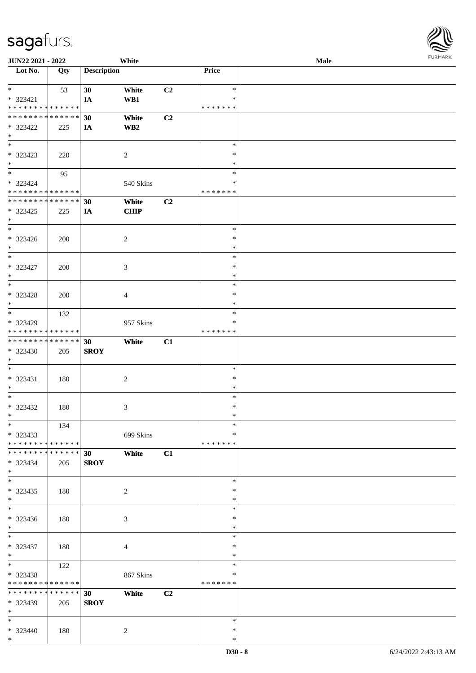\*

| JUN22 2021 - 2022                                                                        |     |                    | White          |    |                  | Male | $1 \times 1 \times 1 \times 1 \times 1$ |
|------------------------------------------------------------------------------------------|-----|--------------------|----------------|----|------------------|------|-----------------------------------------|
| Lot No.                                                                                  | Qty | <b>Description</b> |                |    | Price            |      |                                         |
|                                                                                          |     |                    |                |    |                  |      |                                         |
| $*$                                                                                      | 53  | 30                 | White          | C2 | $\ast$           |      |                                         |
| * 323421                                                                                 |     | IA                 | WB1            |    | $\ast$           |      |                                         |
| * * * * * * * * <mark>* * * * * * *</mark><br>* * * * * * * * <mark>* * * * * * *</mark> |     |                    |                |    | * * * * * * *    |      |                                         |
|                                                                                          |     | 30                 | White          | C2 |                  |      |                                         |
| * 323422<br>$*$                                                                          | 225 | IA                 | WB2            |    |                  |      |                                         |
| $*$                                                                                      |     |                    |                |    | $\ast$           |      |                                         |
| * 323423                                                                                 | 220 |                    | 2              |    | $\ast$           |      |                                         |
| $*$                                                                                      |     |                    |                |    | $\ast$           |      |                                         |
|                                                                                          | 95  |                    |                |    | $\ast$           |      |                                         |
| * 323424                                                                                 |     |                    | 540 Skins      |    | $\ast$           |      |                                         |
| * * * * * * * * * * * * * *                                                              |     |                    |                |    | * * * * * * *    |      |                                         |
| * * * * * * * * <mark>* * * * * * *</mark>                                               |     | 30                 | White          | C2 |                  |      |                                         |
| * 323425                                                                                 | 225 | IA                 | <b>CHIP</b>    |    |                  |      |                                         |
| $*$                                                                                      |     |                    |                |    |                  |      |                                         |
| $*$                                                                                      |     |                    |                |    | $\ast$           |      |                                         |
| * 323426                                                                                 | 200 |                    | 2              |    | $\ast$           |      |                                         |
| $*$                                                                                      |     |                    |                |    | $\ast$           |      |                                         |
| $\overline{\phantom{0}}$                                                                 |     |                    |                |    | $\ast$           |      |                                         |
| * 323427                                                                                 | 200 |                    | 3              |    | $\ast$           |      |                                         |
| $*$                                                                                      |     |                    |                |    | $\ast$           |      |                                         |
| $\ast$                                                                                   |     |                    |                |    | $\ast$           |      |                                         |
| * 323428                                                                                 | 200 |                    | 4              |    | $\ast$           |      |                                         |
| $\ast$                                                                                   |     |                    |                |    | $\ast$           |      |                                         |
| $*$                                                                                      | 132 |                    |                |    | $\ast$           |      |                                         |
| * 323429                                                                                 |     |                    | 957 Skins      |    | ∗                |      |                                         |
| * * * * * * * * * * * * * *                                                              |     |                    |                |    | * * * * * * *    |      |                                         |
| ******** <mark>******</mark>                                                             |     | 30                 | White          | C1 |                  |      |                                         |
| * 323430                                                                                 | 205 | <b>SROY</b>        |                |    |                  |      |                                         |
| $*$                                                                                      |     |                    |                |    |                  |      |                                         |
| $\ast$                                                                                   |     |                    |                |    | $\ast$           |      |                                         |
| * 323431                                                                                 | 180 |                    | $\overline{c}$ |    | $\ast$           |      |                                         |
| $*$<br>$*$                                                                               |     |                    |                |    | $\ast$<br>$\ast$ |      |                                         |
|                                                                                          |     |                    |                |    | $\ast$           |      |                                         |
| $* 323432$<br>$*$                                                                        | 180 |                    | 3              |    | $\ast$           |      |                                         |
| $*$                                                                                      | 134 |                    |                |    | $\ast$           |      |                                         |
| * 323433                                                                                 |     |                    | 699 Skins      |    | $\ast$           |      |                                         |
| * * * * * * * * <mark>* * * * * *</mark>                                                 |     |                    |                |    | * * * * * * *    |      |                                         |
| * * * * * * * * * * * * * * *                                                            |     | 30                 | White          | C1 |                  |      |                                         |
| $* 323434$                                                                               | 205 | <b>SROY</b>        |                |    |                  |      |                                         |
| $*$                                                                                      |     |                    |                |    |                  |      |                                         |
| $*$                                                                                      |     |                    |                |    | $\ast$           |      |                                         |
| * 323435                                                                                 | 180 |                    | 2              |    | $\ast$           |      |                                         |
| $*$                                                                                      |     |                    |                |    | $\ast$           |      |                                         |
| $*$                                                                                      |     |                    |                |    | $\ast$           |      |                                         |
| $* 323436$                                                                               | 180 |                    | 3              |    | $\ast$           |      |                                         |
| $*$                                                                                      |     |                    |                |    | $\ast$           |      |                                         |
| $*$                                                                                      |     |                    |                |    | $\ast$           |      |                                         |
| * 323437                                                                                 | 180 |                    | 4              |    | $\ast$           |      |                                         |
| $*$                                                                                      |     |                    |                |    | $\ast$           |      |                                         |
| $*$                                                                                      | 122 |                    |                |    | $\ast$           |      |                                         |
| * 323438                                                                                 |     |                    | 867 Skins      |    | ∗                |      |                                         |
| * * * * * * * * * * * * * *                                                              |     |                    |                |    | * * * * * * *    |      |                                         |
| * * * * * * * * <mark>* * * * * * *</mark>                                               |     | 30                 | White          | C2 |                  |      |                                         |
| * 323439                                                                                 | 205 | <b>SROY</b>        |                |    |                  |      |                                         |
| $*$                                                                                      |     |                    |                |    |                  |      |                                         |
| $*$                                                                                      |     |                    |                |    | $\ast$           |      |                                         |
| * 323440<br>$*$                                                                          | 180 |                    | 2              |    | ∗<br>$\ast$      |      |                                         |
|                                                                                          |     |                    |                |    |                  |      |                                         |

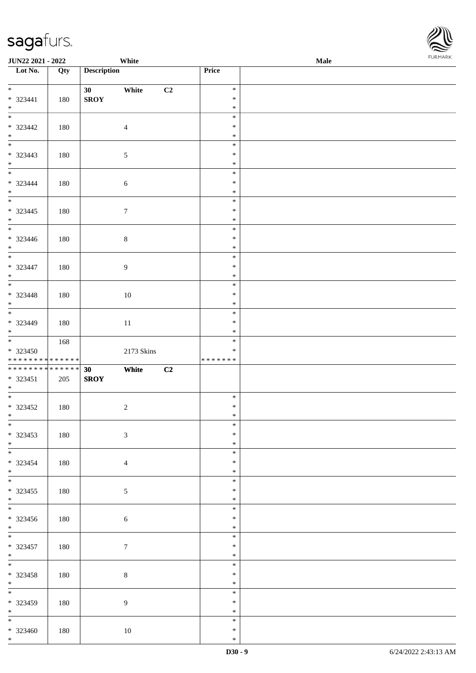| <b>JUN22 2021 - 2022</b>                                        |     | White                                   |                |                                   | Male |  |
|-----------------------------------------------------------------|-----|-----------------------------------------|----------------|-----------------------------------|------|--|
| Lot No.                                                         | Qty | <b>Description</b>                      |                | <b>Price</b>                      |      |  |
| $\ddot{x}$<br>$* 323441$<br>$*$                                 | 180 | White<br>30 <sup>°</sup><br><b>SROY</b> | C2             | $\ast$<br>$\ast$<br>$\ast$        |      |  |
| $* 323442$<br>$*$<br>$*$                                        | 180 | $\overline{4}$                          |                | $\ast$<br>$\ast$<br>$\ast$        |      |  |
| * 323443<br>$*$                                                 | 180 | $\overline{5}$                          |                | $\ast$<br>$\ast$<br>$\ast$        |      |  |
| $*$<br>* 323444<br>$*$                                          | 180 | $\sqrt{6}$                              |                | $\ast$<br>$\ast$<br>$\ast$        |      |  |
| $* 323445$<br>$*$                                               | 180 | $\boldsymbol{7}$                        |                | $\ast$<br>$\ast$<br>$\ast$        |      |  |
| $* 323446$<br>$*$<br>$\overline{\phantom{0}}$                   | 180 | $8\,$                                   |                | $\ast$<br>$\ast$<br>$\ast$        |      |  |
| $* 323447$<br>$*$                                               | 180 | 9                                       |                | $\ast$<br>$\ast$<br>$\ast$        |      |  |
| * 323448<br>$\ast$<br>$\overline{\phantom{0}}$                  | 180 | 10                                      |                | $\ast$<br>$\ast$<br>$\ast$        |      |  |
| * 323449<br>$*$                                                 | 180 | 11                                      |                | $\ast$<br>$\ast$<br>$\ast$        |      |  |
| $*$<br>$* 323450$<br>* * * * * * * * <mark>* * * * * * *</mark> | 168 | 2173 Skins                              |                | $\ast$<br>$\ast$<br>* * * * * * * |      |  |
| ******** <mark>******</mark><br>$* 323451$<br>$*$               | 205 | 30<br>White<br><b>SROY</b>              | C <sub>2</sub> |                                   |      |  |
| $* 323452$<br>$*$ $-$                                           | 180 | $\overline{c}$                          |                | $\ast$<br>$\ast$<br>$\ast$        |      |  |
| $\overline{\ast}$<br>* 323453<br>$*$                            | 180 | $\mathfrak{Z}$                          |                | $\ast$<br>$\ast$<br>$\ast$        |      |  |
| $\overline{\mathbf{r}}$<br>* 323454<br>$*$                      | 180 | $\overline{4}$                          |                | $\ast$<br>$\ast$<br>$\ast$        |      |  |
| $\ddot{x}$<br>$* 323455$<br>$*$                                 | 180 | 5                                       |                | $\ast$<br>$\ast$<br>$\ast$        |      |  |
| $* 323456$<br>$*$                                               | 180 | $\sqrt{6}$                              |                | $\ast$<br>$\ast$<br>$\ast$        |      |  |
| $\overline{\mathbf{r}}$<br>$* 323457$<br>$*$                    | 180 | $\tau$                                  |                | $\ast$<br>$\ast$<br>$\ast$        |      |  |
| $\ddot{x}$<br>* 323458<br>$*$                                   | 180 | $\,8\,$                                 |                | $\ast$<br>$\ast$<br>$\ast$        |      |  |
| * 323459<br>$*$                                                 | 180 | $\overline{9}$                          |                | $\ast$<br>$\ast$<br>$\ast$        |      |  |
| $\overline{\phantom{0}}$<br>$* 323460$<br>$\ddot{x}$            | 180 | 10                                      |                | $\ast$<br>$\ast$<br>$\ast$        |      |  |

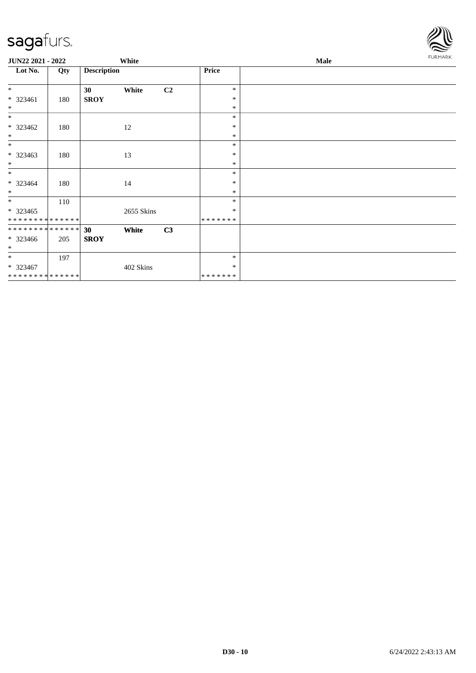

| <b>JUN22 2021 - 2022</b>     |     | White                                   |    | Male              |  |  |  |
|------------------------------|-----|-----------------------------------------|----|-------------------|--|--|--|
| Lot No.                      | Qty | <b>Description</b>                      |    | Price             |  |  |  |
| $\ast$<br>$* 323461$         | 180 | 30 <sup>1</sup><br>White<br><b>SROY</b> | C2 | $\ast$<br>$\ast$  |  |  |  |
| $\ast$                       |     |                                         |    | $\ast$            |  |  |  |
| $\ast$                       |     |                                         |    | $\ast$            |  |  |  |
| $*323462$<br>$\ast$          | 180 | 12                                      |    | $\ast$<br>$\ast$  |  |  |  |
| $\ast$                       |     |                                         |    | $\ast$            |  |  |  |
| $*323463$<br>$\ast$          | 180 | 13                                      |    | $\ast$<br>$\ast$  |  |  |  |
| $*$                          |     |                                         |    | $\ast$            |  |  |  |
| $* 323464$<br>$*$            | 180 | 14                                      |    | $\ast$<br>$\ast$  |  |  |  |
| $*$                          | 110 |                                         |    | $\ast$            |  |  |  |
| $*323465$<br>**************  |     | 2655 Skins                              |    | $\ast$<br>******* |  |  |  |
| **************               |     | 30<br>White                             | C3 |                   |  |  |  |
| $*323466$<br>$\ast$          | 205 | <b>SROY</b>                             |    |                   |  |  |  |
| $*$                          | 197 |                                         |    | $\ast$            |  |  |  |
| $*323467$                    |     | 402 Skins                               |    | $\ast$            |  |  |  |
| ******** <mark>******</mark> |     |                                         |    | *******           |  |  |  |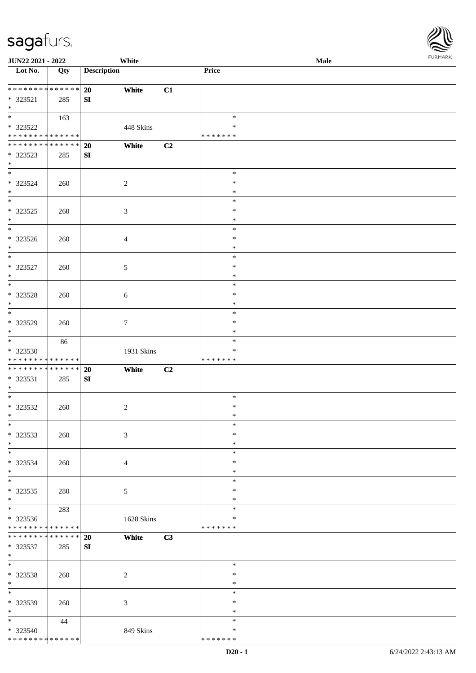| JUN22 2021 - 2022                    |     |                    | White          |    |               | Male |  |
|--------------------------------------|-----|--------------------|----------------|----|---------------|------|--|
| $\overline{\phantom{1}}$ Lot No.     | Qty | <b>Description</b> |                |    | Price         |      |  |
|                                      |     |                    |                |    |               |      |  |
| ******** <mark>******</mark>         |     | 20                 | White          | C1 |               |      |  |
| * 323521                             | 285 | SI                 |                |    |               |      |  |
| $*$                                  |     |                    |                |    |               |      |  |
| $\overline{\phantom{0}}$             | 163 |                    |                |    | $\ast$        |      |  |
| * 323522                             |     |                    | 448 Skins      |    | $\ast$        |      |  |
| * * * * * * * * * * * * * *          |     |                    |                |    | * * * * * * * |      |  |
| **************                       |     | 20                 | White          | C2 |               |      |  |
| * 323523                             |     |                    |                |    |               |      |  |
| $\ast$                               | 285 | SI                 |                |    |               |      |  |
| $\overline{\phantom{0}}$             |     |                    |                |    | $\ast$        |      |  |
|                                      |     |                    |                |    |               |      |  |
| * 323524                             | 260 |                    | $\sqrt{2}$     |    | $\ast$        |      |  |
| $\ast$<br>$\overline{\phantom{a}^*}$ |     |                    |                |    | $\ast$        |      |  |
|                                      |     |                    |                |    | $\ast$        |      |  |
| $*323525$                            | 260 |                    | $\mathfrak{Z}$ |    | $\ast$        |      |  |
| $\ast$                               |     |                    |                |    | $\ast$        |      |  |
| $\overline{\ast}$                    |     |                    |                |    | $\ast$        |      |  |
| $* 323526$                           | 260 |                    | $\overline{4}$ |    | $\ast$        |      |  |
| $\ast$                               |     |                    |                |    | $\ast$        |      |  |
| $\frac{1}{*}$                        |     |                    |                |    | $\ast$        |      |  |
| $* 323527$                           | 260 |                    | $\mathfrak{S}$ |    | $\ast$        |      |  |
| $\ast$                               |     |                    |                |    | $\ast$        |      |  |
| $_{\ast}$                            |     |                    |                |    | $\ast$        |      |  |
| * 323528                             |     |                    |                |    | $\ast$        |      |  |
| $\ast$                               | 260 |                    | $6\,$          |    | $\ast$        |      |  |
| $\overline{\ast}$                    |     |                    |                |    |               |      |  |
|                                      |     |                    |                |    | $\ast$        |      |  |
| * 323529                             | 260 |                    | $\tau$         |    | $\ast$        |      |  |
| $\ast$<br>$\overline{\phantom{0}}$   |     |                    |                |    | $\ast$        |      |  |
|                                      | 86  |                    |                |    | $\ast$        |      |  |
| * 323530                             |     |                    | 1931 Skins     |    | $\ast$        |      |  |
| * * * * * * * * * * * * * *          |     |                    |                |    | * * * * * * * |      |  |
| **************                       |     | 20                 | White          | C2 |               |      |  |
| * 323531                             | 285 | ${\bf SI}$         |                |    |               |      |  |
| $*$                                  |     |                    |                |    |               |      |  |
| $*$                                  |     |                    |                |    | $\ast$        |      |  |
| $* 323532$                           | 260 |                    | $\sqrt{2}$     |    | $\ast$        |      |  |
| $*$                                  |     |                    |                |    | $*$           |      |  |
| $*$                                  |     |                    |                |    | $\ast$        |      |  |
| * 323533                             | 260 |                    | $\mathfrak{Z}$ |    | $\ast$        |      |  |
| $*$                                  |     |                    |                |    | $\ast$        |      |  |
| $\ast$                               |     |                    |                |    | $\ast$        |      |  |
| * 323534                             | 260 |                    |                |    | $\ast$        |      |  |
| $\ast$                               |     |                    | $\overline{4}$ |    | $\ast$        |      |  |
| $\overline{\phantom{0}}$             |     |                    |                |    | $\ast$        |      |  |
|                                      |     |                    |                |    | $\ast$        |      |  |
| $*323535$                            | 280 |                    | 5              |    |               |      |  |
| $*$<br>$\overline{\phantom{0}}$      |     |                    |                |    | $\ast$        |      |  |
|                                      | 283 |                    |                |    | $\ast$        |      |  |
| * 323536                             |     |                    | 1628 Skins     |    | $\ast$        |      |  |
| * * * * * * * * * * * * * *          |     |                    |                |    | * * * * * * * |      |  |
| **************                       |     | 20                 | White          | C3 |               |      |  |
| * 323537                             | 285 | ${\bf S}{\bf I}$   |                |    |               |      |  |
| $*$                                  |     |                    |                |    |               |      |  |
| $*$                                  |     |                    |                |    | $\ast$        |      |  |
| * 323538                             | 260 |                    | $\overline{2}$ |    | $\ast$        |      |  |
| $*$                                  |     |                    |                |    | $\ast$        |      |  |
| $\ast$                               |     |                    |                |    | $\ast$        |      |  |
| * 323539                             | 260 |                    | $\mathfrak{Z}$ |    | $\ast$        |      |  |
| $*$                                  |     |                    |                |    | $\ast$        |      |  |
| $*$                                  | 44  |                    |                |    | $\ast$        |      |  |
| * 323540                             |     |                    | 849 Skins      |    | $\ast$        |      |  |
| * * * * * * * * * * * * * * *        |     |                    |                |    | * * * * * * * |      |  |
|                                      |     |                    |                |    |               |      |  |

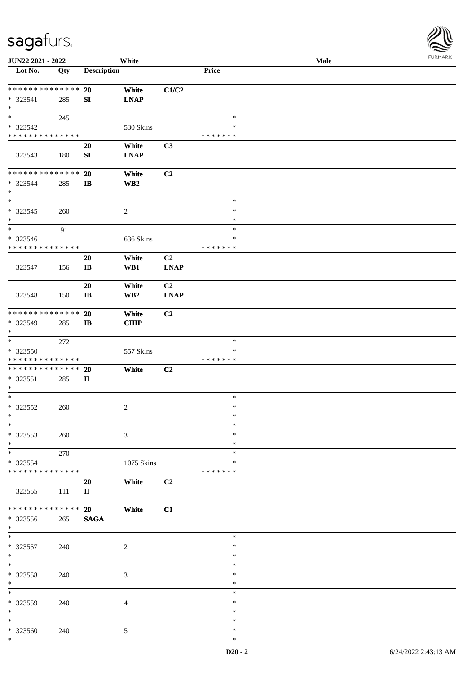| JUN22 2021 - 2022                          |               |                        | White                   |                |                    | Male | $1 \times 1 \times 1 \times 1 \times 1$ |
|--------------------------------------------|---------------|------------------------|-------------------------|----------------|--------------------|------|-----------------------------------------|
| Lot No.                                    | Qty           | <b>Description</b>     |                         |                | Price              |      |                                         |
|                                            |               |                        |                         |                |                    |      |                                         |
| ******** <mark>******</mark>               |               | 20                     | White                   | C1/C2          |                    |      |                                         |
| * 323541                                   | 285           | SI                     | <b>LNAP</b>             |                |                    |      |                                         |
| $\ast$                                     |               |                        |                         |                |                    |      |                                         |
| $*$                                        | 245           |                        |                         |                | $\ast$             |      |                                         |
| * 323542                                   |               |                        | 530 Skins               |                | $\ast$             |      |                                         |
| * * * * * * * * * * * * * *                |               |                        |                         |                | * * * * * * *      |      |                                         |
|                                            |               | 20                     | White                   | C3             |                    |      |                                         |
| 323543                                     | 180           | SI                     | <b>LNAP</b>             |                |                    |      |                                         |
|                                            |               |                        |                         |                |                    |      |                                         |
| * * * * * * * * * * * * * *                |               | 20                     | White                   | C2             |                    |      |                                         |
| * 323544                                   | 285           | $\mathbf{I}$           | $\mathbf{W}\mathbf{B2}$ |                |                    |      |                                         |
| $*$                                        |               |                        |                         |                |                    |      |                                         |
| $*$                                        |               |                        |                         |                | $\ast$             |      |                                         |
| $* 323545$                                 | 260           |                        | 2                       |                | $\ast$             |      |                                         |
| $*$                                        |               |                        |                         |                | $\ast$             |      |                                         |
| $*$                                        | 91            |                        |                         |                | $\ast$             |      |                                         |
| * 323546                                   |               |                        | 636 Skins               |                | $\ast$             |      |                                         |
| * * * * * * * * * * * * * *                |               |                        |                         |                | * * * * * * *      |      |                                         |
|                                            |               | 20                     | White                   | C <sub>2</sub> |                    |      |                                         |
| 323547                                     | 156           | $\mathbf{I}\mathbf{B}$ | WB1                     | <b>LNAP</b>    |                    |      |                                         |
|                                            |               |                        |                         |                |                    |      |                                         |
|                                            |               | 20                     | White                   | C2             |                    |      |                                         |
| 323548                                     | 150           | $\mathbf{I}\mathbf{B}$ | WB <sub>2</sub>         | <b>LNAP</b>    |                    |      |                                         |
|                                            |               |                        |                         |                |                    |      |                                         |
| * * * * * * * * <mark>* * * * * *</mark>   |               | 20                     | White                   | C2             |                    |      |                                         |
| * 323549                                   | 285           | $\mathbf{I}$           | <b>CHIP</b>             |                |                    |      |                                         |
| $\ast$                                     |               |                        |                         |                |                    |      |                                         |
| $\overline{\phantom{0}}$                   | 272           |                        |                         |                | $\ast$             |      |                                         |
| * 323550                                   |               |                        | 557 Skins               |                | $\ast$             |      |                                         |
| * * * * * * * * <mark>* * * * * *</mark>   |               |                        |                         |                | * * * * * * *      |      |                                         |
| * * * * * * * * <mark>* * * * * * *</mark> |               | 20                     | White                   | C2             |                    |      |                                         |
| $* 323551$                                 | 285           | $\mathbf{I}$           |                         |                |                    |      |                                         |
| $*$                                        |               |                        |                         |                |                    |      |                                         |
| $*$                                        |               |                        |                         |                | $\ast$             |      |                                         |
| * 323552                                   | 260           |                        | $\overline{c}$          |                | $\ast$             |      |                                         |
| $*$ $-$                                    |               |                        |                         |                | $\ast$             |      |                                         |
| $*$                                        |               |                        |                         |                | $\ast$             |      |                                         |
| * 323553                                   | 260           |                        | 3                       |                | $\ast$             |      |                                         |
| $*$<br>$*$                                 |               |                        |                         |                | $\ast$             |      |                                         |
|                                            | 270           |                        |                         |                | $\ast$             |      |                                         |
| * 323554<br>* * * * * * * * * * * * * * *  |               |                        | 1075 Skins              |                | ∗<br>* * * * * * * |      |                                         |
|                                            |               |                        |                         |                |                    |      |                                         |
|                                            |               | 20                     | White                   | C <sub>2</sub> |                    |      |                                         |
| 323555                                     | 111           | $\mathbf{I}$           |                         |                |                    |      |                                         |
| * * * * * * * *                            | * * * * * * * |                        |                         |                |                    |      |                                         |
|                                            |               | 20                     | White                   | C1             |                    |      |                                         |
| * 323556<br>$*$                            | 265           | <b>SAGA</b>            |                         |                |                    |      |                                         |
| $\ast$                                     |               |                        |                         |                | $\ast$             |      |                                         |
|                                            |               |                        |                         |                | $\ast$             |      |                                         |
| * 323557<br>$*$                            | 240           |                        | $\overline{c}$          |                | $\ast$             |      |                                         |
| $\ast$                                     |               |                        |                         |                | $\ast$             |      |                                         |
| * 323558                                   |               |                        |                         |                | $\ast$             |      |                                         |
| $*$                                        | 240           |                        | 3                       |                | $\ast$             |      |                                         |
| $*$                                        |               |                        |                         |                | $\ast$             |      |                                         |
| * 323559                                   |               |                        |                         |                | $\ast$             |      |                                         |
| $*$                                        | 240           |                        | 4                       |                | $\ast$             |      |                                         |
| $*$                                        |               |                        |                         |                | $\ast$             |      |                                         |
| * 323560                                   | 240           |                        | 5                       |                | $\ast$             |      |                                         |
| $\ast$                                     |               |                        |                         |                | $\ast$             |      |                                         |
|                                            |               |                        |                         |                |                    |      |                                         |

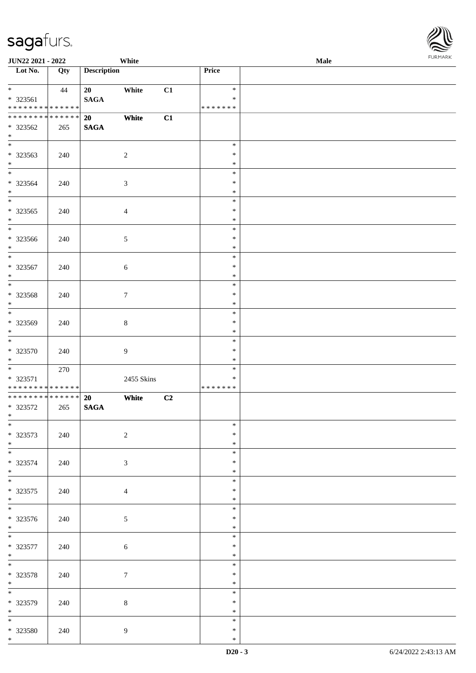| <b>JUN22 2021 - 2022</b>                                                          |     |                    | White          |    |                                   | Male |  |
|-----------------------------------------------------------------------------------|-----|--------------------|----------------|----|-----------------------------------|------|--|
| Lot No.                                                                           | Qty | <b>Description</b> |                |    | <b>Price</b>                      |      |  |
| $\ddot{x}$<br>* 323561<br>* * * * * * * * * * * * * *                             | 44  | 20<br><b>SAGA</b>  | White          | C1 | $\ast$<br>$\ast$<br>* * * * * * * |      |  |
| * * * * * * * * <mark>* * * * * * *</mark><br>* 323562<br>$\ast$                  | 265 | 20<br><b>SAGA</b>  | White          | C1 |                                   |      |  |
| * 323563<br>$*$                                                                   | 240 |                    | $\overline{2}$ |    | $\ast$<br>$\ast$<br>$\ast$        |      |  |
| $*$<br>* 323564<br>$*$                                                            | 240 |                    | $\sqrt{3}$     |    | $\ast$<br>$\ast$<br>$\ast$        |      |  |
| $\overline{\mathbf{r}}$<br>$* 323565$<br>$*$                                      | 240 |                    | $\overline{4}$ |    | $\ast$<br>$\ast$<br>$\ast$        |      |  |
| * 323566<br>$\ast$                                                                | 240 |                    | $\mathfrak{S}$ |    | $\ast$<br>$\ast$<br>$\ast$        |      |  |
| $\overline{\phantom{0}}$<br>* 323567<br>$*$                                       | 240 |                    | $\sqrt{6}$     |    | $\ast$<br>$\ast$<br>$\ast$        |      |  |
| * 323568<br>$\ast$                                                                | 240 |                    | $\tau$         |    | $\ast$<br>$\ast$<br>$\ast$        |      |  |
| $\overline{\phantom{0}}$<br>* 323569<br>$\ast$                                    | 240 |                    | $8\,$          |    | $\ast$<br>$\ast$<br>$\ast$        |      |  |
| $*$<br>$* 323570$<br>$*$                                                          | 240 |                    | 9              |    | $\ast$<br>$\ast$<br>$\ast$        |      |  |
| $\overline{\mathbf{r}}$<br>* 323571<br>* * * * * * * * <mark>* * * * * * *</mark> | 270 |                    | 2455 Skins     |    | $\ast$<br>$\ast$<br>* * * * * * * |      |  |
| ******** <mark>******</mark><br>* 323572<br>$*$ $-$                               | 265 | 20<br><b>SAGA</b>  | White          | C2 |                                   |      |  |
| $\overline{\ast}$<br>* 323573<br>$*$                                              | 240 |                    | 2              |    | $\ast$<br>$\ast$<br>$\ast$        |      |  |
| * 323574<br>$*$                                                                   | 240 |                    | 3              |    | $\ast$<br>$\ast$<br>$\ast$        |      |  |
| $*$<br>* 323575<br>$\ddot{x}$                                                     | 240 |                    | $\overline{4}$ |    | $\ast$<br>$\ast$<br>$\ast$        |      |  |
| * 323576<br>$*$                                                                   | 240 |                    | $\mathfrak{S}$ |    | $\ast$<br>$\ast$<br>$\ast$        |      |  |
| $\overline{\mathbf{r}}$<br>* 323577<br>$*$                                        | 240 |                    | $\sqrt{6}$     |    | $\ast$<br>$\ast$<br>$\ast$        |      |  |
| $\ddot{x}$<br>* 323578<br>$\ast$                                                  | 240 |                    | $\tau$         |    | $\ast$<br>$\ast$<br>$\ast$        |      |  |
| * 323579<br>$*$                                                                   | 240 |                    | $\,8\,$        |    | $\ast$<br>$\ast$<br>$\ast$        |      |  |
| $\overline{\phantom{0}}$<br>* 323580<br>$*$                                       | 240 |                    | $\overline{9}$ |    | $\ast$<br>$\ast$<br>$\ast$        |      |  |

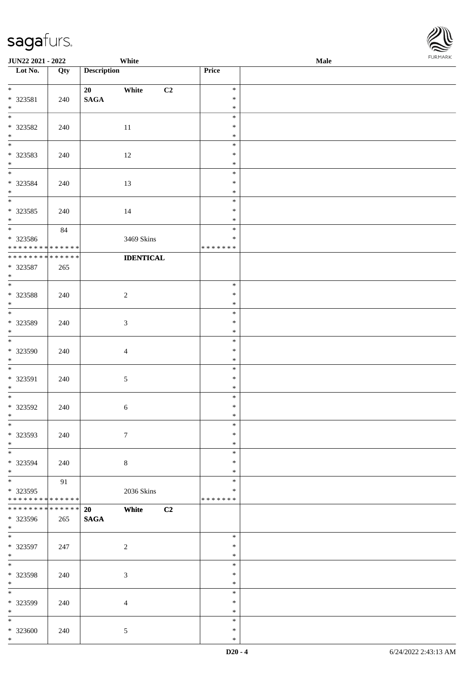| <b>JUN22 2021 - 2022</b>                               |             |                    | White                   |                  | <b>Male</b> |  |
|--------------------------------------------------------|-------------|--------------------|-------------------------|------------------|-------------|--|
| Lot No.                                                | Qty         | <b>Description</b> |                         | Price            |             |  |
|                                                        |             |                    |                         |                  |             |  |
| $*$                                                    |             | 20                 | White<br>C <sub>2</sub> | $\ast$           |             |  |
| * 323581                                               | 240         | $\mathbf{SAGA}$    |                         | $\ast$           |             |  |
| $*$                                                    |             |                    |                         | $\ast$<br>$\ast$ |             |  |
|                                                        |             |                    |                         | $\ast$           |             |  |
| * 323582<br>$*$                                        | 240         |                    | 11                      | $\ast$           |             |  |
|                                                        |             |                    |                         | $\ast$           |             |  |
|                                                        |             |                    |                         | $\ast$           |             |  |
| * 323583<br>$*$                                        | 240         |                    | 12                      | $\ast$           |             |  |
| $*$                                                    |             |                    |                         | $\ast$           |             |  |
| * 323584                                               | 240         |                    | 13                      | $\ast$           |             |  |
| $*$                                                    |             |                    |                         | $\ast$           |             |  |
| $\overline{\ast}$                                      |             |                    |                         | $\ast$           |             |  |
| * 323585                                               | 240         |                    | 14                      | $\ast$           |             |  |
| $\ddot{x}$                                             |             |                    |                         | $\ast$           |             |  |
|                                                        | 84          |                    |                         | $\ast$           |             |  |
| * 323586                                               |             |                    | 3469 Skins              | $\ast$           |             |  |
| * * * * * * * * <mark>* * * * * * *</mark>             |             |                    |                         | * * * * * * *    |             |  |
| * * * * * * * * <mark>* * * * * * *</mark>             |             |                    | <b>IDENTICAL</b>        |                  |             |  |
| * 323587                                               | 265         |                    |                         |                  |             |  |
| $*$                                                    |             |                    |                         |                  |             |  |
|                                                        |             |                    |                         | $\ast$           |             |  |
| * 323588                                               | 240         |                    | $\sqrt{2}$              | $\ast$           |             |  |
| $\ast$                                                 |             |                    |                         | $\ast$           |             |  |
| $\overline{\phantom{0}}$                               |             |                    |                         | $\ast$           |             |  |
| * 323589                                               | 240         |                    | $\mathfrak{Z}$          | $\ast$           |             |  |
| $\ast$                                                 |             |                    |                         | $\ast$           |             |  |
| $\overline{\ast}$                                      |             |                    |                         | $\ast$           |             |  |
| * 323590                                               | 240         |                    | $\overline{4}$          | $\ast$           |             |  |
| $*$                                                    |             |                    |                         | $\ast$           |             |  |
|                                                        |             |                    |                         | $\ast$           |             |  |
| * 323591                                               | 240         |                    | $\sqrt{5}$              | $\ast$           |             |  |
| $*$                                                    |             |                    |                         | $\ast$           |             |  |
|                                                        |             |                    |                         | $\ast$           |             |  |
| * 323592                                               | 240         |                    | 6                       | $\ast$           |             |  |
| $*$ $-$                                                |             |                    |                         | $\ast$           |             |  |
| $\ddot{x}$                                             |             |                    |                         | $\ast$           |             |  |
| * 323593                                               | 240         |                    | $\overline{7}$          | $\ast$           |             |  |
| $*$                                                    |             |                    |                         | $\ast$           |             |  |
|                                                        |             |                    |                         | $\ast$           |             |  |
| * 323594                                               | 240         |                    | $\,8\,$                 | $\ast$           |             |  |
| $*$<br>$\ddot{x}$                                      |             |                    |                         | $\ast$<br>$\ast$ |             |  |
|                                                        | 91          |                    |                         | $\ast$           |             |  |
| * 323595<br>* * * * * * * * <mark>* * * * * * *</mark> |             |                    | 2036 Skins              | * * * * * * *    |             |  |
| * * * * * * * * <mark>*</mark>                         | * * * * * * | 20                 | White<br>C2             |                  |             |  |
| * 323596                                               | 265         | <b>SAGA</b>        |                         |                  |             |  |
| $*$ $*$                                                |             |                    |                         |                  |             |  |
| $*$                                                    |             |                    |                         | $\ast$           |             |  |
| * 323597                                               | 247         |                    | $\overline{2}$          | $\ast$           |             |  |
| $*$                                                    |             |                    |                         | $\ast$           |             |  |
| $\ddot{x}$                                             |             |                    |                         | $\ast$           |             |  |
| * 323598                                               | 240         |                    | $\mathfrak{Z}$          | $\ast$           |             |  |
| $*$                                                    |             |                    |                         | $\ast$           |             |  |
|                                                        |             |                    |                         | $\ast$           |             |  |
| * 323599                                               | 240         |                    | $\overline{4}$          | $\ast$           |             |  |
| $*$                                                    |             |                    |                         | $\ast$           |             |  |
| $*$                                                    |             |                    |                         | $\ast$           |             |  |
| * 323600                                               | 240         |                    | $\mathfrak{S}$          | $\ast$           |             |  |
| $\ast$                                                 |             |                    |                         | $\ast$           |             |  |

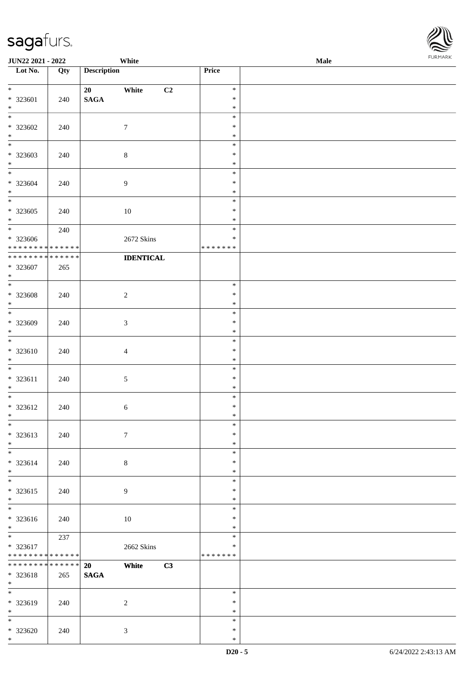\*

| <b>JUN22 2021 - 2022</b>                                      |                      | White                                            |                                      | <b>Male</b> |  |
|---------------------------------------------------------------|----------------------|--------------------------------------------------|--------------------------------------|-------------|--|
| Lot No.                                                       | Qty                  | <b>Description</b>                               | Price                                |             |  |
| $*$<br>* 323601<br>$*$                                        | 240                  | White<br>C <sub>2</sub><br>20<br>$\mathbf{SAGA}$ | $\ast$<br>$\ast$<br>$\ast$           |             |  |
| * 323602<br>$\ast$                                            | 240                  | $\tau$                                           | $\ast$<br>$\ast$<br>$\ast$           |             |  |
| * 323603<br>$*$<br>$*$                                        | 240                  | $\,8\,$                                          | $\ast$<br>$\ast$<br>$\ast$           |             |  |
| * 323604<br>$*$                                               | 240                  | $\boldsymbol{9}$                                 | $\ast$<br>$\ast$<br>$\ast$           |             |  |
| $* 323605$<br>$*$<br>$*$                                      | 240                  | 10                                               | $\ast$<br>$\ast$<br>$\ast$           |             |  |
| * 323606<br>* * * * * * * * * * * * * *                       | 240                  | 2672 Skins                                       | $\ast$<br>$\ast$<br>* * * * * * *    |             |  |
| * * * * * * * * <mark>* * * * * * *</mark><br>* 323607<br>$*$ | 265                  | <b>IDENTICAL</b>                                 |                                      |             |  |
| $* 323608$<br>$\ast$                                          | 240                  | $\sqrt{2}$                                       | $\ast$<br>$\ast$<br>$\ast$           |             |  |
| * 323609<br>$\ast$<br>$*$                                     | 240                  | $\sqrt{3}$                                       | $\ast$<br>$\ast$<br>$\ast$           |             |  |
| $* 323610$<br>$*$<br>$*$                                      | 240                  | $\overline{4}$                                   | $\ast$<br>$\ast$<br>$\ast$           |             |  |
| $* 323611$<br>$*$                                             | 240                  | $\sqrt{5}$                                       | $\ast$<br>$\ast$<br>$\ast$           |             |  |
| * 323612<br>$\ast$<br>$\ddot{x}$                              | 240                  | 6                                                | $\ast$<br>$\ast$<br>$\ast$           |             |  |
| * 323613<br>$*$<br>$*$ $-$                                    | 240                  | $\overline{7}$                                   | $\ast$<br>$\ast$<br>$\ast$           |             |  |
| * 323614<br>$\ast$<br>$*$                                     | 240                  | $\,8\,$                                          | $\ast$<br>$\ast$<br>$\ast$<br>$\ast$ |             |  |
| * 323615<br>$*$<br>$\ddot{x}$                                 | 240                  | $\overline{9}$                                   | $\ast$<br>$\ast$                     |             |  |
| * 323616<br>$*$<br>$\ddot{x}$                                 | 240                  | 10                                               | $\ast$<br>$\ast$<br>$\ast$           |             |  |
| $* 323617$<br>* * * * * * * * <mark>* * * * * * *</mark>      | 237                  | 2662 Skins                                       | $\ast$<br>$\ast$<br>* * * * * * *    |             |  |
| * * * * * * * *<br>* 323618<br>$*$                            | * * * * * * *<br>265 | C3<br>20<br>White<br><b>SAGA</b>                 |                                      |             |  |
| $*$<br>* 323619<br>$*$                                        | 240                  | 2                                                | $\ast$<br>$\ast$<br>$\ast$           |             |  |
| $*$<br>* 323620<br>$\ast$                                     | 240                  | $\mathfrak{Z}$                                   | $\ast$<br>$\ast$<br>$\ast$           |             |  |

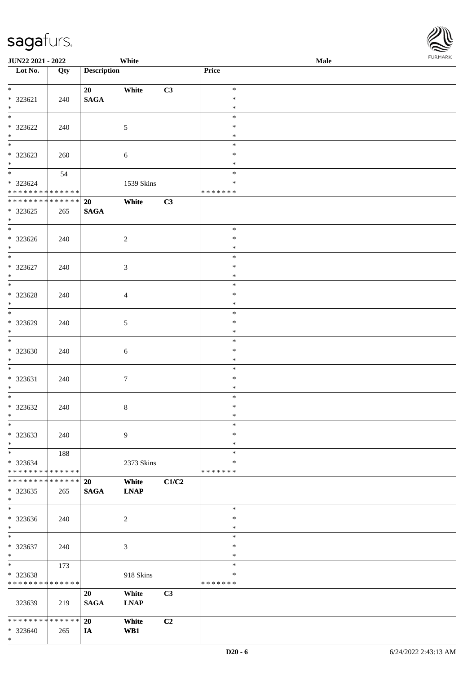\*

| <b>JUN22 2021 - 2022</b>                   |             |                    | White          |                |                  | Male | $1 \times 1$ |
|--------------------------------------------|-------------|--------------------|----------------|----------------|------------------|------|--------------|
| Lot No.                                    | Qty         | <b>Description</b> |                |                | Price            |      |              |
| $\ddot{x}$                                 |             |                    |                |                | $\ast$           |      |              |
| $* 323621$                                 | 240         | 20<br><b>SAGA</b>  | White          | C3             | $\ast$           |      |              |
| $*$                                        |             |                    |                |                | $\ast$           |      |              |
|                                            |             |                    |                |                | $\ast$           |      |              |
| * 323622                                   | 240         |                    | $\mathfrak{S}$ |                | $\ast$           |      |              |
| $*$                                        |             |                    |                |                | $\ast$           |      |              |
|                                            |             |                    |                |                | $\ast$           |      |              |
| * 323623                                   | 260         |                    | 6              |                | $\ast$           |      |              |
| $\ast$<br>$\overline{\mathbf{r}}$          |             |                    |                |                | $\ast$<br>$\ast$ |      |              |
| * 323624                                   | 54          |                    | 1539 Skins     |                | $\ast$           |      |              |
| * * * * * * * * <mark>* * * * * * *</mark> |             |                    |                |                | * * * * * * *    |      |              |
| * * * * * * * * * * * * * * *              |             | 20                 | White          | C3             |                  |      |              |
| * 323625                                   | 265         | <b>SAGA</b>        |                |                |                  |      |              |
| $*$                                        |             |                    |                |                |                  |      |              |
| $\overline{\ast}$                          |             |                    |                |                | $\ast$           |      |              |
| * 323626                                   | 240         |                    | $\overline{2}$ |                | $\ast$           |      |              |
| $*$<br>$\overline{\ast}$                   |             |                    |                |                | $\ast$           |      |              |
| * 323627                                   |             |                    |                |                | $\ast$<br>$\ast$ |      |              |
| $\ast$                                     | 240         |                    | 3              |                | $\ast$           |      |              |
|                                            |             |                    |                |                | $\ast$           |      |              |
| $* 323628$                                 | 240         |                    | $\overline{4}$ |                | $\ast$           |      |              |
| $*$                                        |             |                    |                |                | $\ast$           |      |              |
|                                            |             |                    |                |                | $\ast$           |      |              |
| * 323629                                   | 240         |                    | $\mathfrak{S}$ |                | $\ast$           |      |              |
| $\ast$<br>$\overline{\phantom{0}}$         |             |                    |                |                | $\ast$           |      |              |
|                                            |             |                    |                |                | $\ast$<br>$\ast$ |      |              |
| * 323630<br>$\ast$                         | 240         |                    | 6              |                | $\ast$           |      |              |
|                                            |             |                    |                |                | $\ast$           |      |              |
| * 323631                                   | 240         |                    | $\tau$         |                | $\ast$           |      |              |
| $*$                                        |             |                    |                |                | $\ast$           |      |              |
| $\overline{\mathbf{r}}$                    |             |                    |                |                | $\ast$           |      |              |
| $* 323632$                                 | 240         |                    | $\,8\,$        |                | $\ast$           |      |              |
| $\ddot{x}$                                 |             |                    |                |                | $\ast$           |      |              |
| $\ast$                                     |             |                    |                |                | $\ast$<br>$\ast$ |      |              |
| * 323633<br>$*$                            | 240         |                    | $\overline{9}$ |                | $\ast$           |      |              |
| $\ast$                                     | 188         |                    |                |                | $\ast$           |      |              |
| * 323634                                   |             |                    | 2373 Skins     |                | ∗                |      |              |
| * * * * * * * * <mark>* * * * * *</mark>   |             |                    |                |                | * * * * * * *    |      |              |
| * * * * * * * * * * * * * * *              |             | 20                 | White          | C1/C2          |                  |      |              |
| * 323635                                   | 265         | <b>SAGA</b>        | <b>LNAP</b>    |                |                  |      |              |
| $\ast$                                     |             |                    |                |                |                  |      |              |
| $\ast$                                     |             |                    |                |                | $\ast$<br>$\ast$ |      |              |
| * 323636<br>$\ast$                         | 240         |                    | 2              |                | $\ast$           |      |              |
| $\ast$                                     |             |                    |                |                | $\ast$           |      |              |
| * 323637                                   | 240         |                    | 3              |                | $\ast$           |      |              |
| $*$                                        |             |                    |                |                | $\ast$           |      |              |
| $*$                                        | 173         |                    |                |                | $\ast$           |      |              |
| * 323638                                   |             |                    | 918 Skins      |                | $\ast$           |      |              |
| * * * * * * * * * * * * * *                |             |                    |                |                | * * * * * * *    |      |              |
|                                            |             | 20                 | White          | C <sub>3</sub> |                  |      |              |
| 323639                                     | 219         | <b>SAGA</b>        | <b>LNAP</b>    |                |                  |      |              |
| * * * * * * * *                            | * * * * * * | 20                 | White          | C2             |                  |      |              |
| * 323640                                   | 265         | IA                 | WB1            |                |                  |      |              |

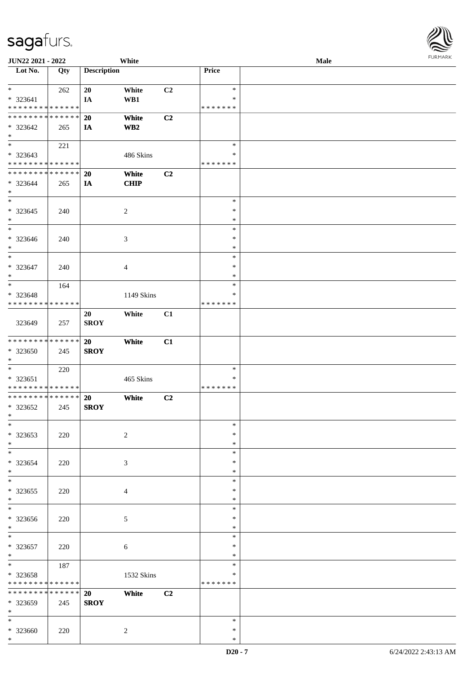| JUN22 2021 - 2022                          |     |                    | White       |    |               | Male | $\sim$ |
|--------------------------------------------|-----|--------------------|-------------|----|---------------|------|--------|
| Lot No.                                    | Qty | <b>Description</b> |             |    | Price         |      |        |
|                                            |     |                    |             |    |               |      |        |
| $*$ $-$                                    | 262 | 20                 | White       | C2 | $\ast$        |      |        |
| * 323641                                   |     | IA                 | WB1         |    | $\ast$        |      |        |
| * * * * * * * * * * * * * * *              |     |                    |             |    | * * * * * * * |      |        |
| * * * * * * * * <mark>* * * * * * *</mark> |     | <b>20</b>          | White       | C2 |               |      |        |
| * 323642                                   | 265 | IA                 | WB2         |    |               |      |        |
| $*$                                        |     |                    |             |    |               |      |        |
| $*$ $*$                                    |     |                    |             |    | $\ast$        |      |        |
|                                            | 221 |                    |             |    |               |      |        |
| * 323643                                   |     |                    | 486 Skins   |    | $\ast$        |      |        |
| * * * * * * * * <mark>* * * * * * *</mark> |     |                    |             |    | * * * * * * * |      |        |
| * * * * * * * * <mark>* * * * * * *</mark> |     | 20                 | White       | C2 |               |      |        |
| * 323644                                   | 265 | IA                 | <b>CHIP</b> |    |               |      |        |
| $*$                                        |     |                    |             |    |               |      |        |
| $_{*}$                                     |     |                    |             |    | $\ast$        |      |        |
| $* 323645$                                 | 240 |                    | 2           |    | $\ast$        |      |        |
| $*$                                        |     |                    |             |    | $\ast$        |      |        |
| $*$                                        |     |                    |             |    | $\ast$        |      |        |
| * 323646                                   |     |                    |             |    | $\ast$        |      |        |
|                                            | 240 |                    | 3           |    | $\ast$        |      |        |
| $*$<br>$\overline{\ast}$                   |     |                    |             |    |               |      |        |
|                                            |     |                    |             |    | $\ast$        |      |        |
| * 323647                                   | 240 |                    | 4           |    | $\ast$        |      |        |
| $*$                                        |     |                    |             |    | $\ast$        |      |        |
| $*$                                        | 164 |                    |             |    | $\ast$        |      |        |
| * 323648                                   |     |                    | 1149 Skins  |    | ∗             |      |        |
| * * * * * * * * * * * * * * *              |     |                    |             |    | * * * * * * * |      |        |
|                                            |     | 20                 | White       | C1 |               |      |        |
| 323649                                     | 257 | <b>SROY</b>        |             |    |               |      |        |
|                                            |     |                    |             |    |               |      |        |
| * * * * * * * * <mark>* * * * * * *</mark> |     | <b>20</b>          | White       | C1 |               |      |        |
|                                            |     |                    |             |    |               |      |        |
| * 323650                                   | 245 | <b>SROY</b>        |             |    |               |      |        |
| $*$                                        |     |                    |             |    |               |      |        |
| $*$                                        | 220 |                    |             |    | $\ast$        |      |        |
| * 323651                                   |     |                    | 465 Skins   |    | *             |      |        |
| * * * * * * * * <mark>* * * * * * *</mark> |     |                    |             |    | * * * * * * * |      |        |
| * * * * * * * * <mark>* * * * * * *</mark> |     | <b>20</b>          | White       | C2 |               |      |        |
| * 323652                                   | 245 | <b>SROY</b>        |             |    |               |      |        |
| $*$                                        |     |                    |             |    |               |      |        |
| $*$                                        |     |                    |             |    | $\ast$        |      |        |
| * 323653                                   | 220 |                    | $\sqrt{2}$  |    | $\ast$        |      |        |
| $*$                                        |     |                    |             |    | $\ast$        |      |        |
| $*$                                        |     |                    |             |    | $\ast$        |      |        |
| * 323654                                   | 220 |                    | 3           |    | $\ast$        |      |        |
| $\ast$                                     |     |                    |             |    | $\ast$        |      |        |
|                                            |     |                    |             |    |               |      |        |
| $*$                                        |     |                    |             |    | $\ast$        |      |        |
| * 323655                                   | 220 |                    | 4           |    | $\ast$        |      |        |
| $\ast$                                     |     |                    |             |    | $\ast$        |      |        |
| $*$                                        |     |                    |             |    | $\ast$        |      |        |
| * 323656                                   | 220 |                    | 5           |    | $\ast$        |      |        |
| $*$                                        |     |                    |             |    | $\ast$        |      |        |
| $*$                                        |     |                    |             |    | $\ast$        |      |        |
| * 323657                                   | 220 |                    | 6           |    | $\ast$        |      |        |
| $*$                                        |     |                    |             |    | $\ast$        |      |        |
| $*$                                        | 187 |                    |             |    | $\ast$        |      |        |
|                                            |     |                    |             |    | ∗             |      |        |
| * 323658                                   |     |                    | 1532 Skins  |    | * * * * * * * |      |        |
| * * * * * * * * <mark>* * * * * * *</mark> |     |                    |             |    |               |      |        |
| * * * * * * * * <mark>* * * * * * *</mark> |     | 20                 | White       | C2 |               |      |        |
| * 323659                                   | 245 | <b>SROY</b>        |             |    |               |      |        |
| $*$                                        |     |                    |             |    |               |      |        |
| $*$                                        |     |                    |             |    | $\ast$        |      |        |
| * 323660                                   | 220 |                    | 2           |    | $\ast$        |      |        |
| $\ast$                                     |     |                    |             |    | $\ast$        |      |        |

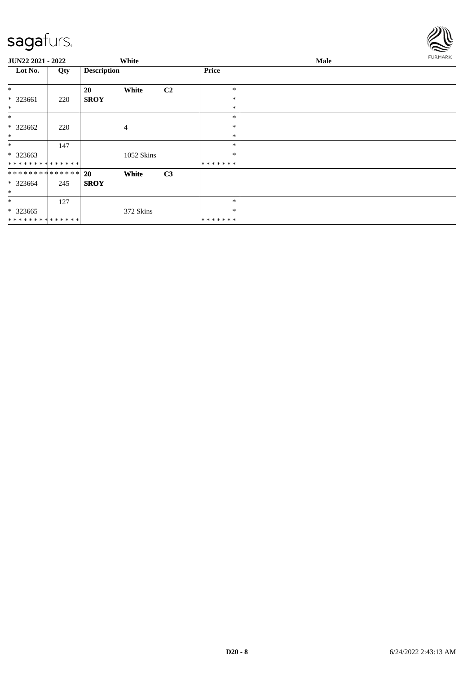

| JUN22 2021 - 2022             |     |                    | White          |                |              | Male |  |  |
|-------------------------------|-----|--------------------|----------------|----------------|--------------|------|--|--|
| Lot No.                       | Qty | <b>Description</b> |                |                | <b>Price</b> |      |  |  |
| $\ast$                        |     | <b>20</b>          | White          | C2             | $\ast$       |      |  |  |
| * 323661                      | 220 | <b>SROY</b>        |                |                | $\ast$       |      |  |  |
| $\ast$                        |     |                    |                |                | $\ast$       |      |  |  |
| $\ast$                        |     |                    |                |                | $\ast$       |      |  |  |
| * 323662                      | 220 |                    | $\overline{4}$ |                | $\ast$       |      |  |  |
| $\ast$                        |     |                    |                |                | $\ast$       |      |  |  |
| $\ast$                        | 147 |                    |                |                | $\ast$       |      |  |  |
| * 323663                      |     |                    | 1052 Skins     |                | $\ast$       |      |  |  |
| **************                |     |                    |                |                | *******      |      |  |  |
| * * * * * * * * * * * * * * * |     | <b>20</b>          | White          | C <sub>3</sub> |              |      |  |  |
| * 323664                      | 245 | <b>SROY</b>        |                |                |              |      |  |  |
| $\ast$                        |     |                    |                |                |              |      |  |  |
| $\ast$                        | 127 |                    |                |                | $\ast$       |      |  |  |
| * 323665                      |     |                    | 372 Skins      |                | $\ast$       |      |  |  |
| * * * * * * * * * * * * * * * |     |                    |                |                | *******      |      |  |  |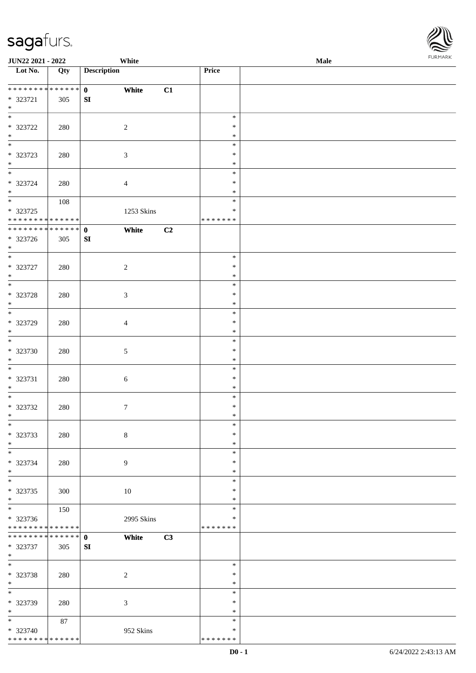| JUN22 2021 - 2022                         |     |                    | White      |    |               | Male | <b>I</b> OIN IMPOS |
|-------------------------------------------|-----|--------------------|------------|----|---------------|------|--------------------|
| $\overline{\phantom{1}}$ Lot No.          | Qty | <b>Description</b> |            |    | Price         |      |                    |
|                                           |     |                    |            |    |               |      |                    |
| ******** <mark>******</mark>              |     | $\mathbf{0}$       | White      | C1 |               |      |                    |
| * 323721                                  | 305 | SI                 |            |    |               |      |                    |
| $*$<br>$*$                                |     |                    |            |    |               |      |                    |
|                                           |     |                    |            |    | $\ast$        |      |                    |
| $* 323722$                                | 280 | $\sqrt{2}$         |            |    | $\ast$        |      |                    |
| $\ast$                                    |     |                    |            |    | $\ast$        |      |                    |
| $\overline{\ast}$                         |     |                    |            |    | $\ast$        |      |                    |
| $* 323723$                                | 280 | $\sqrt{3}$         |            |    | $\ast$        |      |                    |
| $\ast$<br>$\overline{\phantom{0}}$        |     |                    |            |    | $\ast$        |      |                    |
|                                           |     |                    |            |    | $\ast$        |      |                    |
| $* 323724$                                | 280 | $\overline{4}$     |            |    | $\ast$        |      |                    |
| $*$                                       |     |                    |            |    | $\ast$        |      |                    |
|                                           | 108 |                    |            |    | $\ast$        |      |                    |
| $* 323725$<br>* * * * * * * * * * * * * * |     |                    | 1253 Skins |    | ∗             |      |                    |
| ******** <mark>******</mark>              |     |                    |            |    | * * * * * * * |      |                    |
|                                           |     | $\mathbf 0$        | White      | C2 |               |      |                    |
| $* 323726$<br>$*$                         | 305 | ${\bf SI}$         |            |    |               |      |                    |
| $*$                                       |     |                    |            |    | $\ast$        |      |                    |
|                                           |     |                    |            |    | $\ast$        |      |                    |
| $* 323727$<br>$*$                         | 280 | $\overline{c}$     |            |    | $\ast$        |      |                    |
| $\overline{\ast}$                         |     |                    |            |    | $\ast$        |      |                    |
|                                           |     |                    |            |    | $\ast$        |      |                    |
| $* 323728$<br>$*$                         | 280 | $\sqrt{3}$         |            |    | $\ast$        |      |                    |
| $\overline{\ast}$                         |     |                    |            |    | $\ast$        |      |                    |
| * 323729                                  | 280 |                    |            |    | $\ast$        |      |                    |
| $\ast$                                    |     | $\overline{4}$     |            |    | $\ast$        |      |                    |
| $*$                                       |     |                    |            |    | $\ast$        |      |                    |
| $* 323730$                                | 280 | $\mathfrak{S}$     |            |    | $\ast$        |      |                    |
| $*$                                       |     |                    |            |    | $\ast$        |      |                    |
| $\overline{\phantom{0}}$                  |     |                    |            |    | $\ast$        |      |                    |
| * 323731                                  | 280 | $\sqrt{6}$         |            |    | $\ast$        |      |                    |
| $*$                                       |     |                    |            |    | $\ast$        |      |                    |
| $\ast$                                    |     |                    |            |    | $\ast$        |      |                    |
| $* 323732$                                | 280 | $7\phantom{.0}$    |            |    | $\ast$        |      |                    |
| $*$                                       |     |                    |            |    | $*$           |      |                    |
| $*$                                       |     |                    |            |    | $\ast$        |      |                    |
| * 323733                                  | 280 | $\,8\,$            |            |    | $\ast$        |      |                    |
| $*$                                       |     |                    |            |    | $\ast$        |      |                    |
| $\overline{\phantom{0}}$                  |     |                    |            |    | $\ast$        |      |                    |
| $* 323734$                                | 280 | 9                  |            |    | $\ast$        |      |                    |
| $*$                                       |     |                    |            |    | $\ast$        |      |                    |
| $*$                                       |     |                    |            |    | $\ast$        |      |                    |
| * 323735                                  | 300 |                    | 10         |    | $\ast$        |      |                    |
| $*$                                       |     |                    |            |    | $\ast$        |      |                    |
| $*$                                       | 150 |                    |            |    | $\ast$        |      |                    |
| * 323736                                  |     |                    | 2995 Skins |    | $\ast$        |      |                    |
| * * * * * * * * * * * * * *               |     |                    |            |    | * * * * * * * |      |                    |
| * * * * * * * * * * * * * *               |     | $\mathbf{0}$       | White      | C3 |               |      |                    |
| * 323737                                  | 305 | ${\bf SI}$         |            |    |               |      |                    |
| $*$                                       |     |                    |            |    |               |      |                    |
| $*$                                       |     |                    |            |    | $\ast$        |      |                    |
| * 323738                                  | 280 | $\overline{c}$     |            |    | $\ast$        |      |                    |
| $*$                                       |     |                    |            |    | $\ast$        |      |                    |
| $*$                                       |     |                    |            |    | $\ast$        |      |                    |
| * 323739                                  | 280 | $\mathfrak{Z}$     |            |    | $\ast$        |      |                    |
| $\ast$                                    |     |                    |            |    | $\ast$        |      |                    |
| $*$                                       | 87  |                    |            |    | $\ast$        |      |                    |
| * 323740                                  |     |                    | 952 Skins  |    | ∗             |      |                    |
| * * * * * * * * * * * * * *               |     |                    |            |    | * * * * * * * |      |                    |

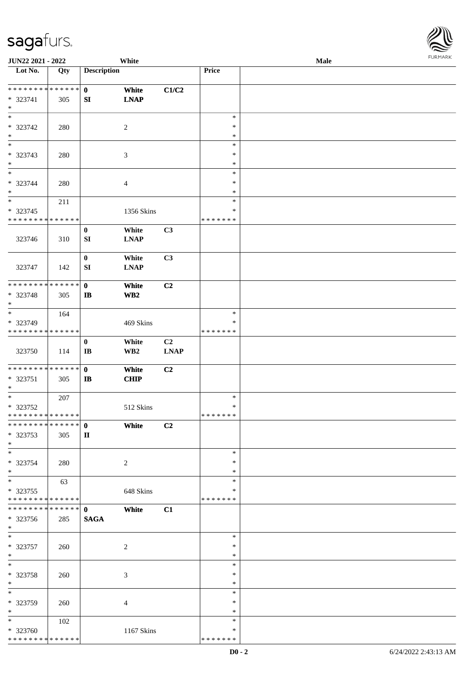| JUN22 2021 - 2022                |             |                        | White                   |                |               | Male |  |
|----------------------------------|-------------|------------------------|-------------------------|----------------|---------------|------|--|
| Lot No.                          | Qty         | <b>Description</b>     |                         |                | Price         |      |  |
| **************                   |             | $\mathbf{0}$           | White                   | C1/C2          |               |      |  |
| * 323741                         | 305         | SI                     | <b>LNAP</b>             |                |               |      |  |
| $\ast$                           |             |                        |                         |                |               |      |  |
| $\overline{\ast}$                |             |                        |                         |                | $\ast$        |      |  |
| * 323742                         | 280         |                        | $\overline{2}$          |                | $\ast$        |      |  |
| $\ast$                           |             |                        |                         |                | $\ast$        |      |  |
| $\overline{\phantom{0}}$         |             |                        |                         |                | $\ast$        |      |  |
| * 323743                         | 280         |                        | $\mathfrak{Z}$          |                | $\ast$        |      |  |
| $\ast$                           |             |                        |                         |                | $\ast$        |      |  |
| $_{\ast}$                        |             |                        |                         |                | $\ast$        |      |  |
| * 323744                         | 280         |                        | $\overline{4}$          |                | $\ast$        |      |  |
| $\ast$                           |             |                        |                         |                | $\ast$        |      |  |
| $\ast$                           | 211         |                        |                         |                | $\ast$        |      |  |
| $* 323745$                       |             |                        | 1356 Skins              |                | $\ast$        |      |  |
| * * * * * * * * * * * * * *      |             |                        |                         |                | * * * * * * * |      |  |
|                                  |             | $\bf{0}$               | White                   | C3             |               |      |  |
| 323746                           | 310         | SI                     | <b>LNAP</b>             |                |               |      |  |
|                                  |             |                        |                         |                |               |      |  |
|                                  |             | $\boldsymbol{0}$<br>SI | White<br><b>LNAP</b>    | C3             |               |      |  |
| 323747                           | 142         |                        |                         |                |               |      |  |
| * * * * * * * *                  | * * * * * * | $\mathbf 0$            | White                   | C <sub>2</sub> |               |      |  |
| * 323748                         | 305         | $\mathbf{I}$           | WB <sub>2</sub>         |                |               |      |  |
| $\ast$                           |             |                        |                         |                |               |      |  |
| $\ast$                           | 164         |                        |                         |                | $\ast$        |      |  |
| * 323749                         |             |                        | 469 Skins               |                | $\ast$        |      |  |
| * * * * * * * * * * * * * *      |             |                        |                         |                | * * * * * * * |      |  |
|                                  |             | $\boldsymbol{0}$       | White                   | C2             |               |      |  |
| 323750                           | 114         | $\mathbf{I}\mathbf{B}$ | $\mathbf{W}\mathbf{B2}$ | <b>LNAP</b>    |               |      |  |
|                                  |             |                        |                         |                |               |      |  |
| **************                   |             | $\mathbf 0$            | White                   | C <sub>2</sub> |               |      |  |
| * 323751                         | 305         | $\mathbf{I}$           | CHIP                    |                |               |      |  |
| $\ast$                           |             |                        |                         |                |               |      |  |
| $\ast$                           | 207         |                        |                         |                | $\ast$        |      |  |
| * 323752                         |             |                        | 512 Skins               |                | $\ast$        |      |  |
| **************<br>************** |             |                        |                         |                | *******       |      |  |
|                                  |             | $\mathbf{0}$           | White                   | C <sub>2</sub> |               |      |  |
| * 323753<br>$*$                  | 305         | $\mathbf{I}$           |                         |                |               |      |  |
| $*$                              |             |                        |                         |                | $\ast$        |      |  |
| * 323754                         |             |                        |                         |                | ∗             |      |  |
| $*$                              | 280         |                        | $\overline{c}$          |                | $\ast$        |      |  |
| $_{\ast}^{-}$                    | 63          |                        |                         |                | $\ast$        |      |  |
| * 323755                         |             |                        | 648 Skins               |                | ∗             |      |  |
| * * * * * * * * * * * * * *      |             |                        |                         |                | * * * * * * * |      |  |
| * * * * * * * *                  | ******      | $\mathbf{0}$           | White                   | C1             |               |      |  |
| * 323756                         | 285         | <b>SAGA</b>            |                         |                |               |      |  |
| $*$                              |             |                        |                         |                |               |      |  |
| $*$                              |             |                        |                         |                | $\ast$        |      |  |
| $* 323757$                       | 260         |                        | $\overline{c}$          |                | $\ast$        |      |  |
| $*$                              |             |                        |                         |                | $\ast$        |      |  |
| $\ast$                           |             |                        |                         |                | $\ast$        |      |  |
| * 323758                         | 260         |                        | 3                       |                | $\ast$        |      |  |
| $*$                              |             |                        |                         |                | $\ast$        |      |  |
| $\ast$                           |             |                        |                         |                | $\ast$        |      |  |
| * 323759                         | 260         |                        | $\overline{4}$          |                | ∗             |      |  |
| $\ast$                           |             |                        |                         |                | $\ast$        |      |  |
| $*$                              | 102         |                        |                         |                | $\ast$        |      |  |
| * 323760                         |             |                        | 1167 Skins              |                | ∗             |      |  |
| * * * * * * * * * * * * * *      |             |                        |                         |                | * * * * * * * |      |  |

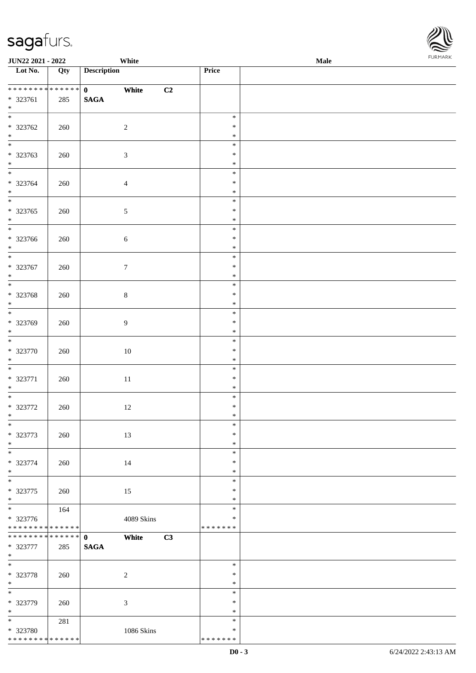| <b>JUN22 2021 - 2022</b>                   |     | White                 |               | <b>Male</b> |  |
|--------------------------------------------|-----|-----------------------|---------------|-------------|--|
| Lot No.                                    | Qty | <b>Description</b>    | Price         |             |  |
|                                            |     |                       |               |             |  |
| **************                             |     | $\mathbf{0}$<br>White | C2            |             |  |
| $* 323761$                                 | 285 | $\mathbf{SAGA}$       |               |             |  |
| $*$                                        |     |                       |               |             |  |
|                                            |     |                       | $\ast$        |             |  |
| * 323762                                   | 260 | $\overline{c}$        | $\ast$        |             |  |
| $\ast$                                     |     |                       | $\ast$        |             |  |
|                                            |     |                       | $\ast$        |             |  |
| $* 323763$                                 | 260 | $\mathfrak{Z}$        | $\ast$        |             |  |
| $*$                                        |     |                       | $\ast$        |             |  |
|                                            |     |                       | $\ast$        |             |  |
| * 323764                                   | 260 | $\overline{4}$        | $\ast$        |             |  |
| $*$                                        |     |                       | $\ast$        |             |  |
|                                            |     |                       | $\ast$        |             |  |
| $* 323765$                                 | 260 | $\mathfrak{S}$        | $\ast$        |             |  |
| $*$                                        |     |                       | $\ast$        |             |  |
| $\overline{\phantom{0}}$                   |     |                       | $\ast$        |             |  |
| * 323766                                   | 260 | $6\,$                 | $\ast$        |             |  |
| $*$                                        |     |                       | $\ast$        |             |  |
| $*$                                        |     |                       | $\ast$        |             |  |
| $* 323767$                                 | 260 | $\boldsymbol{7}$      | $\ast$        |             |  |
| $*$                                        |     |                       | $\ast$        |             |  |
|                                            |     |                       | $\ast$        |             |  |
| * 323768                                   | 260 | $8\,$                 | $\ast$        |             |  |
| $*$                                        |     |                       | $\ast$        |             |  |
|                                            |     |                       | $\ast$        |             |  |
| * 323769                                   | 260 | $\overline{9}$        | $\ast$        |             |  |
| $*$                                        |     |                       | $\ast$        |             |  |
| $\overline{\phantom{0}}$                   |     |                       | $\ast$        |             |  |
| * 323770                                   | 260 | $10\,$                | $\ast$        |             |  |
| $*$                                        |     |                       | $\ast$        |             |  |
| $*$                                        |     |                       | $\ast$        |             |  |
| $* 323771$                                 | 260 | $11\,$                | $\ast$        |             |  |
| $*$                                        |     |                       | $\ast$        |             |  |
| $\overline{\ast}$                          |     |                       | $\ast$        |             |  |
| $* 323772$                                 | 260 | $12\,$                | $\ast$        |             |  |
| $*$                                        |     |                       | $*$           |             |  |
| $\ast$                                     |     |                       | $\ast$        |             |  |
| * 323773                                   | 260 | 13                    | $\ast$        |             |  |
| $*$                                        |     |                       | $\ast$        |             |  |
|                                            |     |                       | $\ast$        |             |  |
| * 323774                                   | 260 | 14                    | $\ast$        |             |  |
| $*$                                        |     |                       | $\ast$        |             |  |
|                                            |     |                       | $\ast$        |             |  |
| $* 323775$                                 | 260 | 15                    | $\ast$        |             |  |
| $*$                                        |     |                       | $\ast$        |             |  |
| $\overline{\phantom{0}}$                   | 164 |                       | $\ast$        |             |  |
| * 323776                                   |     | 4089 Skins            | ∗             |             |  |
| * * * * * * * * * * * * * *                |     |                       | * * * * * * * |             |  |
| * * * * * * * * * * * * * * *              |     | $\mathbf{0}$<br>White | C3            |             |  |
| * 323777                                   | 285 | <b>SAGA</b>           |               |             |  |
| $*$                                        |     |                       |               |             |  |
| $*$                                        |     |                       | $\ast$        |             |  |
| * 323778                                   | 260 | $\overline{c}$        | $\ast$        |             |  |
| $*$                                        |     |                       | $\ast$        |             |  |
| $\ast$                                     |     |                       | $\ast$        |             |  |
| * 323779                                   | 260 | $\mathfrak{Z}$        | $\ast$        |             |  |
| $*$                                        |     |                       | $\ast$        |             |  |
| $*$                                        | 281 |                       | $\ast$        |             |  |
| * 323780                                   |     | 1086 Skins            | $\ast$        |             |  |
| * * * * * * * * <mark>* * * * * * *</mark> |     |                       | * * * * * * * |             |  |

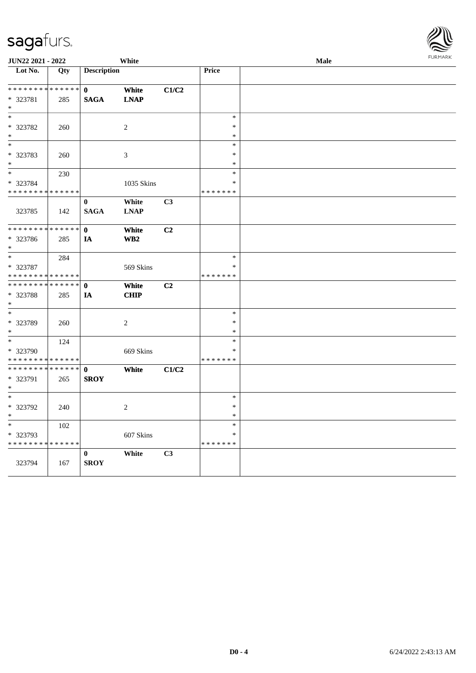| JUN22 2021 - 2022           |                   | White              |                         |       | Male             |  |  |
|-----------------------------|-------------------|--------------------|-------------------------|-------|------------------|--|--|
| Lot No.                     | $\overline{Q}$ ty | <b>Description</b> |                         |       | Price            |  |  |
| * * * * * * * * * * * * * * |                   | $\mathbf{0}$       | White                   | C1/C2 |                  |  |  |
| * 323781                    | 285               | <b>SAGA</b>        | <b>LNAP</b>             |       |                  |  |  |
| $*$                         |                   |                    |                         |       |                  |  |  |
| $\ast$                      |                   |                    |                         |       | $\ast$           |  |  |
| * 323782                    | 260               |                    | $\sqrt{2}$              |       | $\ast$           |  |  |
| $\ast$<br>$\ast$            |                   |                    |                         |       | $\ast$<br>$\ast$ |  |  |
| * 323783                    | 260               |                    | $\mathfrak{Z}$          |       | $\ast$           |  |  |
| $\ast$                      |                   |                    |                         |       | $\ast$           |  |  |
| $\ast$                      | 230               |                    |                         |       | $\ast$           |  |  |
| * 323784                    |                   |                    | 1035 Skins              |       | $\ast$           |  |  |
| * * * * * * * * * * * * * * |                   |                    |                         |       | * * * * * * *    |  |  |
|                             |                   | $\bf{0}$           | White                   | C3    |                  |  |  |
| 323785                      | 142               | <b>SAGA</b>        | <b>LNAP</b>             |       |                  |  |  |
| * * * * * * * *             | * * * * * *       | $\mathbf{0}$       | White                   | C2    |                  |  |  |
| * 323786                    | 285               | IA                 | $\mathbf{W}\mathbf{B2}$ |       |                  |  |  |
| $\ast$                      |                   |                    |                         |       |                  |  |  |
| $\overline{\ast}$           | 284               |                    |                         |       | $\ast$           |  |  |
| * 323787                    |                   |                    | 569 Skins               |       | $\ast$           |  |  |
| * * * * * * * * * * * * * * |                   |                    |                         |       | * * * * * * *    |  |  |
| * * * * * * * *             | * * * * * *       | $\mathbf 0$        | White                   | C2    |                  |  |  |
| * 323788                    | 285               | IA                 | <b>CHIP</b>             |       |                  |  |  |
| $\ast$                      |                   |                    |                         |       |                  |  |  |
| $\ast$                      |                   |                    |                         |       | $\ast$           |  |  |
| * 323789<br>$\ast$          | 260               |                    | $\overline{c}$          |       | $\ast$<br>$\ast$ |  |  |
| $\ast$                      | 124               |                    |                         |       | $\ast$           |  |  |
| * 323790                    |                   |                    | 669 Skins               |       | $\ast$           |  |  |
| * * * * * * * * * * * * * * |                   |                    |                         |       | * * * * * * *    |  |  |
| * * * * * * * * * * * * * * |                   | $\mathbf{0}$       | White                   | C1/C2 |                  |  |  |
| * 323791                    | 265               | <b>SROY</b>        |                         |       |                  |  |  |
| $\ast$                      |                   |                    |                         |       |                  |  |  |
| $\ast$                      |                   |                    |                         |       | $\ast$           |  |  |
| $* 323792$                  | 240               |                    | $\sqrt{2}$              |       | $\ast$           |  |  |
| $\ast$                      |                   |                    |                         |       | $\ast$           |  |  |
| $*$                         | 102               |                    |                         |       | $\ast$           |  |  |
| * 323793                    |                   |                    | 607 Skins               |       | $\ast$           |  |  |
| * * * * * * * * * * * * * * |                   |                    |                         |       | * * * * * * *    |  |  |
|                             |                   | $\bf{0}$           | White                   | C3    |                  |  |  |
| 323794                      | 167               | <b>SROY</b>        |                         |       |                  |  |  |
|                             |                   |                    |                         |       |                  |  |  |

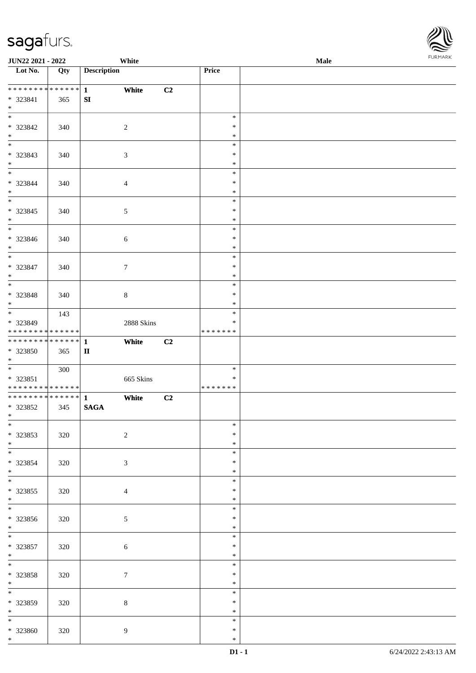

| <b>JUN22 2021 - 2022</b>                   |     | White              |            |               | Male |
|--------------------------------------------|-----|--------------------|------------|---------------|------|
| Lot No.                                    | Qty | <b>Description</b> |            | <b>Price</b>  |      |
|                                            |     |                    |            |               |      |
|                                            |     | White              | C2         |               |      |
| * 323841                                   | 365 | SI                 |            |               |      |
| $*$                                        |     |                    |            |               |      |
| $\overline{\ast}$                          |     |                    |            |               |      |
|                                            |     |                    |            | $\ast$        |      |
| * 323842                                   | 340 | 2                  |            | ∗             |      |
| $*$                                        |     |                    |            | $\ast$        |      |
|                                            |     |                    |            | $\ast$        |      |
| * 323843                                   | 340 | 3                  |            | $\ast$        |      |
| $*$                                        |     |                    |            | $\ast$        |      |
| $\overline{\ast}$                          |     |                    |            | $\ast$        |      |
|                                            |     |                    |            |               |      |
| * 323844                                   | 340 | $\overline{4}$     |            | $\ast$        |      |
| $*$                                        |     |                    |            | $\ast$        |      |
| $*$                                        |     |                    |            | $\ast$        |      |
| * 323845                                   | 340 | $\mathfrak{S}$     |            | $\ast$        |      |
| $*$                                        |     |                    |            | $\ast$        |      |
|                                            |     |                    |            | $\ast$        |      |
| * 323846                                   | 340 | 6                  |            | $\ast$        |      |
|                                            |     |                    |            |               |      |
| $*$                                        |     |                    |            | $\ast$        |      |
|                                            |     |                    |            | $\ast$        |      |
| * 323847                                   | 340 | $\tau$             |            | $\ast$        |      |
| $*$                                        |     |                    |            | $\ast$        |      |
|                                            |     |                    |            | $\ast$        |      |
| * 323848                                   | 340 | $\,8\,$            |            | $\ast$        |      |
| $*$                                        |     |                    |            | $\ast$        |      |
| $\overline{\ast}$                          |     |                    |            | $\ast$        |      |
|                                            | 143 |                    |            |               |      |
| * 323849                                   |     |                    | 2888 Skins | ∗             |      |
| * * * * * * * * * * * * * * *              |     |                    |            | * * * * * * * |      |
|                                            |     | White              | C2         |               |      |
| * 323850                                   | 365 | $\mathbf{I}$       |            |               |      |
| $*$                                        |     |                    |            |               |      |
|                                            | 300 |                    |            | $\ast$        |      |
| * 323851                                   |     |                    | 665 Skins  | $\ast$        |      |
| * * * * * * * * <mark>* * * * * * *</mark> |     |                    |            | *******       |      |
|                                            |     |                    |            |               |      |
| ************** 1                           |     | White              | C2         |               |      |
| * 323852                                   | 345 | <b>SAGA</b>        |            |               |      |
| $*$ $*$                                    |     |                    |            |               |      |
| $*$                                        |     |                    |            | $\ast$        |      |
| * 323853                                   | 320 | $\overline{2}$     |            | $\ast$        |      |
| $*$                                        |     |                    |            | $\ast$        |      |
| $*$                                        |     |                    |            | $\ast$        |      |
|                                            |     |                    |            |               |      |
| * 323854                                   | 320 | $\mathfrak{Z}$     |            | $\ast$        |      |
| $*$                                        |     |                    |            | ∗             |      |
|                                            |     |                    |            | $\ast$        |      |
| * 323855                                   | 320 | $\overline{4}$     |            | ∗             |      |
| $*$                                        |     |                    |            | $\ast$        |      |
|                                            |     |                    |            | $\ast$        |      |
| * 323856                                   | 320 | $\mathfrak{S}$     |            | $\ast$        |      |
| $*$                                        |     |                    |            | $\ast$        |      |
| $\ddot{x}$                                 |     |                    |            | $\ast$        |      |
|                                            |     |                    |            |               |      |
| * 323857                                   | 320 | $6\,$              |            | $\ast$        |      |
| $*$                                        |     |                    |            | $\ast$        |      |
|                                            |     |                    |            | $\ast$        |      |
| * 323858                                   | 320 | $\tau$             |            | $\ast$        |      |
| $*$                                        |     |                    |            | $\ast$        |      |
| $*$                                        |     |                    |            | $\ast$        |      |
|                                            |     |                    |            | $\ast$        |      |
| $* 323859$                                 | 320 | $\,8\,$            |            |               |      |
| $*$ $\qquad$                               |     |                    |            | $\ast$        |      |
| $*$                                        |     |                    |            | $\ast$        |      |
| * 323860                                   | 320 | 9                  |            | *             |      |
| $*$                                        |     |                    |            | $\ast$        |      |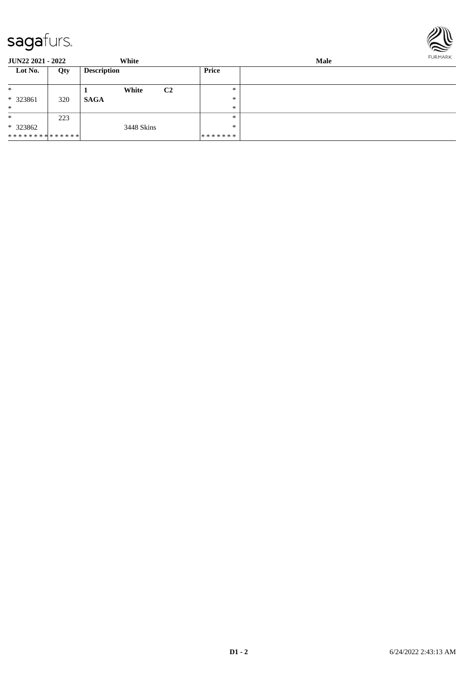

**JUN22 2021 - 2022 White Male Lot No. Qty Description Price** \* \* 323861 320 \* **1 White C2 SAGA** \* \* \* \* \* 323862 \* \* \* \* \* \* \* \* \* \* \* \* \* \* 223 3448 Skins \* \* \* \* \* \* \* \* \*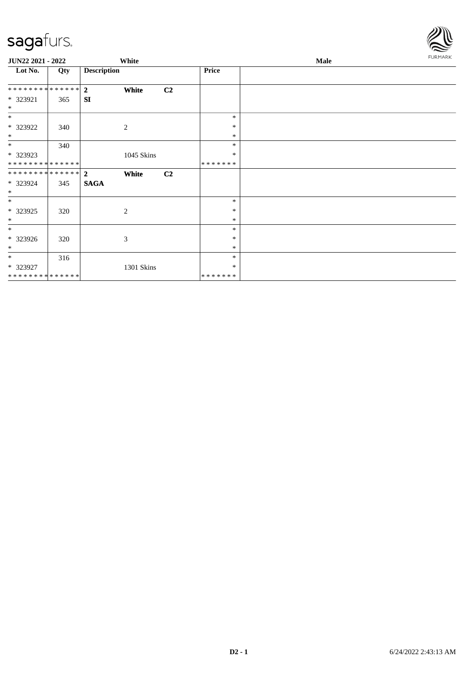

| JUN22 2021 - 2022              |     |                    | White          |                |                   | Male | <b>FURMARK</b> |
|--------------------------------|-----|--------------------|----------------|----------------|-------------------|------|----------------|
| Lot No.                        | Qty | <b>Description</b> |                |                | <b>Price</b>      |      |                |
| **************                 |     | $\overline{2}$     | White          | C <sub>2</sub> |                   |      |                |
| * 323921<br>$\ast$             | 365 | <b>SI</b>          |                |                |                   |      |                |
| $*$                            |     |                    |                |                | $\ast$            |      |                |
| * 323922<br>$\ast$             | 340 |                    | $\mathbf{2}$   |                | $\ast$<br>$\ast$  |      |                |
| $*$                            | 340 |                    |                |                | $\ast$            |      |                |
| * 323923<br>**************     |     |                    | 1045 Skins     |                | $\ast$<br>******* |      |                |
| ******** <mark>******</mark> 2 |     |                    | White          | C <sub>2</sub> |                   |      |                |
| * 323924<br>$*$                | 345 | <b>SAGA</b>        |                |                |                   |      |                |
| $*$                            |     |                    |                |                | $\ast$            |      |                |
| * 323925<br>$\ast$             | 320 |                    | $\overline{c}$ |                | $\ast$<br>$\ast$  |      |                |
| $\ast$                         |     |                    |                |                | $\ast$            |      |                |
| * 323926<br>$*$                | 320 |                    | 3              |                | ∗<br>$\ast$       |      |                |
| $*$<br>* 323927                | 316 |                    | 1301 Skins     |                | $\ast$<br>∗       |      |                |
| ******** <mark>******</mark>   |     |                    |                |                | *******           |      |                |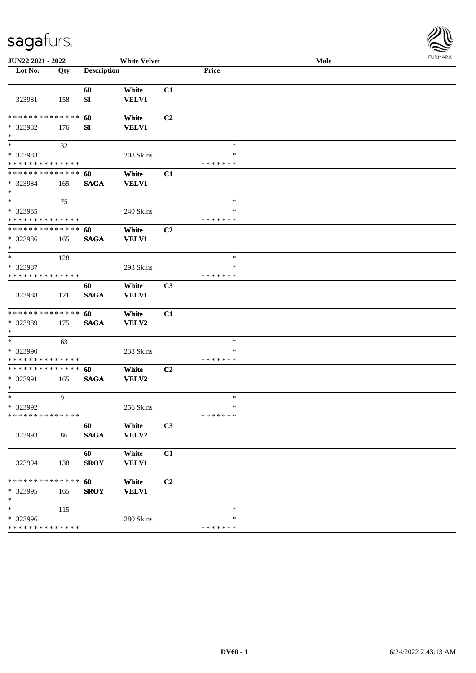

| JUN22 2021 - 2022                                 |     | <b>White Velvet</b> |                       |                | <b>Male</b>                       |  |  |  |
|---------------------------------------------------|-----|---------------------|-----------------------|----------------|-----------------------------------|--|--|--|
| Lot No.                                           | Qty | <b>Description</b>  |                       |                | Price                             |  |  |  |
| 323981                                            | 158 | 60<br>SI            | White<br><b>VELV1</b> | C1             |                                   |  |  |  |
| * * * * * * * * * * * * * *<br>* 323982<br>$\ast$ | 176 | 60<br>SI            | White<br><b>VELV1</b> | C2             |                                   |  |  |  |
| $\ast$<br>* 323983<br>* * * * * * * * * * * * * * | 32  |                     | 208 Skins             |                | $\ast$<br>$\ast$<br>* * * * * * * |  |  |  |
| * * * * * * * * * * * * * *<br>* 323984<br>$\ast$ | 165 | 60<br><b>SAGA</b>   | White<br><b>VELV1</b> | C1             |                                   |  |  |  |
| $\ast$<br>* 323985<br>* * * * * * * * * * * * * * | 75  |                     | 240 Skins             |                | $\ast$<br>$\ast$<br>* * * * * * * |  |  |  |
| * * * * * * * * * * * * * *<br>* 323986<br>$\ast$ | 165 | 60<br><b>SAGA</b>   | White<br><b>VELV1</b> | C2             |                                   |  |  |  |
| $\ast$<br>* 323987<br>* * * * * * * * * * * * * * | 128 |                     | 293 Skins             |                | $\ast$<br>∗<br>* * * * * * *      |  |  |  |
| 323988                                            | 121 | 60<br><b>SAGA</b>   | White<br>VELV1        | C3             |                                   |  |  |  |
| * * * * * * * * * * * * * *<br>* 323989<br>$*$    | 175 | 60<br><b>SAGA</b>   | White<br>VELV2        | C1             |                                   |  |  |  |
| $\ast$<br>* 323990<br>* * * * * * * * * * * * * * | 63  |                     | 238 Skins             |                | $\ast$<br>∗<br>* * * * * * *      |  |  |  |
| * * * * * * * * * * * * * *<br>* 323991<br>$*$    | 165 | 60<br><b>SAGA</b>   | White<br>VELV2        | C <sub>2</sub> |                                   |  |  |  |
| $*$<br>* 323992<br>* * * * * * * * * * * * * * *  | 91  |                     | 256 Skins             |                | $\ast$<br>$\ast$<br>* * * * * * * |  |  |  |
| 323993                                            | 86  | 60<br><b>SAGA</b>   | White<br>VELV2        | C3             |                                   |  |  |  |
| 323994                                            | 138 | 60<br><b>SROY</b>   | White<br>VELV1        | C1             |                                   |  |  |  |
| * * * * * * * * * * * * * *<br>* 323995<br>$*$    | 165 | 60<br><b>SROY</b>   | White<br><b>VELV1</b> | C2             |                                   |  |  |  |
| $\ast$<br>* 323996<br>* * * * * * * * * * * * * * | 115 |                     | 280 Skins             |                | $\ast$<br>∗<br>* * * * * * *      |  |  |  |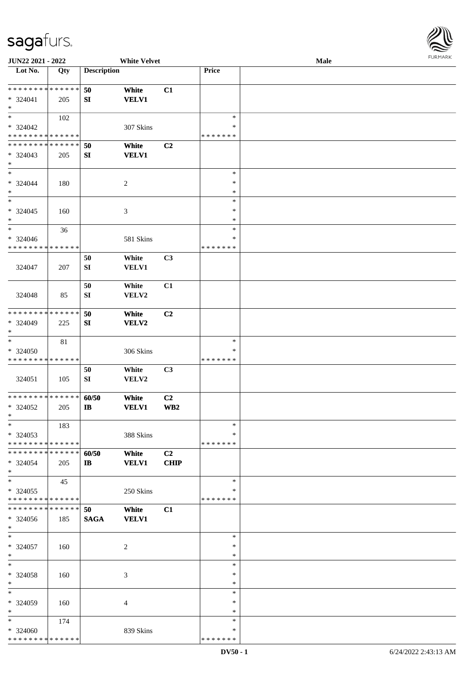

| JUN22 2021 - 2022             |     |                       | <b>White Velvet</b> |                |               | Male |
|-------------------------------|-----|-----------------------|---------------------|----------------|---------------|------|
| Lot No.                       | Qty | <b>Description</b>    |                     |                | Price         |      |
|                               |     |                       |                     |                |               |      |
| **************                |     | 50                    | White               | C1             |               |      |
|                               |     |                       |                     |                |               |      |
| * 324041                      | 205 | SI                    | <b>VELV1</b>        |                |               |      |
| $\ast$                        |     |                       |                     |                |               |      |
| $\ast$                        | 102 |                       |                     |                | $\ast$        |      |
| $* 324042$                    |     |                       | 307 Skins           |                | ∗             |      |
| * * * * * * * * * * * * * *   |     |                       |                     |                | * * * * * * * |      |
| * * * * * * * * * * * * * *   |     | 50                    | White               | C <sub>2</sub> |               |      |
|                               |     |                       |                     |                |               |      |
| $* 324043$                    | 205 | ${\bf SI}$            | <b>VELV1</b>        |                |               |      |
| $\ast$                        |     |                       |                     |                |               |      |
| $\ast$                        |     |                       |                     |                | $\ast$        |      |
| $* 324044$                    | 180 |                       | $\boldsymbol{2}$    |                | $\ast$        |      |
| $\ast$                        |     |                       |                     |                | $\ast$        |      |
| $\ast$                        |     |                       |                     |                | $\ast$        |      |
|                               |     |                       |                     |                | $\ast$        |      |
| $* 324045$                    | 160 |                       | $\mathfrak{Z}$      |                |               |      |
| $\ast$                        |     |                       |                     |                | $\ast$        |      |
| $\ast$                        | 36  |                       |                     |                | $\ast$        |      |
| $* 324046$                    |     |                       | 581 Skins           |                | $\ast$        |      |
| * * * * * * * * * * * * * *   |     |                       |                     |                | * * * * * * * |      |
|                               |     | 50                    | White               | C3             |               |      |
|                               |     |                       |                     |                |               |      |
| 324047                        | 207 | SI                    | VELV1               |                |               |      |
|                               |     |                       |                     |                |               |      |
|                               |     | 50                    | White               | C1             |               |      |
| 324048                        | 85  | SI                    | VELV2               |                |               |      |
|                               |     |                       |                     |                |               |      |
| * * * * * * * * * * * * * *   |     | 50                    | White               | C2             |               |      |
| * 324049                      |     | SI                    | VELV2               |                |               |      |
|                               | 225 |                       |                     |                |               |      |
| $\ast$                        |     |                       |                     |                |               |      |
| $\ast$                        | 81  |                       |                     |                | $\ast$        |      |
| * 324050                      |     |                       | 306 Skins           |                | *             |      |
| * * * * * * * * * * * * * *   |     |                       |                     |                | * * * * * * * |      |
|                               |     | 50                    | White               | C3             |               |      |
|                               |     |                       | VELV2               |                |               |      |
| 324051                        | 105 | SI                    |                     |                |               |      |
|                               |     |                       |                     |                |               |      |
| ******** <mark>******</mark>  |     | 60/50                 | White               | C <sub>2</sub> |               |      |
| $*324052$                     | 205 | $\mathbf{I}$ <b>B</b> | <b>VELV1</b>        | WB2            |               |      |
| $*$                           |     |                       |                     |                |               |      |
| $*$                           | 183 |                       |                     |                | $\ast$        |      |
| * 324053                      |     |                       | 388 Skins           |                | *             |      |
| * * * * * * * * * * * * * *   |     |                       |                     |                | * * * * * * * |      |
|                               |     |                       |                     |                |               |      |
| * * * * * * * * * * * * * * * |     | 60/50                 | White               | C <sub>2</sub> |               |      |
| $* 324054$                    | 205 | $\mathbf{I}$          | <b>VELV1</b>        | <b>CHIP</b>    |               |      |
| $*$                           |     |                       |                     |                |               |      |
| $\ast$                        | 45  |                       |                     |                | $\ast$        |      |
| * 324055                      |     |                       | 250 Skins           |                | *             |      |
| * * * * * * * * * * * * * *   |     |                       |                     |                | * * * * * * * |      |
|                               |     |                       |                     |                |               |      |
| **************                |     | 50                    | White               | C1             |               |      |
| * 324056                      | 185 | <b>SAGA</b>           | <b>VELV1</b>        |                |               |      |
| $*$                           |     |                       |                     |                |               |      |
| $\ast$                        |     |                       |                     |                | $\ast$        |      |
| $* 324057$                    | 160 |                       | $\overline{c}$      |                | $\ast$        |      |
|                               |     |                       |                     |                | $\ast$        |      |
| $*$                           |     |                       |                     |                |               |      |
| $\ast$                        |     |                       |                     |                | $\ast$        |      |
| * 324058                      | 160 |                       | 3                   |                | $\ast$        |      |
| $\ast$                        |     |                       |                     |                | *             |      |
| $\ast$                        |     |                       |                     |                | $\ast$        |      |
| * 324059                      | 160 |                       | $\overline{4}$      |                | ∗             |      |
| $\ast$                        |     |                       |                     |                | $\ast$        |      |
|                               |     |                       |                     |                |               |      |
| $*$                           | 174 |                       |                     |                | $\ast$        |      |
| * 324060                      |     |                       | 839 Skins           |                | *             |      |
| * * * * * * * * * * * * * *   |     |                       |                     |                | * * * * * * * |      |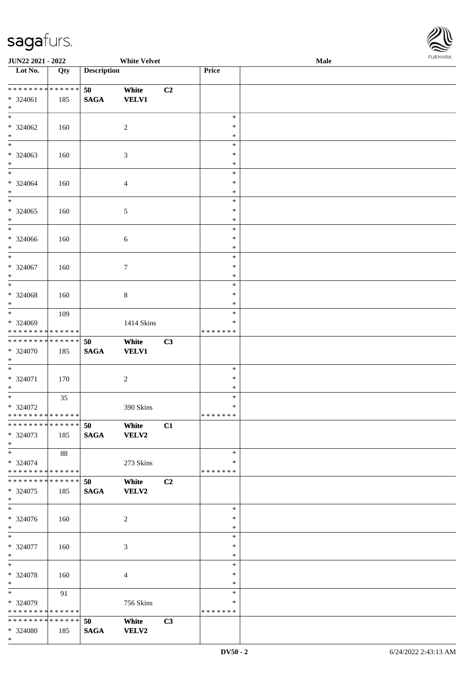

| JUN22 2021 - 2022               |        |                    | <b>White Velvet</b> |    |                  | Male | <b>FUNITANN</b> |
|---------------------------------|--------|--------------------|---------------------|----|------------------|------|-----------------|
| Lot No.                         | Qty    | <b>Description</b> |                     |    | Price            |      |                 |
|                                 |        |                    |                     |    |                  |      |                 |
| ******** <mark>******</mark>    |        | 50                 | White               | C2 |                  |      |                 |
| * 324061                        | 185    | <b>SAGA</b>        | <b>VELV1</b>        |    |                  |      |                 |
| $\ast$                          |        |                    |                     |    |                  |      |                 |
| $*$                             |        |                    |                     |    | $\ast$           |      |                 |
| $* 324062$                      | 160    |                    | 2                   |    | $\ast$           |      |                 |
| $*$<br>$*$                      |        |                    |                     |    | $\ast$           |      |                 |
|                                 |        |                    |                     |    | $\ast$           |      |                 |
| * 324063<br>$\ast$              | 160    |                    | $\mathfrak{Z}$      |    | $\ast$           |      |                 |
| $\overline{\ast}$               |        |                    |                     |    | $\ast$<br>$\ast$ |      |                 |
| * 324064                        |        |                    |                     |    | $\ast$           |      |                 |
| $\ast$                          | 160    |                    | 4                   |    | $\ast$           |      |                 |
|                                 |        |                    |                     |    | $\ast$           |      |                 |
| $*324065$                       | 160    |                    | 5                   |    | $\ast$           |      |                 |
| $\ast$                          |        |                    |                     |    | $\ast$           |      |                 |
| $\ast$                          |        |                    |                     |    | $\ast$           |      |                 |
| $* 324066$                      | 160    |                    | $\sqrt{6}$          |    | $\ast$           |      |                 |
| $\ast$                          |        |                    |                     |    | $\ast$           |      |                 |
| $*$                             |        |                    |                     |    | $\ast$           |      |                 |
| $* 324067$                      | 160    |                    | $\tau$              |    | $\ast$           |      |                 |
| $\ast$                          |        |                    |                     |    | $\ast$           |      |                 |
| $\ast$                          |        |                    |                     |    | $\ast$           |      |                 |
| $* 324068$                      | 160    |                    | $\,8\,$             |    | $\ast$           |      |                 |
| $\ast$                          |        |                    |                     |    | ∗                |      |                 |
| $*$                             | 109    |                    |                     |    | $\ast$           |      |                 |
| * 324069                        |        |                    | 1414 Skins          |    | ∗                |      |                 |
| * * * * * * * * * * * * * *     |        |                    |                     |    | * * * * * * *    |      |                 |
| * * * * * * * * * * * * * * *   |        | 50                 | White               | C3 |                  |      |                 |
| * 324070<br>$*$                 | 185    | <b>SAGA</b>        | <b>VELV1</b>        |    |                  |      |                 |
| $*$                             |        |                    |                     |    | $\ast$           |      |                 |
| * 324071                        | 170    |                    | $\boldsymbol{2}$    |    | $\ast$           |      |                 |
| $*$                             |        |                    |                     |    | $\ast$           |      |                 |
| $\overline{\phantom{0}}$        | $35\,$ |                    |                     |    | $\ast$           |      |                 |
| $* 324072$                      |        |                    | 390 Skins           |    | $\ast$           |      |                 |
| ******** <mark>******</mark>    |        |                    |                     |    | * * * * * * *    |      |                 |
| * * * * * * * * * * * * * * *   |        | 50                 | White               | C1 |                  |      |                 |
| * 324073                        | 185    | <b>SAGA</b>        | VELV2               |    |                  |      |                 |
| $*$                             |        |                    |                     |    |                  |      |                 |
| $*$                             | 88     |                    |                     |    | $\ast$           |      |                 |
| * 324074                        |        |                    | 273 Skins           |    | $\ast$           |      |                 |
| * * * * * * * * * * * * * * *   |        |                    |                     |    | * * * * * * *    |      |                 |
| * * * * * * * * * * * * * * *   |        | 50                 | White               | C2 |                  |      |                 |
| $*324075$                       | 185    | <b>SAGA</b>        | <b>VELV2</b>        |    |                  |      |                 |
| $*$<br>$\overline{\phantom{0}}$ |        |                    |                     |    | $\ast$           |      |                 |
| * 324076                        | 160    |                    | 2                   |    | ∗                |      |                 |
| $*$                             |        |                    |                     |    | $\ast$           |      |                 |
| $*$                             |        |                    |                     |    | $\ast$           |      |                 |
| * 324077                        | 160    |                    | 3                   |    | $\ast$           |      |                 |
| $*$                             |        |                    |                     |    | $\ast$           |      |                 |
| $*$                             |        |                    |                     |    | $\ast$           |      |                 |
| * 324078                        | 160    |                    | 4                   |    | $\ast$           |      |                 |
| $*$                             |        |                    |                     |    | $\ast$           |      |                 |
| $*$ and $*$                     | 91     |                    |                     |    | $\ast$           |      |                 |
| * 324079                        |        |                    | 756 Skins           |    | ∗                |      |                 |
| * * * * * * * * * * * * * *     |        |                    |                     |    | * * * * * * *    |      |                 |
| * * * * * * * * * * * * * * *   |        | 50                 | White               | C3 |                  |      |                 |
| * 324080                        | 185    | <b>SAGA</b>        | <b>VELV2</b>        |    |                  |      |                 |
| $*$                             |        |                    |                     |    |                  |      |                 |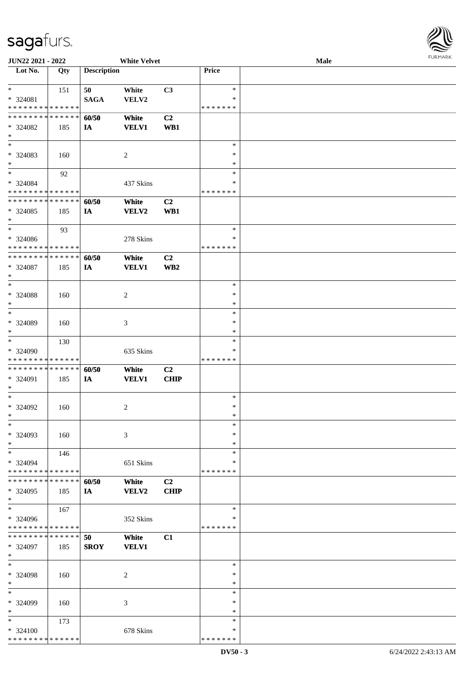

| JUN22 2021 - 2022             |        |                    | <b>White Velvet</b> |                 |               | Male |  |
|-------------------------------|--------|--------------------|---------------------|-----------------|---------------|------|--|
| Lot No.                       | Qty    | <b>Description</b> |                     |                 | Price         |      |  |
|                               |        |                    |                     |                 |               |      |  |
| $*$                           | 151    | 50                 | White               | C3              | $\ast$        |      |  |
| * 324081                      |        | <b>SAGA</b>        | VELV2               |                 | ∗             |      |  |
| * * * * * * * * * * * * * *   |        |                    |                     |                 | * * * * * * * |      |  |
| * * * * * * * * * * * * * *   |        |                    |                     |                 |               |      |  |
|                               |        | 60/50              | White               | C <sub>2</sub>  |               |      |  |
| * 324082                      | 185    | IA                 | <b>VELV1</b>        | WB1             |               |      |  |
| $\ast$                        |        |                    |                     |                 |               |      |  |
| $\overline{\phantom{0}}$      |        |                    |                     |                 | $\ast$        |      |  |
| * 324083                      | 160    |                    | $\overline{c}$      |                 | $\ast$        |      |  |
| $*$                           |        |                    |                     |                 | $\ast$        |      |  |
| $*$                           | 92     |                    |                     |                 | ∗             |      |  |
| $* 324084$                    |        |                    | 437 Skins           |                 | ∗             |      |  |
| * * * * * * * * * * * * * *   |        |                    |                     |                 | * * * * * * * |      |  |
| * * * * * * * * * * * * * *   |        |                    |                     |                 |               |      |  |
|                               |        | 60/50              | White               | C2              |               |      |  |
| * 324085                      | 185    | IA                 | VELV2               | WB1             |               |      |  |
| $*$                           |        |                    |                     |                 |               |      |  |
| $*$                           | 93     |                    |                     |                 | $\ast$        |      |  |
| $* 324086$                    |        |                    | 278 Skins           |                 | $\ast$        |      |  |
| * * * * * * * * * * * * * *   |        |                    |                     |                 | * * * * * * * |      |  |
| * * * * * * * * * * * * * *   |        | 60/50              | White               | C <sub>2</sub>  |               |      |  |
| $* 324087$                    | 185    | IA                 | <b>VELV1</b>        | WB <sub>2</sub> |               |      |  |
| $*$                           |        |                    |                     |                 |               |      |  |
| $*$                           |        |                    |                     |                 | $\ast$        |      |  |
|                               |        |                    |                     |                 |               |      |  |
| * 324088                      | 160    |                    | 2                   |                 | $\ast$        |      |  |
| $\ast$                        |        |                    |                     |                 | ∗             |      |  |
| $*$                           |        |                    |                     |                 | $\ast$        |      |  |
| * 324089                      | 160    |                    | 3                   |                 | $\ast$        |      |  |
| $*$                           |        |                    |                     |                 | *             |      |  |
| $*$                           | 130    |                    |                     |                 | $\ast$        |      |  |
| * 324090                      |        |                    | 635 Skins           |                 | ∗             |      |  |
| * * * * * * * * * * * * * *   |        |                    |                     |                 | * * * * * * * |      |  |
|                               |        |                    |                     |                 |               |      |  |
| * * * * * * * * * * * * * *   |        | 60/50              | White               | C <sub>2</sub>  |               |      |  |
| * 324091                      | 185    | IA                 | <b>VELV1</b>        | <b>CHIP</b>     |               |      |  |
| $*$                           |        |                    |                     |                 |               |      |  |
| $*$                           |        |                    |                     |                 | $\ast$        |      |  |
| * 324092                      | 160    |                    | 2                   |                 | $\ast$        |      |  |
| $*$                           |        |                    |                     |                 | $\ast$        |      |  |
| $\ast$                        |        |                    |                     |                 | $\ast$        |      |  |
| * 324093                      | 160    |                    | 3                   |                 | $\ast$        |      |  |
| $*$                           |        |                    |                     |                 | $\ast$        |      |  |
|                               |        |                    |                     |                 |               |      |  |
| $*$                           | 146    |                    |                     |                 | $\ast$        |      |  |
| * 324094                      |        |                    | 651 Skins           |                 | ∗             |      |  |
| * * * * * * * * * * * * * *   |        |                    |                     |                 | * * * * * * * |      |  |
| * * * * * * * *               | ****** | 60/50              | White               | C <sub>2</sub>  |               |      |  |
| $* 324095$                    | 185    | IA                 | VELV2               | <b>CHIP</b>     |               |      |  |
| $*$                           |        |                    |                     |                 |               |      |  |
| $*$                           | 167    |                    |                     |                 | $\ast$        |      |  |
| * 324096                      |        |                    | 352 Skins           |                 | ∗             |      |  |
| * * * * * * * * * * * * * *   |        |                    |                     |                 | * * * * * * * |      |  |
| * * * * * * * * * * * * * * * |        |                    |                     |                 |               |      |  |
|                               |        | 50                 | White               | C1              |               |      |  |
| * 324097                      | 185    | <b>SROY</b>        | <b>VELV1</b>        |                 |               |      |  |
| $*$                           |        |                    |                     |                 |               |      |  |
| $*$                           |        |                    |                     |                 | $\ast$        |      |  |
| * 324098                      | 160    |                    | 2                   |                 | $\ast$        |      |  |
| $*$                           |        |                    |                     |                 | $\ast$        |      |  |
| $\ast$                        |        |                    |                     |                 | $\ast$        |      |  |
| * 324099                      | 160    |                    | 3                   |                 | ∗             |      |  |
| $*$                           |        |                    |                     |                 | $\ast$        |      |  |
|                               |        |                    |                     |                 |               |      |  |
| $*$                           | 173    |                    |                     |                 | $\ast$        |      |  |
| * 324100                      |        |                    | 678 Skins           |                 | ∗             |      |  |
| * * * * * * * * * * * * * *   |        |                    |                     |                 | * * * * * * * |      |  |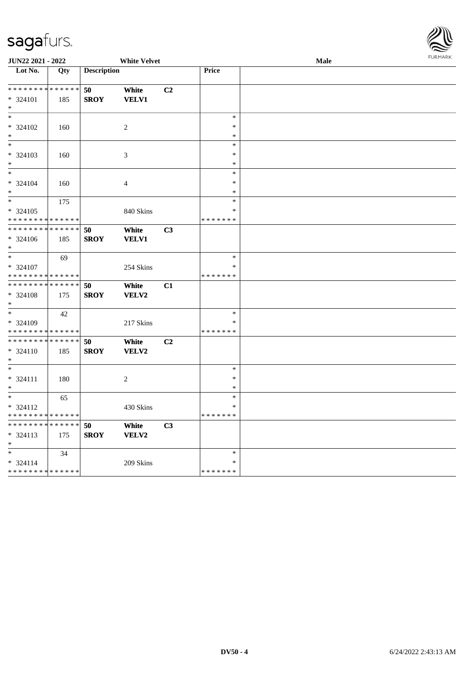

| JUN22 2021 - 2022                |     |                    | <b>White Velvet</b> |    |               | <b>Male</b> | FURMARK |
|----------------------------------|-----|--------------------|---------------------|----|---------------|-------------|---------|
| $\overline{\phantom{1}}$ Lot No. | Qty | <b>Description</b> |                     |    | Price         |             |         |
|                                  |     |                    |                     |    |               |             |         |
| * * * * * * * * * * * * * *      |     | 50                 | White               | C2 |               |             |         |
| * 324101                         | 185 | <b>SROY</b>        | <b>VELV1</b>        |    |               |             |         |
| $*$                              |     |                    |                     |    |               |             |         |
| $\ast$                           |     |                    |                     |    | $\ast$        |             |         |
| $* 324102$                       | 160 |                    | $\overline{c}$      |    | $\ast$        |             |         |
| $*$                              |     |                    |                     |    | $\ast$        |             |         |
| $*$                              |     |                    |                     |    | $\ast$        |             |         |
| * 324103                         | 160 |                    | 3                   |    | $\ast$        |             |         |
| $*$                              |     |                    |                     |    | $\ast$        |             |         |
| $*$                              |     |                    |                     |    | $\ast$        |             |         |
| * 324104                         | 160 |                    | 4                   |    | $\ast$        |             |         |
| $*$                              |     |                    |                     |    | $\ast$        |             |         |
| $\overline{\phantom{0}}$         | 175 |                    |                     |    | $\ast$        |             |         |
| * 324105                         |     |                    | 840 Skins           |    | ∗             |             |         |
| * * * * * * * * * * * * * *      |     |                    |                     |    | * * * * * * * |             |         |
| * * * * * * * * * * * * * * *    |     | 50                 | White               | C3 |               |             |         |
| * 324106                         | 185 | <b>SROY</b>        | <b>VELV1</b>        |    |               |             |         |
| $*$                              |     |                    |                     |    |               |             |         |
| $*$                              | 69  |                    |                     |    | $\ast$        |             |         |
| * 324107                         |     |                    | 254 Skins           |    | $\ast$        |             |         |
| * * * * * * * * * * * * * *      |     |                    |                     |    | * * * * * * * |             |         |
| ******** <mark>******</mark>     |     | 50                 | White               | C1 |               |             |         |
| * 324108                         | 175 | <b>SROY</b>        | VELV2               |    |               |             |         |
| $*$                              |     |                    |                     |    |               |             |         |
| $*$                              | 42  |                    |                     |    | $\ast$        |             |         |
| $* 324109$                       |     |                    | 217 Skins           |    | $\ast$        |             |         |
| * * * * * * * * * * * * * *      |     |                    |                     |    | * * * * * * * |             |         |
| * * * * * * * * * * * * * *      |     | 50                 | White               | C2 |               |             |         |
| $* 324110$                       | 185 | <b>SROY</b>        | VELV2               |    |               |             |         |
| $*$                              |     |                    |                     |    |               |             |         |
| $*$                              |     |                    |                     |    | $\ast$        |             |         |
| * 324111                         | 180 |                    | 2                   |    | ∗             |             |         |
| $*$                              |     |                    |                     |    | *             |             |         |
| $*$                              | 65  |                    |                     |    | $\ast$        |             |         |
| * 324112                         |     |                    | 430 Skins           |    | $\ast$        |             |         |
| * * * * * * * * * * * * * *      |     |                    |                     |    | * * * * * * * |             |         |
| * * * * * * * * * * * * * * *    |     | 50                 | White               | C3 |               |             |         |
| * 324113                         | 175 | <b>SROY</b>        | VELV2               |    |               |             |         |
| $\ast$                           |     |                    |                     |    |               |             |         |
| $\ast$                           | 34  |                    |                     |    | $\ast$        |             |         |
| $* 324114$                       |     |                    | 209 Skins           |    | ∗             |             |         |
| * * * * * * * * * * * * * *      |     |                    |                     |    | * * * * * * * |             |         |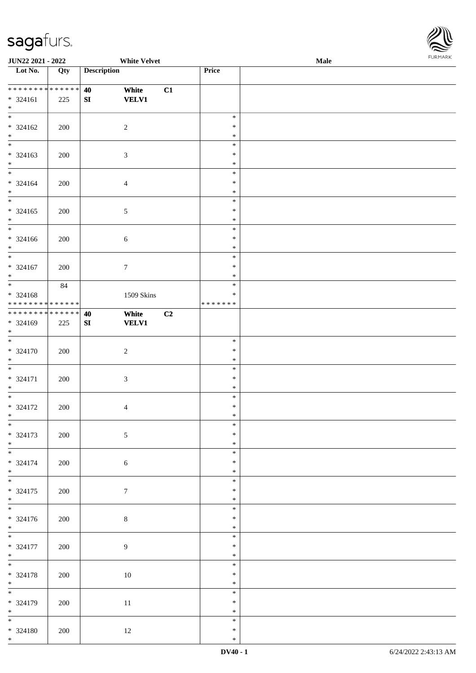

| JUN22 2021 - 2022                  |     | <b>White Velvet</b> |    | <b>I ORI IMPORT</b><br>Male |  |  |  |  |
|------------------------------------|-----|---------------------|----|-----------------------------|--|--|--|--|
| $\overline{\phantom{1}}$ Lot No.   | Qty | <b>Description</b>  |    | Price                       |  |  |  |  |
|                                    |     |                     |    |                             |  |  |  |  |
| ******** <mark>******</mark>       |     | 40<br>White         | C1 |                             |  |  |  |  |
| * 324161                           | 225 | <b>VELV1</b><br>SI  |    |                             |  |  |  |  |
| $*$                                |     |                     |    |                             |  |  |  |  |
| $\overline{\ast}$                  |     |                     |    | $\ast$                      |  |  |  |  |
| $* 324162$                         | 200 | $\overline{2}$      |    | $\ast$                      |  |  |  |  |
| $*$                                |     |                     |    | $\ast$                      |  |  |  |  |
| $\overline{\mathbf{r}}$            |     |                     |    | $\ast$                      |  |  |  |  |
| $* 324163$                         | 200 | 3                   |    | $\ast$                      |  |  |  |  |
| $\ast$                             |     |                     |    | $\ast$                      |  |  |  |  |
| $\overline{\phantom{0}}$           |     |                     |    | $\ast$                      |  |  |  |  |
| $* 324164$                         | 200 | $\overline{4}$      |    | $\ast$                      |  |  |  |  |
| $\ast$<br>$\overline{\phantom{0}}$ |     |                     |    | $\ast$                      |  |  |  |  |
|                                    |     |                     |    | $\ast$                      |  |  |  |  |
| $* 324165$                         | 200 | $\sqrt{5}$          |    | $\ast$                      |  |  |  |  |
| $*$                                |     |                     |    | $\ast$                      |  |  |  |  |
| $\overline{\ast}$                  |     |                     |    | $\ast$                      |  |  |  |  |
| $* 324166$                         | 200 | $\sqrt{6}$          |    | $\ast$                      |  |  |  |  |
| $*$<br>$*$                         |     |                     |    | $\ast$                      |  |  |  |  |
|                                    |     |                     |    | $\ast$                      |  |  |  |  |
| $* 324167$                         | 200 | $\boldsymbol{7}$    |    | $\ast$                      |  |  |  |  |
| $*$                                |     |                     |    | $\ast$                      |  |  |  |  |
|                                    | 84  |                     |    | $\ast$                      |  |  |  |  |
| $* 324168$                         |     | 1509 Skins          |    | $\ast$                      |  |  |  |  |
| * * * * * * * * * * * * * *        |     |                     |    | * * * * * * *               |  |  |  |  |
| ******** <mark>******</mark>       |     | White<br>40         | C2 |                             |  |  |  |  |
| * 324169<br>$\ast$                 | 225 | SI<br><b>VELV1</b>  |    |                             |  |  |  |  |
| $*$                                |     |                     |    | $\ast$                      |  |  |  |  |
|                                    |     |                     |    | $\ast$                      |  |  |  |  |
| $* 324170$<br>$*$                  | 200 | $\sqrt{2}$          |    | $\ast$                      |  |  |  |  |
|                                    |     |                     |    | $\ast$                      |  |  |  |  |
|                                    |     |                     |    | $\ast$                      |  |  |  |  |
| $* 324171$<br>$*$                  | 200 | $\mathfrak{Z}$      |    | $\ast$                      |  |  |  |  |
| $*$                                |     |                     |    | $\ast$                      |  |  |  |  |
|                                    | 200 |                     |    | $\ast$                      |  |  |  |  |
| $* 324172$<br>$*$ $-$              |     | 4                   |    | $\ast$                      |  |  |  |  |
| $*$                                |     |                     |    | $\ast$                      |  |  |  |  |
| $* 324173$                         | 200 | $\sqrt{5}$          |    | $\ast$                      |  |  |  |  |
| $*$                                |     |                     |    | $\ast$                      |  |  |  |  |
| $\overline{\phantom{0}}$           |     |                     |    | $\ast$                      |  |  |  |  |
| * 324174                           | 200 | $\sqrt{6}$          |    | $\ast$                      |  |  |  |  |
| $*$                                |     |                     |    | $\ast$                      |  |  |  |  |
| $\overline{\mathbf{r}}$            |     |                     |    | $\ast$                      |  |  |  |  |
| $* 324175$                         | 200 | $\tau$              |    | $\ast$                      |  |  |  |  |
| $*$                                |     |                     |    | $\ast$                      |  |  |  |  |
|                                    |     |                     |    | $\ast$                      |  |  |  |  |
| $* 324176$                         | 200 | $\,8\,$             |    | $\ast$                      |  |  |  |  |
| $*$                                |     |                     |    | $\ast$                      |  |  |  |  |
|                                    |     |                     |    | $\ast$                      |  |  |  |  |
| $* 324177$                         | 200 | $\overline{9}$      |    | $\ast$                      |  |  |  |  |
| $*$                                |     |                     |    | $\ast$                      |  |  |  |  |
| $*$                                |     |                     |    | $\ast$                      |  |  |  |  |
| * 324178                           | 200 | 10                  |    | $\ast$                      |  |  |  |  |
| $*$                                |     |                     |    | $\ast$                      |  |  |  |  |
| $\overline{\phantom{0}}$           |     |                     |    | $\ast$                      |  |  |  |  |
| * 324179                           | 200 | 11                  |    | $\ast$                      |  |  |  |  |
| $*$                                |     |                     |    | $\ast$                      |  |  |  |  |
| $\frac{1}{1}$                      |     |                     |    | $\ast$                      |  |  |  |  |
| $* 324180$                         | 200 | 12                  |    | $\ast$                      |  |  |  |  |
| $*$                                |     |                     |    | $\ast$                      |  |  |  |  |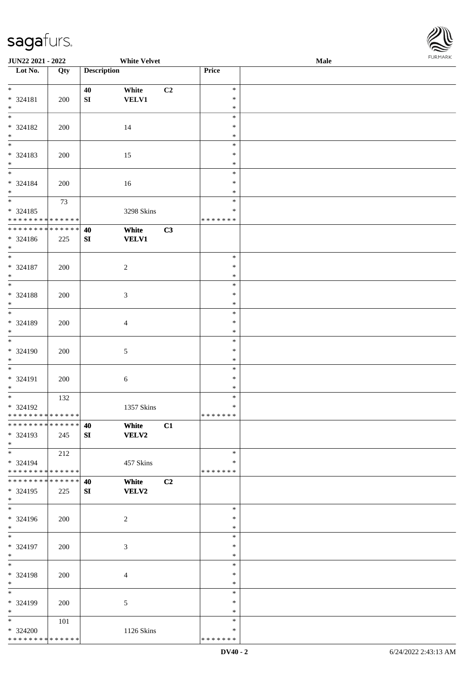

| JUN22 2021 - 2022                    |     |                    | <b>White Velvet</b> |                |               | Male |  |
|--------------------------------------|-----|--------------------|---------------------|----------------|---------------|------|--|
| Lot No.                              | Qty | <b>Description</b> |                     |                | Price         |      |  |
|                                      |     |                    |                     |                |               |      |  |
| $*$                                  |     | 40                 | White               | C2             | $\ast$        |      |  |
| * 324181                             | 200 | ${\bf S}{\bf I}$   | <b>VELV1</b>        |                | $\ast$        |      |  |
| $\ast$                               |     |                    |                     |                | $\ast$        |      |  |
| $\overline{\phantom{0}}$             |     |                    |                     |                | $\ast$        |      |  |
| * 324182                             | 200 |                    | 14                  |                | ∗             |      |  |
|                                      |     |                    |                     |                | $\ast$        |      |  |
| $*$ $*$                              |     |                    |                     |                | $\ast$        |      |  |
| * 324183                             | 200 |                    | 15                  |                | $\ast$        |      |  |
| $\ast$                               |     |                    |                     |                | $\ast$        |      |  |
| $\frac{1}{*}$                        |     |                    |                     |                | $\ast$        |      |  |
|                                      |     |                    |                     |                |               |      |  |
| * 324184                             | 200 |                    | 16                  |                | $\ast$        |      |  |
| $\ast$<br>$\overline{\phantom{a}^*}$ |     |                    |                     |                | $\ast$        |      |  |
|                                      | 73  |                    |                     |                | $\ast$        |      |  |
| $* 324185$                           |     |                    | 3298 Skins          |                | $\ast$        |      |  |
| * * * * * * * * * * * * * *          |     |                    |                     |                | * * * * * * * |      |  |
| ******** <mark>******</mark>         |     | 40                 | White               | C3             |               |      |  |
| $* 324186$                           | 225 | SI                 | <b>VELV1</b>        |                |               |      |  |
| $*$                                  |     |                    |                     |                |               |      |  |
| $\overline{\phantom{0}}$             |     |                    |                     |                | $\ast$        |      |  |
| $* 324187$                           | 200 |                    | $\sqrt{2}$          |                | $\ast$        |      |  |
| $\ast$                               |     |                    |                     |                | $\ast$        |      |  |
| $\overline{\phantom{0}}$             |     |                    |                     |                | $\ast$        |      |  |
| * 324188                             | 200 |                    | $\mathfrak{Z}$      |                | $\ast$        |      |  |
| $\ast$                               |     |                    |                     |                | $\ast$        |      |  |
| $\overline{\phantom{0}}$             |     |                    |                     |                | $\ast$        |      |  |
|                                      |     |                    |                     |                | $\ast$        |      |  |
| * 324189<br>$\ast$                   | 200 |                    | $\overline{4}$      |                | $\ast$        |      |  |
| $\overline{\phantom{a}^*}$           |     |                    |                     |                |               |      |  |
|                                      |     |                    |                     |                | $\ast$        |      |  |
| * 324190                             | 200 |                    | $\sqrt{5}$          |                | $\ast$        |      |  |
| $*$                                  |     |                    |                     |                | $\ast$        |      |  |
| $\ast$                               |     |                    |                     |                | $\ast$        |      |  |
| * 324191                             | 200 |                    | $\sqrt{6}$          |                | $\ast$        |      |  |
| $\ast$                               |     |                    |                     |                | $\ast$        |      |  |
| $*$                                  | 132 |                    |                     |                | $\ast$        |      |  |
| * 324192                             |     |                    | 1357 Skins          |                | $\ast$        |      |  |
| ******** <mark>******</mark>         |     |                    |                     |                | * * * * * * * |      |  |
| * * * * * * * * * * * * * * *        |     | 40                 | White               | C1             |               |      |  |
| * 324193                             | 245 | SI                 | <b>VELV2</b>        |                |               |      |  |
| $*$                                  |     |                    |                     |                |               |      |  |
| $*$                                  | 212 |                    |                     |                | $\ast$        |      |  |
| * 324194                             |     |                    | 457 Skins           |                | ∗             |      |  |
| ******** <mark>******</mark>         |     |                    |                     |                | * * * * * * * |      |  |
| * * * * * * * * * * * * * * *        |     | 40                 | White               | C <sub>2</sub> |               |      |  |
| * 324195                             |     | SI                 | <b>VELV2</b>        |                |               |      |  |
| $*$                                  | 225 |                    |                     |                |               |      |  |
| $\overline{\phantom{a}^*}$           |     |                    |                     |                | $\ast$        |      |  |
|                                      |     |                    |                     |                |               |      |  |
| * 324196                             | 200 |                    | $\overline{c}$      |                | *             |      |  |
| $*$                                  |     |                    |                     |                | $\ast$        |      |  |
| $*$                                  |     |                    |                     |                | $\ast$        |      |  |
| * 324197                             | 200 |                    | 3                   |                | $\ast$        |      |  |
| $*$                                  |     |                    |                     |                | $\ast$        |      |  |
| $\ast$                               |     |                    |                     |                | $\ast$        |      |  |
| * 324198                             | 200 |                    | $\overline{4}$      |                | $\ast$        |      |  |
| $*$                                  |     |                    |                     |                | $\ast$        |      |  |
| $\overline{\phantom{0}}$             |     |                    |                     |                | $\ast$        |      |  |
| * 324199                             | 200 |                    | 5                   |                | ∗             |      |  |
| $*$                                  |     |                    |                     |                | $\ast$        |      |  |
| $*$                                  | 101 |                    |                     |                | $\ast$        |      |  |
| * 324200                             |     |                    | 1126 Skins          |                | *             |      |  |
| * * * * * * * * * * * * * *          |     |                    |                     |                | * * * * * * * |      |  |
|                                      |     |                    |                     |                |               |      |  |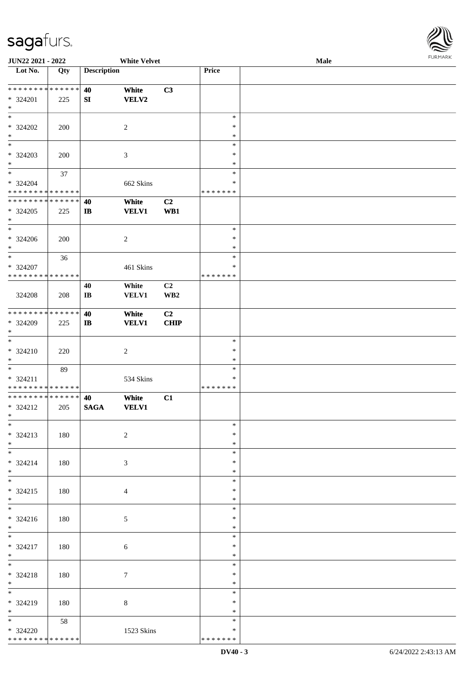

| JUN22 2021 - 2022               |     |                        | <b>White Velvet</b> |                 |               | Male |  |
|---------------------------------|-----|------------------------|---------------------|-----------------|---------------|------|--|
| Lot No.                         | Qty | <b>Description</b>     |                     |                 | Price         |      |  |
|                                 |     |                        |                     |                 |               |      |  |
| **************                  |     | 40                     | White               | C3              |               |      |  |
| * 324201                        | 225 | SI                     | <b>VELV2</b>        |                 |               |      |  |
| $\ast$                          |     |                        |                     |                 |               |      |  |
| $\overline{\ast}$               |     |                        |                     |                 | $\ast$        |      |  |
|                                 |     |                        |                     |                 |               |      |  |
| $* 324202$                      | 200 |                        | $\sqrt{2}$          |                 | ∗             |      |  |
| $\ast$                          |     |                        |                     |                 | $\ast$        |      |  |
| $\overline{\phantom{a}^*}$      |     |                        |                     |                 | $\ast$        |      |  |
| $* 324203$                      | 200 |                        | $\mathfrak{Z}$      |                 | $\ast$        |      |  |
| $\ast$                          |     |                        |                     |                 | $\ast$        |      |  |
| $_{\ast}$                       | 37  |                        |                     |                 | $\ast$        |      |  |
| $* 324204$                      |     |                        | 662 Skins           |                 | *             |      |  |
| * * * * * * * * * * * * * *     |     |                        |                     |                 | * * * * * * * |      |  |
| **************                  |     |                        |                     |                 |               |      |  |
|                                 |     | 40                     | White               | C2              |               |      |  |
| $*324205$                       | 225 | $\mathbf{I}$           | <b>VELV1</b>        | WB1             |               |      |  |
| $\ast$                          |     |                        |                     |                 |               |      |  |
| $\overline{\phantom{1}}$        |     |                        |                     |                 | $\ast$        |      |  |
| $* 324206$                      | 200 |                        | $\overline{c}$      |                 | $\ast$        |      |  |
| $\ast$                          |     |                        |                     |                 | $\ast$        |      |  |
| $\ast$                          | 36  |                        |                     |                 | $\ast$        |      |  |
| * 324207                        |     |                        | 461 Skins           |                 | ∗             |      |  |
| * * * * * * * * * * * * * *     |     |                        |                     |                 | * * * * * * * |      |  |
|                                 |     |                        |                     |                 |               |      |  |
|                                 |     | 40                     | White               | C <sub>2</sub>  |               |      |  |
| 324208                          | 208 | $\mathbf{I}\mathbf{B}$ | <b>VELV1</b>        | WB <sub>2</sub> |               |      |  |
|                                 |     |                        |                     |                 |               |      |  |
| * * * * * * * * * * * * * *     |     | 40                     | White               | C <sub>2</sub>  |               |      |  |
| * 324209                        | 225 | $\bf I\bf B$           | <b>VELV1</b>        | <b>CHIP</b>     |               |      |  |
| $\ast$                          |     |                        |                     |                 |               |      |  |
| $\ast$                          |     |                        |                     |                 | $\ast$        |      |  |
| * 324210                        | 220 |                        | $\boldsymbol{2}$    |                 | $\ast$        |      |  |
| $\ast$                          |     |                        |                     |                 | $\ast$        |      |  |
| $\ast$                          |     |                        |                     |                 |               |      |  |
|                                 | 89  |                        |                     |                 | $\ast$        |      |  |
| $* 324211$                      |     |                        | 534 Skins           |                 | $\ast$        |      |  |
| * * * * * * * * * * * * * *     |     |                        |                     |                 | * * * * * * * |      |  |
| ******** <mark>******</mark>    |     | 40                     | White               | C1              |               |      |  |
| * 324212                        | 205 | <b>SAGA</b>            | <b>VELV1</b>        |                 |               |      |  |
| $*$                             |     |                        |                     |                 |               |      |  |
| $\ast$                          |     |                        |                     |                 | $\ast$        |      |  |
| * 324213                        | 180 |                        | $\overline{2}$      |                 | $\ast$        |      |  |
| $*$                             |     |                        |                     |                 | $\ast$        |      |  |
| $\overline{\phantom{a}^*}$      |     |                        |                     |                 | $\ast$        |      |  |
|                                 |     |                        |                     |                 |               |      |  |
| $* 324214$                      | 180 |                        | 3                   |                 | *             |      |  |
| $*$<br>$\overline{\phantom{0}}$ |     |                        |                     |                 | *             |      |  |
|                                 |     |                        |                     |                 | $\ast$        |      |  |
| $* 324215$                      | 180 |                        | $\overline{4}$      |                 | ∗             |      |  |
| $*$                             |     |                        |                     |                 | $\ast$        |      |  |
| $\overline{\phantom{a}^*}$      |     |                        |                     |                 | $\ast$        |      |  |
| * 324216                        | 180 |                        | $\mathfrak{S}$      |                 | *             |      |  |
| $*$                             |     |                        |                     |                 | $\ast$        |      |  |
| $*$                             |     |                        |                     |                 | $\ast$        |      |  |
|                                 |     |                        |                     |                 | $\ast$        |      |  |
| * 324217                        | 180 |                        | 6                   |                 |               |      |  |
| $*$                             |     |                        |                     |                 | $\ast$        |      |  |
| $\overline{\phantom{a}^*}$      |     |                        |                     |                 | $\ast$        |      |  |
| * 324218                        | 180 |                        | $\tau$              |                 | $\ast$        |      |  |
| $*$                             |     |                        |                     |                 | $\ast$        |      |  |
| $\overline{\phantom{0}}$        |     |                        |                     |                 | $\ast$        |      |  |
| * 324219                        | 180 |                        | 8                   |                 | *             |      |  |
| $*$                             |     |                        |                     |                 | $\ast$        |      |  |
| $\overline{\ast}$               |     |                        |                     |                 | $\ast$        |      |  |
|                                 | 58  |                        |                     |                 |               |      |  |
| * 324220                        |     |                        | 1523 Skins          |                 | *             |      |  |
| ******** <mark>******</mark>    |     |                        |                     |                 | * * * * * * * |      |  |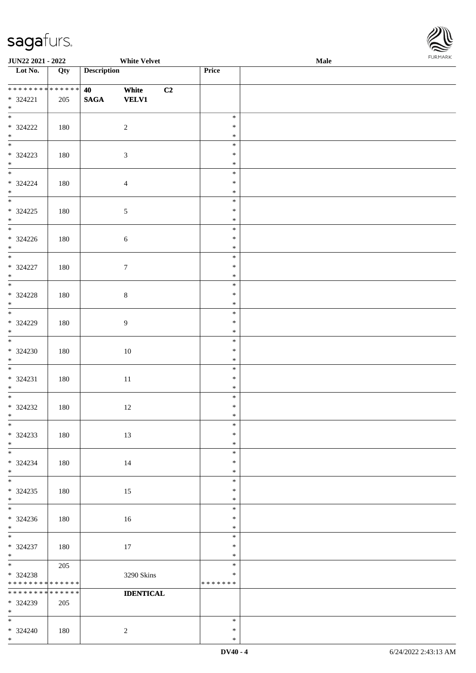\*



| JUN22 2021 - 2022                  |     |                    | <b>White Velvet</b>         |    |               | Male | <b>I ORI IMPORT</b> |
|------------------------------------|-----|--------------------|-----------------------------|----|---------------|------|---------------------|
| $\overline{\phantom{1}}$ Lot No.   | Qty | <b>Description</b> |                             |    | Price         |      |                     |
|                                    |     |                    |                             |    |               |      |                     |
| * * * * * * * * * * * * * *        |     | 40                 | White                       | C2 |               |      |                     |
| $* 324221$                         | 205 | $\mathbf{SAGA}$    | <b>VELV1</b>                |    |               |      |                     |
| $\ast$<br>$\overline{\phantom{0}}$ |     |                    |                             |    |               |      |                     |
|                                    |     |                    |                             |    | $\ast$        |      |                     |
| $* 324222$                         | 180 |                    | $\sqrt{2}$                  |    | $\ast$        |      |                     |
| $*$                                |     |                    |                             |    | $\ast$        |      |                     |
|                                    |     |                    |                             |    | $\ast$        |      |                     |
| $* 324223$                         | 180 |                    | $\ensuremath{\mathfrak{Z}}$ |    | $\ast$        |      |                     |
| $\ast$                             |     |                    |                             |    | $\ast$        |      |                     |
| $\overline{\phantom{0}}$           |     |                    |                             |    | $\ast$        |      |                     |
| $* 324224$                         | 180 |                    | $\overline{4}$              |    | $\ast$        |      |                     |
| $\ast$                             |     |                    |                             |    | $\ast$        |      |                     |
| $\overline{\phantom{0}}$           |     |                    |                             |    | $\ast$        |      |                     |
| $* 324225$                         | 180 |                    | 5                           |    | $\ast$        |      |                     |
| $*$                                |     |                    |                             |    | $\ast$        |      |                     |
|                                    |     |                    |                             |    | $\ast$        |      |                     |
| $* 324226$                         | 180 |                    | $\sqrt{6}$                  |    | $\ast$        |      |                     |
| $\ast$                             |     |                    |                             |    | $\ast$        |      |                     |
| $\overline{\phantom{a}^*}$         |     |                    |                             |    | $\ast$        |      |                     |
| $* 324227$                         | 180 |                    | $\tau$                      |    | $\ast$        |      |                     |
| $\ast$                             |     |                    |                             |    | $\ast$        |      |                     |
| $\frac{1}{*}$                      |     |                    |                             |    | $\ast$        |      |                     |
| $* 324228$                         | 180 |                    | $\,8\,$                     |    | $\ast$        |      |                     |
| $*$                                |     |                    |                             |    | $\ast$        |      |                     |
|                                    |     |                    |                             |    | $\ast$        |      |                     |
| $* 324229$                         | 180 |                    | 9                           |    | $\ast$        |      |                     |
| $*$                                |     |                    |                             |    | $\ast$        |      |                     |
| $\overline{\phantom{0}}$           |     |                    |                             |    | $\ast$        |      |                     |
| $* 324230$                         | 180 |                    | $10\,$                      |    | $\ast$        |      |                     |
| $*$                                |     |                    |                             |    | $\ast$        |      |                     |
| $\overline{\phantom{0}}$           |     |                    |                             |    | $\ast$        |      |                     |
| $* 324231$                         | 180 |                    | $11\,$                      |    | $\ast$        |      |                     |
| $*$                                |     |                    |                             |    | $\ast$        |      |                     |
|                                    |     |                    |                             |    | $\ast$        |      |                     |
| $* 324232$                         | 180 |                    | 12                          |    | $\ast$        |      |                     |
| $*$                                |     |                    |                             |    | $*$           |      |                     |
| $*$                                |     |                    |                             |    | $\ast$        |      |                     |
| $* 324233$                         | 180 |                    | 13                          |    | $\ast$        |      |                     |
| $\ast$                             |     |                    |                             |    | $\ast$        |      |                     |
| $\overline{\phantom{0}}$           |     |                    |                             |    | $\ast$        |      |                     |
| $* 324234$                         | 180 |                    | 14                          |    | $\ast$        |      |                     |
| $*$                                |     |                    |                             |    | $\ast$        |      |                     |
| $\overline{\phantom{0}}$           |     |                    |                             |    | $\ast$        |      |                     |
| $*324235$                          | 180 |                    | 15                          |    | $\ast$        |      |                     |
| $*$                                |     |                    |                             |    | $\ast$        |      |                     |
| $*$                                |     |                    |                             |    | $\ast$        |      |                     |
| $*324236$                          | 180 |                    | 16                          |    | $\ast$        |      |                     |
| $*$                                |     |                    |                             |    | $\ast$        |      |                     |
| $\overline{\phantom{0}}$           |     |                    |                             |    | $\ast$        |      |                     |
| $* 324237$                         | 180 |                    | 17                          |    | $\ast$        |      |                     |
| $*$                                |     |                    |                             |    | $\ast$        |      |                     |
| $*$                                | 205 |                    |                             |    | $\ast$        |      |                     |
| $* 324238$                         |     |                    |                             |    | $\ast$        |      |                     |
| * * * * * * * * * * * * * *        |     |                    | 3290 Skins                  |    | * * * * * * * |      |                     |
| * * * * * * * * * * * * * *        |     |                    | <b>IDENTICAL</b>            |    |               |      |                     |
|                                    |     |                    |                             |    |               |      |                     |
| * 324239<br>$*$                    | 205 |                    |                             |    |               |      |                     |
| $\ast$                             |     |                    |                             |    | $\ast$        |      |                     |
|                                    |     |                    |                             |    | $\ast$        |      |                     |
| $* 324240$<br>$*$                  | 180 |                    | $\overline{2}$              |    | $\ast$        |      |                     |
|                                    |     |                    |                             |    |               |      |                     |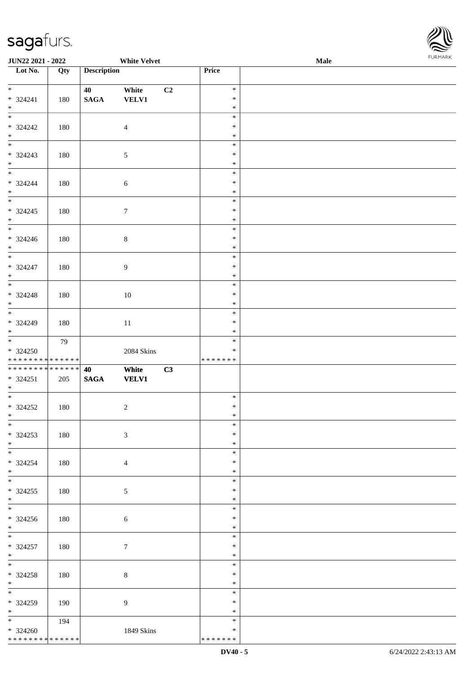

| JUN22 2021 - 2022                 |     |                    | <b>White Velvet</b> |    |               | Male | . |
|-----------------------------------|-----|--------------------|---------------------|----|---------------|------|---|
| Lot No.                           | Qty | <b>Description</b> |                     |    | Price         |      |   |
|                                   |     |                    |                     |    |               |      |   |
| $\overline{\ }$                   |     | 40                 | White               | C2 | $\ast$        |      |   |
| * 324241                          | 180 | $\mathbf{SAGA}$    | <b>VELV1</b>        |    | $\ast$        |      |   |
| $\ast$                            |     |                    |                     |    | $\ast$        |      |   |
| $\overline{\phantom{0}}$          |     |                    |                     |    | $\ast$        |      |   |
| * 324242                          | 180 |                    | $\overline{4}$      |    | $\ast$        |      |   |
| $*$ $*$                           |     |                    |                     |    | $\ast$        |      |   |
|                                   |     |                    |                     |    | $\ast$        |      |   |
| * 324243                          | 180 |                    | $\sqrt{5}$          |    | $\ast$        |      |   |
| $\ast$                            |     |                    |                     |    | $\ast$        |      |   |
| $\overline{\phantom{0}}$          |     |                    |                     |    | $\ast$        |      |   |
| $* 324244$                        | 180 |                    | $\sqrt{6}$          |    | $\ast$        |      |   |
| $\ast$                            |     |                    |                     |    | $\ast$        |      |   |
| $\overline{\phantom{0}}$          |     |                    |                     |    | $\ast$        |      |   |
| * 324245                          | 180 |                    | $\boldsymbol{7}$    |    | $\ast$        |      |   |
| $\ast$                            |     |                    |                     |    | $\ast$        |      |   |
| $_{\ast}^{-}$                     |     |                    |                     |    | $\ast$        |      |   |
| $* 324246$                        | 180 |                    | $\,8\,$             |    | $\ast$        |      |   |
| $\ast$                            |     |                    |                     |    | $\ast$        |      |   |
| $\overline{\phantom{a}^*}$        |     |                    |                     |    | $\ast$        |      |   |
| $* 324247$                        | 180 |                    | $\overline{9}$      |    | $\ast$        |      |   |
| $\ast$                            |     |                    |                     |    | $\ast$        |      |   |
| $\overline{\phantom{0}}$          |     |                    |                     |    | $\ast$        |      |   |
| $* 324248$                        | 180 |                    | 10                  |    | $\ast$        |      |   |
| $\ast$                            |     |                    |                     |    | $\ast$        |      |   |
| $\overline{\phantom{0}}$          |     |                    |                     |    | $\ast$        |      |   |
| $* 324249$                        | 180 |                    | $11\,$              |    | $\ast$        |      |   |
| $\ast$                            |     |                    |                     |    | $\ast$        |      |   |
| $\overline{\phantom{0}}$          | 79  |                    |                     |    | $\ast$        |      |   |
| $*324250$                         |     |                    | 2084 Skins          |    | $\ast$        |      |   |
| * * * * * * * * * * * * * *       |     |                    |                     |    | * * * * * * * |      |   |
| **************                    |     | 40                 | White               | C3 |               |      |   |
| $* 324251$                        | 205 | $\mathbf{SAGA}$    | <b>VELV1</b>        |    |               |      |   |
| $*$                               |     |                    |                     |    |               |      |   |
| $*$                               |     |                    |                     |    | $\ast$        |      |   |
| $*324252$                         | 180 |                    | $\sqrt{2}$          |    | $\ast$        |      |   |
| $*$                               |     |                    |                     |    | $\ast$        |      |   |
| $*$                               |     |                    |                     |    | $\ast$        |      |   |
| $*324253$                         | 180 |                    | $\mathfrak{Z}$      |    | $\ast$        |      |   |
| $*$                               |     |                    |                     |    | $\ast$        |      |   |
|                                   |     |                    |                     |    | $\ast$        |      |   |
|                                   |     |                    |                     |    | $\ast$        |      |   |
| $* 324254$<br>$*$                 | 180 |                    | $\overline{4}$      |    | $\ast$        |      |   |
| $\overline{\phantom{a}^*}$        |     |                    |                     |    | $\ast$        |      |   |
|                                   |     |                    |                     |    | $\ast$        |      |   |
| $*324255$<br>$*$                  | 180 |                    | 5                   |    | $\ast$        |      |   |
| $\overline{\phantom{a}^*}$        |     |                    |                     |    | $\ast$        |      |   |
|                                   |     |                    |                     |    |               |      |   |
| $* 324256$                        | 180 |                    | 6                   |    | *             |      |   |
| $*$                               |     |                    |                     |    | $\ast$        |      |   |
| $*$                               |     |                    |                     |    | $\ast$        |      |   |
| * 324257                          | 180 |                    | $\boldsymbol{7}$    |    | $\ast$        |      |   |
| $*$<br>$\overline{\phantom{a}^*}$ |     |                    |                     |    | $\ast$        |      |   |
|                                   |     |                    |                     |    | $\ast$        |      |   |
| $* 324258$                        | 180 |                    | 8                   |    | $\ast$        |      |   |
| $*$<br>$\overline{\phantom{0}}$   |     |                    |                     |    | $\ast$        |      |   |
|                                   |     |                    |                     |    | $\ast$        |      |   |
| * 324259                          | 190 |                    | 9                   |    | ∗             |      |   |
| $*$                               |     |                    |                     |    | $\ast$        |      |   |
| $\overline{\ast}$                 | 194 |                    |                     |    | $\ast$        |      |   |
| $*324260$                         |     |                    | 1849 Skins          |    | $\ast$        |      |   |
| ******** <mark>******</mark>      |     |                    |                     |    | * * * * * * * |      |   |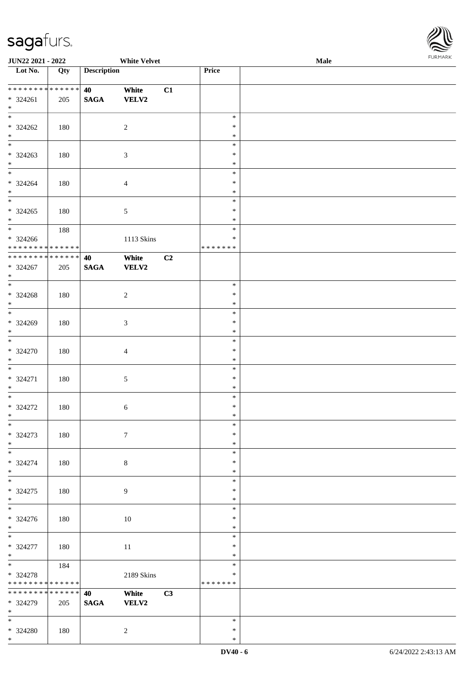\*



| JUN22 2021 - 2022                              |        |                    | <b>White Velvet</b> |    |                  | Male | <b>FURPIARA</b> |
|------------------------------------------------|--------|--------------------|---------------------|----|------------------|------|-----------------|
| $\overline{\phantom{1}}$ Lot No.               | Qty    | <b>Description</b> |                     |    | Price            |      |                 |
|                                                |        |                    |                     |    |                  |      |                 |
| ******** <mark>******</mark>                   |        | 40                 | White               | C1 |                  |      |                 |
| $* 324261$                                     | 205    | $\mathbf{SAGA}$    | <b>VELV2</b>        |    |                  |      |                 |
| $*$                                            |        |                    |                     |    |                  |      |                 |
| $*$                                            |        |                    |                     |    | $\ast$           |      |                 |
| $* 324262$                                     | 180    |                    | $\boldsymbol{2}$    |    | $\ast$           |      |                 |
| $*$                                            |        |                    |                     |    | $\ast$           |      |                 |
| $*$                                            |        |                    |                     |    | $\ast$           |      |                 |
| $* 324263$                                     | 180    |                    | 3                   |    | $\ast$           |      |                 |
| $\ast$                                         |        |                    |                     |    | $\ast$           |      |                 |
|                                                |        |                    |                     |    | $\ast$           |      |                 |
| $* 324264$<br>$\ast$                           | 180    |                    | $\overline{4}$      |    | $\ast$<br>$\ast$ |      |                 |
| $\overline{\phantom{0}}$                       |        |                    |                     |    | $\ast$           |      |                 |
| $* 324265$                                     |        |                    |                     |    | $\ast$           |      |                 |
| $*$                                            | 180    |                    | 5                   |    | $\ast$           |      |                 |
|                                                | 188    |                    |                     |    | $\ast$           |      |                 |
| * 324266                                       |        |                    | 1113 Skins          |    | $\ast$           |      |                 |
| * * * * * * * * * * * * * *                    |        |                    |                     |    | * * * * * * *    |      |                 |
| ******** <mark>******</mark>                   |        | 40                 | White               | C2 |                  |      |                 |
| * 324267                                       | 205    | <b>SAGA</b>        | <b>VELV2</b>        |    |                  |      |                 |
| $*$                                            |        |                    |                     |    |                  |      |                 |
| $\overline{\ast}$                              |        |                    |                     |    | $\ast$           |      |                 |
| $* 324268$                                     | 180    |                    | $\sqrt{2}$          |    | $\ast$           |      |                 |
| $*$                                            |        |                    |                     |    | $\ast$           |      |                 |
| $\overline{\phantom{0}}$                       |        |                    |                     |    | $\ast$           |      |                 |
| $* 324269$                                     | 180    |                    | 3                   |    | $\ast$           |      |                 |
| $*$                                            |        |                    |                     |    | $\ast$           |      |                 |
| $\overline{\phantom{0}}$                       |        |                    |                     |    | $\ast$           |      |                 |
| $* 324270$                                     | 180    |                    | $\overline{4}$      |    | $\ast$           |      |                 |
| $\ast$                                         |        |                    |                     |    | $\ast$           |      |                 |
| $\overline{\ast}$                              |        |                    |                     |    | $\ast$           |      |                 |
| $* 324271$<br>$*$                              | 180    |                    | $\sqrt{5}$          |    | $\ast$<br>$\ast$ |      |                 |
| $*$                                            |        |                    |                     |    | $\ast$           |      |                 |
| $* 324272$                                     | 180    |                    | 6                   |    | $\ast$           |      |                 |
| $\ast$                                         |        |                    |                     |    | $*$              |      |                 |
| $\ast$                                         |        |                    |                     |    | $\ast$           |      |                 |
| $* 324273$                                     | 180    |                    | $\boldsymbol{7}$    |    | $\ast$           |      |                 |
| $*$                                            |        |                    |                     |    | $\ast$           |      |                 |
| $\overline{\phantom{0}}$                       |        |                    |                     |    | $\ast$           |      |                 |
| * 324274                                       | 180    |                    | 8                   |    | $\ast$           |      |                 |
| $*$                                            |        |                    |                     |    | $\ast$           |      |                 |
| $*$                                            |        |                    |                     |    | $\ast$           |      |                 |
| $* 324275$                                     | 180    |                    | 9                   |    | $\ast$           |      |                 |
| $*$                                            |        |                    |                     |    | $\ast$           |      |                 |
|                                                |        |                    |                     |    | $\ast$           |      |                 |
| $* 324276$                                     | 180    |                    | 10                  |    | $\ast$           |      |                 |
| $*$                                            |        |                    |                     |    | $\ast$           |      |                 |
| $\overline{\ast}$                              |        |                    |                     |    | $\ast$           |      |                 |
| $* 324277$                                     | 180    |                    | 11                  |    | $\ast$           |      |                 |
| $*$                                            |        |                    |                     |    | $\ast$           |      |                 |
| $*$                                            | 184    |                    |                     |    | $\ast$           |      |                 |
| $* 324278$                                     |        |                    | 2189 Skins          |    | $\ast$           |      |                 |
| * * * * * * * * * * * * * *<br>* * * * * * * * | ****** |                    |                     |    | * * * * * * *    |      |                 |
| * 324279                                       |        | 40                 | White               | C3 |                  |      |                 |
| $*$                                            | 205    | <b>SAGA</b>        | VELV2               |    |                  |      |                 |
| $*$                                            |        |                    |                     |    | $\ast$           |      |                 |
| * 324280                                       | 180    |                    | $\sqrt{2}$          |    | $\ast$           |      |                 |
| $*$                                            |        |                    |                     |    | $\ast$           |      |                 |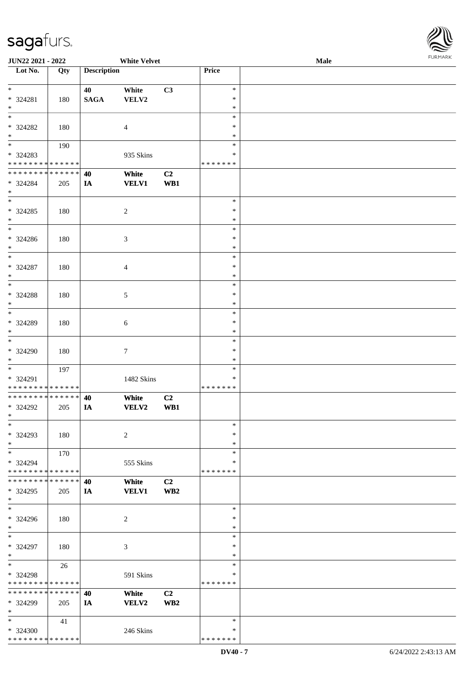\* \* \* \* \* \* \* \* \* \* \* \* \* \*

**JUN22 2021 - 2022 White Velvet Male**

**Lot No. Qty Description Price**

| White<br>C3<br>$\ast$<br>40<br><b>SAGA</b><br>VELV2<br>$\ast$<br>180<br>$*$<br>$\ast$<br>$\ast$<br>$\ast$<br>$\ast$<br>180<br>$\overline{4}$<br>$*$<br>$\ast$<br>$\overline{\phantom{a}^*}$<br>$\ast$<br>190<br>935 Skins<br>$\ast$<br>* * * * * * * * * * * * * *<br>* * * * * * *<br>**************<br>C2<br>40<br>White<br><b>VELV1</b><br>WB1<br>205<br>IA<br>$\overline{\phantom{0}}$<br>$\ast$<br>180<br>$\sqrt{2}$<br>$\ast$<br>$\ast$<br>$\ast$<br>$\overline{\phantom{a}^*}$<br>$\ast$<br>$\mathfrak{Z}$<br>$\ast$<br>180<br>$\ast$<br>$\ast$<br>$\ast$<br>180<br>$\overline{4}$<br>$*$<br>$\ast$<br>$\overline{\phantom{0}}$<br>$\ast$<br>$\ast$<br>180<br>$\mathfrak{S}$<br>$*$<br>$\ast$<br>$\overline{\phantom{0}}$<br>$\ast$<br>* 324289<br>$\ast$<br>180<br>$\sqrt{6}$<br>$\ast$<br>$\ast$<br>$\tau$<br>180<br>$\ast$<br>$\ast$<br>$\overline{\phantom{0}}$<br>197<br>$\ast$<br>* 324291<br>1482 Skins<br>$\ast$<br>* * * * * * * * * * * * * *<br>* * * * * * *<br>**************<br>C2<br>40<br>White<br>* 324292<br>VELV2<br>WB1<br>IA<br>205<br>$\ast$<br>180<br>$*$<br>$\overline{2}$<br>$\ast$<br>$\ast$<br>$\ast$<br>170<br>$\ast$<br>* 324294<br>555 Skins<br>$\ast$<br>* * * * * * * * * * * * * * *<br>* * * * * * *<br>* * * * * * * * * * * * * *<br>White<br>C2<br>40<br><b>VELV1</b><br>WB2<br>205<br>IA<br>$\ast$<br>$\ast$<br>180<br>$\overline{c}$<br>$\ast$<br>$\ast$<br>$\ast$<br>3<br>$\ast$<br>180<br>$\ast$<br>$\ast$<br>26<br>* 324298<br>591 Skins<br>$\ast$<br>* * * * * * * * * * * * * *<br>* * * * * * *<br>* * * * * * * * * * * * * *<br>C2<br>40<br>White<br><b>VELV2</b><br>WB2<br>205<br>IA<br>$\ast$<br>$\ast$<br>$\ast$<br>41<br>246 Skins<br>$\ast$ |                    |  |  |  |
|--------------------------------------------------------------------------------------------------------------------------------------------------------------------------------------------------------------------------------------------------------------------------------------------------------------------------------------------------------------------------------------------------------------------------------------------------------------------------------------------------------------------------------------------------------------------------------------------------------------------------------------------------------------------------------------------------------------------------------------------------------------------------------------------------------------------------------------------------------------------------------------------------------------------------------------------------------------------------------------------------------------------------------------------------------------------------------------------------------------------------------------------------------------------------------------------------------------------------------------------------------------------------------------------------------------------------------------------------------------------------------------------------------------------------------------------------------------------------------------------------------------------------------------------------------------------------------------------------------------------------------------------------------------------------------------------------------|--------------------|--|--|--|
|                                                                                                                                                                                                                                                                                                                                                                                                                                                                                                                                                                                                                                                                                                                                                                                                                                                                                                                                                                                                                                                                                                                                                                                                                                                                                                                                                                                                                                                                                                                                                                                                                                                                                                        | $\ast$<br>* 324281 |  |  |  |
|                                                                                                                                                                                                                                                                                                                                                                                                                                                                                                                                                                                                                                                                                                                                                                                                                                                                                                                                                                                                                                                                                                                                                                                                                                                                                                                                                                                                                                                                                                                                                                                                                                                                                                        |                    |  |  |  |
|                                                                                                                                                                                                                                                                                                                                                                                                                                                                                                                                                                                                                                                                                                                                                                                                                                                                                                                                                                                                                                                                                                                                                                                                                                                                                                                                                                                                                                                                                                                                                                                                                                                                                                        | * 324282           |  |  |  |
|                                                                                                                                                                                                                                                                                                                                                                                                                                                                                                                                                                                                                                                                                                                                                                                                                                                                                                                                                                                                                                                                                                                                                                                                                                                                                                                                                                                                                                                                                                                                                                                                                                                                                                        |                    |  |  |  |
|                                                                                                                                                                                                                                                                                                                                                                                                                                                                                                                                                                                                                                                                                                                                                                                                                                                                                                                                                                                                                                                                                                                                                                                                                                                                                                                                                                                                                                                                                                                                                                                                                                                                                                        | * 324283           |  |  |  |
|                                                                                                                                                                                                                                                                                                                                                                                                                                                                                                                                                                                                                                                                                                                                                                                                                                                                                                                                                                                                                                                                                                                                                                                                                                                                                                                                                                                                                                                                                                                                                                                                                                                                                                        |                    |  |  |  |
|                                                                                                                                                                                                                                                                                                                                                                                                                                                                                                                                                                                                                                                                                                                                                                                                                                                                                                                                                                                                                                                                                                                                                                                                                                                                                                                                                                                                                                                                                                                                                                                                                                                                                                        | * 324284<br>$*$    |  |  |  |
|                                                                                                                                                                                                                                                                                                                                                                                                                                                                                                                                                                                                                                                                                                                                                                                                                                                                                                                                                                                                                                                                                                                                                                                                                                                                                                                                                                                                                                                                                                                                                                                                                                                                                                        | $*324285$          |  |  |  |
|                                                                                                                                                                                                                                                                                                                                                                                                                                                                                                                                                                                                                                                                                                                                                                                                                                                                                                                                                                                                                                                                                                                                                                                                                                                                                                                                                                                                                                                                                                                                                                                                                                                                                                        |                    |  |  |  |
|                                                                                                                                                                                                                                                                                                                                                                                                                                                                                                                                                                                                                                                                                                                                                                                                                                                                                                                                                                                                                                                                                                                                                                                                                                                                                                                                                                                                                                                                                                                                                                                                                                                                                                        | $* 324286$<br>$*$  |  |  |  |
|                                                                                                                                                                                                                                                                                                                                                                                                                                                                                                                                                                                                                                                                                                                                                                                                                                                                                                                                                                                                                                                                                                                                                                                                                                                                                                                                                                                                                                                                                                                                                                                                                                                                                                        | $*$                |  |  |  |
|                                                                                                                                                                                                                                                                                                                                                                                                                                                                                                                                                                                                                                                                                                                                                                                                                                                                                                                                                                                                                                                                                                                                                                                                                                                                                                                                                                                                                                                                                                                                                                                                                                                                                                        | * 324287           |  |  |  |
|                                                                                                                                                                                                                                                                                                                                                                                                                                                                                                                                                                                                                                                                                                                                                                                                                                                                                                                                                                                                                                                                                                                                                                                                                                                                                                                                                                                                                                                                                                                                                                                                                                                                                                        |                    |  |  |  |
|                                                                                                                                                                                                                                                                                                                                                                                                                                                                                                                                                                                                                                                                                                                                                                                                                                                                                                                                                                                                                                                                                                                                                                                                                                                                                                                                                                                                                                                                                                                                                                                                                                                                                                        | $*324288$          |  |  |  |
|                                                                                                                                                                                                                                                                                                                                                                                                                                                                                                                                                                                                                                                                                                                                                                                                                                                                                                                                                                                                                                                                                                                                                                                                                                                                                                                                                                                                                                                                                                                                                                                                                                                                                                        |                    |  |  |  |
|                                                                                                                                                                                                                                                                                                                                                                                                                                                                                                                                                                                                                                                                                                                                                                                                                                                                                                                                                                                                                                                                                                                                                                                                                                                                                                                                                                                                                                                                                                                                                                                                                                                                                                        |                    |  |  |  |
|                                                                                                                                                                                                                                                                                                                                                                                                                                                                                                                                                                                                                                                                                                                                                                                                                                                                                                                                                                                                                                                                                                                                                                                                                                                                                                                                                                                                                                                                                                                                                                                                                                                                                                        | $*$                |  |  |  |
|                                                                                                                                                                                                                                                                                                                                                                                                                                                                                                                                                                                                                                                                                                                                                                                                                                                                                                                                                                                                                                                                                                                                                                                                                                                                                                                                                                                                                                                                                                                                                                                                                                                                                                        | $*$                |  |  |  |
|                                                                                                                                                                                                                                                                                                                                                                                                                                                                                                                                                                                                                                                                                                                                                                                                                                                                                                                                                                                                                                                                                                                                                                                                                                                                                                                                                                                                                                                                                                                                                                                                                                                                                                        | * 324290<br>$*$    |  |  |  |
|                                                                                                                                                                                                                                                                                                                                                                                                                                                                                                                                                                                                                                                                                                                                                                                                                                                                                                                                                                                                                                                                                                                                                                                                                                                                                                                                                                                                                                                                                                                                                                                                                                                                                                        |                    |  |  |  |
|                                                                                                                                                                                                                                                                                                                                                                                                                                                                                                                                                                                                                                                                                                                                                                                                                                                                                                                                                                                                                                                                                                                                                                                                                                                                                                                                                                                                                                                                                                                                                                                                                                                                                                        |                    |  |  |  |
|                                                                                                                                                                                                                                                                                                                                                                                                                                                                                                                                                                                                                                                                                                                                                                                                                                                                                                                                                                                                                                                                                                                                                                                                                                                                                                                                                                                                                                                                                                                                                                                                                                                                                                        |                    |  |  |  |
|                                                                                                                                                                                                                                                                                                                                                                                                                                                                                                                                                                                                                                                                                                                                                                                                                                                                                                                                                                                                                                                                                                                                                                                                                                                                                                                                                                                                                                                                                                                                                                                                                                                                                                        |                    |  |  |  |
|                                                                                                                                                                                                                                                                                                                                                                                                                                                                                                                                                                                                                                                                                                                                                                                                                                                                                                                                                                                                                                                                                                                                                                                                                                                                                                                                                                                                                                                                                                                                                                                                                                                                                                        |                    |  |  |  |
|                                                                                                                                                                                                                                                                                                                                                                                                                                                                                                                                                                                                                                                                                                                                                                                                                                                                                                                                                                                                                                                                                                                                                                                                                                                                                                                                                                                                                                                                                                                                                                                                                                                                                                        | $*$                |  |  |  |
|                                                                                                                                                                                                                                                                                                                                                                                                                                                                                                                                                                                                                                                                                                                                                                                                                                                                                                                                                                                                                                                                                                                                                                                                                                                                                                                                                                                                                                                                                                                                                                                                                                                                                                        | $*$                |  |  |  |
|                                                                                                                                                                                                                                                                                                                                                                                                                                                                                                                                                                                                                                                                                                                                                                                                                                                                                                                                                                                                                                                                                                                                                                                                                                                                                                                                                                                                                                                                                                                                                                                                                                                                                                        | * 324293           |  |  |  |
|                                                                                                                                                                                                                                                                                                                                                                                                                                                                                                                                                                                                                                                                                                                                                                                                                                                                                                                                                                                                                                                                                                                                                                                                                                                                                                                                                                                                                                                                                                                                                                                                                                                                                                        |                    |  |  |  |
|                                                                                                                                                                                                                                                                                                                                                                                                                                                                                                                                                                                                                                                                                                                                                                                                                                                                                                                                                                                                                                                                                                                                                                                                                                                                                                                                                                                                                                                                                                                                                                                                                                                                                                        |                    |  |  |  |
|                                                                                                                                                                                                                                                                                                                                                                                                                                                                                                                                                                                                                                                                                                                                                                                                                                                                                                                                                                                                                                                                                                                                                                                                                                                                                                                                                                                                                                                                                                                                                                                                                                                                                                        |                    |  |  |  |
|                                                                                                                                                                                                                                                                                                                                                                                                                                                                                                                                                                                                                                                                                                                                                                                                                                                                                                                                                                                                                                                                                                                                                                                                                                                                                                                                                                                                                                                                                                                                                                                                                                                                                                        |                    |  |  |  |
|                                                                                                                                                                                                                                                                                                                                                                                                                                                                                                                                                                                                                                                                                                                                                                                                                                                                                                                                                                                                                                                                                                                                                                                                                                                                                                                                                                                                                                                                                                                                                                                                                                                                                                        | * 324295           |  |  |  |
|                                                                                                                                                                                                                                                                                                                                                                                                                                                                                                                                                                                                                                                                                                                                                                                                                                                                                                                                                                                                                                                                                                                                                                                                                                                                                                                                                                                                                                                                                                                                                                                                                                                                                                        | $\ast$             |  |  |  |
|                                                                                                                                                                                                                                                                                                                                                                                                                                                                                                                                                                                                                                                                                                                                                                                                                                                                                                                                                                                                                                                                                                                                                                                                                                                                                                                                                                                                                                                                                                                                                                                                                                                                                                        | * 324296           |  |  |  |
|                                                                                                                                                                                                                                                                                                                                                                                                                                                                                                                                                                                                                                                                                                                                                                                                                                                                                                                                                                                                                                                                                                                                                                                                                                                                                                                                                                                                                                                                                                                                                                                                                                                                                                        | $\ast$             |  |  |  |
|                                                                                                                                                                                                                                                                                                                                                                                                                                                                                                                                                                                                                                                                                                                                                                                                                                                                                                                                                                                                                                                                                                                                                                                                                                                                                                                                                                                                                                                                                                                                                                                                                                                                                                        | $\ast$             |  |  |  |
|                                                                                                                                                                                                                                                                                                                                                                                                                                                                                                                                                                                                                                                                                                                                                                                                                                                                                                                                                                                                                                                                                                                                                                                                                                                                                                                                                                                                                                                                                                                                                                                                                                                                                                        | * 324297<br>$*$    |  |  |  |
|                                                                                                                                                                                                                                                                                                                                                                                                                                                                                                                                                                                                                                                                                                                                                                                                                                                                                                                                                                                                                                                                                                                                                                                                                                                                                                                                                                                                                                                                                                                                                                                                                                                                                                        | $_{\ast}$          |  |  |  |
|                                                                                                                                                                                                                                                                                                                                                                                                                                                                                                                                                                                                                                                                                                                                                                                                                                                                                                                                                                                                                                                                                                                                                                                                                                                                                                                                                                                                                                                                                                                                                                                                                                                                                                        |                    |  |  |  |
|                                                                                                                                                                                                                                                                                                                                                                                                                                                                                                                                                                                                                                                                                                                                                                                                                                                                                                                                                                                                                                                                                                                                                                                                                                                                                                                                                                                                                                                                                                                                                                                                                                                                                                        |                    |  |  |  |
|                                                                                                                                                                                                                                                                                                                                                                                                                                                                                                                                                                                                                                                                                                                                                                                                                                                                                                                                                                                                                                                                                                                                                                                                                                                                                                                                                                                                                                                                                                                                                                                                                                                                                                        |                    |  |  |  |
|                                                                                                                                                                                                                                                                                                                                                                                                                                                                                                                                                                                                                                                                                                                                                                                                                                                                                                                                                                                                                                                                                                                                                                                                                                                                                                                                                                                                                                                                                                                                                                                                                                                                                                        | * 324299           |  |  |  |
|                                                                                                                                                                                                                                                                                                                                                                                                                                                                                                                                                                                                                                                                                                                                                                                                                                                                                                                                                                                                                                                                                                                                                                                                                                                                                                                                                                                                                                                                                                                                                                                                                                                                                                        |                    |  |  |  |
|                                                                                                                                                                                                                                                                                                                                                                                                                                                                                                                                                                                                                                                                                                                                                                                                                                                                                                                                                                                                                                                                                                                                                                                                                                                                                                                                                                                                                                                                                                                                                                                                                                                                                                        | * 324300           |  |  |  |

 $\overline{\phantom{a}}$ 

\* \* \* \* \* \* \*

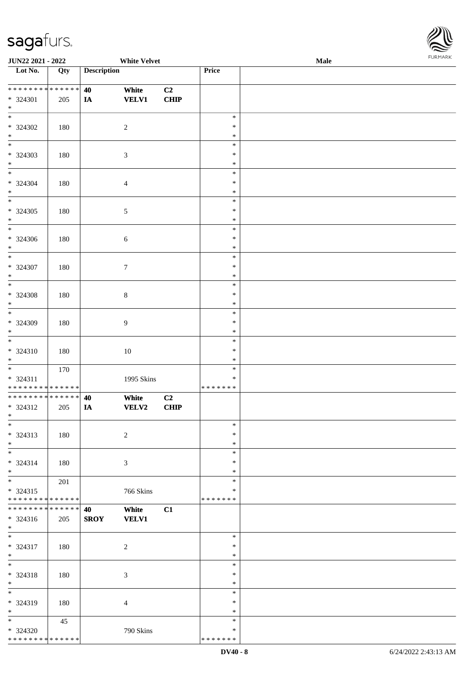\* \* \* \* \* \* \* \* \* \* \* \* \* \*



| JUN22 2021 - 2022                  |        |                    | <b>White Velvet</b> |                |                  | Male | 1011111111 |
|------------------------------------|--------|--------------------|---------------------|----------------|------------------|------|------------|
| Lot No.                            | Qty    | <b>Description</b> |                     |                | Price            |      |            |
|                                    |        |                    |                     |                |                  |      |            |
| * * * * * * * * * * * * * *        |        | 40                 | White               | C <sub>2</sub> |                  |      |            |
| * 324301                           | 205    | $I\!\!A$           | <b>VELV1</b>        | <b>CHIP</b>    |                  |      |            |
| $*$                                |        |                    |                     |                |                  |      |            |
| $*$                                |        |                    |                     |                | $\ast$           |      |            |
| * 324302                           | 180    |                    | $\sqrt{2}$          |                | $\ast$           |      |            |
| $*$                                |        |                    |                     |                | $\ast$           |      |            |
| $\overline{\phantom{0}}$           |        |                    |                     |                | $\ast$           |      |            |
| $* 324303$                         | 180    |                    | 3                   |                | $\ast$           |      |            |
| $\ast$                             |        |                    |                     |                | $\ast$           |      |            |
|                                    |        |                    |                     |                | $\ast$           |      |            |
| * 324304                           | 180    |                    | 4                   |                | $\ast$           |      |            |
| $*$<br>$\overline{\phantom{0}}$    |        |                    |                     |                | $\ast$           |      |            |
|                                    |        |                    |                     |                | $\ast$           |      |            |
| $* 324305$                         | 180    |                    | $\sqrt{5}$          |                | $\ast$           |      |            |
| $\ast$<br>$\overline{\phantom{0}}$ |        |                    |                     |                | $\ast$<br>$\ast$ |      |            |
|                                    |        |                    |                     |                | $\ast$           |      |            |
| $* 324306$<br>$*$                  | 180    |                    | 6                   |                | $\ast$           |      |            |
| $\overline{\ast}$                  |        |                    |                     |                | $\ast$           |      |            |
| * 324307                           | 180    |                    | $\tau$              |                | $\ast$           |      |            |
| $*$                                |        |                    |                     |                | $\ast$           |      |            |
| $\ast$                             |        |                    |                     |                | $\ast$           |      |            |
| $* 324308$                         | 180    |                    | $\,8\,$             |                | $\ast$           |      |            |
| $*$                                |        |                    |                     |                | $\ast$           |      |            |
| $\overline{\ast}$                  |        |                    |                     |                | $\ast$           |      |            |
| * 324309                           | 180    |                    | 9                   |                | $\ast$           |      |            |
| $*$                                |        |                    |                     |                | $\ast$           |      |            |
| $\overline{\ast}$                  |        |                    |                     |                | $\ast$           |      |            |
| * 324310                           | 180    |                    | $10\,$              |                | $\ast$           |      |            |
| $*$                                |        |                    |                     |                | $\ast$           |      |            |
| $*$                                | 170    |                    |                     |                | $\ast$           |      |            |
| * 324311                           |        |                    | 1995 Skins          |                | $\ast$           |      |            |
| * * * * * * * * * * * * * *        |        |                    |                     |                | * * * * * * *    |      |            |
| * * * * * * * * * * * * * * *      |        | 40                 | White               | C2             |                  |      |            |
| * 324312                           | 205    | $I\!\!A$           | VELV2               | <b>CHIP</b>    |                  |      |            |
| $*$ $*$<br>$\ast$                  |        |                    |                     |                | $\ast$           |      |            |
|                                    |        |                    |                     |                | $\ast$           |      |            |
| $* 324313$<br>$*$                  | 180    |                    | $\sqrt{2}$          |                | $\ast$           |      |            |
| $\ast$                             |        |                    |                     |                | $\ast$           |      |            |
| * 324314                           | 180    |                    | 3                   |                | $\ast$           |      |            |
| $*$                                |        |                    |                     |                | $\ast$           |      |            |
| $*$                                | 201    |                    |                     |                | $\ast$           |      |            |
| $* 324315$                         |        |                    | 766 Skins           |                | ∗                |      |            |
| * * * * * * * * * * * * * *        |        |                    |                     |                | * * * * * * *    |      |            |
| * * * * * * * *                    | ****** | 40                 | White               | C1             |                  |      |            |
| * 324316                           | 205    | <b>SROY</b>        | <b>VELV1</b>        |                |                  |      |            |
| $*$                                |        |                    |                     |                |                  |      |            |
| $\ast$                             |        |                    |                     |                | $\ast$           |      |            |
| $* 324317$                         | 180    |                    | $\boldsymbol{2}$    |                | $\ast$           |      |            |
| $*$                                |        |                    |                     |                | $\ast$           |      |            |
| $*$                                |        |                    |                     |                | $\ast$           |      |            |
| * 324318                           | 180    |                    | 3                   |                | $\ast$           |      |            |
| $*$                                |        |                    |                     |                | $\ast$           |      |            |
| $\ast$                             |        |                    |                     |                | $\ast$           |      |            |
| * 324319                           | 180    |                    | 4                   |                | $\ast$           |      |            |
| $*$                                |        |                    |                     |                | $\ast$           |      |            |
| $*$                                | 45     |                    |                     |                | $\ast$<br>$\ast$ |      |            |
| $* 324320$                         |        |                    | 790 Skins           |                |                  |      |            |

\* \* \* \* \* \* \*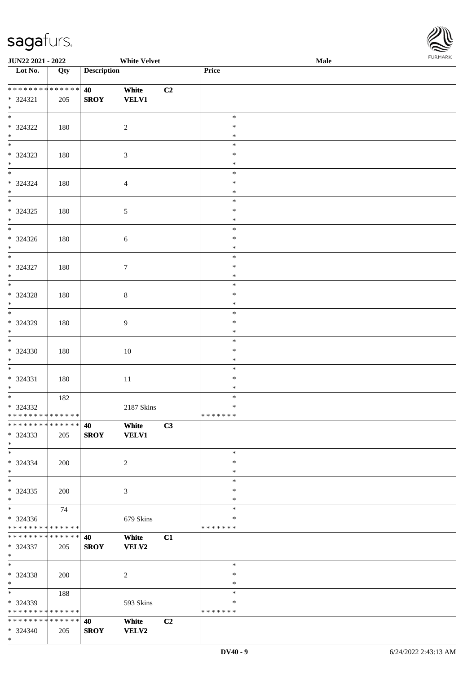

| JUN22 2021 - 2022                                                |     |                    | <b>White Velvet</b>   |    |                                   | Male | <b>FURPIARA</b> |
|------------------------------------------------------------------|-----|--------------------|-----------------------|----|-----------------------------------|------|-----------------|
| $\overline{\phantom{1}}$ Lot No.                                 | Qty | <b>Description</b> |                       |    | Price                             |      |                 |
| * 324321<br>$*$                                                  | 205 | 40<br><b>SROY</b>  | White<br><b>VELV1</b> | C2 |                                   |      |                 |
| $\overline{\ }$<br>$* 324322$<br>$*$                             | 180 |                    | $\boldsymbol{2}$      |    | $\ast$<br>$\ast$<br>$\ast$        |      |                 |
| $*$<br>* 324323<br>$\ast$                                        | 180 |                    | 3                     |    | $\ast$<br>$\ast$<br>$\ast$        |      |                 |
| $\overline{\phantom{0}}$<br>* 324324<br>$\ast$                   | 180 |                    | $\overline{4}$        |    | $\ast$<br>$\ast$<br>$\ast$        |      |                 |
| $\overline{\phantom{0}}$<br>$* 324325$<br>$*$                    | 180 |                    | 5                     |    | $\ast$<br>$\ast$<br>$\ast$        |      |                 |
| $\overline{\phantom{0}}$<br>$* 324326$<br>$*$                    | 180 |                    | 6                     |    | $\ast$<br>$\ast$<br>$\ast$        |      |                 |
| $*$<br>$* 324327$<br>$*$                                         | 180 |                    | $\tau$                |    | $\ast$<br>$\ast$<br>$\ast$        |      |                 |
| $\overline{\phantom{0}}$<br>$* 324328$<br>$*$                    | 180 |                    | $8\,$                 |    | $\ast$<br>$\ast$<br>$\ast$        |      |                 |
| $\overline{\phantom{0}}$<br>* 324329<br>$*$                      | 180 |                    | 9                     |    | $\ast$<br>$\ast$<br>$\ast$        |      |                 |
| $* 324330$<br>$\ast$                                             | 180 |                    | 10                    |    | $\ast$<br>$\ast$<br>$\ast$        |      |                 |
| $\overline{\ast}$<br>* 324331<br>$*$                             | 180 |                    | 11                    |    | $\ast$<br>$\ast$<br>*             |      |                 |
| $\overline{\ast}$<br>$* 324332$<br>* * * * * * * * * * * * * * * | 182 |                    | 2187 Skins            |    | $\ast$<br>$\ast$<br>* * * * * * * |      |                 |
| * * * * * * * * * * * * * * *<br>$*324333$<br>$*$                | 205 | 40<br><b>SROY</b>  | White<br><b>VELV1</b> | C3 |                                   |      |                 |
| $*$<br>* 324334<br>$*$                                           | 200 |                    | 2                     |    | $\ast$<br>$\ast$<br>$\ast$        |      |                 |
| $*$<br>* 324335<br>$*$                                           | 200 |                    | 3                     |    | $\ast$<br>∗<br>$\ast$             |      |                 |
| $*$<br>* 324336<br>* * * * * * * * * * * * * * *                 | 74  |                    | 679 Skins             |    | $\ast$<br>*<br>* * * * * * *      |      |                 |
| * * * * * * * * * * * * * * *<br>* 324337<br>$*$                 | 205 | 40<br><b>SROY</b>  | White<br><b>VELV2</b> | C1 |                                   |      |                 |
| $*$<br>* 324338<br>$*$                                           | 200 |                    | 2                     |    | $\ast$<br>$\ast$<br>$\ast$        |      |                 |
| $*$ and $*$<br>* 324339<br>* * * * * * * * * * * * * * *         | 188 |                    | 593 Skins             |    | $\ast$<br>*<br>* * * * * * *      |      |                 |
| * * * * * * * * * * * * * * *<br>* 324340<br>$*$                 | 205 | 40<br><b>SROY</b>  | White<br><b>VELV2</b> | C2 |                                   |      |                 |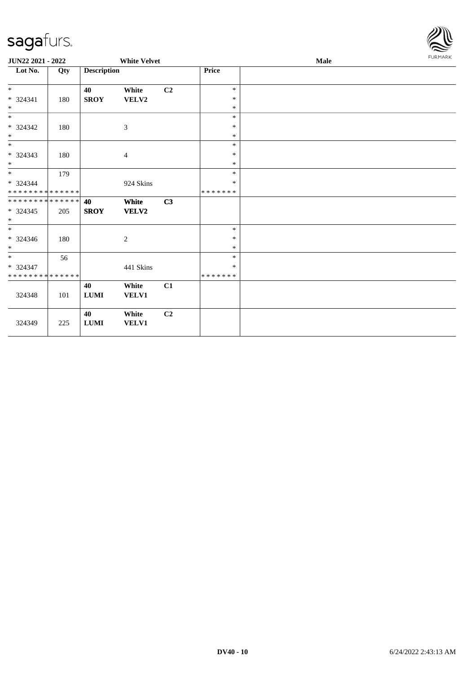

| JUN22 2021 - 2022                                                     |     |                    | <b>White Velvet</b>   |    |                             | Male |  |  |
|-----------------------------------------------------------------------|-----|--------------------|-----------------------|----|-----------------------------|------|--|--|
| Lot No.                                                               | Qty | <b>Description</b> |                       |    | <b>Price</b>                |      |  |  |
| $*$<br>$* 324341$<br>$\ast$                                           | 180 | 40<br><b>SROY</b>  | White<br>VELV2        | C2 | $\ast$<br>$\ast$<br>$\ast$  |      |  |  |
| $\ast$<br>$* 324342$<br>$\ast$                                        | 180 |                    | 3                     |    | $\ast$<br>$\ast$<br>$\ast$  |      |  |  |
| $*$<br>$* 324343$<br>$*$                                              | 180 |                    | $\overline{4}$        |    | $\ast$<br>$\ast$<br>$\ast$  |      |  |  |
| $*$<br>* 324344<br>* * * * * * * * * * * * * *                        | 179 |                    | 924 Skins             |    | $\ast$<br>$\ast$<br>******* |      |  |  |
| * * * * * * * * * * * * * *<br>$* 324345$<br>$*$                      | 205 | 40<br><b>SROY</b>  | White<br><b>VELV2</b> | C3 |                             |      |  |  |
| $*$<br>$* 324346$<br>$*$                                              | 180 |                    | $\sqrt{2}$            |    | $\ast$<br>$\ast$<br>$\ast$  |      |  |  |
| $\overline{\phantom{a}^*}$<br>* 324347<br>* * * * * * * * * * * * * * | 56  |                    | 441 Skins             |    | $\ast$<br>$\ast$<br>******* |      |  |  |
| 324348                                                                | 101 | 40<br><b>LUMI</b>  | White<br>VELV1        | C1 |                             |      |  |  |
| 324349                                                                | 225 | 40<br>${\bf LUMI}$ | White<br>VELV1        | C2 |                             |      |  |  |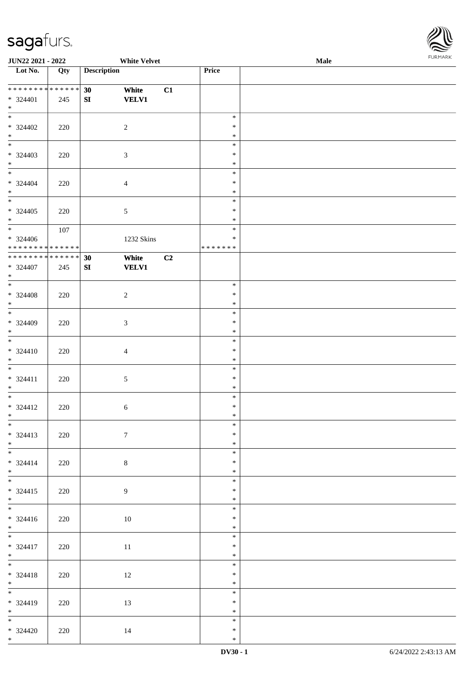

| <b>JUN22 2021 - 2022</b>     |     |                    | <b>White Velvet</b> |    |                  | <b>Male</b> |  |
|------------------------------|-----|--------------------|---------------------|----|------------------|-------------|--|
| Lot No.                      | Qty | <b>Description</b> |                     |    | Price            |             |  |
|                              |     |                    |                     |    |                  |             |  |
| ******** <mark>******</mark> |     | 30                 | White               | C1 |                  |             |  |
| * 324401                     | 245 | ${\bf S}{\bf I}$   | <b>VELV1</b>        |    |                  |             |  |
| $*$                          |     |                    |                     |    |                  |             |  |
|                              |     |                    |                     |    | $\ast$           |             |  |
| * 324402                     | 220 |                    | $\overline{2}$      |    | $\ast$           |             |  |
| $*$                          |     |                    |                     |    | $\ast$           |             |  |
|                              |     |                    |                     |    | $\ast$           |             |  |
| * 324403                     | 220 |                    | $\mathfrak{Z}$      |    | $\ast$           |             |  |
| $*$                          |     |                    |                     |    | $\ast$           |             |  |
|                              |     |                    |                     |    | $\ast$           |             |  |
| $* 324404$                   | 220 |                    | $\overline{4}$      |    | $\ast$           |             |  |
| $*$                          |     |                    |                     |    | $\ast$           |             |  |
|                              |     |                    |                     |    | $\ast$           |             |  |
| $* 324405$                   | 220 |                    | $\sqrt{5}$          |    | $\ast$           |             |  |
| $*$                          |     |                    |                     |    | $\ast$           |             |  |
| $\overline{\phantom{0}}$     | 107 |                    |                     |    | $\ast$           |             |  |
| $* 324406$                   |     |                    | 1232 Skins          |    | $\ast$           |             |  |
| ******** <mark>******</mark> |     |                    |                     |    | * * * * * * *    |             |  |
| ******** <mark>******</mark> |     | 30                 | White               | C2 |                  |             |  |
| $* 324407$                   | 245 | SI                 | <b>VELV1</b>        |    |                  |             |  |
| $\ast$                       |     |                    |                     |    |                  |             |  |
|                              |     |                    |                     |    | $\ast$           |             |  |
| $* 324408$                   | 220 |                    | $\sqrt{2}$          |    | $\ast$           |             |  |
| $*$                          |     |                    |                     |    | $\ast$           |             |  |
|                              |     |                    |                     |    | $\ast$           |             |  |
| * 324409                     | 220 |                    | $\mathfrak{Z}$      |    | $\ast$           |             |  |
| $*$                          |     |                    |                     |    | $\ast$           |             |  |
| $\overline{\phantom{0}}$     |     |                    |                     |    | $\ast$           |             |  |
| $* 324410$                   | 220 |                    | $\overline{4}$      |    | $\ast$           |             |  |
| $*$                          |     |                    |                     |    | $\ast$           |             |  |
| $*$                          |     |                    |                     |    | $\ast$           |             |  |
| $* 324411$                   | 220 |                    | $\sqrt{5}$          |    | $\ast$           |             |  |
| $*$                          |     |                    |                     |    | $\ast$           |             |  |
| $*$                          |     |                    |                     |    | $\ast$           |             |  |
| * 324412                     | 220 |                    | 6                   |    | $\ast$           |             |  |
| $*$ $-$                      |     |                    |                     |    | $\ast$           |             |  |
| $*$                          |     |                    |                     |    | $\ast$           |             |  |
| $* 324413$                   | 220 |                    | $\tau$              |    | $\ast$           |             |  |
| $*$                          |     |                    |                     |    | $\ast$<br>$\ast$ |             |  |
|                              |     |                    |                     |    | $\ast$           |             |  |
| $* 324414$<br>$*$            | 220 |                    | $8\,$               |    | $\ast$           |             |  |
|                              |     |                    |                     |    | $\ast$           |             |  |
|                              |     |                    |                     |    | $\ast$           |             |  |
| $* 324415$<br>$*$            | 220 |                    | $\overline{9}$      |    | $\ast$           |             |  |
| $*$                          |     |                    |                     |    | $\ast$           |             |  |
| $* 324416$                   | 220 |                    | 10                  |    | $\ast$           |             |  |
| $*$                          |     |                    |                     |    | $\ast$           |             |  |
| $*$                          |     |                    |                     |    | $\ast$           |             |  |
| * 324417                     | 220 |                    | 11                  |    | $\ast$           |             |  |
| $*$                          |     |                    |                     |    | $\ast$           |             |  |
| $*$                          |     |                    |                     |    | $\ast$           |             |  |
| $* 324418$                   | 220 |                    | 12                  |    | $\ast$           |             |  |
| $*$ $*$                      |     |                    |                     |    | $\ast$           |             |  |
|                              |     |                    |                     |    | $\ast$           |             |  |
| * 324419                     | 220 |                    | 13                  |    | $\ast$           |             |  |
| $*$                          |     |                    |                     |    | $\ast$           |             |  |
| $*$                          |     |                    |                     |    | $\ast$           |             |  |
| $* 324420$                   | 220 |                    | 14                  |    | $\ast$           |             |  |
| $*$                          |     |                    |                     |    | $\ast$           |             |  |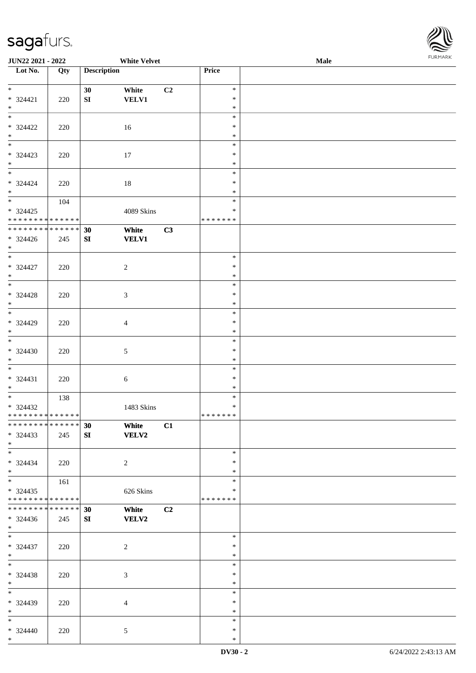

| JUN22 2021 - 2022             |     |                    | <b>White Velvet</b> |    |                  | Male | 1.9151111515 |
|-------------------------------|-----|--------------------|---------------------|----|------------------|------|--------------|
| Lot No.                       | Qty | <b>Description</b> |                     |    | Price            |      |              |
|                               |     |                    |                     |    |                  |      |              |
| $*$                           |     | 30                 | White               | C2 | $\ast$<br>$\ast$ |      |              |
| * 324421<br>$*$               | 220 | ${\bf SI}$         | <b>VELV1</b>        |    | $\ast$           |      |              |
| $*$                           |     |                    |                     |    | $\ast$           |      |              |
| $* 324422$                    | 220 |                    | 16                  |    | $\ast$           |      |              |
| $*$                           |     |                    |                     |    | $\ast$           |      |              |
|                               |     |                    |                     |    | $\ast$           |      |              |
| $* 324423$                    | 220 |                    | 17                  |    | $\ast$           |      |              |
| $*$                           |     |                    |                     |    | $\ast$           |      |              |
|                               |     |                    |                     |    | $\ast$<br>$\ast$ |      |              |
| $* 324424$<br>$*$             | 220 |                    | 18                  |    | $\ast$           |      |              |
|                               | 104 |                    |                     |    | $\ast$           |      |              |
| $* 324425$                    |     |                    | 4089 Skins          |    | $\ast$           |      |              |
| * * * * * * * * * * * * * *   |     |                    |                     |    | * * * * * * *    |      |              |
| ******** <mark>******</mark>  |     | 30                 | White               | C3 |                  |      |              |
| $* 324426$                    | 245 | SI                 | <b>VELV1</b>        |    |                  |      |              |
| $*$                           |     |                    |                     |    |                  |      |              |
| $\overline{\phantom{0}}$      |     |                    |                     |    | $\ast$           |      |              |
| $* 324427$<br>$*$             | 220 |                    | $\sqrt{2}$          |    | $\ast$<br>$\ast$ |      |              |
| $\overline{\phantom{0}}$      |     |                    |                     |    | $\ast$           |      |              |
| $* 324428$                    | 220 |                    | 3                   |    | $\ast$           |      |              |
| $*$                           |     |                    |                     |    | $\ast$           |      |              |
|                               |     |                    |                     |    | $\ast$           |      |              |
| $* 324429$                    | 220 |                    | 4                   |    | $\ast$           |      |              |
| $*$                           |     |                    |                     |    | $\ast$           |      |              |
| $\overline{\ }$               |     |                    |                     |    | $\ast$           |      |              |
| $* 324430$                    | 220 |                    | $\sqrt{5}$          |    | $\ast$           |      |              |
| $*$<br>$*$                    |     |                    |                     |    | $\ast$<br>$\ast$ |      |              |
| $* 324431$                    | 220 |                    | 6                   |    | $\ast$           |      |              |
| $*$                           |     |                    |                     |    | $\ast$           |      |              |
| $\overline{\ast}$             | 138 |                    |                     |    | $\ast$           |      |              |
| $* 324432$                    |     |                    | 1483 Skins          |    | $\ast$           |      |              |
| * * * * * * * * * * * * * * * |     |                    |                     |    | *******          |      |              |
| * * * * * * * * * * * * * * * |     | 30                 | White               | C1 |                  |      |              |
| * 324433                      | 245 | SI                 | <b>VELV2</b>        |    |                  |      |              |
| $*$<br>$*$                    |     |                    |                     |    | $\ast$           |      |              |
| $* 324434$                    | 220 |                    | 2                   |    | $\ast$           |      |              |
| $*$                           |     |                    |                     |    | $\ast$           |      |              |
| $*$                           | 161 |                    |                     |    | $\ast$           |      |              |
| $* 324435$                    |     |                    | 626 Skins           |    | ∗                |      |              |
| * * * * * * * * * * * * * *   |     |                    |                     |    | * * * * * * *    |      |              |
| * * * * * * * * * * * * * * * |     | 30                 | White               | C2 |                  |      |              |
| $* 324436$                    | 245 | SI                 | <b>VELV2</b>        |    |                  |      |              |
| $*$<br>$*$                    |     |                    |                     |    | $\ast$           |      |              |
| * 324437                      | 220 |                    | $\boldsymbol{2}$    |    | $\ast$           |      |              |
| $*$                           |     |                    |                     |    | $\ast$           |      |              |
| $*$                           |     |                    |                     |    | $\ast$           |      |              |
| $* 324438$                    | 220 |                    | $\mathfrak{Z}$      |    | $\ast$           |      |              |
| $*$                           |     |                    |                     |    | $\ast$           |      |              |
| $*$                           |     |                    |                     |    | $\ast$           |      |              |
| * 324439                      | 220 |                    | $\overline{4}$      |    | $\ast$           |      |              |
| $*$                           |     |                    |                     |    | $\ast$           |      |              |
| $*$                           |     |                    |                     |    | $\ast$<br>$\ast$ |      |              |
| $* 324440$<br>$*$             | 220 |                    | 5                   |    | $\ast$           |      |              |
|                               |     |                    |                     |    |                  |      |              |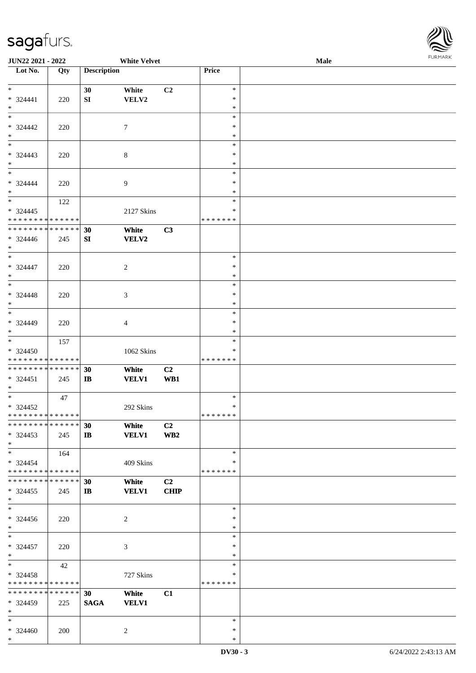

| JUN22 2021 - 2022             |     |                    | <b>White Velvet</b> |                 |               | Male |  |
|-------------------------------|-----|--------------------|---------------------|-----------------|---------------|------|--|
| Lot No.                       | Qty | <b>Description</b> |                     |                 | Price         |      |  |
|                               |     |                    |                     |                 |               |      |  |
| $*$                           |     | 30                 | White               | C2              | $\ast$        |      |  |
| $* 324441$                    | 220 | ${\bf S}{\bf I}$   | VELV2               |                 | $\ast$        |      |  |
| $\ast$                        |     |                    |                     |                 | $\ast$        |      |  |
| $\ast$                        |     |                    |                     |                 | $\ast$        |      |  |
|                               |     |                    |                     |                 |               |      |  |
| * 324442                      | 220 |                    | 7                   |                 | $\ast$        |      |  |
| $\ast$                        |     |                    |                     |                 | $\ast$        |      |  |
|                               |     |                    |                     |                 | $\ast$        |      |  |
| * 324443                      | 220 |                    | 8                   |                 | $\ast$        |      |  |
| $*$                           |     |                    |                     |                 | $\ast$        |      |  |
| $*$                           |     |                    |                     |                 | $\ast$        |      |  |
| $* 324444$                    | 220 |                    | 9                   |                 | $\ast$        |      |  |
| $*$                           |     |                    |                     |                 | $\ast$        |      |  |
| $*$                           |     |                    |                     |                 | $\ast$        |      |  |
|                               | 122 |                    |                     |                 |               |      |  |
| $* 324445$                    |     |                    | 2127 Skins          |                 | $\ast$        |      |  |
| * * * * * * * * * * * * * *   |     |                    |                     |                 | * * * * * * * |      |  |
| * * * * * * * * * * * * * *   |     | 30                 | White               | C3              |               |      |  |
| $* 324446$                    | 245 | SI                 | <b>VELV2</b>        |                 |               |      |  |
| $*$                           |     |                    |                     |                 |               |      |  |
| $*$                           |     |                    |                     |                 | $\ast$        |      |  |
| $* 324447$                    | 220 |                    | 2                   |                 | $\ast$        |      |  |
| $*$                           |     |                    |                     |                 | $\ast$        |      |  |
|                               |     |                    |                     |                 | $\ast$        |      |  |
|                               |     |                    |                     |                 |               |      |  |
| $* 324448$                    | 220 |                    | 3                   |                 | $\ast$        |      |  |
| $*$                           |     |                    |                     |                 | $\ast$        |      |  |
| $\overline{\ast}$             |     |                    |                     |                 | $\ast$        |      |  |
| $* 324449$                    | 220 |                    | 4                   |                 | $\ast$        |      |  |
| $*$                           |     |                    |                     |                 | $\ast$        |      |  |
|                               | 157 |                    |                     |                 | $\ast$        |      |  |
| * 324450                      |     |                    | 1062 Skins          |                 | $\ast$        |      |  |
| * * * * * * * * * * * * * *   |     |                    |                     |                 | * * * * * * * |      |  |
| * * * * * * * * * * * * * * * |     | 30                 | White               | C2              |               |      |  |
| * 324451                      | 245 | $\bf I\bf B$       | <b>VELV1</b>        | WB1             |               |      |  |
| $*$                           |     |                    |                     |                 |               |      |  |
| $*$                           |     |                    |                     |                 | $\ast$        |      |  |
|                               | 47  |                    |                     |                 | $\ast$        |      |  |
| $* 324452$                    |     |                    | 292 Skins           |                 |               |      |  |
| ******** <mark>******</mark>  |     |                    |                     |                 | * * * * * * * |      |  |
| * * * * * * * * * * * * * * * |     | 30                 | White               | C <sub>2</sub>  |               |      |  |
| $*324453$                     | 245 | $\mathbf{I}$       | <b>VELV1</b>        | WB <sub>2</sub> |               |      |  |
| $*$                           |     |                    |                     |                 |               |      |  |
| $*$                           | 164 |                    |                     |                 | $\ast$        |      |  |
| $*324454$                     |     |                    | 409 Skins           |                 | ∗             |      |  |
| * * * * * * * * * * * * * *   |     |                    |                     |                 | * * * * * * * |      |  |
| * * * * * * * * * * * * * * * |     | 30                 | White               | C2              |               |      |  |
| $*324455$                     | 245 | $\mathbf{I}$       | <b>VELV1</b>        | <b>CHIP</b>     |               |      |  |
| $*$                           |     |                    |                     |                 |               |      |  |
| $*$                           |     |                    |                     |                 | $\ast$        |      |  |
|                               |     |                    |                     |                 |               |      |  |
| $* 324456$                    | 220 |                    | 2                   |                 | $\ast$        |      |  |
| $*$                           |     |                    |                     |                 | $\ast$        |      |  |
| $*$                           |     |                    |                     |                 | $\ast$        |      |  |
| $* 324457$                    | 220 |                    | 3                   |                 | $\ast$        |      |  |
| $*$                           |     |                    |                     |                 | $\ast$        |      |  |
| $*$                           | 42  |                    |                     |                 | $\ast$        |      |  |
| $* 324458$                    |     |                    | 727 Skins           |                 | $\ast$        |      |  |
| * * * * * * * * * * * * * *   |     |                    |                     |                 | * * * * * * * |      |  |
| * * * * * * * * * * * * * *   |     | 30                 | White               | C1              |               |      |  |
| * 324459                      | 225 | <b>SAGA</b>        | <b>VELV1</b>        |                 |               |      |  |
| $*$                           |     |                    |                     |                 |               |      |  |
|                               |     |                    |                     |                 |               |      |  |
| $*$                           |     |                    |                     |                 | $\ast$        |      |  |
| $* 324460$                    | 200 |                    | 2                   |                 | $\ast$        |      |  |
| $*$                           |     |                    |                     |                 | $\ast$        |      |  |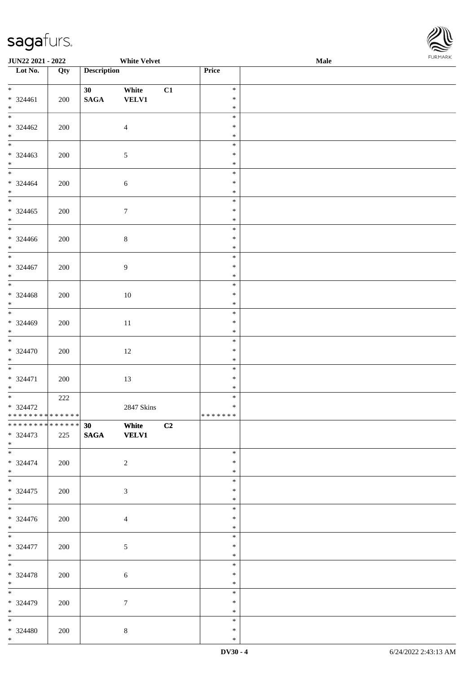

| <b>JUN22 2021 - 2022</b>                           |     |                       | <b>White Velvet</b>   |    |                             | <b>Male</b> |  |
|----------------------------------------------------|-----|-----------------------|-----------------------|----|-----------------------------|-------------|--|
| Lot No.                                            | Qty | <b>Description</b>    |                       |    | Price                       |             |  |
| $*$<br>$* 324461$<br>$*$                           | 200 | 30<br>$\mathbf{SAGA}$ | White<br><b>VELV1</b> | C1 | $\ast$<br>$\ast$<br>$\ast$  |             |  |
| $\overline{\ }$<br>$* 324462$<br>$*$               | 200 |                       | $\overline{4}$        |    | $\ast$<br>$\ast$<br>$\ast$  |             |  |
| $* 324463$<br>$*$                                  | 200 |                       | $\mathfrak{S}$        |    | $\ast$<br>$\ast$<br>$\ast$  |             |  |
| $\overline{\mathbf{r}}$<br>$* 324464$<br>$*$       | 200 |                       | $\sqrt{6}$            |    | $\ast$<br>$\ast$<br>$\ast$  |             |  |
| $* 324465$<br>$*$                                  | 200 |                       | $\boldsymbol{7}$      |    | $\ast$<br>$\ast$<br>$\ast$  |             |  |
| $\overline{\phantom{0}}$<br>* 324466<br>$*$        | 200 |                       | $\,8\,$               |    | $\ast$<br>$\ast$<br>$\ast$  |             |  |
| $* 324467$<br>$*$                                  | 200 |                       | $\overline{9}$        |    | $\ast$<br>$\ast$<br>$\ast$  |             |  |
| $* 324468$<br>$*$<br>$\overline{\ast}$             | 200 |                       | 10                    |    | $\ast$<br>$\ast$<br>$\ast$  |             |  |
| $* 324469$<br>$\ast$<br>$*$                        | 200 |                       | 11                    |    | $\ast$<br>$\ast$<br>$\ast$  |             |  |
| $* 324470$<br>$*$                                  | 200 |                       | 12                    |    | $\ast$<br>$\ast$<br>$\ast$  |             |  |
| $* 324471$<br>$*$                                  | 200 |                       | 13                    |    | $\ast$<br>$\ast$<br>$\ast$  |             |  |
| $*$<br>$* 324472$<br>* * * * * * * * * * * * * * * | 222 |                       | 2847 Skins            |    | $\ast$<br>$\ast$<br>******* |             |  |
| ******** <mark>******</mark><br>$* 324473$<br>$*$  | 225 | $\overline{30}$ White | SAGA VELV1            | C2 |                             |             |  |
| $* 324474$<br>$*$                                  | 200 |                       | $\overline{2}$        |    | $\ast$<br>$\ast$<br>$\ast$  |             |  |
| $\ddot{x}$<br>$* 324475$<br>$*$<br>$*$             | 200 |                       | 3                     |    | $\ast$<br>$\ast$<br>$\ast$  |             |  |
| $* 324476$<br>$*$                                  | 200 |                       | $\overline{4}$        |    | $\ast$<br>$\ast$<br>$\ast$  |             |  |
| $*$<br>* 324477<br>$*$<br>$*$                      | 200 |                       | $\mathfrak{S}$        |    | $\ast$<br>$\ast$<br>$\ast$  |             |  |
| * 324478<br>$*$                                    | 200 |                       | 6                     |    | $\ast$<br>$\ast$<br>$\ast$  |             |  |
| * 324479<br>$*$ $*$                                | 200 |                       | $\tau$                |    | $\ast$<br>$\ast$<br>$\ast$  |             |  |
| * 324480<br>$*$                                    | 200 |                       | $8\phantom{.}$        |    | $\ast$<br>$\ast$<br>$\ast$  |             |  |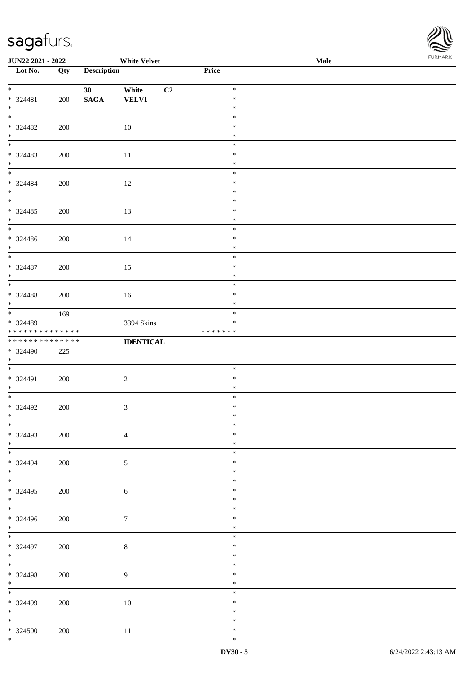

| <b>JUN22 2021 - 2022</b>     |     |                    | <b>White Velvet</b> |         | <b>Male</b> |
|------------------------------|-----|--------------------|---------------------|---------|-------------|
| Lot No.                      | Qty | <b>Description</b> |                     | Price   |             |
|                              |     |                    |                     |         |             |
| $*$                          |     | 30 <sup>°</sup>    | White<br>C2         | $\ast$  |             |
| * 324481                     | 200 | $\mathbf{SAGA}$    | <b>VELV1</b>        | $\ast$  |             |
| $*$                          |     |                    |                     | $\ast$  |             |
| $\overline{\ast}$            |     |                    |                     | $\ast$  |             |
| $* 324482$                   |     |                    |                     | $\ast$  |             |
|                              | 200 |                    | 10                  |         |             |
| $*$                          |     |                    |                     | $\ast$  |             |
|                              |     |                    |                     | $\ast$  |             |
| * 324483                     | 200 |                    | 11                  | $\ast$  |             |
| $*$                          |     |                    |                     | $\ast$  |             |
| $*$                          |     |                    |                     | $\ast$  |             |
| * 324484                     | 200 |                    | 12                  | $\ast$  |             |
| $*$                          |     |                    |                     | $\ast$  |             |
|                              |     |                    |                     | $\ast$  |             |
| * 324485                     |     |                    |                     | $\ast$  |             |
|                              | 200 |                    | 13                  |         |             |
| $*$                          |     |                    |                     | $\ast$  |             |
|                              |     |                    |                     | $\ast$  |             |
| * 324486                     | 200 |                    | 14                  | $\ast$  |             |
| $*$                          |     |                    |                     | $\ast$  |             |
|                              |     |                    |                     | $\ast$  |             |
| * 324487                     | 200 |                    | 15                  | $\ast$  |             |
| $*$                          |     |                    |                     | $\ast$  |             |
|                              |     |                    |                     | $\ast$  |             |
|                              |     |                    |                     | $\ast$  |             |
| $* 324488$                   | 200 |                    | 16                  |         |             |
| $*$                          |     |                    |                     | $\ast$  |             |
|                              | 169 |                    |                     | $\ast$  |             |
| * 324489                     |     |                    | 3394 Skins          | $\ast$  |             |
| * * * * * * * * * * * * * *  |     |                    |                     | ******* |             |
| ******** <mark>******</mark> |     |                    | <b>IDENTICAL</b>    |         |             |
| * 324490                     | 225 |                    |                     |         |             |
| $*$                          |     |                    |                     |         |             |
| $*$                          |     |                    |                     | $\ast$  |             |
| * 324491                     | 200 |                    | $\sqrt{2}$          | $\ast$  |             |
|                              |     |                    |                     | $\ast$  |             |
| $*$                          |     |                    |                     |         |             |
| $*$ $-$                      |     |                    |                     | $\ast$  |             |
| * 324492                     | 200 |                    | $\mathfrak{Z}$      | $\ast$  |             |
| $*$                          |     |                    |                     | $\ast$  |             |
| $\overline{\ast}$            |     |                    |                     | $\ast$  |             |
| * 324493                     | 200 |                    | $\overline{4}$      | $\ast$  |             |
| $*$                          |     |                    |                     | $\ast$  |             |
|                              |     |                    |                     | $\ast$  |             |
| * 324494                     | 200 |                    | $\mathfrak{S}$      | $\ast$  |             |
| $*$                          |     |                    |                     | $\ast$  |             |
|                              |     |                    |                     | $\ast$  |             |
|                              |     |                    |                     |         |             |
| $* 324495$                   | 200 |                    | $\sqrt{6}$          | $\ast$  |             |
| $*$                          |     |                    |                     | $\ast$  |             |
| $\overline{\ }$              |     |                    |                     | $\ast$  |             |
| * 324496                     | 200 |                    | $\boldsymbol{7}$    | $\ast$  |             |
| $*$                          |     |                    |                     | $\ast$  |             |
| $*$                          |     |                    |                     | $\ast$  |             |
| * 324497                     | 200 |                    | $\,8\,$             | $\ast$  |             |
| $*$                          |     |                    |                     | $\ast$  |             |
|                              |     |                    |                     | $\ast$  |             |
|                              |     |                    |                     |         |             |
| * 324498                     | 200 |                    | $\overline{9}$      | $\ast$  |             |
| $*$                          |     |                    |                     | $\ast$  |             |
|                              |     |                    |                     | $\ast$  |             |
| * 324499                     | 200 |                    | 10                  | $\ast$  |             |
| $*$                          |     |                    |                     | $\ast$  |             |
|                              |     |                    |                     | $\ast$  |             |
| * 324500                     | 200 |                    | 11                  | $\ast$  |             |
| $*$                          |     |                    |                     | $\ast$  |             |
|                              |     |                    |                     |         |             |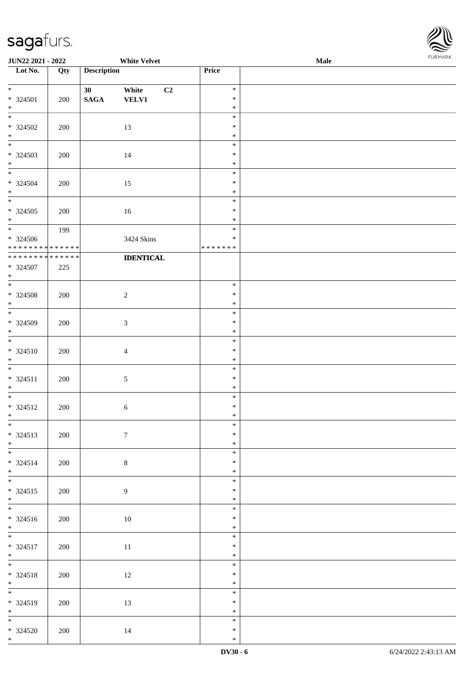

| <b>JUN22 2021 - 2022</b>                   |     |                                    | <b>White Velvet</b>   |    |                  | Male |  |
|--------------------------------------------|-----|------------------------------------|-----------------------|----|------------------|------|--|
| Lot No.                                    | Qty | <b>Description</b>                 |                       |    | Price            |      |  |
| $*$                                        |     |                                    |                       |    |                  |      |  |
| $* 324501$                                 |     | 30 <sup>°</sup><br>$\mathbf{SAGA}$ | White<br><b>VELV1</b> | C2 | $\ast$<br>$\ast$ |      |  |
| $*$                                        | 200 |                                    |                       |    | $\ast$           |      |  |
| $\overline{\ast}$                          |     |                                    |                       |    | $\ast$           |      |  |
| $* 324502$                                 | 200 |                                    | 13                    |    | $\ast$           |      |  |
| $*$                                        |     |                                    |                       |    | $\ast$           |      |  |
|                                            |     |                                    |                       |    | $\ast$           |      |  |
| * 324503<br>$*$                            | 200 |                                    | 14                    |    | $\ast$<br>$\ast$ |      |  |
| $*$                                        |     |                                    |                       |    | $\ast$           |      |  |
| $* 324504$                                 | 200 |                                    | 15                    |    | $\ast$           |      |  |
| $*$                                        |     |                                    |                       |    | $\ast$           |      |  |
|                                            |     |                                    |                       |    | $\ast$           |      |  |
| $* 324505$                                 | 200 |                                    | 16                    |    | $\ast$           |      |  |
| $*$<br>$\overline{\ast}$                   | 199 |                                    |                       |    | $\ast$<br>$\ast$ |      |  |
| $* 324506$                                 |     |                                    | 3424 Skins            |    | $\ast$           |      |  |
| * * * * * * * * <mark>* * * * * * *</mark> |     |                                    |                       |    | *******          |      |  |
| ******** <mark>******</mark>               |     |                                    | <b>IDENTICAL</b>      |    |                  |      |  |
| * 324507                                   | 225 |                                    |                       |    |                  |      |  |
| $*$                                        |     |                                    |                       |    |                  |      |  |
| * 324508                                   | 200 |                                    | $\overline{2}$        |    | $\ast$<br>$\ast$ |      |  |
| $\ast$                                     |     |                                    |                       |    | $\ast$           |      |  |
| $\ddot{x}$                                 |     |                                    |                       |    | $\ast$           |      |  |
| * 324509                                   | 200 |                                    | $\mathfrak{Z}$        |    | $\ast$           |      |  |
| $\ast$                                     |     |                                    |                       |    | $\ast$           |      |  |
| $\overline{\ast}$                          |     |                                    |                       |    | $\ast$<br>$\ast$ |      |  |
| $* 324510$<br>$*$                          | 200 |                                    | $\overline{4}$        |    | $\ast$           |      |  |
| $\overline{\ }$                            |     |                                    |                       |    | $\ast$           |      |  |
| $* 324511$                                 | 200 |                                    | $\sqrt{5}$            |    | $\ast$           |      |  |
| $*$                                        |     |                                    |                       |    | $\ast$           |      |  |
| $*$                                        |     |                                    |                       |    | $\ast$<br>$\ast$ |      |  |
| * 324512<br>$\ddot{x}$                     | 200 |                                    | $6\,$                 |    | $\ast$           |      |  |
| $\overline{\ast}$                          |     |                                    |                       |    | $\ast$           |      |  |
| * 324513                                   | 200 |                                    | $7\phantom{.0}$       |    | $\ast$           |      |  |
| $*$                                        |     |                                    |                       |    | $\ast$           |      |  |
|                                            |     |                                    |                       |    | $\ast$           |      |  |
| $* 324514$<br>$*$                          | 200 |                                    | $\,8\,$               |    | $\ast$<br>$\ast$ |      |  |
| $\ddot{x}$                                 |     |                                    |                       |    | $\ast$           |      |  |
| * 324515                                   | 200 |                                    | 9                     |    | $\ast$           |      |  |
| $\ddot{x}$                                 |     |                                    |                       |    | $\ast$           |      |  |
| $*$                                        |     |                                    |                       |    | $\ast$           |      |  |
| $* 324516$                                 | 200 |                                    | 10                    |    | $\ast$           |      |  |
| $*$                                        |     |                                    |                       |    | $\ast$<br>$\ast$ |      |  |
| $* 324517$                                 | 200 |                                    | 11                    |    | $\ast$           |      |  |
| $*$                                        |     |                                    |                       |    | $\ast$           |      |  |
| $\ddot{x}$                                 |     |                                    |                       |    | $\ast$           |      |  |
| * 324518                                   | 200 |                                    | 12                    |    | $\ast$           |      |  |
| $*$<br>*                                   |     |                                    |                       |    | $\ast$<br>$\ast$ |      |  |
| * 324519                                   | 200 |                                    | 13                    |    | $\ast$           |      |  |
| $*$                                        |     |                                    |                       |    | $\ast$           |      |  |
|                                            |     |                                    |                       |    | $\ast$           |      |  |
| $* 324520$                                 | 200 |                                    | 14                    |    | $\ast$           |      |  |
| $*$ $*$                                    |     |                                    |                       |    | $\ast$           |      |  |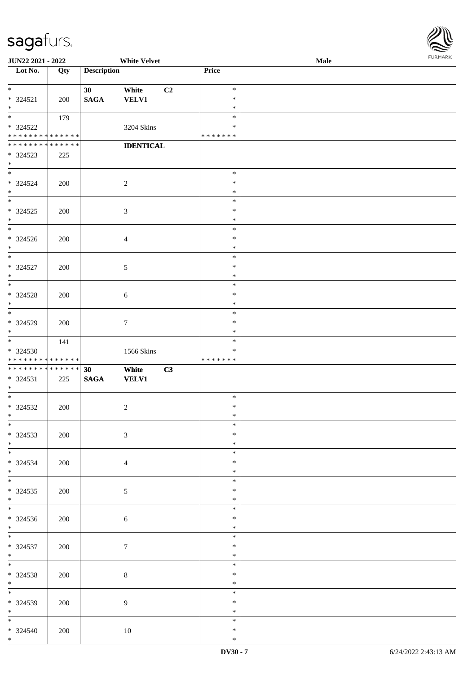

| <b>JUN22 2021 - 2022</b>      |     |                    | <b>White Velvet</b> |    |               | Male |
|-------------------------------|-----|--------------------|---------------------|----|---------------|------|
| Lot No.                       | Qty | <b>Description</b> |                     |    | Price         |      |
|                               |     |                    |                     |    |               |      |
| $*$                           |     | 30                 | White               | C2 | $\ast$        |      |
|                               |     |                    |                     |    |               |      |
| * 324521                      | 200 | <b>SAGA</b>        | <b>VELV1</b>        |    | $\ast$        |      |
| $\ast$                        |     |                    |                     |    | $\ast$        |      |
|                               | 179 |                    |                     |    | $\ast$        |      |
| * 324522                      |     |                    | 3204 Skins          |    | ∗             |      |
| * * * * * * * * * * * * * *   |     |                    |                     |    | * * * * * * * |      |
| * * * * * * * * * * * * * *   |     |                    | <b>IDENTICAL</b>    |    |               |      |
|                               |     |                    |                     |    |               |      |
| * 324523                      | 225 |                    |                     |    |               |      |
| $*$                           |     |                    |                     |    |               |      |
|                               |     |                    |                     |    | $\ast$        |      |
| * 324524                      | 200 |                    | $\overline{2}$      |    | $\ast$        |      |
| $*$                           |     |                    |                     |    | $\ast$        |      |
|                               |     |                    |                     |    | $\ast$        |      |
|                               |     |                    |                     |    | $\ast$        |      |
| $* 324525$                    | 200 |                    | $\mathfrak{Z}$      |    |               |      |
| $*$                           |     |                    |                     |    | $\ast$        |      |
| $\overline{\phantom{0}}$      |     |                    |                     |    | $\ast$        |      |
| $* 324526$                    | 200 |                    | $\overline{4}$      |    | $\ast$        |      |
| $*$                           |     |                    |                     |    | $\ast$        |      |
| $*$                           |     |                    |                     |    | $\ast$        |      |
|                               |     |                    |                     |    | $\ast$        |      |
| $* 324527$                    | 200 |                    | 5                   |    |               |      |
| $*$                           |     |                    |                     |    | $\ast$        |      |
| $*$                           |     |                    |                     |    | $\ast$        |      |
| $* 324528$                    | 200 |                    | $\boldsymbol{6}$    |    | $\ast$        |      |
| $*$                           |     |                    |                     |    | $\ast$        |      |
|                               |     |                    |                     |    | $\ast$        |      |
|                               |     |                    |                     |    |               |      |
| * 324529                      | 200 |                    | $7\phantom{.0}$     |    | $\ast$        |      |
| $*$                           |     |                    |                     |    | $\ast$        |      |
|                               | 141 |                    |                     |    | $\ast$        |      |
| * 324530                      |     |                    | 1566 Skins          |    | $\ast$        |      |
| * * * * * * * * * * * * * *   |     |                    |                     |    | *******       |      |
| * * * * * * * * * * * * * * * |     | 30                 | White               | C3 |               |      |
|                               |     |                    |                     |    |               |      |
| * 324531                      | 225 | <b>SAGA</b>        | <b>VELV1</b>        |    |               |      |
| $*$                           |     |                    |                     |    |               |      |
| $*$                           |     |                    |                     |    | $\ast$        |      |
| * 324532                      | 200 |                    | $\overline{2}$      |    | $\ast$        |      |
| $*$                           |     |                    |                     |    | $\ast$        |      |
| $*$                           |     |                    |                     |    | $\ast$        |      |
|                               |     |                    |                     |    | $\ast$        |      |
| * 324533                      | 200 |                    | $\mathfrak{Z}$      |    |               |      |
| $*$                           |     |                    |                     |    | $\ast$        |      |
|                               |     |                    |                     |    | $\ast$        |      |
| * 324534                      | 200 |                    | $\overline{4}$      |    | $\ast$        |      |
| $*$                           |     |                    |                     |    | $\ast$        |      |
| $*$                           |     |                    |                     |    | $\ast$        |      |
|                               |     |                    |                     |    | $\ast$        |      |
| $* 324535$                    | 200 |                    | $\mathfrak{S}$      |    |               |      |
| $*$                           |     |                    |                     |    | $\ast$        |      |
| $\overline{\ast}$             |     |                    |                     |    | $\ast$        |      |
| * 324536                      | 200 |                    | $\boldsymbol{6}$    |    | $\ast$        |      |
| $*$                           |     |                    |                     |    | $\ast$        |      |
| $*$                           |     |                    |                     |    | $\ast$        |      |
|                               |     |                    |                     |    | $\ast$        |      |
| $* 324537$                    | 200 |                    | $7\phantom{.0}$     |    |               |      |
| $*$                           |     |                    |                     |    | $\ast$        |      |
| $*$                           |     |                    |                     |    | $\ast$        |      |
| $* 324538$                    | 200 |                    | $\,8\,$             |    | $\ast$        |      |
| $*$                           |     |                    |                     |    | $\ast$        |      |
| $*$                           |     |                    |                     |    | $\ast$        |      |
|                               |     |                    |                     |    |               |      |
| * 324539                      | 200 |                    | $\overline{9}$      |    | $\ast$        |      |
| $*$                           |     |                    |                     |    | $\ast$        |      |
| $*$                           |     |                    |                     |    | $\ast$        |      |
| * 324540                      | 200 |                    | 10                  |    | $\ast$        |      |
| $*$                           |     |                    |                     |    | $\ast$        |      |
|                               |     |                    |                     |    |               |      |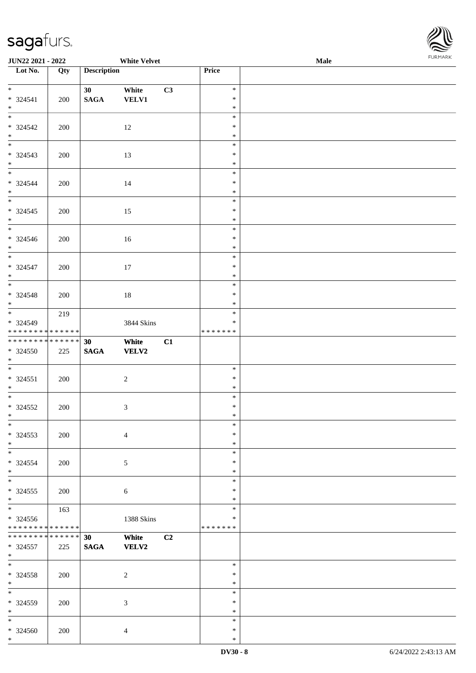

| JUN22 2021 - 2022                                |     |                                    | <b>White Velvet</b>         |    |                                   | <b>Male</b> |  |
|--------------------------------------------------|-----|------------------------------------|-----------------------------|----|-----------------------------------|-------------|--|
| Lot No.                                          | Qty | <b>Description</b>                 |                             |    | Price                             |             |  |
| $*$<br>* 324541                                  | 200 | 30 <sup>°</sup><br>$\mathbf{SAGA}$ | White<br><b>VELV1</b>       | C3 | $\ast$<br>$\ast$                  |             |  |
| $*$                                              |     |                                    |                             |    | $\ast$                            |             |  |
| * 324542<br>$\ast$                               | 200 |                                    | 12                          |    | $\ast$<br>$\ast$<br>$\ast$        |             |  |
| $* 324543$<br>$*$                                | 200 |                                    | 13                          |    | $\ast$<br>$\ast$<br>$\ast$        |             |  |
| $\overline{\phantom{0}}$<br>* 324544<br>$*$      | 200 |                                    | 14                          |    | $\ast$<br>$\ast$<br>$\ast$        |             |  |
| $\overline{\phantom{0}}$<br>$*324545$<br>$*$     | 200 |                                    | $15\,$                      |    | $\ast$<br>$\ast$<br>$\ast$        |             |  |
| $\overline{\phantom{0}}$<br>$* 324546$<br>$*$    | 200 |                                    | 16                          |    | $\ast$<br>$\ast$<br>$\ast$        |             |  |
| $\overline{\ast}$<br>* 324547<br>$*$             | 200 |                                    | 17                          |    | $\ast$<br>$\ast$<br>$\ast$        |             |  |
| $\overline{\phantom{0}}$<br>$* 324548$<br>$*$    | 200 |                                    | $18\,$                      |    | $\ast$<br>$\ast$<br>$\ast$        |             |  |
| $*$<br>* 324549<br>* * * * * * * * * * * * * *   | 219 |                                    | 3844 Skins                  |    | $\ast$<br>$\ast$<br>* * * * * * * |             |  |
| **************<br>* 324550<br>$*$                | 225 | 30<br>$\mathbf{SAGA}$              | White<br>VELV2              | C1 |                                   |             |  |
| $\overline{\ast}$<br>$* 324551$<br>$*$           | 200 |                                    | $\sqrt{2}$                  |    | $\ast$<br>$\ast$<br>$\ast$        |             |  |
| $*$<br>$* 324552$<br>$*$ $-$                     | 200 |                                    | $\ensuremath{\mathfrak{Z}}$ |    | $\ast$<br>$\ast$<br>$\ast$        |             |  |
| $*$<br>$*324553$<br>$*$                          | 200 |                                    | $\overline{4}$              |    | $\ast$<br>$\ast$<br>$\ast$        |             |  |
| $*$<br>* 324554<br>$*$                           | 200 |                                    | $\mathfrak{S}$              |    | $\ast$<br>$\ast$<br>$\ast$        |             |  |
| $*$<br>$* 324555$<br>$*$                         | 200 |                                    | 6                           |    | $\ast$<br>$\ast$<br>$\ast$        |             |  |
| $*$<br>$* 324556$<br>* * * * * * * * * * * * * * | 163 |                                    | 1388 Skins                  |    | $\ast$<br>$\ast$<br>*******       |             |  |
| * * * * * * * * * * * * * * *<br>* 324557<br>$*$ | 225 | 30<br>$\mathbf{SAGA}$              | White<br><b>VELV2</b>       | C2 |                                   |             |  |
| $*$<br>* 324558<br>$*$                           | 200 |                                    | 2                           |    | $\ast$<br>$\ast$<br>$\ast$        |             |  |
| $*$<br>* 324559<br>$*$                           | 200 |                                    | 3                           |    | $\ast$<br>$\ast$<br>$\ast$        |             |  |
| $\ast$<br>* 324560<br>$*$                        | 200 |                                    | $\overline{4}$              |    | $\ast$<br>$\ast$<br>$\ast$        |             |  |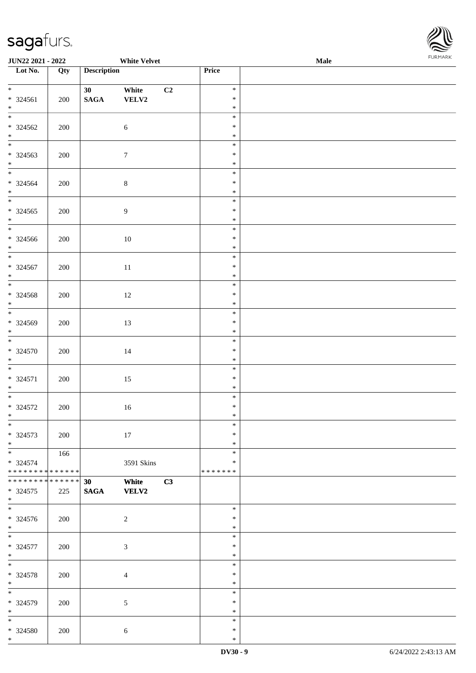

| <b>JUN22 2021 - 2022</b>                         |     |                                    | <b>White Velvet</b>   |    |                                   | <b>Male</b> |  |
|--------------------------------------------------|-----|------------------------------------|-----------------------|----|-----------------------------------|-------------|--|
| Lot No.                                          | Qty | <b>Description</b>                 |                       |    | Price                             |             |  |
| $*$<br>* 324561<br>$*$                           | 200 | 30 <sup>°</sup><br>$\mathbf{SAGA}$ | White<br>VELV2        | C2 | $\ast$<br>$\ast$<br>$\ast$        |             |  |
| * 324562<br>$*$                                  | 200 |                                    | $6\,$                 |    | $\ast$<br>$\ast$<br>$\ast$        |             |  |
| * 324563<br>$*$                                  | 200 |                                    | $7\phantom{.0}$       |    | $\ast$<br>$\ast$<br>$\ast$        |             |  |
| $\overline{\ast}$<br>$* 324564$<br>$*$           | 200 |                                    | $\,8\,$               |    | $\ast$<br>$\ast$<br>$\ast$        |             |  |
| $\overline{\ }$<br>$* 324565$<br>$*$             | 200 |                                    | $\boldsymbol{9}$      |    | $\ast$<br>$\ast$<br>$\ast$        |             |  |
| $\overline{\phantom{0}}$<br>* 324566<br>$*$      | 200 |                                    | $10\,$                |    | $\ast$<br>$\ast$<br>$\ast$        |             |  |
| $* 324567$<br>$*$                                | 200 |                                    | 11                    |    | $\ast$<br>$\ast$<br>$\ast$        |             |  |
| * 324568<br>$*$                                  | 200 |                                    | 12                    |    | $\ast$<br>$\ast$<br>$\ast$        |             |  |
| * 324569<br>$*$                                  | 200 |                                    | 13                    |    | $\ast$<br>$\ast$<br>$\ast$        |             |  |
| * 324570<br>$*$                                  | 200 |                                    | 14                    |    | $\ast$<br>$\ast$<br>$\ast$        |             |  |
| $\overline{\phantom{0}}$<br>* 324571<br>$*$      | 200 |                                    | 15                    |    | $\ast$<br>$\ast$<br>$\ast$        |             |  |
| $* 324572$<br>$*$ $-$                            | 200 |                                    | 16                    |    | $\ast$<br>$\ast$<br>$\ast$        |             |  |
| $*$<br>* 324573<br>$*$                           | 200 |                                    | 17                    |    | $\ast$<br>$\ast$<br>$\ast$        |             |  |
| * 324574<br>* * * * * * * * * * * * * *          | 166 |                                    | 3591 Skins            |    | $\ast$<br>$\ast$<br>* * * * * * * |             |  |
| * * * * * * * * * * * * * * *<br>* 324575<br>$*$ | 225 | 30<br><b>SAGA</b>                  | White<br><b>VELV2</b> | C3 |                                   |             |  |
| $*$<br>* 324576<br>$*$                           | 200 |                                    | 2                     |    | $\ast$<br>$\ast$<br>$\ast$        |             |  |
| $\overline{\phantom{0}}$<br>* 324577<br>$*$      | 200 |                                    | $\mathfrak{Z}$        |    | $\ast$<br>$\ast$<br>$\ast$        |             |  |
| $*$<br>* 324578<br>$*$                           | 200 |                                    | $\overline{4}$        |    | $\ast$<br>$\ast$<br>$\ast$        |             |  |
| $*$<br>* 324579<br>$*$                           | 200 |                                    | 5                     |    | $\ast$<br>$\ast$<br>$\ast$        |             |  |
| $\ast$<br>* 324580<br>$*$                        | 200 |                                    | $\sqrt{6}$            |    | $\ast$<br>$\ast$<br>$\ast$        |             |  |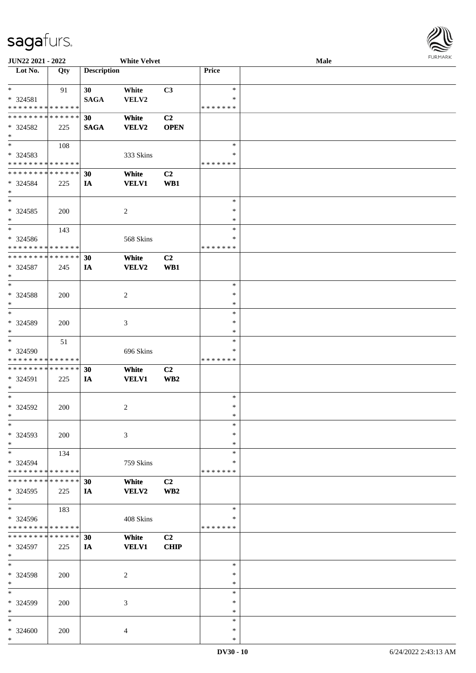

| JUN22 2021 - 2022           |     |                    | <b>White Velvet</b> |                |               | Male |
|-----------------------------|-----|--------------------|---------------------|----------------|---------------|------|
| Lot No.                     | Qty | <b>Description</b> |                     |                | <b>Price</b>  |      |
|                             |     |                    |                     |                |               |      |
| $\ast$                      | 91  | 30                 | White               | C3             | $\ast$        |      |
| $* 324581$                  |     | <b>SAGA</b>        | VELV2               |                | ∗             |      |
| * * * * * * * * * * * * * * |     |                    |                     |                | * * * * * * * |      |
| * * * * * * * * * * * * * * |     |                    |                     | C2             |               |      |
|                             |     | 30                 | White               |                |               |      |
| * 324582                    | 225 | <b>SAGA</b>        | <b>VELV2</b>        | <b>OPEN</b>    |               |      |
| $\ast$                      |     |                    |                     |                |               |      |
| $\overline{\phantom{0}}$    | 108 |                    |                     |                | $\ast$        |      |
| * 324583                    |     |                    | 333 Skins           |                | $\ast$        |      |
| * * * * * * * * * * * * * * |     |                    |                     |                | * * * * * * * |      |
| * * * * * * * * * * * * * * |     | 30                 | White               | C <sub>2</sub> |               |      |
| * 324584                    | 225 | IA                 | <b>VELV1</b>        | WB1            |               |      |
| $\ast$                      |     |                    |                     |                |               |      |
| $\ast$                      |     |                    |                     |                | $\ast$        |      |
| $*324585$                   |     |                    |                     |                | $\ast$        |      |
| $\ast$                      | 200 |                    | $\overline{c}$      |                | $\ast$        |      |
|                             |     |                    |                     |                |               |      |
| $\ast$                      | 143 |                    |                     |                | $\ast$        |      |
| * 324586                    |     |                    | 568 Skins           |                | $\ast$        |      |
| * * * * * * * * * * * * * * |     |                    |                     |                | * * * * * * * |      |
| **************              |     | 30                 | White               | C <sub>2</sub> |               |      |
| * 324587                    | 245 | IA                 | VELV2               | WB1            |               |      |
| $\ast$                      |     |                    |                     |                |               |      |
| $\ast$                      |     |                    |                     |                | $\ast$        |      |
| * 324588                    | 200 |                    | $\overline{c}$      |                | $\ast$        |      |
| $\ast$                      |     |                    |                     |                | $\ast$        |      |
| $\ast$                      |     |                    |                     |                | $\ast$        |      |
| * 324589                    | 200 |                    | 3                   |                | $\ast$        |      |
| $\ast$                      |     |                    |                     |                | $\ast$        |      |
| $\ast$                      |     |                    |                     |                | $\ast$        |      |
|                             | 51  |                    |                     |                |               |      |
| * 324590                    |     |                    | 696 Skins           |                | $\ast$        |      |
| * * * * * * * * * * * * * * |     |                    |                     |                | * * * * * * * |      |
| **************              |     | 30                 | White               | C2             |               |      |
| * 324591                    | 225 | IA                 | <b>VELV1</b>        | WB2            |               |      |
| $\ast$                      |     |                    |                     |                |               |      |
| $\ast$                      |     |                    |                     |                | $\ast$        |      |
| $*324592$                   | 200 |                    | $\overline{c}$      |                | $\ast$        |      |
| $*$                         |     |                    |                     |                | $\ast$        |      |
| $*$                         |     |                    |                     |                | $\ast$        |      |
| * 324593                    | 200 |                    | 3                   |                | $\ast$        |      |
| $\ast$                      |     |                    |                     |                | $\ast$        |      |
| $\ast$                      | 134 |                    |                     |                | $\ast$        |      |
| * 324594                    |     |                    | 759 Skins           |                | ∗             |      |
| * * * * * * * * * * * * * * |     |                    |                     |                | * * * * * * * |      |
| * * * * * * * * * * * * * * |     | 30                 | White               | C <sub>2</sub> |               |      |
|                             |     |                    |                     |                |               |      |
| * 324595<br>$*$             | 225 | IA                 | VELV2               | WB2            |               |      |
| $_{\ast}^{-}$               |     |                    |                     |                |               |      |
|                             | 183 |                    |                     |                | $\ast$        |      |
| * 324596                    |     |                    | 408 Skins           |                | *             |      |
| * * * * * * * * * * * * * * |     |                    |                     |                | * * * * * * * |      |
| * * * * * * * * * * * * * * |     | 30                 | White               | C2             |               |      |
| * 324597                    | 225 | IA                 | <b>VELV1</b>        | <b>CHIP</b>    |               |      |
| $*$                         |     |                    |                     |                |               |      |
| $\ast$                      |     |                    |                     |                | $\ast$        |      |
| * 324598                    | 200 |                    | $\overline{c}$      |                | $\ast$        |      |
| $\ast$                      |     |                    |                     |                | $\ast$        |      |
| $\ast$                      |     |                    |                     |                | $\ast$        |      |
| * 324599                    | 200 |                    | 3                   |                | $\ast$        |      |
| $\ast$                      |     |                    |                     |                | $\ast$        |      |
| $\ast$                      |     |                    |                     |                | $\ast$        |      |
|                             |     |                    |                     |                | $\ast$        |      |
| * 324600                    | 200 |                    | 4                   |                |               |      |
| $\ast$                      |     |                    |                     |                | $\ast$        |      |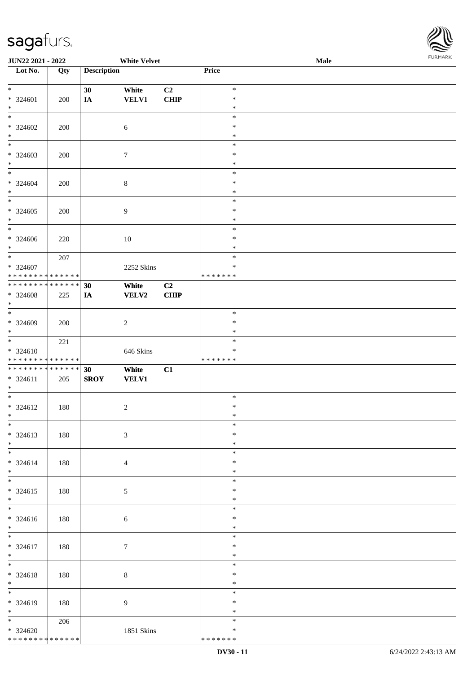\* \* \* \* \* \* \* \* \* \* \* \* \* \* \*



| <b>JUN22 2021 - 2022</b>                   |     |                    | <b>White Velvet</b> |                |                  | Male |  |
|--------------------------------------------|-----|--------------------|---------------------|----------------|------------------|------|--|
| Lot No.                                    | Qty | <b>Description</b> |                     |                | Price            |      |  |
|                                            |     |                    |                     |                |                  |      |  |
| $*$                                        |     | 30                 | White               | C <sub>2</sub> | $\ast$           |      |  |
| $* 324601$                                 | 200 | IA                 | <b>VELV1</b>        | CHIP           | $\ast$           |      |  |
| $\ast$                                     |     |                    |                     |                | $\ast$           |      |  |
|                                            |     |                    |                     |                | $\ast$           |      |  |
| $* 324602$                                 | 200 |                    | 6                   |                | $\ast$           |      |  |
| $\ast$                                     |     |                    |                     |                | $\ast$           |      |  |
| $\overline{\phantom{0}}$                   |     |                    |                     |                | $\ast$           |      |  |
| $* 324603$                                 | 200 |                    | $\tau$              |                | $\ast$           |      |  |
| $\ast$                                     |     |                    |                     |                | $\ast$           |      |  |
| $*$                                        |     |                    |                     |                | $\ast$           |      |  |
| * 324604                                   | 200 |                    | $\,8\,$             |                | $\ast$           |      |  |
| $*$                                        |     |                    |                     |                | $\ast$           |      |  |
| $\overline{\ }$                            |     |                    |                     |                | $\ast$           |      |  |
| $* 324605$                                 | 200 |                    | $\overline{9}$      |                | $\ast$           |      |  |
| $*$                                        |     |                    |                     |                | $\ast$           |      |  |
| $\overline{\phantom{0}}$                   |     |                    |                     |                | $\ast$           |      |  |
| * 324606                                   | 220 |                    | 10                  |                | $\ast$           |      |  |
| $\ast$                                     |     |                    |                     |                | $\ast$           |      |  |
| $\ddot{x}$                                 | 207 |                    |                     |                | $\ast$           |      |  |
| $* 324607$                                 |     |                    | 2252 Skins          |                | $\ast$           |      |  |
| * * * * * * * * <mark>* * * * * *</mark>   |     |                    |                     |                | * * * * * * *    |      |  |
| * * * * * * * * <mark>* * * * * * *</mark> |     | 30                 | White               | C <sub>2</sub> |                  |      |  |
| * 324608                                   | 225 | IA                 | <b>VELV2</b>        | CHIP           |                  |      |  |
| $\ast$                                     |     |                    |                     |                |                  |      |  |
|                                            |     |                    |                     |                | $\ast$           |      |  |
| * 324609                                   | 200 |                    | $\overline{c}$      |                | $\ast$           |      |  |
| $\ast$                                     |     |                    |                     |                | $\ast$           |      |  |
| $\ddot{x}$                                 | 221 |                    |                     |                | $\ast$           |      |  |
| $* 324610$                                 |     |                    | 646 Skins           |                | $\ast$           |      |  |
| * * * * * * * * <mark>* * * * * *</mark>   |     |                    |                     |                | *******          |      |  |
| * * * * * * * * <mark>* * * * * * *</mark> |     | 30                 | White               | C1             |                  |      |  |
| $* 324611$                                 | 205 |                    |                     |                |                  |      |  |
| $\ast$                                     |     | <b>SROY</b>        | <b>VELV1</b>        |                |                  |      |  |
| $\ast$                                     |     |                    |                     |                | $\ast$           |      |  |
| * 324612                                   | 180 |                    | $\overline{c}$      |                | $\ast$           |      |  |
| $*$                                        |     |                    |                     |                | $\ast$           |      |  |
| $\ddot{x}$                                 |     |                    |                     |                | $\ast$           |      |  |
| $* 324613$                                 |     |                    | $\mathfrak{Z}$      |                | $\ast$           |      |  |
| $*$                                        | 180 |                    |                     |                | $\ast$           |      |  |
|                                            |     |                    |                     |                | $\ast$           |      |  |
|                                            |     |                    |                     |                | $\ast$           |      |  |
| $* 324614$<br>$*$                          | 180 |                    | $\overline{4}$      |                | $\ast$           |      |  |
| $\ddot{x}$                                 |     |                    |                     |                | $\ast$           |      |  |
|                                            |     |                    |                     |                | $\ast$           |      |  |
| $* 324615$<br>$\ddot{x}$                   | 180 |                    | 5                   |                | $\ast$           |      |  |
| $\overline{\mathbf{r}}$                    |     |                    |                     |                | $\ast$           |      |  |
|                                            |     |                    |                     |                | $\ast$           |      |  |
| $* 324616$                                 | 180 |                    | $\sqrt{6}$          |                |                  |      |  |
| $*$                                        |     |                    |                     |                | $\ast$<br>$\ast$ |      |  |
|                                            |     |                    |                     |                |                  |      |  |
| * 324617                                   | 180 |                    | $\tau$              |                | $\ast$           |      |  |
| $*$<br>$\ddot{x}$                          |     |                    |                     |                | $\ast$           |      |  |
|                                            |     |                    |                     |                | $\ast$           |      |  |
| * 324618                                   | 180 |                    | $\,8\,$             |                | $\ast$           |      |  |
| $*$ $-$                                    |     |                    |                     |                | $\ast$           |      |  |
|                                            |     |                    |                     |                | $\ast$           |      |  |
| * 324619                                   | 180 |                    | 9                   |                | $\ast$           |      |  |
| $*$                                        |     |                    |                     |                | $\ast$           |      |  |
| $\ddot{x}$                                 | 206 |                    |                     |                | $\ast$           |      |  |
| $* 324620$                                 |     |                    | 1851 Skins          |                | $\ast$           |      |  |

\* \* \* \* \* \* \*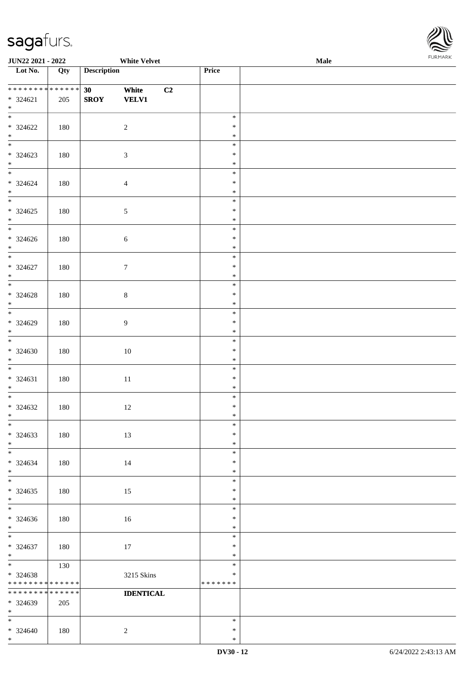\*



| JUN22 2021 - 2022                       |             | <b>White Velvet</b> |                  |    |                         | Male | <b>FUNITANN</b> |
|-----------------------------------------|-------------|---------------------|------------------|----|-------------------------|------|-----------------|
| Lot No.                                 | Qty         | <b>Description</b>  |                  |    | Price                   |      |                 |
| ******** <mark>******</mark>            |             |                     |                  |    |                         |      |                 |
|                                         |             | 30 <sub>1</sub>     | White            | C2 |                         |      |                 |
| $* 324621$<br>$*$                       | 205         | <b>SROY</b>         | <b>VELV1</b>     |    |                         |      |                 |
| $\overline{\phantom{0}}$                |             |                     |                  |    | $\ast$                  |      |                 |
| $* 324622$                              | 180         |                     | $\sqrt{2}$       |    | $\ast$                  |      |                 |
| $*$                                     |             |                     |                  |    | $\ast$                  |      |                 |
| $\overline{\phantom{0}}$                |             |                     |                  |    | $\ast$                  |      |                 |
| $* 324623$                              | 180         |                     | $\mathfrak{Z}$   |    | $\ast$                  |      |                 |
| $\ast$                                  |             |                     |                  |    | $\ast$                  |      |                 |
| $\overline{\phantom{0}}$                |             |                     |                  |    | $\ast$                  |      |                 |
| $* 324624$                              | 180         |                     | $\overline{4}$   |    | $\ast$                  |      |                 |
| $\ast$                                  |             |                     |                  |    | $\ast$                  |      |                 |
|                                         |             |                     |                  |    | $\ast$<br>$\ast$        |      |                 |
| $* 324625$<br>$\ast$                    | 180         |                     | $\sqrt{5}$       |    | $\ast$                  |      |                 |
| $\overline{\phantom{0}}$                |             |                     |                  |    | $\ast$                  |      |                 |
| $* 324626$                              | 180         |                     | $\sqrt{6}$       |    | $\ast$                  |      |                 |
| $*$                                     |             |                     |                  |    | $\ast$                  |      |                 |
| $*$                                     |             |                     |                  |    | $\ast$                  |      |                 |
| $* 324627$                              | 180         |                     | $\tau$           |    | $\ast$                  |      |                 |
| $\ast$                                  |             |                     |                  |    | $\ast$                  |      |                 |
| $\overline{\phantom{0}}$                |             |                     |                  |    | $\ast$                  |      |                 |
| $* 324628$                              | 180         |                     | $8\,$            |    | $\ast$                  |      |                 |
| $\ast$<br>$\overline{\ast}$             |             |                     |                  |    | $\ast$<br>$\ast$        |      |                 |
| $* 324629$                              | 180         |                     | 9                |    | $\ast$                  |      |                 |
| $\ast$                                  |             |                     |                  |    | $\ast$                  |      |                 |
| $\overline{\ast}$                       |             |                     |                  |    | $\ast$                  |      |                 |
| $* 324630$                              | 180         |                     | 10               |    | $\ast$                  |      |                 |
| $\ast$                                  |             |                     |                  |    | $\ast$                  |      |                 |
| $\overline{\ast}$                       |             |                     |                  |    | $\ast$                  |      |                 |
| $* 324631$                              | 180         |                     | 11               |    | $\ast$                  |      |                 |
| $*$<br>$\overline{\ast}$                |             |                     |                  |    | $\ast$                  |      |                 |
| $* 324632$                              |             |                     |                  |    | $\ast$<br>$\ast$        |      |                 |
| $*$                                     | 180         |                     | 12               |    | $*$                     |      |                 |
| $*$                                     |             |                     |                  |    | $\ast$                  |      |                 |
| $* 324633$                              | 180         |                     | 13               |    | $\ast$                  |      |                 |
| $*$                                     |             |                     |                  |    | $\ast$                  |      |                 |
| $\ast$                                  |             |                     |                  |    | $\ast$                  |      |                 |
| $* 324634$                              | 180         |                     | 14               |    | $\ast$                  |      |                 |
| $*$                                     |             |                     |                  |    | $\ast$                  |      |                 |
| $\overline{\phantom{0}}$                |             |                     |                  |    | $\ast$                  |      |                 |
| $*324635$<br>$*$                        | 180         |                     | 15               |    | $\ast$<br>$\ast$        |      |                 |
| $\ast$                                  |             |                     |                  |    | $\ast$                  |      |                 |
| $* 324636$                              | 180         |                     | 16               |    | $\ast$                  |      |                 |
| $*$                                     |             |                     |                  |    | $\ast$                  |      |                 |
| $*$                                     |             |                     |                  |    | $\ast$                  |      |                 |
| $* 324637$                              | 180         |                     | 17               |    | $\ast$                  |      |                 |
| $*$                                     |             |                     |                  |    | $\ast$                  |      |                 |
|                                         | 130         |                     |                  |    | $\ast$                  |      |                 |
| * 324638<br>* * * * * * * * * * * * * * |             |                     | 3215 Skins       |    | $\ast$<br>* * * * * * * |      |                 |
| * * * * * * * *                         | * * * * * * |                     | <b>IDENTICAL</b> |    |                         |      |                 |
| * 324639                                | 205         |                     |                  |    |                         |      |                 |
| $*$                                     |             |                     |                  |    |                         |      |                 |
| $*$                                     |             |                     |                  |    | $\ast$                  |      |                 |
| $* 324640$                              | 180         |                     | $\sqrt{2}$       |    | $\ast$                  |      |                 |
| $*$                                     |             |                     |                  |    | $\ast$                  |      |                 |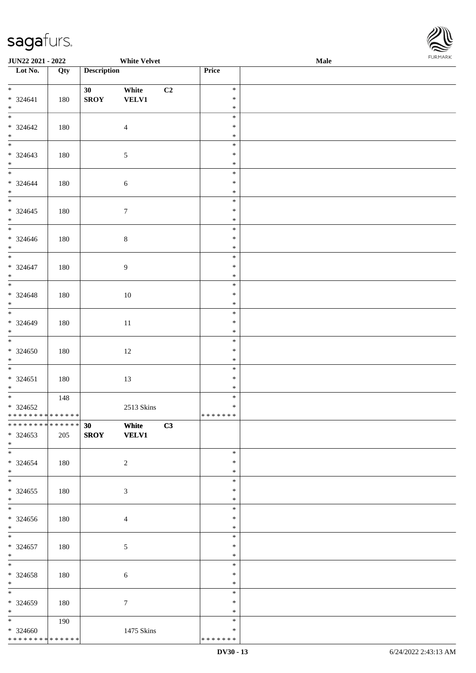

| JUN22 2021 - 2022                 |     |                    | <b>White Velvet</b> |               | Male | . |
|-----------------------------------|-----|--------------------|---------------------|---------------|------|---|
| Lot No.                           | Qty | <b>Description</b> |                     | Price         |      |   |
|                                   |     |                    |                     |               |      |   |
| $*$                               |     | 30 <sup>°</sup>    | White<br>C2         | $\ast$        |      |   |
| $* 324641$                        | 180 | <b>SROY</b>        | <b>VELV1</b>        | $\ast$        |      |   |
| $\ast$                            |     |                    |                     | $\ast$        |      |   |
| $\overline{\phantom{0}}$          |     |                    |                     | $\ast$        |      |   |
| $* 324642$                        | 180 |                    | $\overline{4}$      | $\ast$        |      |   |
| $*$ $*$                           |     |                    |                     | $\ast$        |      |   |
|                                   |     |                    |                     | $\ast$        |      |   |
| $* 324643$                        | 180 |                    | $\sqrt{5}$          | $\ast$        |      |   |
| $\ast$                            |     |                    |                     | $\ast$        |      |   |
| $\overline{\phantom{0}}$          |     |                    |                     | $\ast$        |      |   |
| * 324644                          | 180 |                    | $\sqrt{6}$          | $\ast$        |      |   |
| $\ast$                            |     |                    |                     | $\ast$        |      |   |
| $\overline{\phantom{a}^*}$        |     |                    |                     | $\ast$        |      |   |
| $* 324645$                        | 180 |                    | $\boldsymbol{7}$    | $\ast$        |      |   |
| $\ast$                            |     |                    |                     | $\ast$        |      |   |
| $_{\ast}^{-}$                     |     |                    |                     | $\ast$        |      |   |
| $* 324646$                        | 180 |                    | $\,8\,$             | $\ast$        |      |   |
| $*$                               |     |                    |                     | $\ast$        |      |   |
| $\overline{\phantom{a}^*}$        |     |                    |                     | $\ast$        |      |   |
| $* 324647$                        | 180 |                    | $\overline{9}$      | $\ast$        |      |   |
| $\ast$                            |     |                    |                     | $\ast$        |      |   |
| $\overline{\phantom{0}}$          |     |                    |                     | $\ast$        |      |   |
| $* 324648$                        | 180 |                    | 10                  | $\ast$        |      |   |
| $\ast$                            |     |                    |                     | $\ast$        |      |   |
| $\overline{\phantom{0}}$          |     |                    |                     | $\ast$        |      |   |
| * 324649                          | 180 |                    | $11\,$              | $\ast$        |      |   |
| $\ast$                            |     |                    |                     | $\ast$        |      |   |
| $\overline{\phantom{0}}$          |     |                    |                     | $\ast$        |      |   |
| $* 324650$                        | 180 |                    | $12\,$              | $\ast$        |      |   |
| $*$                               |     |                    |                     | $\ast$        |      |   |
| $\ast$                            |     |                    |                     | $\ast$        |      |   |
| $* 324651$                        | 180 |                    | 13                  | $\ast$        |      |   |
| $*$                               |     |                    |                     | $\ast$        |      |   |
| $\overline{\phantom{a}^*}$        | 148 |                    |                     | $\ast$        |      |   |
| $* 324652$                        |     |                    | 2513 Skins          | $\ast$        |      |   |
| * * * * * * * * * * * * * *       |     |                    |                     | * * * * * * * |      |   |
| ******** <mark>******</mark>      |     | 30 White           | C3                  |               |      |   |
| $*324653$                         | 205 | SROY VELV1         |                     |               |      |   |
| $*$                               |     |                    |                     |               |      |   |
| $\overline{\phantom{0}}$          |     |                    |                     | $\ast$        |      |   |
| $*324654$                         | 180 |                    | $\overline{2}$      | ∗             |      |   |
| $*$                               |     |                    |                     | ∗             |      |   |
| $\overline{\phantom{0}}$          |     |                    |                     | $\ast$        |      |   |
| $*324655$                         | 180 |                    | $\mathfrak{Z}$      | $\ast$        |      |   |
| $*$                               |     |                    |                     | $\ast$        |      |   |
| $\overline{\phantom{0}}$          |     |                    |                     | $\ast$        |      |   |
|                                   |     |                    |                     | *             |      |   |
| $* 324656$                        | 180 |                    | $\overline{4}$      |               |      |   |
| $*$<br>$*$                        |     |                    |                     | $\ast$        |      |   |
|                                   |     |                    |                     | $\ast$        |      |   |
| * 324657                          | 180 |                    | $\mathfrak{S}$      | $\ast$        |      |   |
| $*$<br>$\ast$                     |     |                    |                     | $\ast$        |      |   |
|                                   |     |                    |                     | $\ast$        |      |   |
| $* 324658$                        | 180 |                    | $\sqrt{6}$          | $\ast$        |      |   |
| $*$<br>$\overline{\phantom{a}^*}$ |     |                    |                     | $\ast$        |      |   |
|                                   |     |                    |                     | $\ast$        |      |   |
| * 324659                          | 180 |                    | $\tau$              | ∗             |      |   |
| $*$                               |     |                    |                     | $\ast$        |      |   |
| $*$                               | 190 |                    |                     | $\ast$        |      |   |
| $* 324660$                        |     |                    | 1475 Skins          | ∗             |      |   |
| ******** <mark>******</mark>      |     |                    |                     | * * * * * * * |      |   |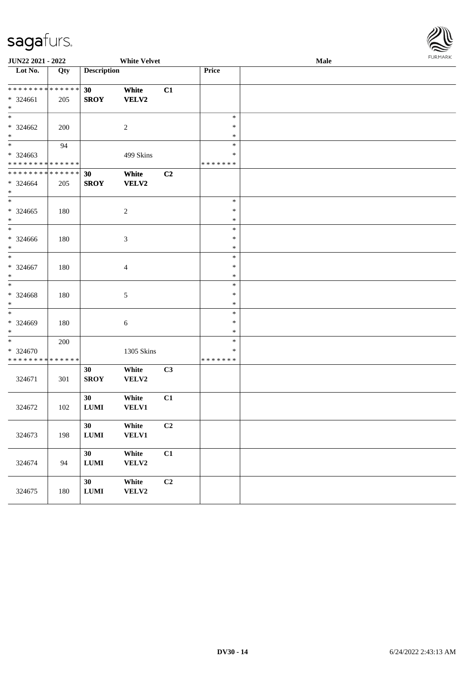324675 180

**30 White C2**

**LUMI VELV2**

| sagarurs.                               |     |                    |                       |    |                         |      |                |
|-----------------------------------------|-----|--------------------|-----------------------|----|-------------------------|------|----------------|
| JUN22 2021 - 2022                       |     |                    | <b>White Velvet</b>   |    |                         | Male | <b>FURMARK</b> |
| Lot No.                                 | Qty | <b>Description</b> |                       |    | Price                   |      |                |
| ******** <mark>******</mark>            |     | 30                 | White                 | C1 |                         |      |                |
| * 324661<br>$\ast$                      | 205 | <b>SROY</b>        | VELV2                 |    |                         |      |                |
| $\ast$                                  |     |                    |                       |    | $\ast$                  |      |                |
| $* 324662$<br>$\ast$                    | 200 |                    | $\sqrt{2}$            |    | $\ast$<br>$\ast$        |      |                |
| $\overline{\phantom{0}}$<br>* 324663    | 94  |                    | 499 Skins             |    | $\ast$<br>∗             |      |                |
| * * * * * * * * * * * * * *             |     |                    |                       |    | * * * * * * *           |      |                |
| **************<br>$* 324664$            | 205 | 30<br><b>SROY</b>  | White<br>VELV2        | C2 |                         |      |                |
| $\ast$<br>$\ast$                        |     |                    |                       |    | $\ast$                  |      |                |
| $*324665$<br>$\ast$                     | 180 |                    | $\overline{c}$        |    | $\ast$<br>$\ast$        |      |                |
| $\overline{\phantom{1}}$                |     |                    |                       |    | $\ast$                  |      |                |
| * 324666<br>$\ast$                      | 180 |                    | 3                     |    | $\ast$<br>$\ast$        |      |                |
| $\ast$<br>$* 324667$                    | 180 |                    | 4                     |    | $\ast$<br>$\ast$        |      |                |
| $\ast$                                  |     |                    |                       |    | ∗                       |      |                |
| $\ast$<br>* 324668                      | 180 |                    | 5                     |    | $\ast$<br>$\ast$        |      |                |
| $\ast$<br>$\ast$                        |     |                    |                       |    | $\ast$                  |      |                |
| * 324669<br>$\ast$                      | 180 |                    | 6                     |    | $\ast$<br>∗<br>$\ast$   |      |                |
| $\ast$                                  | 200 |                    |                       |    | $\ast$                  |      |                |
| * 324670<br>* * * * * * * * * * * * * * |     |                    | 1305 Skins            |    | $\ast$<br>* * * * * * * |      |                |
| 324671                                  | 301 | 30<br><b>SROY</b>  | White<br>VELV2        | C3 |                         |      |                |
| 324672                                  | 102 | 30<br><b>LUMI</b>  | White<br><b>VELV1</b> | C1 |                         |      |                |
| 324673                                  | 198 | 30<br>${\bf LUMI}$ | White<br><b>VELV1</b> | C2 |                         |      |                |
| 324674                                  | 94  | 30<br>${\bf LUMI}$ | White<br>VELV2        | C1 |                         |      |                |

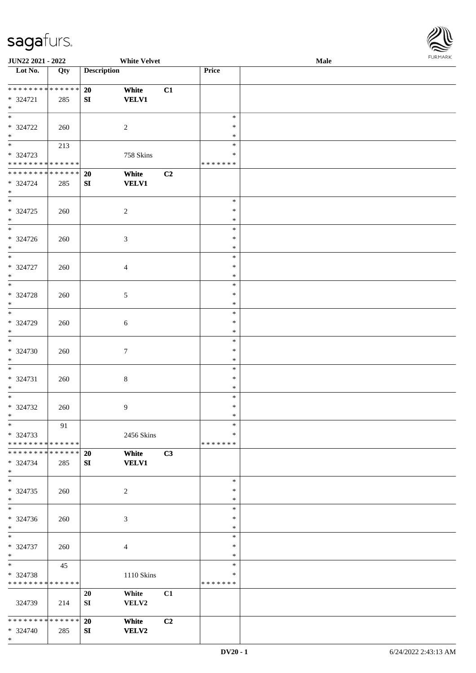\*

 $\overline{\phantom{a}}$ 



| <b>JUN22 2021 - 2022</b>      |     |                    | <b>White Velvet</b> |    |               | Male |  |
|-------------------------------|-----|--------------------|---------------------|----|---------------|------|--|
| Lot No.                       | Qty | <b>Description</b> |                     |    | Price         |      |  |
|                               |     |                    |                     |    |               |      |  |
| * * * * * * * * * * * * * * * |     | 20                 | White               | C1 |               |      |  |
| * 324721                      | 285 | ${\bf S}{\bf I}$   | <b>VELV1</b>        |    |               |      |  |
| $*$                           |     |                    |                     |    |               |      |  |
|                               |     |                    |                     |    | $\ast$        |      |  |
| * 324722                      | 260 |                    | $\overline{c}$      |    | $\ast$        |      |  |
| $\ast$                        |     |                    |                     |    | $\ast$        |      |  |
| $\overline{\phantom{0}}$      |     |                    |                     |    |               |      |  |
|                               | 213 |                    |                     |    | $\ast$        |      |  |
| * 324723                      |     |                    | 758 Skins           |    | $\ast$        |      |  |
| * * * * * * * * * * * * * *   |     |                    |                     |    | * * * * * * * |      |  |
| * * * * * * * * * * * * * *   |     | 20                 | White               | C2 |               |      |  |
| * 324724                      | 285 | ${\bf SI}$         | <b>VELV1</b>        |    |               |      |  |
| $*$                           |     |                    |                     |    |               |      |  |
| $\overline{\ast}$             |     |                    |                     |    | $\ast$        |      |  |
| $* 324725$                    | 260 |                    | $\sqrt{2}$          |    | $\ast$        |      |  |
| $*$                           |     |                    |                     |    | $\ast$        |      |  |
| $\overline{\phantom{0}}$      |     |                    |                     |    | $\ast$        |      |  |
| $* 324726$                    | 260 |                    | 3                   |    | $\ast$        |      |  |
| $*$                           |     |                    |                     |    | $\ast$        |      |  |
| $\ast$                        |     |                    |                     |    | $\ast$        |      |  |
|                               |     |                    |                     |    |               |      |  |
| $* 324727$                    | 260 |                    | $\overline{4}$      |    | $\ast$        |      |  |
| $*$                           |     |                    |                     |    | $\ast$        |      |  |
| $\overline{\ast}$             |     |                    |                     |    | $\ast$        |      |  |
| $* 324728$                    | 260 |                    | 5                   |    | $\ast$        |      |  |
| $*$                           |     |                    |                     |    | $\ast$        |      |  |
| $*$                           |     |                    |                     |    | $\ast$        |      |  |
| * 324729                      | 260 |                    | 6                   |    | $\ast$        |      |  |
| $*$                           |     |                    |                     |    | $\ast$        |      |  |
| $*$                           |     |                    |                     |    | $\ast$        |      |  |
| $* 324730$                    | 260 |                    | $\tau$              |    | $\ast$        |      |  |
| $*$                           |     |                    |                     |    | $\ast$        |      |  |
| $*$                           |     |                    |                     |    | $\ast$        |      |  |
|                               |     |                    |                     |    | $\ast$        |      |  |
| $* 324731$                    | 260 |                    | $\,8\,$             |    |               |      |  |
| $*$                           |     |                    |                     |    | $\ast$        |      |  |
| $*$                           |     |                    |                     |    | $\ast$        |      |  |
| $* 324732$                    | 260 |                    | 9                   |    | $\ast$        |      |  |
| $*$                           |     |                    |                     |    | $\ast$        |      |  |
| $\ast$                        | 91  |                    |                     |    | $\ast$        |      |  |
| * 324733                      |     |                    | 2456 Skins          |    | ∗             |      |  |
| * * * * * * * * * * * * * * * |     |                    |                     |    | * * * * * * * |      |  |
| * * * * * * * * * * * * * * * |     | 20                 | White               | C3 |               |      |  |
| * 324734                      | 285 | SI                 | <b>VELV1</b>        |    |               |      |  |
| $*$                           |     |                    |                     |    |               |      |  |
| $*$                           |     |                    |                     |    | $\ast$        |      |  |
| $* 324735$                    | 260 |                    | $\overline{c}$      |    | $\ast$        |      |  |
| $*$                           |     |                    |                     |    | $\ast$        |      |  |
| $\overline{\phantom{0}}$      |     |                    |                     |    | $\ast$        |      |  |
|                               |     |                    |                     |    |               |      |  |
| $* 324736$                    | 260 |                    | 3                   |    | $\ast$        |      |  |
| $*$                           |     |                    |                     |    | $\ast$        |      |  |
| $*$                           |     |                    |                     |    | $\ast$        |      |  |
| * 324737                      | 260 |                    | 4                   |    | $\ast$        |      |  |
| $*$                           |     |                    |                     |    | $\ast$        |      |  |
| $*$                           | 45  |                    |                     |    | $\ast$        |      |  |
| * 324738                      |     |                    | 1110 Skins          |    | $\ast$        |      |  |
| * * * * * * * * * * * * * *   |     |                    |                     |    | * * * * * * * |      |  |
|                               |     | 20                 | White               | C1 |               |      |  |
| 324739                        | 214 | SI                 | VELV2               |    |               |      |  |
|                               |     |                    |                     |    |               |      |  |
| * * * * * * * * * * * * * * * |     | 20                 | White               | C2 |               |      |  |
|                               |     |                    |                     |    |               |      |  |
| * 324740                      | 285 | SI                 | <b>VELV2</b>        |    |               |      |  |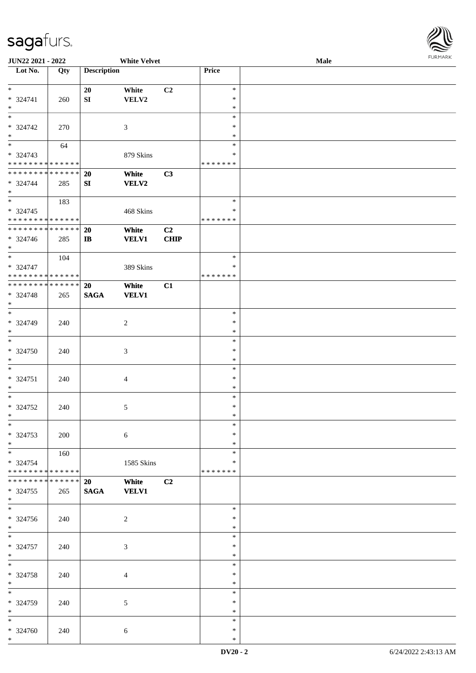

| JUN22 2021 - 2022           |     |                    | <b>White Velvet</b> |             |               | Male |
|-----------------------------|-----|--------------------|---------------------|-------------|---------------|------|
| Lot No.                     | Qty | <b>Description</b> |                     |             | Price         |      |
|                             |     |                    |                     |             |               |      |
| $*$                         |     | 20                 | White               | C2          | $\ast$        |      |
| * 324741                    | 260 | ${\bf SI}$         | VELV2               |             | $\ast$        |      |
| $\ast$                      |     |                    |                     |             | $\ast$        |      |
| $\overline{\ast}$           |     |                    |                     |             | $\ast$        |      |
|                             |     |                    |                     |             |               |      |
| * 324742                    | 270 |                    | 3                   |             | ∗             |      |
| $\ast$                      |     |                    |                     |             | $\ast$        |      |
| $\overline{\phantom{0}}$    | 64  |                    |                     |             | $\ast$        |      |
| $* 324743$                  |     |                    | 879 Skins           |             | $\ast$        |      |
| * * * * * * * * * * * * * * |     |                    |                     |             | * * * * * * * |      |
| * * * * * * * * * * * * * * |     | 20                 | White               | C3          |               |      |
| * 324744                    | 285 | SI                 | <b>VELV2</b>        |             |               |      |
| $*$                         |     |                    |                     |             |               |      |
| $*$                         |     |                    |                     |             |               |      |
|                             | 183 |                    |                     |             | $\ast$        |      |
| $* 324745$                  |     |                    | 468 Skins           |             | $\ast$        |      |
| * * * * * * * * * * * * * * |     |                    |                     |             | * * * * * * * |      |
| * * * * * * * * * * * * * * |     | 20                 | White               | C2          |               |      |
| * 324746                    | 285 | $\bf I\bf B$       | <b>VELV1</b>        | <b>CHIP</b> |               |      |
| $*$                         |     |                    |                     |             |               |      |
| $\ast$                      | 104 |                    |                     |             | $\ast$        |      |
| * 324747                    |     |                    |                     |             | $\ast$        |      |
|                             |     |                    | 389 Skins           |             |               |      |
| * * * * * * * * * * * * * * |     |                    |                     |             | * * * * * * * |      |
| * * * * * * * * * * * * * * |     | 20                 | White               | C1          |               |      |
| * 324748                    | 265 | <b>SAGA</b>        | <b>VELV1</b>        |             |               |      |
| $\ast$                      |     |                    |                     |             |               |      |
| $*$                         |     |                    |                     |             | $\ast$        |      |
| * 324749                    | 240 |                    | $\overline{c}$      |             | $\ast$        |      |
| $\ast$                      |     |                    |                     |             | $\ast$        |      |
| $\ast$                      |     |                    |                     |             | $\ast$        |      |
|                             |     |                    |                     |             |               |      |
| $* 324750$                  | 240 |                    | 3                   |             | $\ast$        |      |
| $*$                         |     |                    |                     |             | $\ast$        |      |
| $\ast$                      |     |                    |                     |             | $\ast$        |      |
| $* 324751$                  | 240 |                    | 4                   |             | $\ast$        |      |
| $*$                         |     |                    |                     |             | $\ast$        |      |
| $\ast$                      |     |                    |                     |             | $\ast$        |      |
| $* 324752$                  | 240 |                    | 5                   |             | $\ast$        |      |
| $*$                         |     |                    |                     |             | $\ast$        |      |
| $\ast$                      |     |                    |                     |             | $\ast$        |      |
|                             |     |                    |                     |             |               |      |
| * 324753                    | 200 |                    | 6                   |             | $\ast$        |      |
| $*$                         |     |                    |                     |             | $\ast$        |      |
|                             | 160 |                    |                     |             | $\ast$        |      |
| * 324754                    |     |                    | 1585 Skins          |             | ∗             |      |
| * * * * * * * * * * * * * * |     |                    |                     |             | * * * * * * * |      |
| * * * * * * * * * * * * * * |     | 20                 | White               | C2          |               |      |
| * 324755                    | 265 | $\mathbf{SAGA}$    | <b>VELV1</b>        |             |               |      |
| $*$                         |     |                    |                     |             |               |      |
| $\overline{\phantom{0}}$    |     |                    |                     |             |               |      |
|                             |     |                    |                     |             | $\ast$        |      |
| * 324756                    | 240 |                    | $\overline{c}$      |             | $\ast$        |      |
| $*$                         |     |                    |                     |             | $\ast$        |      |
| $\overline{\phantom{0}}$    |     |                    |                     |             | $\ast$        |      |
| $* 324757$                  | 240 |                    | 3                   |             | $\ast$        |      |
| $*$                         |     |                    |                     |             | $\ast$        |      |
| $\ast$                      |     |                    |                     |             | $\ast$        |      |
|                             |     |                    |                     |             |               |      |
| * 324758                    | 240 |                    | $\overline{4}$      |             | $\ast$        |      |
| $\ast$                      |     |                    |                     |             | $\ast$        |      |
| $\overline{\phantom{0}}$    |     |                    |                     |             | $\ast$        |      |
| * 324759                    | 240 |                    | 5                   |             | $\ast$        |      |
| $*$                         |     |                    |                     |             | $\ast$        |      |
| $*$                         |     |                    |                     |             | $\ast$        |      |
| * 324760                    | 240 |                    | 6                   |             | $\ast$        |      |
| $*$                         |     |                    |                     |             | $\ast$        |      |
|                             |     |                    |                     |             |               |      |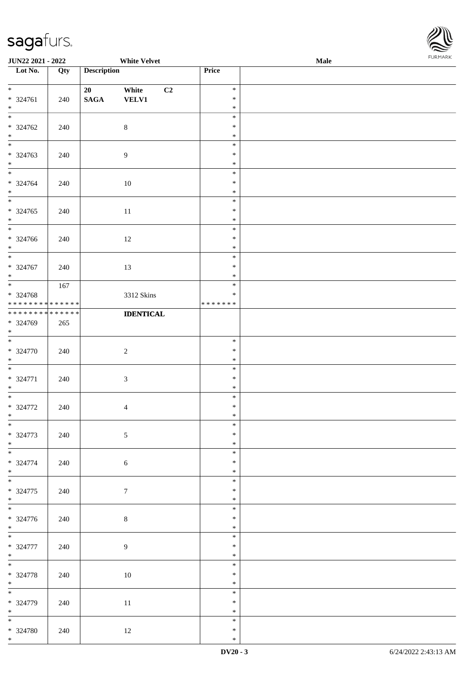

| <b>JUN22 2021 - 2022</b>                                                  |     |                       | <b>White Velvet</b>   |    |                                      | <b>Male</b> |  |
|---------------------------------------------------------------------------|-----|-----------------------|-----------------------|----|--------------------------------------|-------------|--|
| Lot No.                                                                   | Qty | <b>Description</b>    |                       |    | Price                                |             |  |
| $*$<br>* 324761<br>$*$                                                    | 240 | 20<br>$\mathbf{SAGA}$ | White<br><b>VELV1</b> | C2 | $\ast$<br>$\ast$<br>$\ast$           |             |  |
| * 324762<br>$*$                                                           | 240 |                       | $8\phantom{.}$        |    | $\ast$<br>$\ast$<br>$\ast$           |             |  |
| $\overline{\phantom{0}}$<br>* 324763<br>$\ast$<br>$\overline{\mathbf{r}}$ | 240 |                       | 9                     |    | $\ast$<br>$\ast$<br>$\ast$           |             |  |
| * 324764<br>$*$                                                           | 240 |                       | 10                    |    | $\ast$<br>$\ast$<br>$\ast$           |             |  |
| * 324765<br>$*$<br>$\overline{\phantom{0}}$                               | 240 |                       | 11                    |    | $\ast$<br>$\ast$<br>$\ast$<br>$\ast$ |             |  |
| * 324766<br>$*$<br>$\overline{\ast}$                                      | 240 |                       | 12                    |    | $\ast$<br>$\ast$<br>$\ast$           |             |  |
| * 324767<br>$*$                                                           | 240 |                       | 13                    |    | $\ast$<br>$\ast$                     |             |  |
| * 324768<br>* * * * * * * * <mark>* * * * * * *</mark>                    | 167 |                       | 3312 Skins            |    | $\ast$<br>$\ast$<br>* * * * * * *    |             |  |
| * * * * * * * * <mark>* * * * * * *</mark><br>* 324769<br>$*$<br>$*$      | 265 |                       | <b>IDENTICAL</b>      |    |                                      |             |  |
| * 324770<br>$*$<br>$\overline{\phantom{0}}$                               | 240 |                       | $\overline{2}$        |    | $\ast$<br>$\ast$<br>$\ast$           |             |  |
| * 324771<br>$*$<br>$*$                                                    | 240 |                       | $\mathfrak{Z}$        |    | $\ast$<br>$\ast$<br>$\ast$           |             |  |
| * 324772<br>$\ddot{x}$<br>$\overline{\ast}$                               | 240 |                       | $\overline{4}$        |    | $\ast$<br>$\ast$<br>$\ast$           |             |  |
| * 324773<br>$*$                                                           | 240 |                       | $\mathfrak{S}$        |    | $\ast$<br>$\ast$<br>$\ast$           |             |  |
| * 324774<br>$*$<br>$\ddot{x}$                                             | 240 |                       | $\sqrt{6}$            |    | $\ast$<br>$\ast$<br>$\ast$           |             |  |
| * 324775<br>$*$<br>$*$                                                    | 240 |                       | $\tau$                |    | $\ast$<br>$\ast$<br>$\ast$           |             |  |
| * 324776<br>$*$                                                           | 240 |                       | $\,8\,$               |    | $\ast$<br>$\ast$<br>$\ast$           |             |  |
| * 324777<br>$*$                                                           | 240 |                       | 9                     |    | $\ast$<br>$\ast$<br>$\ast$           |             |  |
| $*$<br>* 324778<br>$*$                                                    | 240 |                       | 10                    |    | $\ast$<br>$\ast$<br>$\ast$           |             |  |
| * 324779<br>$*$                                                           | 240 |                       | 11                    |    | $\ast$<br>$\ast$<br>$\ast$           |             |  |
| * 324780<br>$*$ $-$                                                       | 240 |                       | 12                    |    | $\ast$<br>$\ast$<br>$\ast$           |             |  |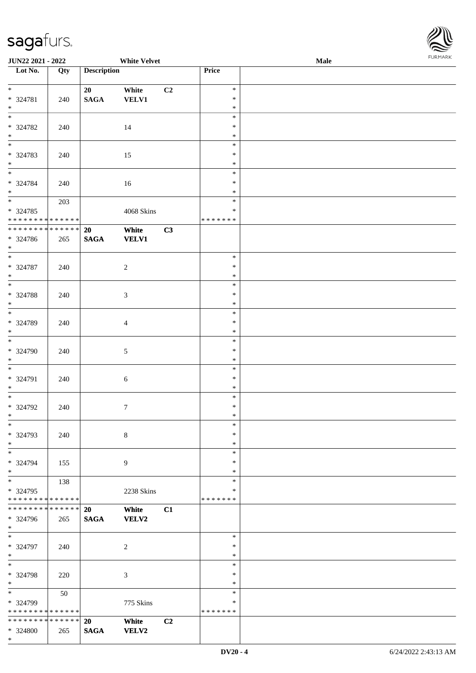| URMARK<br>F |
|-------------|

| JUN22 2021 - 2022                           |             |                       | <b>White Velvet</b>   |    |                  | Male | FURMARK |
|---------------------------------------------|-------------|-----------------------|-----------------------|----|------------------|------|---------|
| $\overline{\phantom{1}}$ Lot No.            | Qty         | <b>Description</b>    |                       |    | Price            |      |         |
| $*$                                         |             |                       |                       |    |                  |      |         |
| * 324781                                    |             | 20<br>$\mathbf{SAGA}$ | White<br><b>VELV1</b> | C2 | $\ast$<br>$\ast$ |      |         |
| $*$                                         | 240         |                       |                       |    | $\ast$           |      |         |
| $\overline{\phantom{0}}$                    |             |                       |                       |    | $\ast$           |      |         |
| * 324782                                    | 240         |                       | 14                    |    | $\ast$           |      |         |
| $*$                                         |             |                       |                       |    | $\ast$           |      |         |
| $*$                                         |             |                       |                       |    | $\ast$           |      |         |
| * 324783                                    | 240         |                       | 15                    |    | $\ast$           |      |         |
| $*$<br>$*$                                  |             |                       |                       |    | $\ast$<br>$\ast$ |      |         |
| * 324784                                    |             |                       |                       |    | $\ast$           |      |         |
| $*$                                         | 240         |                       | 16                    |    | $\ast$           |      |         |
|                                             | 203         |                       |                       |    | $\ast$           |      |         |
| * 324785                                    |             |                       | 4068 Skins            |    | $\ast$           |      |         |
| * * * * * * * * * * * * * *                 |             |                       |                       |    | * * * * * * *    |      |         |
| ******** <mark>******</mark>                |             | 20                    | White                 | C3 |                  |      |         |
| * 324786                                    | 265         | <b>SAGA</b>           | <b>VELV1</b>          |    |                  |      |         |
| $*$<br>$*$                                  |             |                       |                       |    | $\ast$           |      |         |
| * 324787                                    | 240         |                       | $\overline{2}$        |    | $\ast$           |      |         |
| $*$                                         |             |                       |                       |    | $\ast$           |      |         |
| $\overline{\phantom{0}}$                    |             |                       |                       |    | $\ast$           |      |         |
| * 324788                                    | 240         |                       | $\mathfrak{Z}$        |    | $\ast$           |      |         |
| $*$                                         |             |                       |                       |    | $\ast$           |      |         |
| $*$                                         |             |                       |                       |    | $\ast$           |      |         |
| * 324789                                    | 240         |                       | $\overline{4}$        |    | $\ast$           |      |         |
| $\ast$<br>$*$                               |             |                       |                       |    | $\ast$<br>$\ast$ |      |         |
| * 324790                                    | 240         |                       | $\mathfrak{S}$        |    | $\ast$           |      |         |
| $*$                                         |             |                       |                       |    | $\ast$           |      |         |
| $*$                                         |             |                       |                       |    | $\ast$           |      |         |
| * 324791                                    | 240         |                       | $6\phantom{1}6$       |    | $\ast$           |      |         |
| $*$                                         |             |                       |                       |    | $\ast$           |      |         |
|                                             |             |                       |                       |    | $\ast$           |      |         |
| * 324792                                    | 240         |                       | $\tau$                |    | $\ast$           |      |         |
| $*$<br>$\overline{\phantom{0}}$             |             |                       |                       |    | ∗<br>$\ast$      |      |         |
| * 324793                                    | 240         |                       | $\,8\,$               |    | $\ast$           |      |         |
| $*$                                         |             |                       |                       |    | $\ast$           |      |         |
| $\overline{\phantom{0}}$                    |             |                       |                       |    | $\ast$           |      |         |
| * 324794                                    | 155         |                       | $\overline{9}$        |    | $\ast$           |      |         |
| $*$                                         |             |                       |                       |    | $\ast$           |      |         |
| $*$                                         | 138         |                       |                       |    | $\ast$<br>$\ast$ |      |         |
| $* 324795$<br>* * * * * * * * * * * * * * * |             |                       | 2238 Skins            |    | * * * * * * *    |      |         |
| * * * * * * * *                             | * * * * * * | 20                    | White                 | C1 |                  |      |         |
| * 324796                                    | 265         | <b>SAGA</b>           | <b>VELV2</b>          |    |                  |      |         |
| $*$                                         |             |                       |                       |    |                  |      |         |
| $*$                                         |             |                       |                       |    | $\ast$           |      |         |
| * 324797                                    | 240         |                       | 2                     |    | $\ast$           |      |         |
| $\ast$                                      |             |                       |                       |    | $\ast$           |      |         |
| $*$<br>* 324798                             |             |                       |                       |    | $\ast$<br>$\ast$ |      |         |
| $\ast$                                      | 220         |                       | 3                     |    | $\ast$           |      |         |
| $*$                                         | 50          |                       |                       |    | $\ast$           |      |         |
| * 324799                                    |             |                       | 775 Skins             |    | ∗                |      |         |
| * * * * * * * * * * * * * *                 |             |                       |                       |    | *******          |      |         |
| * * * * * * * * * * * * * * *               |             | 20                    | White                 | C2 |                  |      |         |
| * 324800                                    | 265         | <b>SAGA</b>           | <b>VELV2</b>          |    |                  |      |         |
| $*$                                         |             |                       |                       |    |                  |      |         |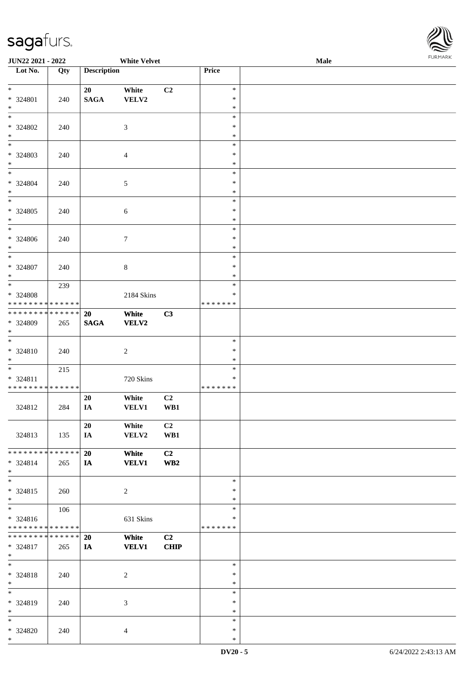

| <b>JUN22 2021 - 2022</b>                                                                           |            |                    | <b>White Velvet</b>   |                       |                                      | <b>Male</b> |  |
|----------------------------------------------------------------------------------------------------|------------|--------------------|-----------------------|-----------------------|--------------------------------------|-------------|--|
| Lot No.                                                                                            | Qty        | <b>Description</b> |                       |                       | Price                                |             |  |
| $\ddot{x}$<br>* 324801<br>$\ast$                                                                   | 240        | 20<br><b>SAGA</b>  | White<br>VELV2        | C2                    | $\ast$<br>$\ast$<br>$\ast$           |             |  |
| $\overline{\ast}$<br>* 324802<br>$\ast$                                                            | 240        |                    | $\mathfrak{Z}$        |                       | $\ast$<br>$\ast$<br>$\ast$           |             |  |
| $\overline{\phantom{0}}$<br>* 324803<br>$\ast$                                                     | 240        |                    | $\overline{4}$        |                       | $\ast$<br>$\ast$<br>$\ast$           |             |  |
| $*$<br>* 324804<br>$*$                                                                             | 240        |                    | $\mathfrak{S}$        |                       | $\ast$<br>$\ast$<br>$\ast$           |             |  |
| * 324805<br>$*$<br>$\overline{\ast}$                                                               | 240        |                    | $\sqrt{6}$            |                       | $\ast$<br>$\ast$<br>$\ast$           |             |  |
| * 324806<br>$*$<br>$\overline{\ast}$                                                               | 240        |                    | $\tau$                |                       | $\ast$<br>$\ast$<br>$\ast$<br>$\ast$ |             |  |
| * 324807<br>$*$                                                                                    | 240<br>239 |                    | $\,8\,$               |                       | $\ast$<br>$\ast$<br>$\ast$           |             |  |
| * 324808<br>* * * * * * * * <mark>* * * * * *</mark><br>* * * * * * * * <mark>* * * * * * *</mark> |            |                    | 2184 Skins            |                       | $\ast$<br>* * * * * * *              |             |  |
| * 324809<br>$\ast$<br>$\overline{\mathbf{r}}$                                                      | 265        | 20<br><b>SAGA</b>  | White<br><b>VELV2</b> | C3                    | $\ast$                               |             |  |
| * 324810<br>$*$                                                                                    | 240        |                    | $\overline{c}$        |                       | $\ast$<br>$\ast$<br>$\ast$           |             |  |
| $* 324811$<br>* * * * * * * * <mark>* * * * * *</mark>                                             | 215        |                    | 720 Skins             |                       | $\ast$<br>* * * * * * *              |             |  |
| 324812                                                                                             | 284        | 20<br>IA           | White<br><b>VELV1</b> | C2<br>WB1             |                                      |             |  |
| 324813<br>* * * * * * * * <mark>* * * * * * *</mark>                                               | 135        | 20<br>IA           | White<br>VELV2        | C <sub>2</sub><br>WB1 |                                      |             |  |
| * 324814<br>$\ast$                                                                                 | 265        | 20<br><b>IA</b>    | White<br><b>VELV1</b> | C2<br>WB <sub>2</sub> |                                      |             |  |
| * 324815<br>$*$<br>$\overline{\mathbf{r}}$                                                         | 260        |                    | $\overline{2}$        |                       | $\ast$<br>$\ast$<br>$\ast$<br>$\ast$ |             |  |
| $* 324816$<br>* * * * * * * * <mark>* * * * * *</mark>                                             | 106        |                    | 631 Skins             |                       | $\ast$<br>*******                    |             |  |
| * * * * * * * * <mark>* * * * * * *</mark><br>* 324817<br>$*$<br>$*$                               | 265        | 20<br>IA           | White<br><b>VELV1</b> | C2<br>CHIP            | $\ast$                               |             |  |
| * 324818<br>$*$                                                                                    | 240        |                    | $\overline{c}$        |                       | $\ast$<br>$\ast$<br>$\ast$           |             |  |
| * 324819<br>$*$<br>$\ast$                                                                          | 240        |                    | $\mathfrak{Z}$        |                       | $\ast$<br>$\ast$<br>$\ast$           |             |  |
| * 324820<br>$*$ $-$                                                                                | 240        |                    | $\overline{4}$        |                       | $\ast$<br>$\ast$                     |             |  |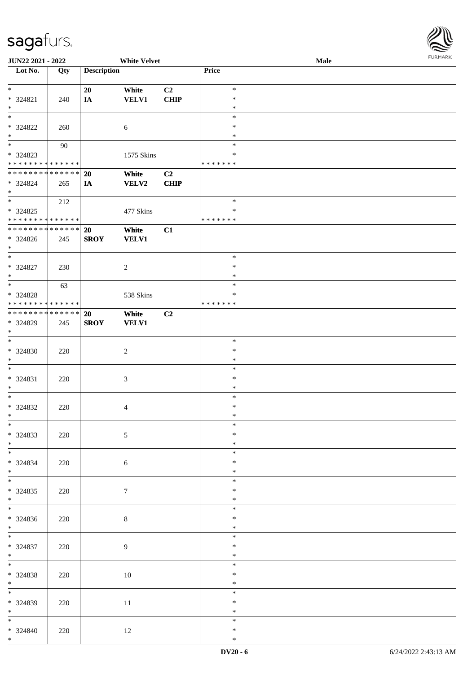

| JUN22 2021 - 2022             |     |                    | <b>White Velvet</b> |             |               | <b>Male</b> |
|-------------------------------|-----|--------------------|---------------------|-------------|---------------|-------------|
| Lot No.                       | Qty | <b>Description</b> |                     |             | Price         |             |
|                               |     |                    |                     |             |               |             |
| $*$                           |     | 20                 | White               | C2          | $\ast$        |             |
| * 324821                      | 240 | IA                 | <b>VELV1</b>        | <b>CHIP</b> | $\ast$        |             |
| $\ast$                        |     |                    |                     |             | $\ast$        |             |
| $\overline{\ast}$             |     |                    |                     |             | $\ast$        |             |
|                               |     |                    |                     |             |               |             |
| * 324822                      | 260 |                    | 6                   |             | $\ast$        |             |
| $\ast$                        |     |                    |                     |             | $\ast$        |             |
|                               | 90  |                    |                     |             | $\ast$        |             |
| * 324823                      |     |                    | 1575 Skins          |             | $\ast$        |             |
| * * * * * * * * * * * * * *   |     |                    |                     |             | *******       |             |
| * * * * * * * * * * * * * *   |     | 20                 | White               | C2          |               |             |
| * 324824                      | 265 | IA                 | VELV2               | <b>CHIP</b> |               |             |
| $*$                           |     |                    |                     |             |               |             |
| $*$                           |     |                    |                     |             | $\ast$        |             |
|                               | 212 |                    |                     |             |               |             |
| $* 324825$                    |     |                    | 477 Skins           |             | $\ast$        |             |
| * * * * * * * * * * * * * *   |     |                    |                     |             | *******       |             |
| * * * * * * * * * * * * * *   |     | 20                 | White               | C1          |               |             |
| $* 324826$                    | 245 | <b>SROY</b>        | <b>VELV1</b>        |             |               |             |
| $*$                           |     |                    |                     |             |               |             |
| $*$                           |     |                    |                     |             | $\ast$        |             |
|                               |     |                    |                     |             | $\ast$        |             |
| $* 324827$                    | 230 |                    | $\sqrt{2}$          |             |               |             |
| $*$                           |     |                    |                     |             | $\ast$        |             |
| $*$                           | 63  |                    |                     |             | $\ast$        |             |
| $* 324828$                    |     |                    | 538 Skins           |             | ∗             |             |
| * * * * * * * * * * * * * *   |     |                    |                     |             | * * * * * * * |             |
| * * * * * * * * * * * * * * * |     | <b>20</b>          | White               | C2          |               |             |
| * 324829                      | 245 | <b>SROY</b>        | <b>VELV1</b>        |             |               |             |
| $*$                           |     |                    |                     |             |               |             |
|                               |     |                    |                     |             |               |             |
| $*$                           |     |                    |                     |             | $\ast$        |             |
| * 324830                      | 220 |                    | $\sqrt{2}$          |             | $\ast$        |             |
| $*$                           |     |                    |                     |             | $\ast$        |             |
| $\ast$                        |     |                    |                     |             | $\ast$        |             |
| * 324831                      | 220 |                    | $\mathfrak{Z}$      |             | $\ast$        |             |
| $*$                           |     |                    |                     |             | $\ast$        |             |
| $*$                           |     |                    |                     |             | $\ast$        |             |
|                               |     |                    |                     |             |               |             |
| * 324832                      | 220 |                    | $\overline{4}$      |             | $\ast$        |             |
| $*$                           |     |                    |                     |             | $\ast$        |             |
| $*$                           |     |                    |                     |             | $\ast$        |             |
| * 324833                      | 220 |                    | 5                   |             | $\ast$        |             |
| $*$                           |     |                    |                     |             | $\ast$        |             |
|                               |     |                    |                     |             | $\ast$        |             |
|                               |     |                    |                     |             | $\ast$        |             |
| * 324834                      | 220 |                    | 6                   |             |               |             |
| $*$<br>$*$                    |     |                    |                     |             | $\ast$        |             |
|                               |     |                    |                     |             | $\ast$        |             |
| $* 324835$                    | 220 |                    | $\tau$              |             | $\ast$        |             |
| $*$                           |     |                    |                     |             | $\ast$        |             |
|                               |     |                    |                     |             | $\ast$        |             |
| $* 324836$                    | 220 |                    | $8\,$               |             | $\ast$        |             |
| $*$                           |     |                    |                     |             | $\ast$        |             |
| $*$                           |     |                    |                     |             |               |             |
|                               |     |                    |                     |             | $\ast$        |             |
| * 324837                      | 220 |                    | 9                   |             | $\ast$        |             |
| $*$                           |     |                    |                     |             | $\ast$        |             |
| $*$                           |     |                    |                     |             | $\ast$        |             |
| $* 324838$                    | 220 |                    | $10\,$              |             | $\ast$        |             |
| $*$ $*$                       |     |                    |                     |             | $\ast$        |             |
| $*$                           |     |                    |                     |             |               |             |
|                               |     |                    |                     |             | $\ast$        |             |
| $* 324839$                    | 220 |                    | 11                  |             | $\ast$        |             |
| $*$ $*$                       |     |                    |                     |             | $\ast$        |             |
| $*$                           |     |                    |                     |             | $\ast$        |             |
| * 324840                      | 220 |                    | 12                  |             | $\ast$        |             |
| $*$                           |     |                    |                     |             | $\ast$        |             |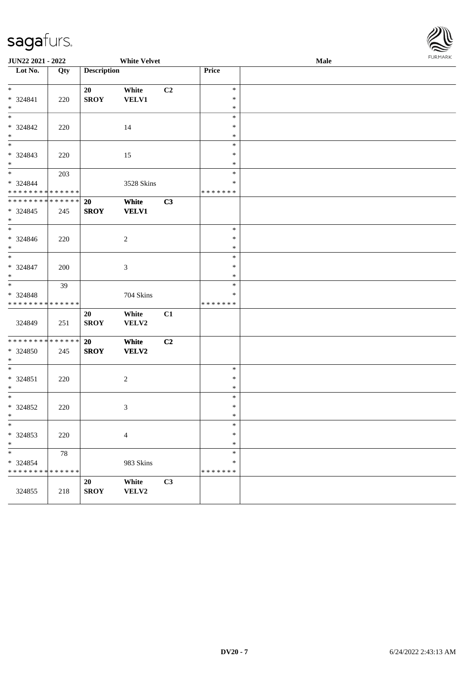

| JUN22 2021 - 2022                          |     |                    | <b>White Velvet</b> |    |                  | Male | <b>FURMARK</b> |
|--------------------------------------------|-----|--------------------|---------------------|----|------------------|------|----------------|
| $\overline{\phantom{1}}$ Lot No.           | Qty | <b>Description</b> |                     |    | Price            |      |                |
|                                            |     |                    |                     |    |                  |      |                |
| $*$                                        |     | 20                 | White               | C2 | $\ast$           |      |                |
| * 324841                                   | 220 | <b>SROY</b>        | VELV1               |    | $\ast$           |      |                |
| $*$<br>$*$                                 |     |                    |                     |    | $\ast$<br>$\ast$ |      |                |
| * 324842                                   |     |                    |                     |    | $\ast$           |      |                |
| $*$                                        | 220 |                    | 14                  |    | $\ast$           |      |                |
|                                            |     |                    |                     |    | $\ast$           |      |                |
| $* 324843$                                 | 220 |                    | 15                  |    | $\ast$           |      |                |
| $*$                                        |     |                    |                     |    | $\ast$           |      |                |
| $*$                                        | 203 |                    |                     |    | $\ast$           |      |                |
| * 324844                                   |     |                    | 3528 Skins          |    | $\ast$           |      |                |
| * * * * * * * * * * * * * *                |     |                    |                     |    | * * * * * * *    |      |                |
| * * * * * * * * * * * * * * *              |     | 20                 | White               | C3 |                  |      |                |
| $* 324845$                                 | 245 | <b>SROY</b>        | <b>VELV1</b>        |    |                  |      |                |
| $*$<br>$*$                                 |     |                    |                     |    | $\ast$           |      |                |
| * 324846                                   | 220 |                    | 2                   |    | $\ast$           |      |                |
| $*$                                        |     |                    |                     |    | $\ast$           |      |                |
| $*$                                        |     |                    |                     |    | $\ast$           |      |                |
| * 324847                                   | 200 |                    | 3                   |    | $\ast$           |      |                |
| $\ast$                                     |     |                    |                     |    | $\ast$           |      |                |
| $*$                                        | 39  |                    |                     |    | $\ast$           |      |                |
| * 324848                                   |     |                    | 704 Skins           |    | $\ast$           |      |                |
| * * * * * * * * <mark>* * * * * * *</mark> |     |                    |                     |    | * * * * * * *    |      |                |
|                                            |     | 20                 | White               | C1 |                  |      |                |
| 324849                                     | 251 | <b>SROY</b>        | VELV2               |    |                  |      |                |
| * * * * * * * * * * * * * * *              |     | 20                 | White               | C2 |                  |      |                |
| * 324850                                   | 245 | <b>SROY</b>        | VELV2               |    |                  |      |                |
| $*$                                        |     |                    |                     |    |                  |      |                |
| $*$                                        |     |                    |                     |    | $\ast$           |      |                |
| $* 324851$                                 | 220 |                    | $\overline{c}$      |    | $\ast$           |      |                |
| $\ast$                                     |     |                    |                     |    | $\ast$           |      |                |
| $*$                                        |     |                    |                     |    | $\ast$           |      |                |
| * 324852                                   | 220 |                    | 3                   |    | $\ast$           |      |                |
| $\ast$<br>$\ast$                           |     |                    |                     |    | $\ast$<br>$\ast$ |      |                |
| * 324853                                   | 220 |                    | 4                   |    | $\ast$           |      |                |
| $\ast$                                     |     |                    |                     |    | $\ast$           |      |                |
| $\ast$                                     | 78  |                    |                     |    | $\ast$           |      |                |
| * 324854                                   |     |                    | 983 Skins           |    | $\ast$           |      |                |
| * * * * * * * * * * * * * *                |     |                    |                     |    | * * * * * * *    |      |                |
|                                            |     | 20                 | White               | C3 |                  |      |                |
| 324855                                     | 218 | <b>SROY</b>        | VELV2               |    |                  |      |                |
|                                            |     |                    |                     |    |                  |      |                |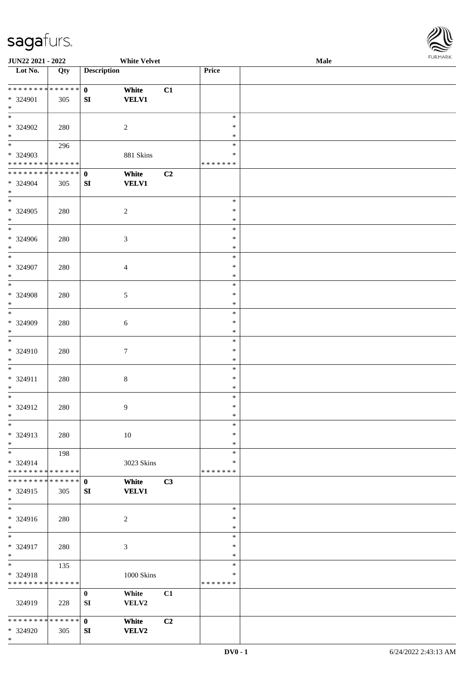\*



| <b>JUN22 2021 - 2022</b>      |     |                    | <b>White Velvet</b> |    |               | Male |  |
|-------------------------------|-----|--------------------|---------------------|----|---------------|------|--|
| Lot No.                       | Qty | <b>Description</b> |                     |    | Price         |      |  |
|                               |     |                    |                     |    |               |      |  |
| ******** <mark>******</mark>  |     | $\mathbf{0}$       | White               | C1 |               |      |  |
| * 324901                      | 305 | SI                 | <b>VELV1</b>        |    |               |      |  |
| $*$                           |     |                    |                     |    |               |      |  |
|                               |     |                    |                     |    | $\ast$        |      |  |
|                               |     |                    |                     |    |               |      |  |
| * 324902                      | 280 |                    | $\overline{c}$      |    | $\ast$        |      |  |
| $\ast$                        |     |                    |                     |    | $\ast$        |      |  |
|                               | 296 |                    |                     |    | $\ast$        |      |  |
| * 324903                      |     |                    | 881 Skins           |    | $\ast$        |      |  |
| * * * * * * * * * * * * * *   |     |                    |                     |    | * * * * * * * |      |  |
| ******** <mark>******</mark>  |     | $\mathbf{0}$       | White               | C2 |               |      |  |
| $* 324904$                    | 305 | ${\bf SI}$         | <b>VELV1</b>        |    |               |      |  |
| $*$                           |     |                    |                     |    |               |      |  |
| $\ast$                        |     |                    |                     |    | $\ast$        |      |  |
|                               |     |                    |                     |    |               |      |  |
| $* 324905$                    | 280 |                    | $\boldsymbol{2}$    |    | $\ast$        |      |  |
| $*$                           |     |                    |                     |    | $\ast$        |      |  |
| $\overline{\ast}$             |     |                    |                     |    | $\ast$        |      |  |
| $* 324906$                    | 280 |                    | 3                   |    | $\ast$        |      |  |
| $*$                           |     |                    |                     |    | $\ast$        |      |  |
| $\ast$                        |     |                    |                     |    | $\ast$        |      |  |
| * 324907                      | 280 |                    | $\overline{4}$      |    | $\ast$        |      |  |
| $*$                           |     |                    |                     |    | $\ast$        |      |  |
| $\overline{\ast}$             |     |                    |                     |    | $\ast$        |      |  |
|                               |     |                    |                     |    |               |      |  |
| * 324908                      | 280 |                    | 5                   |    | $\ast$        |      |  |
| $*$                           |     |                    |                     |    | $\ast$        |      |  |
| $*$                           |     |                    |                     |    | $\ast$        |      |  |
| * 324909                      | 280 |                    | 6                   |    | $\ast$        |      |  |
| $*$                           |     |                    |                     |    | $\ast$        |      |  |
| $*$                           |     |                    |                     |    | $\ast$        |      |  |
| * 324910                      | 280 |                    | $\tau$              |    | $\ast$        |      |  |
|                               |     |                    |                     |    |               |      |  |
| $*$                           |     |                    |                     |    | $\ast$        |      |  |
| $*$                           |     |                    |                     |    | $\ast$        |      |  |
| * 324911                      | 280 |                    | $\,8\,$             |    | $\ast$        |      |  |
| $*$                           |     |                    |                     |    | $\ast$        |      |  |
| $*$                           |     |                    |                     |    | $\ast$        |      |  |
| $* 324912$                    | 280 |                    | 9                   |    | $\ast$        |      |  |
| $*$                           |     |                    |                     |    | $\ast$        |      |  |
| $\ast$                        |     |                    |                     |    | $\ast$        |      |  |
| * 324913                      | 280 |                    | 10                  |    | $\ast$        |      |  |
| $*$                           |     |                    |                     |    | $\ast$        |      |  |
|                               |     |                    |                     |    |               |      |  |
| $*$                           | 198 |                    |                     |    | $\ast$        |      |  |
| * 324914                      |     |                    | 3023 Skins          |    | ∗             |      |  |
| * * * * * * * * * * * * * *   |     |                    |                     |    | * * * * * * * |      |  |
| * * * * * * * * * * * * * * * |     | $\mathbf 0$        | White               | C3 |               |      |  |
| * 324915                      | 305 | SI                 | <b>VELV1</b>        |    |               |      |  |
| $*$                           |     |                    |                     |    |               |      |  |
| $\overline{\phantom{1}}$      |     |                    |                     |    | $\ast$        |      |  |
| * 324916                      | 280 |                    | $\overline{2}$      |    | $\ast$        |      |  |
| $*$                           |     |                    |                     |    | $\ast$        |      |  |
| $*$                           |     |                    |                     |    | $\ast$        |      |  |
|                               |     |                    |                     |    |               |      |  |
| * 324917                      | 280 |                    | $\mathfrak{Z}$      |    | $\ast$        |      |  |
| $*$                           |     |                    |                     |    | $\ast$        |      |  |
| $*$                           | 135 |                    |                     |    | $\ast$        |      |  |
| * 324918                      |     |                    | 1000 Skins          |    | $\ast$        |      |  |
| * * * * * * * * * * * * * *   |     |                    |                     |    | * * * * * * * |      |  |
|                               |     | $\bf{0}$           | White               | C1 |               |      |  |
| 324919                        | 228 | SI                 | VELV2               |    |               |      |  |
|                               |     |                    |                     |    |               |      |  |
| * * * * * * * * * * * * * * * |     | $\mathbf{0}$       | White               | C2 |               |      |  |
|                               |     |                    |                     |    |               |      |  |
| * 324920                      | 305 | SI                 | <b>VELV2</b>        |    |               |      |  |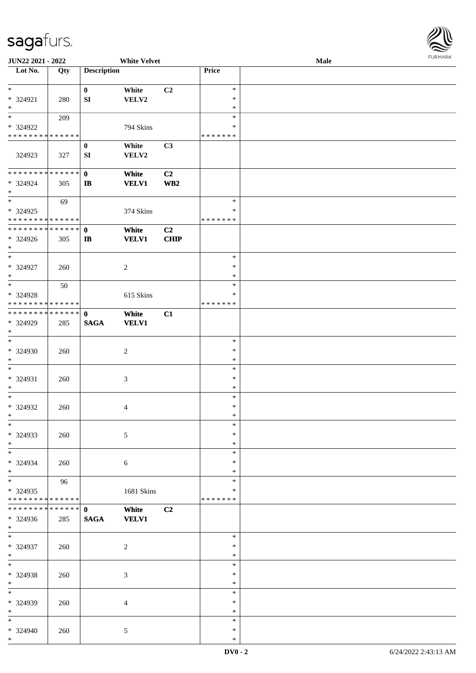

| JUN22 2021 - 2022                       |     |                    | <b>White Velvet</b> |                |                  | Male |  |
|-----------------------------------------|-----|--------------------|---------------------|----------------|------------------|------|--|
| $\overline{\phantom{1}}$ Lot No.        | Qty | <b>Description</b> |                     |                | Price            |      |  |
|                                         |     |                    |                     |                |                  |      |  |
| $*$                                     |     | $\bf{0}$           | White               | C <sub>2</sub> | $\ast$           |      |  |
| * 324921                                | 280 | SI                 | VELV2               |                | $\ast$           |      |  |
| $\ast$<br>$\overline{\ast}$             |     |                    |                     |                | $\ast$<br>$\ast$ |      |  |
|                                         | 209 |                    |                     |                | ∗                |      |  |
| * 324922<br>* * * * * * * * * * * * * * |     |                    | 794 Skins           |                | * * * * * * *    |      |  |
|                                         |     | $\bf{0}$           | White               | C3             |                  |      |  |
| 324923                                  | 327 | SI                 | VELV2               |                |                  |      |  |
| * * * * * * * * * * * * * *             |     | $\mathbf{0}$       | White               | C2             |                  |      |  |
| * 324924                                | 305 | $\mathbf{I}$       | <b>VELV1</b>        | WB2            |                  |      |  |
| $*$                                     |     |                    |                     |                |                  |      |  |
| $*$                                     | 69  |                    |                     |                | $\ast$           |      |  |
| * 324925                                |     |                    | 374 Skins           |                | $\ast$           |      |  |
| * * * * * * * * * * * * * *             |     |                    |                     |                | * * * * * * *    |      |  |
| * * * * * * * * * * * * * *             |     | $\mathbf 0$        | White               | C2             |                  |      |  |
| * 324926                                | 305 | $\bf IB$           | <b>VELV1</b>        | <b>CHIP</b>    |                  |      |  |
| $*$                                     |     |                    |                     |                |                  |      |  |
| $\ast$                                  |     |                    |                     |                | $\ast$           |      |  |
| $* 324927$                              | 260 |                    | $\overline{2}$      |                | $\ast$           |      |  |
| $*$                                     |     |                    |                     |                | $\ast$           |      |  |
| $\ast$                                  | 50  |                    |                     |                | $\ast$           |      |  |
| * 324928                                |     |                    | 615 Skins           |                | ∗                |      |  |
| * * * * * * * * * * * * * *             |     |                    |                     |                | * * * * * * *    |      |  |
| **************                          |     | $\mathbf 0$        | White               | C1             |                  |      |  |
| * 324929                                | 285 | <b>SAGA</b>        | <b>VELV1</b>        |                |                  |      |  |
| $\ast$                                  |     |                    |                     |                |                  |      |  |
| $\ast$                                  |     |                    |                     |                | $\ast$           |      |  |
| * 324930                                | 260 |                    | $\boldsymbol{2}$    |                | $\ast$           |      |  |
| $*$                                     |     |                    |                     |                | $\ast$           |      |  |
| $*$                                     |     |                    |                     |                | $\ast$           |      |  |
| * 324931                                | 260 |                    | $\mathfrak{Z}$      |                | $\ast$           |      |  |
| $*$                                     |     |                    |                     |                | $\ast$           |      |  |
| $*$                                     |     |                    |                     |                | $\ast$           |      |  |
| * 324932<br>$*$                         | 260 |                    | 4                   |                | $\ast$<br>$\ast$ |      |  |
| $\ast$                                  |     |                    |                     |                | $\ast$           |      |  |
| * 324933                                |     |                    |                     |                | $\ast$           |      |  |
| $*$                                     | 260 |                    | 5                   |                | $\ast$           |      |  |
| $\ast$                                  |     |                    |                     |                | $\ast$           |      |  |
| * 324934                                |     |                    |                     |                | ∗                |      |  |
| $*$                                     | 260 |                    | 6                   |                | ∗                |      |  |
| $\overline{\ast}$                       | 96  |                    |                     |                | $\ast$           |      |  |
| $* 324935$                              |     |                    | 1681 Skins          |                | ∗                |      |  |
| * * * * * * * * * * * * * *             |     |                    |                     |                | * * * * * * *    |      |  |
| * * * * * * * * * * * * * *             |     | $\mathbf{0}$       | White               | C <sub>2</sub> |                  |      |  |
| * 324936                                | 285 | <b>SAGA</b>        | <b>VELV1</b>        |                |                  |      |  |
| $*$                                     |     |                    |                     |                |                  |      |  |
| $*$                                     |     |                    |                     |                | $\ast$           |      |  |
| * 324937                                | 260 |                    | $\boldsymbol{2}$    |                | $\ast$           |      |  |
| $*$                                     |     |                    |                     |                | $\ast$           |      |  |
| $\ast$                                  |     |                    |                     |                | $\ast$           |      |  |
| * 324938                                | 260 |                    | 3                   |                | $\ast$           |      |  |
| $\ast$                                  |     |                    |                     |                | $\ast$           |      |  |
| $\ast$                                  |     |                    |                     |                | $\ast$           |      |  |
| * 324939                                | 260 |                    | $\overline{4}$      |                | $\ast$           |      |  |
| $\ast$                                  |     |                    |                     |                | $\ast$           |      |  |
| $*$                                     |     |                    |                     |                | $\ast$           |      |  |
| * 324940                                | 260 |                    | $\mathfrak{S}$      |                | $\ast$           |      |  |
| $*$                                     |     |                    |                     |                | $\ast$           |      |  |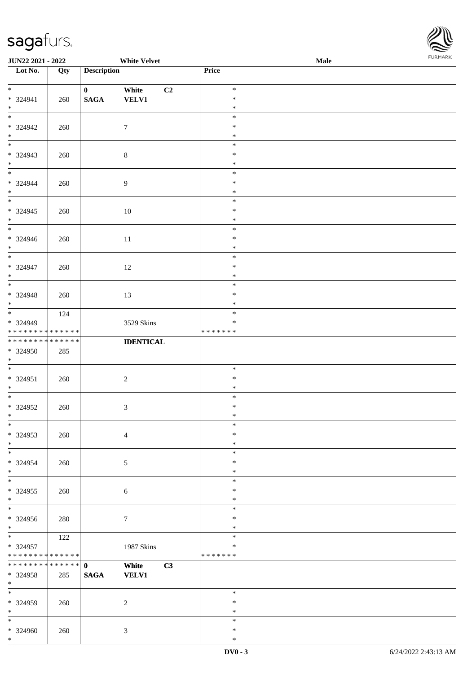\*



| <b>JUN22 2021 - 2022</b>                   |     |                    | <b>White Velvet</b> |               | <b>Male</b> | <b>I ORI IMPORT</b> |
|--------------------------------------------|-----|--------------------|---------------------|---------------|-------------|---------------------|
| Lot No.                                    | Qty | <b>Description</b> |                     | Price         |             |                     |
|                                            |     |                    |                     |               |             |                     |
| $*$                                        |     | $\mathbf{0}$       | C2<br>White         | $\ast$        |             |                     |
| * 324941                                   | 260 | $\mathbf{SAGA}$    | <b>VELV1</b>        | $\ast$        |             |                     |
| $*$                                        |     |                    |                     | $\ast$        |             |                     |
|                                            |     |                    |                     | $\ast$        |             |                     |
| * 324942                                   | 260 |                    | $\tau$              | $\ast$        |             |                     |
| $*$                                        |     |                    |                     | $\ast$        |             |                     |
|                                            |     |                    |                     | $\ast$        |             |                     |
| * 324943                                   | 260 |                    | $\,8\,$             | $\ast$        |             |                     |
| $*$                                        |     |                    |                     | $\ast$        |             |                     |
| $\overline{\mathbf{r}}$                    |     |                    |                     | $\ast$        |             |                     |
| * 324944                                   | 260 |                    | 9                   | $\ast$        |             |                     |
| $\ast$                                     |     |                    |                     | $\ast$        |             |                     |
|                                            |     |                    |                     | $\ast$        |             |                     |
| $* 324945$                                 | 260 |                    | 10                  | $\ast$        |             |                     |
| $*$                                        |     |                    |                     | $\ast$        |             |                     |
|                                            |     |                    |                     | $\ast$        |             |                     |
| * 324946                                   | 260 |                    | 11                  | $\ast$        |             |                     |
| $*$                                        |     |                    |                     | $\ast$        |             |                     |
|                                            |     |                    |                     | $\ast$        |             |                     |
| * 324947                                   | 260 |                    | 12                  | $\ast$        |             |                     |
| $*$                                        |     |                    |                     | $\ast$        |             |                     |
| $\overline{\phantom{0}}$                   |     |                    |                     | $\ast$        |             |                     |
| * 324948                                   | 260 |                    | 13                  | $\ast$        |             |                     |
| $*$                                        |     |                    |                     | $\ast$        |             |                     |
|                                            | 124 |                    |                     | $\ast$        |             |                     |
| * 324949                                   |     |                    | 3529 Skins          | $\ast$        |             |                     |
| * * * * * * * * <mark>* * * * * * *</mark> |     |                    |                     | * * * * * * * |             |                     |
| * * * * * * * * <mark>* * * * * * *</mark> |     |                    | <b>IDENTICAL</b>    |               |             |                     |
| * 324950                                   | 285 |                    |                     |               |             |                     |
| $\ast$                                     |     |                    |                     |               |             |                     |
| $\overline{\ }$                            |     |                    |                     | $\ast$        |             |                     |
| $* 324951$                                 | 260 |                    | $\overline{2}$      | $\ast$        |             |                     |
| $*$                                        |     |                    |                     | $\ast$        |             |                     |
| $*$                                        |     |                    |                     | $\ast$        |             |                     |
| $* 324952$                                 | 260 |                    | $\mathfrak{Z}$      | $\ast$        |             |                     |
| $\ddot{x}$                                 |     |                    |                     | $\ast$        |             |                     |
| $\ast$                                     |     |                    |                     | $\ast$        |             |                     |
| * 324953                                   | 260 |                    | $\overline{4}$      | $\ast$        |             |                     |
| $*$                                        |     |                    |                     | $\ast$        |             |                     |
| $\ast$                                     |     |                    |                     | $\ast$        |             |                     |
| * 324954                                   | 260 |                    | 5                   | $\ast$        |             |                     |
| $*$                                        |     |                    |                     | $\ast$        |             |                     |
| $*$                                        |     |                    |                     | $\ast$        |             |                     |
| * 324955                                   | 260 |                    | 6                   | $\ast$        |             |                     |
| $\ast$                                     |     |                    |                     | $\ast$        |             |                     |
| $*$                                        |     |                    |                     | $\ast$        |             |                     |
| * 324956                                   | 280 |                    | $\tau$              | $\ast$        |             |                     |
| $\ast$                                     |     |                    |                     | $\ast$        |             |                     |
| $\ddot{x}$                                 | 122 |                    |                     | $\ast$        |             |                     |
| * 324957                                   |     |                    | 1987 Skins          | ∗             |             |                     |
| * * * * * * * * <mark>* * * * * *</mark>   |     |                    |                     | *******       |             |                     |
|                                            |     |                    | White<br>C3         |               |             |                     |
| * 324958                                   | 285 | <b>SAGA</b>        | <b>VELV1</b>        |               |             |                     |
| $*$                                        |     |                    |                     |               |             |                     |
| $\ast$                                     |     |                    |                     | $\ast$        |             |                     |
| * 324959                                   | 260 |                    | 2                   | $\ast$        |             |                     |
| $*$                                        |     |                    |                     | $\ast$        |             |                     |
|                                            |     |                    |                     | $\ast$        |             |                     |
| * 324960                                   | 260 |                    | 3                   | $\ast$        |             |                     |
| $\ast$                                     |     |                    |                     | $\ast$        |             |                     |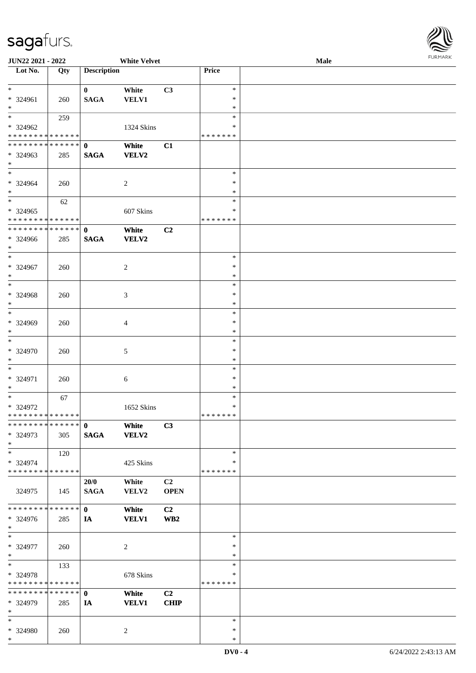| Lot No.                                  | Qty | <b>Description</b> |                |             | Price              |  |
|------------------------------------------|-----|--------------------|----------------|-------------|--------------------|--|
| $\ast$                                   |     | $\mathbf{0}$       | White          | C3          | $\ast$             |  |
| $* 324961$                               | 260 | $\mathbf{SAGA}$    | <b>VELV1</b>   |             | $\ast$             |  |
| $\ast$                                   |     |                    |                |             | $\ast$             |  |
| $\overline{\ast}$                        | 259 |                    |                |             | $\ast$             |  |
| * 324962                                 |     |                    | 1324 Skins     |             | ∗                  |  |
| * * * * * * * * * * * * * *              |     |                    |                |             | * * * * * * *      |  |
| **************                           |     | $\mathbf 0$        | White          | C1          |                    |  |
| $* 324963$                               | 285 | <b>SAGA</b>        | <b>VELV2</b>   |             |                    |  |
| $\ast$<br>$\overline{\phantom{0}}$       |     |                    |                |             | $\ast$             |  |
| * 324964                                 | 260 |                    | $\sqrt{2}$     |             | $\ast$             |  |
| $\ast$                                   |     |                    |                |             | $\ast$             |  |
| $\overline{\phantom{1}}$                 | 62  |                    |                |             | $\ast$             |  |
| * 324965                                 |     |                    | 607 Skins      |             | $\ast$             |  |
| * * * * * * * * * * * * * *              |     |                    |                |             | * * * * * * *      |  |
| **************                           |     | $\mathbf{0}$       | White          | C2          |                    |  |
| * 324966                                 | 285 | <b>SAGA</b>        | VELV2          |             |                    |  |
| $\ast$                                   |     |                    |                |             |                    |  |
| $\overline{\phantom{a}^*}$               |     |                    |                |             | $\ast$             |  |
| * 324967<br>$\ast$                       | 260 |                    | $\overline{2}$ |             | $\ast$             |  |
| $\overline{\phantom{a}}$                 |     |                    |                |             | $\ast$<br>$\ast$   |  |
| * 324968                                 | 260 |                    | $\mathfrak{Z}$ |             | $\ast$             |  |
| $\ast$                                   |     |                    |                |             | $\ast$             |  |
| $\ast$                                   |     |                    |                |             | $\ast$             |  |
| * 324969                                 | 260 |                    | $\overline{4}$ |             | ∗                  |  |
| $\ast$                                   |     |                    |                |             | $\ast$             |  |
| $\ast$                                   |     |                    |                |             | $\ast$             |  |
| * 324970                                 | 260 |                    | 5              |             | $\ast$             |  |
| $\ast$<br>$\ast$                         |     |                    |                |             | $\ast$             |  |
|                                          |     |                    |                |             | $\ast$<br>$\ast$   |  |
| * 324971<br>$*$                          | 260 |                    | $\sqrt{6}$     |             | $\ast$             |  |
| $\ast$                                   | 67  |                    |                |             | $\ast$             |  |
| * 324972                                 |     |                    | 1652 Skins     |             | $\ast$             |  |
| **************                           |     |                    |                |             | * * * * * * *      |  |
| *************** 0                        |     |                    | White          | C3          |                    |  |
| * 324973                                 | 305 | $\mathbf{SAGA}$    | <b>VELV2</b>   |             |                    |  |
| $\ast$                                   |     |                    |                |             |                    |  |
| $\ast$                                   | 120 |                    |                |             | $\ast$             |  |
| * 324974<br>******** <mark>******</mark> |     |                    | 425 Skins      |             | ∗<br>* * * * * * * |  |
|                                          |     | 20/0               | White          | C2          |                    |  |
| 324975                                   | 145 | $\mathbf{SAGA}$    | VELV2          | <b>OPEN</b> |                    |  |
|                                          |     |                    |                |             |                    |  |
| * * * * * * * * * * * * * *              |     | $\mathbf{0}$       | White          | C2          |                    |  |
| * 324976                                 | 285 | IA                 | <b>VELV1</b>   | WB2         |                    |  |
| $\ast$                                   |     |                    |                |             |                    |  |
| $\overline{\phantom{1}}$                 |     |                    |                |             | $\ast$             |  |
| * 324977                                 | 260 |                    | $\sqrt{2}$     |             | $\ast$             |  |
| $\ast$<br>$\ast$                         |     |                    |                |             | $\ast$<br>$\ast$   |  |
| * 324978                                 | 133 |                    | 678 Skins      |             | $\ast$             |  |
| * * * * * * * * * * * * * *              |     |                    |                |             | * * * * * * *      |  |
| ******** <mark>******</mark>             |     | $\mathbf 0$        | White          | C2          |                    |  |
| * 324979                                 | 285 | IA                 | <b>VELV1</b>   | <b>CHIP</b> |                    |  |
| $\ast$                                   |     |                    |                |             |                    |  |
| $\ast$                                   |     |                    |                |             | $\ast$             |  |
| * 324980                                 | 260 |                    | $\sqrt{2}$     |             | $\ast$             |  |
| $\ast$                                   |     |                    |                |             | $\ast$             |  |

**JUN22 2021 - 2022 White Velvet Male**

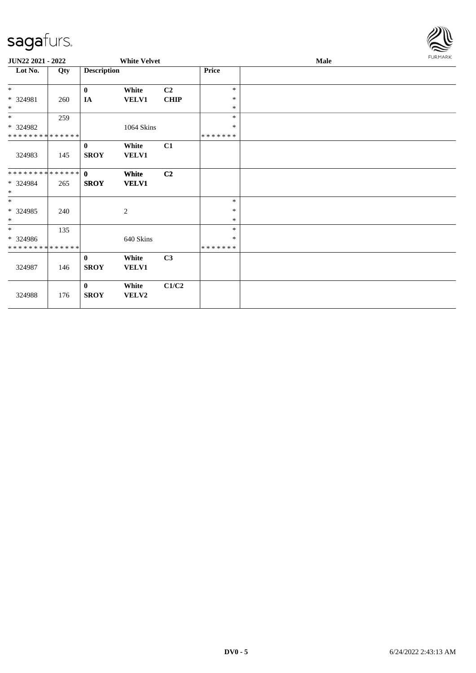

| JUN22 2021 - 2022           |     |                    | <b>White Velvet</b> |                |              | FURMARK |  |
|-----------------------------|-----|--------------------|---------------------|----------------|--------------|---------|--|
| Lot No.                     | Qty | <b>Description</b> |                     |                | <b>Price</b> |         |  |
| $*$                         |     | $\bf{0}$           | White               | C <sub>2</sub> | $\ast$       |         |  |
| * 324981                    | 260 | IA                 | <b>VELV1</b>        | <b>CHIP</b>    | $\ast$       |         |  |
| $\ast$                      |     |                    |                     |                | $\ast$       |         |  |
| $*$                         | 259 |                    |                     |                | $\ast$       |         |  |
| * 324982                    |     |                    | 1064 Skins          |                | $\ast$       |         |  |
| * * * * * * * * * * * * * * |     |                    |                     |                | *******      |         |  |
|                             |     | $\bf{0}$           | White               | C1             |              |         |  |
| 324983                      | 145 | <b>SROY</b>        | <b>VELV1</b>        |                |              |         |  |
| **************              |     | $\mathbf{0}$       | White               | C2             |              |         |  |
| * 324984                    | 265 | <b>SROY</b>        | <b>VELV1</b>        |                |              |         |  |
| $\ast$                      |     |                    |                     |                |              |         |  |
| $*$                         |     |                    |                     |                | $\ast$       |         |  |
| * 324985                    | 240 |                    | $\overline{c}$      |                | $\ast$       |         |  |
| $\ast$                      |     |                    |                     |                | $\ast$       |         |  |
| $*$                         | 135 |                    |                     |                | $\ast$       |         |  |
| * 324986                    |     |                    | 640 Skins           |                | $\ast$       |         |  |
| * * * * * * * * * * * * * * |     |                    |                     |                | *******      |         |  |
|                             |     | $\mathbf{0}$       | White               | C3             |              |         |  |
| 324987                      | 146 | <b>SROY</b>        | <b>VELV1</b>        |                |              |         |  |
|                             |     | $\bf{0}$           | White               | C1/C2          |              |         |  |
| 324988                      | 176 | <b>SROY</b>        | VELV2               |                |              |         |  |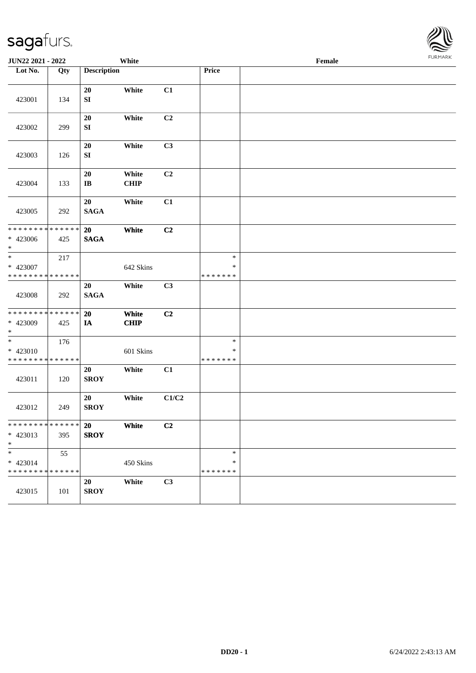| JUN22 2021 - 2022                                                     |     |                              | White                |                           |                                   | Female |  |
|-----------------------------------------------------------------------|-----|------------------------------|----------------------|---------------------------|-----------------------------------|--------|--|
| Lot No.                                                               | Qty | <b>Description</b>           |                      |                           | Price                             |        |  |
| 423001                                                                | 134 | 20<br>${\bf SI}$             | White                | C1                        |                                   |        |  |
| 423002                                                                | 299 | 20<br>${\bf SI}$             | White                | C <sub>2</sub>            |                                   |        |  |
| 423003                                                                | 126 | 20<br>${\bf SI}$             | White                | C3                        |                                   |        |  |
| 423004                                                                | 133 | 20<br>$\mathbf{I}\mathbf{B}$ | White<br><b>CHIP</b> | C2                        |                                   |        |  |
| 423005                                                                | 292 | 20<br><b>SAGA</b>            | White                | C1                        |                                   |        |  |
| * * * * * * * * * * * * * *<br>$* 423006$<br>$*$                      | 425 | 20<br><b>SAGA</b>            | White                | C2                        |                                   |        |  |
| $\ast$<br>* 423007<br>* * * * * * * * * * * * * *                     | 217 |                              | 642 Skins            |                           | $\ast$<br>$\ast$<br>* * * * * * * |        |  |
| 423008                                                                | 292 | 20<br><b>SAGA</b>            | White                | C3                        |                                   |        |  |
| * * * * * * * * * * * * * *<br>* 423009<br>$\ast$                     | 425 | 20<br>IA                     | White<br><b>CHIP</b> | C2                        |                                   |        |  |
| $\overline{\phantom{a}^*}$<br>* 423010<br>* * * * * * * * * * * * * * | 176 |                              | 601 Skins            |                           | $\ast$<br>$\ast$<br>* * * * * * * |        |  |
| 423011                                                                | 120 | 20<br><b>SROY</b>            | White                | C1                        |                                   |        |  |
| 423012                                                                | 249 | 20<br><b>SROY</b>            | White                | $\mathbf{C1}/\mathbf{C2}$ |                                   |        |  |
| * * * * * * * * * * * * * *<br>$* 423013$<br>$*$                      | 395 | 20<br><b>SROY</b>            | White                | C2                        |                                   |        |  |
| $\ast$<br>* 423014<br>******** <mark>******</mark>                    | 55  |                              | 450 Skins            |                           | $\ast$<br>*<br>* * * * * * *      |        |  |
| 423015                                                                | 101 | 20<br><b>SROY</b>            | White                | C3                        |                                   |        |  |

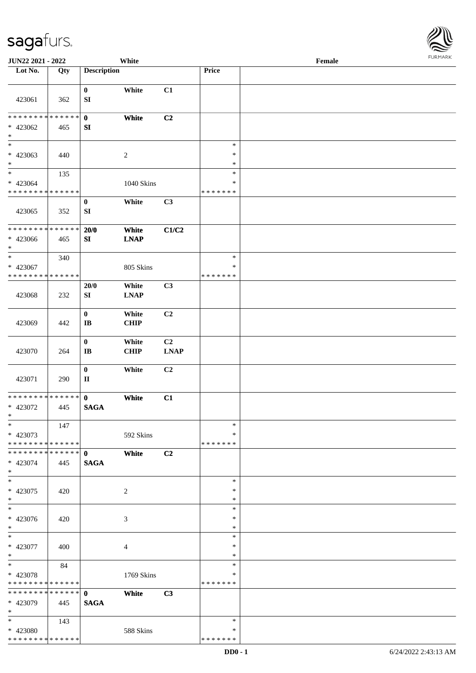| JUN22 2021 - 2022                                   |     |                                       | White                |                                                              |                                   | Female | <b>FURMARI</b> |
|-----------------------------------------------------|-----|---------------------------------------|----------------------|--------------------------------------------------------------|-----------------------------------|--------|----------------|
| Lot No.                                             | Qty | <b>Description</b>                    |                      |                                                              | Price                             |        |                |
| 423061                                              | 362 | $\bf{0}$<br>${\bf SI}$                | White                | C1                                                           |                                   |        |                |
| * * * * * * * * * * * * * *<br>* 423062<br>$\ast$   | 465 | $\mathbf{0}$<br>SI                    | White                | C <sub>2</sub>                                               |                                   |        |                |
| $\frac{1}{1}$<br>* 423063<br>$\ast$                 | 440 |                                       | $\sqrt{2}$           |                                                              | $\ast$<br>$\ast$<br>$\ast$        |        |                |
| $\ast$<br>$* 423064$<br>**************              | 135 |                                       | 1040 Skins           |                                                              | $\ast$<br>$\ast$<br>* * * * * * * |        |                |
| 423065                                              | 352 | $\bf{0}$<br>SI                        | White                | C3                                                           |                                   |        |                |
| * * * * * * * * * * * * * *<br>* 423066<br>$\ast$   | 465 | 20/0<br>SI                            | White<br><b>LNAP</b> | C1/C2                                                        |                                   |        |                |
| $\ast$<br>* 423067<br>* * * * * * * * * * * * * *   | 340 |                                       | 805 Skins            |                                                              | $\ast$<br>$\ast$<br>* * * * * * * |        |                |
| 423068                                              | 232 | 20/0<br>SI                            | White<br><b>LNAP</b> | C3                                                           |                                   |        |                |
| 423069                                              | 442 | $\mathbf{0}$<br>$\mathbf{I}$ <b>B</b> | White<br><b>CHIP</b> | C <sub>2</sub>                                               |                                   |        |                |
| 423070                                              | 264 | $\bf{0}$<br>$\bf I\bf B$              | White<br><b>CHIP</b> | C <sub>2</sub><br>$\mathbf{L}\mathbf{N}\mathbf{A}\mathbf{P}$ |                                   |        |                |
| 423071                                              | 290 | $\bf{0}$<br>$\mathbf{I}$              | White                | C2                                                           |                                   |        |                |
| ******** <mark>******</mark><br>* 423072<br>$\ast$  | 445 | $\mathbf{0}$<br><b>SAGA</b>           | White                | C1                                                           |                                   |        |                |
| $\ast$<br>* 423073<br>* * * * * * * * * * * * * *   | 147 |                                       | 592 Skins            |                                                              | $\ast$<br>*<br>* * * * * * *      |        |                |
| **************<br>* 423074<br>$\ast$                | 445 | $\mathbf{0}$<br><b>SAGA</b>           | White                | C2                                                           |                                   |        |                |
| $\overline{\phantom{a}^*}$<br>$* 423075$<br>$\ast$  | 420 |                                       | $\overline{2}$       |                                                              | $\ast$<br>∗<br>$\ast$             |        |                |
| $\frac{1}{1}$<br>* 423076<br>$\ast$                 | 420 |                                       | 3                    |                                                              | $\ast$<br>$\ast$<br>$\ast$        |        |                |
| $\ast$<br>* 423077<br>$\ast$                        | 400 |                                       | $\overline{4}$       |                                                              | $\ast$<br>$\ast$<br>$\ast$        |        |                |
| $\ast$<br>* 423078<br>* * * * * * * * * * * * * *   | 84  |                                       | 1769 Skins           |                                                              | $\ast$<br>*<br>* * * * * * *      |        |                |
| * * * * * * * * * * * * * * *<br>* 423079<br>$\ast$ | 445 | $\mathbf{0}$<br><b>SAGA</b>           | White                | C3                                                           |                                   |        |                |
| $\ast$<br>* 423080<br>**************                | 143 |                                       | 588 Skins            |                                                              | $\ast$<br>∗<br>* * * * * * *      |        |                |

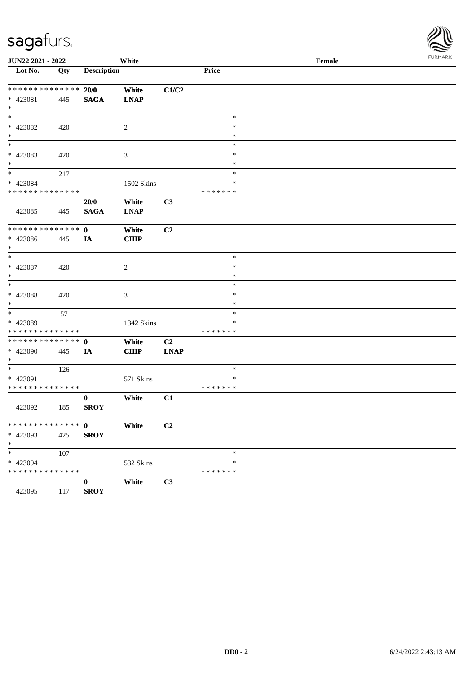|                                         | JUN22 2021 - 2022<br>White |                    |                |                | Female        |  |  |  |  |
|-----------------------------------------|----------------------------|--------------------|----------------|----------------|---------------|--|--|--|--|
| $\overline{\phantom{1}}$ Lot No.        | Qty                        | <b>Description</b> |                |                | Price         |  |  |  |  |
| **************                          |                            | 20/0               | White          | C1/C2          |               |  |  |  |  |
| $* 423081$                              | 445                        | <b>SAGA</b>        | <b>LNAP</b>    |                |               |  |  |  |  |
| $\ast$                                  |                            |                    |                |                |               |  |  |  |  |
| $\ast$                                  |                            |                    |                |                | $\ast$        |  |  |  |  |
| * 423082                                |                            |                    |                |                | $\ast$        |  |  |  |  |
| $\ast$                                  | 420                        |                    | $\overline{c}$ |                | $\ast$        |  |  |  |  |
| $\ast$                                  |                            |                    |                |                | $\ast$        |  |  |  |  |
|                                         |                            |                    |                |                | $\ast$        |  |  |  |  |
| * 423083<br>$\ast$                      | 420                        |                    | 3              |                | $\ast$        |  |  |  |  |
| $\ast$                                  |                            |                    |                |                | $\ast$        |  |  |  |  |
|                                         | 217                        |                    |                |                | $\ast$        |  |  |  |  |
| * 423084<br>* * * * * * * * * * * * * * |                            |                    | 1502 Skins     |                | * * * * * * * |  |  |  |  |
|                                         |                            |                    |                |                |               |  |  |  |  |
|                                         |                            | 20/0               | White          | C <sub>3</sub> |               |  |  |  |  |
| 423085                                  | 445                        | <b>SAGA</b>        | <b>LNAP</b>    |                |               |  |  |  |  |
| ******** <mark>******</mark>            |                            | $\mathbf{0}$       | White          | C2             |               |  |  |  |  |
| * 423086                                | 445                        | IA                 | CHIP           |                |               |  |  |  |  |
| $\ast$                                  |                            |                    |                |                |               |  |  |  |  |
| $\ast$                                  |                            |                    |                |                | $\ast$        |  |  |  |  |
| $* 423087$                              | 420                        |                    | $\overline{c}$ |                | $\ast$        |  |  |  |  |
| $\ast$                                  |                            |                    |                |                | $\ast$        |  |  |  |  |
| $\ast$                                  |                            |                    |                |                | $\ast$        |  |  |  |  |
| * 423088                                | 420                        |                    | 3              |                | $\ast$        |  |  |  |  |
| $\ast$                                  |                            |                    |                |                | $\ast$        |  |  |  |  |
| $\ast$                                  | 57                         |                    |                |                | $\ast$        |  |  |  |  |
| * 423089                                |                            |                    | 1342 Skins     |                | $\ast$        |  |  |  |  |
| **************                          |                            |                    |                |                | * * * * * * * |  |  |  |  |
| **************                          |                            | $\mathbf 0$        | White          | C <sub>2</sub> |               |  |  |  |  |
| * 423090                                | 445                        | IA                 | <b>CHIP</b>    | <b>LNAP</b>    |               |  |  |  |  |
| $\ast$                                  |                            |                    |                |                |               |  |  |  |  |
| $\ast$                                  | 126                        |                    |                |                | $\ast$        |  |  |  |  |
| * 423091                                |                            |                    | 571 Skins      |                | $\ast$        |  |  |  |  |
| **************                          |                            |                    |                |                | * * * * * * * |  |  |  |  |
|                                         |                            | $\bf{0}$           | White          | C1             |               |  |  |  |  |
| 423092                                  | 185                        | <b>SROY</b>        |                |                |               |  |  |  |  |
|                                         |                            |                    |                |                |               |  |  |  |  |
| * * * * * * * * * * * * * *             |                            | $\mathbf 0$        | White          | C <sub>2</sub> |               |  |  |  |  |
| * 423093                                | 425                        | <b>SROY</b>        |                |                |               |  |  |  |  |
| $\ast$                                  |                            |                    |                |                |               |  |  |  |  |
| $\ast$                                  | 107                        |                    |                |                | $\ast$        |  |  |  |  |
| * 423094                                |                            |                    | 532 Skins      |                | $\ast$        |  |  |  |  |
| * * * * * * * * * * * * * *             |                            |                    |                |                | * * * * * * * |  |  |  |  |
|                                         |                            | 0                  | White          | C3             |               |  |  |  |  |
| 423095                                  | 117                        | <b>SROY</b>        |                |                |               |  |  |  |  |
|                                         |                            |                    |                |                |               |  |  |  |  |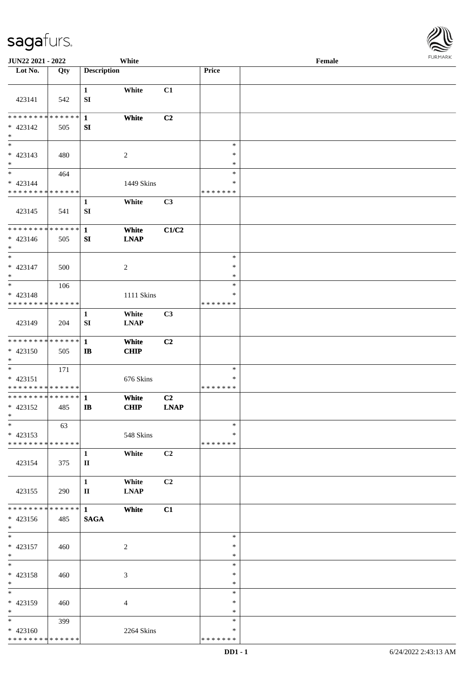

| JUN22 2021 - 2022                                                               |     |                              | White                |                   |                                   | Female |  |
|---------------------------------------------------------------------------------|-----|------------------------------|----------------------|-------------------|-----------------------------------|--------|--|
| Lot No.                                                                         | Qty | <b>Description</b>           |                      |                   | Price                             |        |  |
|                                                                                 |     |                              |                      |                   |                                   |        |  |
| 423141                                                                          | 542 | $\mathbf{1}$<br>SI           | White                | C1                |                                   |        |  |
| * * * * * * * * * * * * * * *<br>* 423142<br>$\ast$<br>$\overline{\phantom{0}}$ | 505 | $\mathbf{1}$<br>SI           | White                | C2                |                                   |        |  |
| $* 423143$<br>$*$                                                               | 480 |                              | $\overline{c}$       |                   | $\ast$<br>$\ast$<br>$\ast$        |        |  |
| $*$<br>$* 423144$<br>* * * * * * * * * * * * * *                                | 464 |                              | 1449 Skins           |                   | $\ast$<br>$\ast$<br>* * * * * * * |        |  |
| 423145                                                                          | 541 | $\mathbf{1}$<br>SI           | White                | C3                |                                   |        |  |
| * * * * * * * * * * * * * *<br>$* 423146$<br>$*$                                | 505 | $\mathbf{1}$<br>SI           | White<br><b>LNAP</b> | C1/C2             |                                   |        |  |
| $\ast$<br>$* 423147$<br>$*$                                                     | 500 |                              | 2                    |                   | $\ast$<br>$\ast$<br>$\ast$        |        |  |
| $*$<br>* 423148<br>* * * * * * * * * * * * * *                                  | 106 |                              | 1111 Skins           |                   | $\ast$<br>*<br>* * * * * * *      |        |  |
| 423149                                                                          | 204 | 1<br>SI                      | White<br><b>LNAP</b> | C3                |                                   |        |  |
| * * * * * * * * * * * * * * *<br>* 423150<br>$*$                                | 505 | $\mathbf{1}$<br>$\mathbf{I}$ | White<br><b>CHIP</b> | C2                |                                   |        |  |
| $*$<br>* 423151<br>* * * * * * * * * * * * * *                                  | 171 |                              | 676 Skins            |                   | $\ast$<br>$\ast$<br>* * * * * * * |        |  |
| * * * * * * * * * * * * * * *<br>$* 423152$<br>$*$ $*$                          | 485 | $\mathbf{1}$<br>$\mathbf{I}$ | White<br><b>CHIP</b> | C2<br><b>LNAP</b> |                                   |        |  |
| $\ast$<br>$* 423153$<br>* * * * * * * * * * * * * *                             | 63  |                              | 548 Skins            |                   | $\ast$<br>∗<br>* * * * * * *      |        |  |
| 423154                                                                          | 375 | $\mathbf{1}$<br>$\mathbf{I}$ | White                | C2                |                                   |        |  |
| 423155                                                                          | 290 | $\mathbf{1}$<br>$\mathbf{I}$ | White<br><b>LNAP</b> | C <sub>2</sub>    |                                   |        |  |
| * * * * * * * * * * * * * * *<br>$* 423156$<br>$*$                              | 485 | $\mathbf{1}$<br><b>SAGA</b>  | White                | C1                |                                   |        |  |
| $*$<br>$* 423157$<br>$*$                                                        | 460 |                              | $\overline{c}$       |                   | $\ast$<br>$\ast$<br>$\ast$        |        |  |
| $*$<br>* 423158<br>$*$                                                          | 460 |                              | 3                    |                   | $\ast$<br>$\ast$<br>$\ast$        |        |  |
| $*$<br>* 423159<br>$*$                                                          | 460 |                              | 4                    |                   | $\ast$<br>∗<br>$\ast$             |        |  |
| $*$<br>$* 423160$<br>* * * * * * * * * * * * * *                                | 399 |                              | 2264 Skins           |                   | $\ast$<br>$\ast$<br>* * * * * * * |        |  |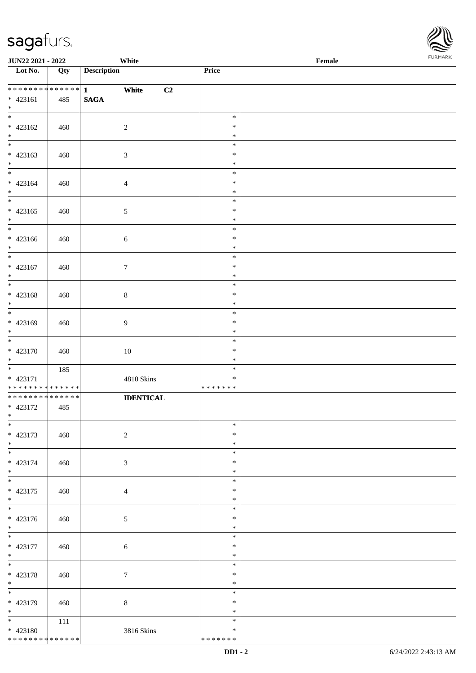| <b>FURMARK</b> |
|----------------|
|                |
|                |
|                |
|                |

| Lot No.                                   | Qty | <b>Description</b>          | Price                   |  |
|-------------------------------------------|-----|-----------------------------|-------------------------|--|
|                                           |     |                             |                         |  |
| ******** <mark>******</mark>              |     | White<br>C2<br>$\mathbf{1}$ |                         |  |
| $* 423161$                                | 485 | $\mathbf{SAGA}$             |                         |  |
| $*$                                       |     |                             |                         |  |
| $\overline{\phantom{0}}$                  |     |                             | $\ast$                  |  |
| $* 423162$                                | 460 | $\overline{c}$              | $\ast$                  |  |
| $*$                                       |     |                             | $\ast$                  |  |
| $\overline{\phantom{0}}$                  |     |                             | $\ast$                  |  |
| $* 423163$                                | 460 | $\mathfrak{Z}$              | $\ast$                  |  |
| $*$                                       |     |                             | $\ast$                  |  |
| $*$                                       |     |                             | $\ast$                  |  |
| $* 423164$                                | 460 | $\overline{4}$              | $\ast$                  |  |
| $*$<br>$\overline{\phantom{0}}$           |     |                             | $\ast$                  |  |
|                                           |     |                             | $\ast$                  |  |
| $* 423165$<br>$\ast$                      | 460 | 5                           | $\ast$<br>$\ast$        |  |
|                                           |     |                             | $\ast$                  |  |
| $* 423166$                                | 460 | $\sqrt{6}$                  | $\ast$                  |  |
| $\ast$                                    |     |                             | $\ast$                  |  |
| $\overline{\phantom{0}}$                  |     |                             | $\ast$                  |  |
| $* 423167$                                | 460 | $\boldsymbol{7}$            | $\ast$                  |  |
| $*$                                       |     |                             | $\ast$                  |  |
| $\overline{\phantom{0}}$                  |     |                             | $\ast$                  |  |
| $* 423168$                                | 460 | $\,8\,$                     | $\ast$                  |  |
| $*$                                       |     |                             | $\ast$                  |  |
| $\overline{\phantom{0}}$                  |     |                             | $\ast$                  |  |
| * 423169                                  | 460 | 9                           | $\ast$                  |  |
| $*$<br>$\overline{\phantom{0}}$           |     |                             | $\ast$                  |  |
|                                           |     |                             | $\ast$                  |  |
| $* 423170$                                | 460 | 10                          | $\ast$                  |  |
| $*$                                       |     |                             | $\ast$<br>$\ast$        |  |
| * 423171                                  | 185 | 4810 Skins                  | $\ast$                  |  |
| * * * * * * * * * * * * * *               |     |                             | * * * * * * *           |  |
| * * * * * * * * * * * * * *               |     | <b>IDENTICAL</b>            |                         |  |
| * 423172                                  | 485 |                             |                         |  |
| $*$                                       |     |                             |                         |  |
| $\ast$                                    |     |                             | ∗                       |  |
| * 423173                                  | 460 | $\sqrt{2}$                  | $\ast$                  |  |
| $*$                                       |     |                             | $\ast$                  |  |
| $\overline{\phantom{0}}$                  |     |                             | $\ast$                  |  |
| * 423174                                  | 460 | $\mathfrak{Z}$              | $\ast$                  |  |
| $*$<br>$\overline{\ast}$                  |     |                             | $\ast$                  |  |
|                                           |     |                             | $\ast$                  |  |
| $* 423175$<br>$*$                         | 460 | $\overline{4}$              | $\ast$<br>$\ast$        |  |
| $\overline{\phantom{0}}$                  |     |                             | $\ast$                  |  |
| * 423176                                  | 460 | $\mathfrak{S}$              | $\ast$                  |  |
| $*$                                       |     |                             | $\ast$                  |  |
|                                           |     |                             | $\ast$                  |  |
| $* 423177$                                | 460 | 6                           | $\ast$                  |  |
| $*$                                       |     |                             | $\ast$                  |  |
| $\overline{\phantom{0}}$                  |     |                             | $\ast$                  |  |
| * 423178                                  | 460 | $7\phantom{.0}$             | $\ast$                  |  |
| $*$                                       |     |                             | $\ast$                  |  |
| $\overline{\phantom{0}}$                  |     |                             | $\ast$                  |  |
| * 423179                                  | 460 | $8\,$                       | ∗                       |  |
| $*$                                       |     |                             | $\ast$                  |  |
| $*$                                       | 111 |                             | $\ast$                  |  |
| $* 423180$<br>* * * * * * * * * * * * * * |     | 3816 Skins                  | $\ast$<br>* * * * * * * |  |
|                                           |     |                             |                         |  |

**JUN22 2021 - 2022 White Female Female Female Female Price Female Price Female Price Female Female Price Female Price Female Price Female Price Female Price Female Price Fema**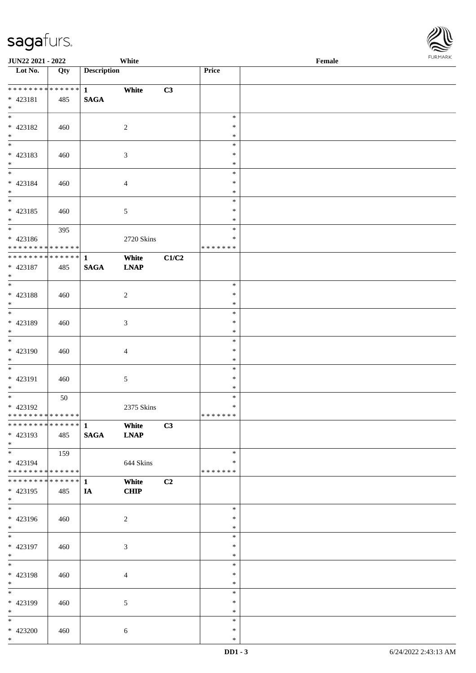\*

| JUN22 2021 - 2022                                                     |     |                             | White                |       |                                   | Female | <b>FURMAR</b> |  |
|-----------------------------------------------------------------------|-----|-----------------------------|----------------------|-------|-----------------------------------|--------|---------------|--|
| Lot No.                                                               | Qty | <b>Description</b>          |                      |       | Price                             |        |               |  |
| **************<br>* 423181<br>$*$                                     | 485 | $1 -$<br><b>SAGA</b>        | White                | C3    |                                   |        |               |  |
| $*$<br>$* 423182$<br>$*$                                              | 460 |                             | $\sqrt{2}$           |       | $\ast$<br>$\ast$<br>$\ast$        |        |               |  |
| $\overline{\phantom{a}^*}$<br>$* 423183$<br>$*$                       | 460 |                             | 3                    |       | $\ast$<br>$\ast$<br>$\ast$        |        |               |  |
| $*$<br>$* 423184$<br>$*$                                              | 460 |                             | $\overline{4}$       |       | $\ast$<br>$\ast$<br>$\ast$        |        |               |  |
| $* 423185$<br>$\ast$                                                  | 460 |                             | $5\,$                |       | $\ast$<br>$\ast$<br>$\ast$        |        |               |  |
| $\overline{\phantom{0}}$<br>$* 423186$<br>* * * * * * * * * * * * * * | 395 |                             | 2720 Skins           |       | $\ast$<br>$\ast$<br>* * * * * * * |        |               |  |
| ******** <mark>******</mark><br>$* 423187$<br>$\ast$                  | 485 | $\mathbf{1}$<br><b>SAGA</b> | White<br><b>LNAP</b> | C1/C2 |                                   |        |               |  |
| $*$<br>$* 423188$<br>$\ast$                                           | 460 |                             | $\sqrt{2}$           |       | $\ast$<br>$\ast$<br>$\ast$        |        |               |  |
| $\overline{\ast}$<br>* 423189<br>$\ast$                               | 460 |                             | 3                    |       | $\ast$<br>$\ast$<br>$\ast$        |        |               |  |
| $\overline{\phantom{0}}$<br>* 423190<br>$*$                           | 460 |                             | $\overline{4}$       |       | $\ast$<br>$\ast$<br>$\ast$        |        |               |  |
| $*$<br>* 423191<br>$\ast$                                             | 460 |                             | 5                    |       | $\ast$<br>$\ast$<br>$\ast$        |        |               |  |
| $\overline{\phantom{0}}$<br>* 423192<br>* * * * * * * * * * * * * *   | 50  |                             | 2375 Skins           |       | $\ast$<br>$\ast$<br>* * * * * * * |        |               |  |
| ************** 1<br>* 423193<br>$*$                                   | 485 | <b>SAGA</b>                 | White<br><b>LNAP</b> | C3    |                                   |        |               |  |
| $*$<br>* 423194<br>**************                                     | 159 |                             | 644 Skins            |       | $\ast$<br>$\ast$<br>* * * * * * * |        |               |  |
| ******** <mark>******</mark><br>* 423195<br>$*$                       | 485 | $\mathbf{1}$<br>IA          | White<br>CHIP        | C2    |                                   |        |               |  |
| $\overline{\phantom{0}}$<br>* 423196<br>$*$                           | 460 |                             | $\overline{2}$       |       | $\ast$<br>$\ast$<br>$\ast$        |        |               |  |
| $\ast$<br>* 423197<br>$*$                                             | 460 |                             | 3                    |       | $\ast$<br>$\ast$<br>$\ast$        |        |               |  |
| $\overline{\phantom{a}^*}$<br>* 423198<br>$*$                         | 460 |                             | $\overline{4}$       |       | $\ast$<br>$\ast$<br>$\ast$        |        |               |  |
| $\overline{\phantom{a}^*}$<br>* 423199<br>$*$                         | 460 |                             | $5\,$                |       | $\ast$<br>$\ast$<br>$\ast$        |        |               |  |
| $\ast$<br>$* 423200$                                                  | 460 |                             | 6                    |       | $\ast$<br>$\ast$                  |        |               |  |

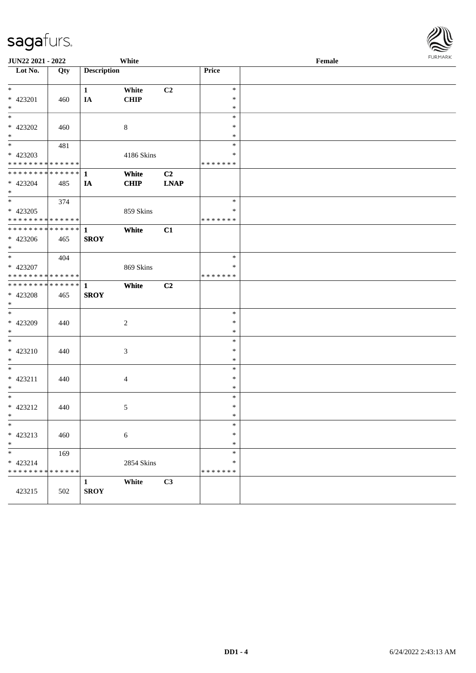| JUN22 2021 - 2022                          |     |                    | White       |                |                  | Female | <b>FURPIARA</b> |
|--------------------------------------------|-----|--------------------|-------------|----------------|------------------|--------|-----------------|
| Lot No.                                    | Qty | <b>Description</b> |             |                | Price            |        |                 |
| $*$                                        |     | $\mathbf{1}$       | White       | C2             | $\ast$           |        |                 |
| * 423201                                   | 460 | IA                 | CHIP        |                | $\ast$           |        |                 |
| $\ast$                                     |     |                    |             |                | $\ast$           |        |                 |
| $*$                                        |     |                    |             |                | $\ast$           |        |                 |
| * 423202                                   | 460 |                    | 8           |                | $\ast$           |        |                 |
| $*$                                        |     |                    |             |                | $\ast$           |        |                 |
| $*$                                        | 481 |                    |             |                | $\ast$           |        |                 |
| * 423203                                   |     |                    | 4186 Skins  |                | $\ast$           |        |                 |
| * * * * * * * * <mark>* * * * * *</mark>   |     |                    |             |                | * * * * * * *    |        |                 |
|                                            |     |                    | White       | C <sub>2</sub> |                  |        |                 |
| * 423204                                   | 485 | IA                 | <b>CHIP</b> | <b>LNAP</b>    |                  |        |                 |
| $*$                                        |     |                    |             |                | $\ast$           |        |                 |
|                                            | 374 |                    |             |                | $\ast$           |        |                 |
| * 423205<br>* * * * * * * * * * * * * *    |     |                    | 859 Skins   |                | * * * * * * *    |        |                 |
| * * * * * * * * * * * * * * <mark>*</mark> |     | $\mathbf{1}$       | White       | C1             |                  |        |                 |
| * 423206                                   | 465 | <b>SROY</b>        |             |                |                  |        |                 |
| $*$                                        |     |                    |             |                |                  |        |                 |
| $*$                                        | 404 |                    |             |                | $\ast$           |        |                 |
| * 423207                                   |     |                    | 869 Skins   |                | ∗                |        |                 |
| * * * * * * * * <mark>* * * * * * *</mark> |     |                    |             |                | * * * * * * *    |        |                 |
| * * * * * * * * <mark>* * * * * * *</mark> |     | $\mathbf{1}$       | White       | C2             |                  |        |                 |
| * 423208                                   | 465 | <b>SROY</b>        |             |                |                  |        |                 |
| $*$                                        |     |                    |             |                |                  |        |                 |
| $*$                                        |     |                    |             |                | $\ast$           |        |                 |
| * 423209                                   | 440 |                    | 2           |                | $\ast$           |        |                 |
| $*$                                        |     |                    |             |                | $\ast$           |        |                 |
| $*$                                        |     |                    |             |                | $\ast$           |        |                 |
| $* 423210$<br>$\ast$                       | 440 |                    | 3           |                | $\ast$<br>$\ast$ |        |                 |
| $*$                                        |     |                    |             |                | $\ast$           |        |                 |
| * 423211                                   | 440 |                    | 4           |                | $\ast$           |        |                 |
| $*$                                        |     |                    |             |                | $\ast$           |        |                 |
| $*$                                        |     |                    |             |                | $\ast$           |        |                 |
| * 423212                                   | 440 |                    | 5           |                | $\ast$           |        |                 |
| $*$ $-$                                    |     |                    |             |                | $\ast$           |        |                 |
| $*$                                        |     |                    |             |                | $\ast$           |        |                 |
| * 423213                                   | 460 |                    | $\sqrt{6}$  |                | $\ast$           |        |                 |
| $*$                                        |     |                    |             |                | $\ast$           |        |                 |
| $*$                                        | 169 |                    |             |                | $\ast$           |        |                 |
| * 423214                                   |     |                    | 2854 Skins  |                | $\ast$           |        |                 |
| * * * * * * * * <mark>* * * * * * *</mark> |     |                    |             |                | * * * * * * *    |        |                 |
|                                            |     | $\mathbf{1}$       | White       | C3             |                  |        |                 |
| 423215                                     | 502 | <b>SROY</b>        |             |                |                  |        |                 |
|                                            |     |                    |             |                |                  |        |                 |

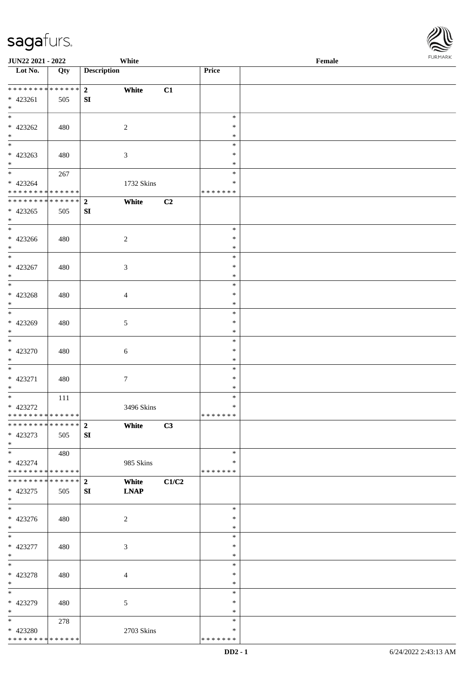

| JUN22 2021 - 2022                        |     |                    | White            |       |                  | Female |
|------------------------------------------|-----|--------------------|------------------|-------|------------------|--------|
| Lot No.                                  | Qty | <b>Description</b> |                  |       | Price            |        |
|                                          |     |                    |                  |       |                  |        |
| **************                           |     | 2 <sub>1</sub>     | White            | C1    |                  |        |
| $* 423261$                               | 505 | ${\bf S}{\bf I}$   |                  |       |                  |        |
| $\ast$<br>$\overline{\phantom{0}}$       |     |                    |                  |       |                  |        |
|                                          |     |                    |                  |       | $\ast$           |        |
| * 423262                                 | 480 |                    | $\overline{2}$   |       | $\ast$           |        |
| $\ast$<br>$\overline{\phantom{0}}$       |     |                    |                  |       | $\ast$           |        |
|                                          |     |                    |                  |       | $\ast$           |        |
| $* 423263$                               | 480 |                    | $\mathfrak{Z}$   |       | $\ast$           |        |
| $*$<br>$\overline{\ast}$                 |     |                    |                  |       | $\ast$           |        |
|                                          | 267 |                    |                  |       | $\ast$           |        |
| $* 423264$                               |     |                    | 1732 Skins       |       | $\ast$           |        |
| * * * * * * * * * * * * * *              |     |                    |                  |       | * * * * * * *    |        |
| ******** <mark>******</mark>             |     | $\overline{2}$     | White            | C2    |                  |        |
| $* 423265$                               | 505 | ${\bf SI}$         |                  |       |                  |        |
| $\ast$<br>$\overline{\phantom{0}}$       |     |                    |                  |       |                  |        |
|                                          |     |                    |                  |       | $\ast$           |        |
| $* 423266$                               | 480 |                    | $\overline{2}$   |       | $\ast$           |        |
| $*$<br>$\overline{\phantom{0}}$          |     |                    |                  |       | $\ast$           |        |
|                                          |     |                    |                  |       | $\ast$           |        |
| $* 423267$                               | 480 |                    | $\mathfrak{Z}$   |       | $\ast$           |        |
| $\ast$<br>$\overline{\phantom{a}^*}$     |     |                    |                  |       | $\ast$           |        |
|                                          |     |                    |                  |       | $\ast$           |        |
| $* 423268$                               | 480 |                    | 4                |       | $\ast$           |        |
| $\ast$<br>$\overline{\phantom{0}}$       |     |                    |                  |       | $\ast$           |        |
|                                          |     |                    |                  |       | $\ast$           |        |
| $* 423269$                               | 480 |                    | $5\phantom{.0}$  |       | $\ast$           |        |
| $\ast$<br>$\overline{\phantom{0}}$       |     |                    |                  |       | $\ast$           |        |
|                                          |     |                    |                  |       | $\ast$           |        |
| $* 423270$                               | 480 |                    | $\sqrt{6}$       |       | $\ast$           |        |
| $*$                                      |     |                    |                  |       | $\ast$           |        |
| $*$                                      |     |                    |                  |       | $\ast$           |        |
| $* 423271$                               | 480 |                    | $\boldsymbol{7}$ |       | $\ast$           |        |
| $*$<br>$*$                               |     |                    |                  |       | $\ast$           |        |
|                                          | 111 |                    |                  |       | $\ast$<br>$\ast$ |        |
| * 423272<br>* * * * * * * * * * * * * *  |     |                    | 3496 Skins       |       | *******          |        |
| ******** <mark>******</mark>             |     |                    |                  |       |                  |        |
|                                          |     | $\overline{2}$     | White            | C3    |                  |        |
| * 423273<br>$*$                          | 505 | SI                 |                  |       |                  |        |
| $*$                                      |     |                    |                  |       | $\ast$           |        |
|                                          | 480 |                    |                  |       | ∗                |        |
| * 423274<br>******** <mark>******</mark> |     |                    | 985 Skins        |       | * * * * * * *    |        |
| * * * * * * * * * * * * * * *            |     | $\overline{2}$     | White            | C1/C2 |                  |        |
| $* 423275$                               | 505 | SI                 | <b>LNAP</b>      |       |                  |        |
| $*$                                      |     |                    |                  |       |                  |        |
| $\overline{\phantom{a}^*}$               |     |                    |                  |       | $\ast$           |        |
| $* 423276$                               | 480 |                    | $\overline{2}$   |       | $\ast$           |        |
| $*$                                      |     |                    |                  |       | $\ast$           |        |
| $*$                                      |     |                    |                  |       | $\ast$           |        |
| $* 423277$                               | 480 |                    | $\mathfrak{Z}$   |       | $\ast$           |        |
| $*$                                      |     |                    |                  |       | $\ast$           |        |
| $\ast$                                   |     |                    |                  |       | $\ast$           |        |
| * 423278                                 | 480 |                    | $\overline{4}$   |       | $\ast$           |        |
| $*$                                      |     |                    |                  |       | $\ast$           |        |
| $\overline{\phantom{a}^*}$               |     |                    |                  |       | $\ast$           |        |
| * 423279                                 | 480 |                    | 5                |       | $\ast$           |        |
| $*$                                      |     |                    |                  |       | $\ast$           |        |
| $*$                                      | 278 |                    |                  |       | $\ast$           |        |
| * 423280                                 |     |                    | 2703 Skins       |       | $\ast$           |        |
| * * * * * * * * * * * * * *              |     |                    |                  |       | * * * * * * *    |        |
|                                          |     |                    |                  |       |                  |        |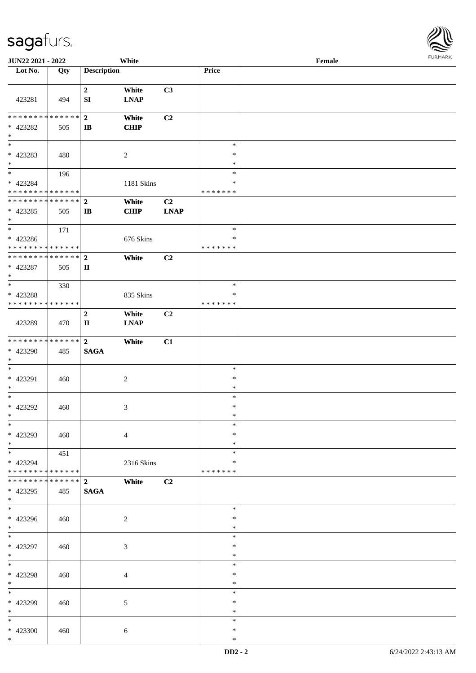| JUN22 2021 - 2022                                   |     |                                            | White                |                   |                                   | Female |  |
|-----------------------------------------------------|-----|--------------------------------------------|----------------------|-------------------|-----------------------------------|--------|--|
| Lot No.                                             | Qty | <b>Description</b>                         |                      |                   | Price                             |        |  |
| 423281                                              | 494 | $\boldsymbol{2}$<br>SI                     | White<br><b>LNAP</b> | C3                |                                   |        |  |
| * * * * * * * * * * * * * * *<br>* 423282<br>$\ast$ | 505 | $\overline{2}$<br>$\mathbf{I}$             | White<br><b>CHIP</b> | C2                |                                   |        |  |
| * 423283<br>$*$                                     | 480 |                                            | $\overline{2}$       |                   | $\ast$<br>$\ast$<br>$\ast$        |        |  |
| $*$<br>$* 423284$<br>* * * * * * * * * * * * * * *  | 196 |                                            | 1181 Skins           |                   | $\ast$<br>$\ast$<br>* * * * * * * |        |  |
| * * * * * * * * * * * * * * *<br>$* 423285$<br>$*$  | 505 | $\overline{2}$<br>$\mathbf{I}$             | White<br><b>CHIP</b> | C2<br><b>LNAP</b> |                                   |        |  |
| $*$<br>$* 423286$<br>* * * * * * * * * * * * * *    | 171 |                                            | 676 Skins            |                   | $\ast$<br>$\ast$<br>* * * * * * * |        |  |
| * * * * * * * * * * * * * * *<br>* 423287<br>$*$    | 505 | $\overline{2}$<br>$\mathbf{I}$             | White                | C2                |                                   |        |  |
| $\ast$<br>* 423288<br>* * * * * * * * * * * * * *   | 330 |                                            | 835 Skins            |                   | $\ast$<br>$\ast$<br>*******       |        |  |
| 423289                                              | 470 | $\boldsymbol{2}$<br>$\mathbf{I}\mathbf{I}$ | White<br><b>LNAP</b> | C2                |                                   |        |  |
| * * * * * * * * * * * * * * *<br>* 423290<br>$*$    | 485 | $\overline{2}$<br><b>SAGA</b>              | White                | C1                |                                   |        |  |
| $*$<br>* 423291<br>$*$                              | 460 |                                            | $\sqrt{2}$           |                   | $\ast$<br>$\ast$<br>$\ast$        |        |  |
| $*$<br>$* 423292$<br>$*$                            | 460 |                                            | 3                    |                   | $\ast$<br>$\ast$<br>$\ast$        |        |  |
| $\ast$<br>* 423293<br>$*$                           | 460 |                                            | $\overline{4}$       |                   | $\ast$<br>$\ast$<br>$\ast$        |        |  |
| $*$<br>* 423294<br>* * * * * * * * * * * * * * *    | 451 |                                            | 2316 Skins           |                   | $\ast$<br>$\ast$<br>* * * * * * * |        |  |
| * * * * * * * * * * * * * * *<br>* 423295<br>$*$    | 485 | $\overline{2}$<br>$\mathbf{SAGA}$          | White                | C2                |                                   |        |  |
| $\overline{\phantom{0}}$<br>* 423296<br>$*$         | 460 |                                            | 2                    |                   | $\ast$<br>$\ast$<br>$\ast$        |        |  |
| $*$<br>* 423297<br>$*$                              | 460 |                                            | $\mathfrak{Z}$       |                   | $\ast$<br>$\ast$<br>$\ast$        |        |  |
| $*$<br>* 423298<br>$*$                              | 460 |                                            | $\overline{4}$       |                   | $\ast$<br>$\ast$<br>$\ast$        |        |  |
| $*$<br>* 423299<br>$*$                              | 460 |                                            | 5                    |                   | $\ast$<br>$\ast$<br>$\ast$        |        |  |
| $*$<br>* 423300<br>$*$                              | 460 |                                            | 6                    |                   | $\ast$<br>$\ast$<br>$\ast$        |        |  |

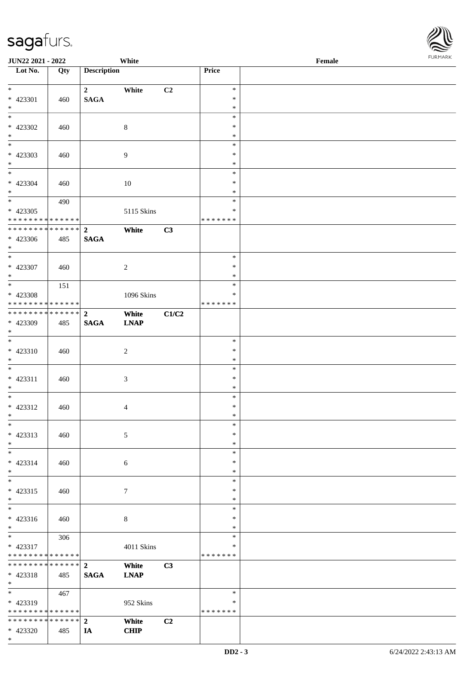| <b>JUN22 2021 - 2022</b>                   |     |                         | White          |       |               | Female |
|--------------------------------------------|-----|-------------------------|----------------|-------|---------------|--------|
| Lot No.                                    | Qty | <b>Description</b>      |                |       | Price         |        |
|                                            |     |                         |                |       |               |        |
| $*$                                        |     | $\mathbf{2}$            | White          | C2    | $\ast$        |        |
| * 423301                                   | 460 | <b>SAGA</b>             |                |       | $\ast$        |        |
| $\ast$                                     |     |                         |                |       | $\ast$        |        |
|                                            |     |                         |                |       | $\ast$        |        |
| * 423302                                   | 460 |                         | $8\,$          |       | $\ast$        |        |
| $*$                                        |     |                         |                |       | $\ast$        |        |
|                                            |     |                         |                |       | $\ast$        |        |
| * 423303                                   | 460 |                         | 9              |       | $\ast$        |        |
| $\ast$                                     |     |                         |                |       | $\ast$        |        |
| $\ddot{x}$                                 |     |                         |                |       | $\ast$        |        |
| * 423304                                   | 460 |                         | $10\,$         |       | $\ast$        |        |
| $*$                                        |     |                         |                |       | $\ast$        |        |
| $\overline{\ast}$                          | 490 |                         |                |       | $\ast$        |        |
| * 423305                                   |     |                         | 5115 Skins     |       | $\ast$        |        |
| * * * * * * * * <mark>* * * * * * *</mark> |     |                         |                |       | * * * * * * * |        |
| * * * * * * * * <mark>* * * * * * *</mark> |     | $\overline{2}$          | White          | C3    |               |        |
| * 423306                                   | 485 | <b>SAGA</b>             |                |       |               |        |
| $*$                                        |     |                         |                |       |               |        |
| $\overline{\phantom{0}}$                   |     |                         |                |       | $\ast$        |        |
| * 423307                                   | 460 |                         | $\overline{c}$ |       | $\ast$        |        |
| $\ast$                                     |     |                         |                |       | $\ast$        |        |
| $\overline{\ast}$                          | 151 |                         |                |       | $\ast$        |        |
| * 423308                                   |     |                         | 1096 Skins     |       | $\ast$        |        |
| * * * * * * * * <mark>* * * * * * *</mark> |     |                         |                |       | *******       |        |
| * * * * * * * * <mark>* * * * * * *</mark> |     |                         |                |       |               |        |
|                                            |     | $\overline{2}$          | White          | C1/C2 |               |        |
| * 423309                                   | 485 | <b>SAGA</b>             | <b>LNAP</b>    |       |               |        |
| $\ast$<br>$*$                              |     |                         |                |       |               |        |
|                                            |     |                         |                |       | $\ast$        |        |
| $* 423310$                                 | 460 |                         | $\sqrt{2}$     |       | ∗             |        |
| $*$                                        |     |                         |                |       | $\ast$        |        |
| $\ast$                                     |     |                         |                |       | $\ast$        |        |
| $* 423311$                                 | 460 |                         | $\mathfrak{Z}$ |       | $\ast$        |        |
| $\ast$                                     |     |                         |                |       | $\ast$        |        |
| $*$                                        |     |                         |                |       | $\ast$        |        |
| * 423312                                   | 460 |                         | $\overline{4}$ |       | $\ast$        |        |
| $*$                                        |     |                         |                |       | $\ast$        |        |
| $\ast$                                     |     |                         |                |       | $\ast$        |        |
| * 423313                                   | 460 |                         | 5              |       | $\ast$        |        |
| $\ast$                                     |     |                         |                |       | $\ast$        |        |
| $\ast$                                     |     |                         |                |       | $\ast$        |        |
| $* 423314$                                 | 460 |                         | 6              |       | $\ast$        |        |
| $\ast$                                     |     |                         |                |       | $\ast$        |        |
| $\ast$                                     |     |                         |                |       | $\ast$        |        |
| $* 423315$                                 | 460 |                         | $\tau$         |       | $\ast$        |        |
| $\ast$                                     |     |                         |                |       | $\ast$        |        |
| $\ast$                                     |     |                         |                |       | $\ast$        |        |
| $* 423316$                                 | 460 |                         | $\,8\,$        |       | $\ast$        |        |
| $*$                                        |     |                         |                |       | $\ast$        |        |
| $\ast$                                     | 306 |                         |                |       | $\ast$        |        |
| * 423317                                   |     |                         | 4011 Skins     |       | $\ast$        |        |
| * * * * * * * * <mark>* * * * * * *</mark> |     |                         |                |       | * * * * * * * |        |
| * * * * * * * * <mark>* * * * * * *</mark> |     | $\mathbf{2}$            | White          | C3    |               |        |
| * 423318                                   | 485 | <b>SAGA</b>             | <b>LNAP</b>    |       |               |        |
| $\ast$                                     |     |                         |                |       |               |        |
| $\ast$                                     | 467 |                         |                |       | $\ast$        |        |
|                                            |     |                         |                |       | ∗             |        |
| $* 423319$                                 |     |                         | 952 Skins      |       |               |        |
| * * * * * * * * <mark>* * * * * *</mark>   |     |                         |                |       | * * * * * * * |        |
| * * * * * * * * <mark>* * * * * * *</mark> |     | $\overline{\mathbf{2}}$ | White          | C2    |               |        |
| * 423320                                   | 485 | IA                      | <b>CHIP</b>    |       |               |        |

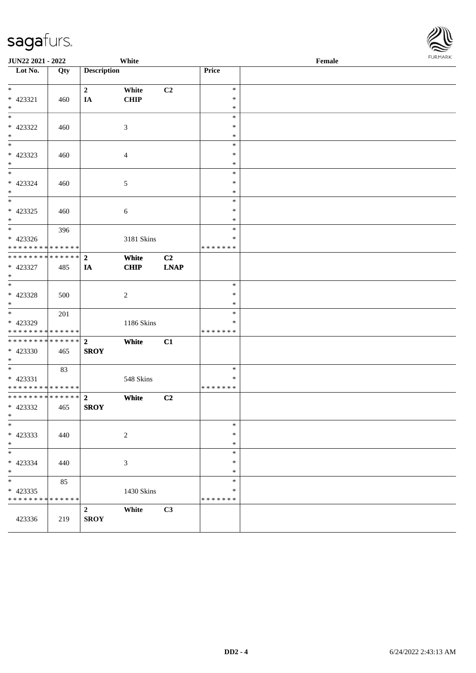| JUN22 2021 - 2022<br>White                 |     |                                 |                |                   |                         | Female |  |  |
|--------------------------------------------|-----|---------------------------------|----------------|-------------------|-------------------------|--------|--|--|
| Lot No.                                    | Qty | <b>Description</b>              |                |                   | Price                   |        |  |  |
| $\ast$                                     |     | $\mathbf{2}$                    | White          | C2                | $\ast$                  |        |  |  |
| $* 423321$                                 | 460 | IA                              | CHIP           |                   | $\ast$                  |        |  |  |
| $\ast$                                     |     |                                 |                |                   | $\ast$                  |        |  |  |
| $_{\ast}$                                  |     |                                 |                |                   | $\ast$                  |        |  |  |
| * 423322                                   | 460 |                                 | $\mathfrak{Z}$ |                   | $\ast$                  |        |  |  |
| $\ast$                                     |     |                                 |                |                   | $\ast$                  |        |  |  |
| $\ast$                                     |     |                                 |                |                   | $\ast$                  |        |  |  |
| * 423323                                   | 460 |                                 | $\overline{4}$ |                   | $\ast$                  |        |  |  |
| $\ast$                                     |     |                                 |                |                   | $\ast$                  |        |  |  |
| $\overline{\ast}$                          |     |                                 |                |                   | $\ast$                  |        |  |  |
| $* 423324$                                 | 460 |                                 | $\sqrt{5}$     |                   | $\ast$                  |        |  |  |
| $\ast$<br>$\overline{\phantom{0}}$         |     |                                 |                |                   | $\ast$                  |        |  |  |
|                                            |     |                                 |                |                   | $\ast$                  |        |  |  |
| $* 423325$                                 | 460 |                                 | $\sqrt{6}$     |                   | $\ast$                  |        |  |  |
| $\ast$<br>$\overline{\phantom{a}^*}$       |     |                                 |                |                   | $\ast$                  |        |  |  |
|                                            | 396 |                                 |                |                   | $\ast$                  |        |  |  |
| $* 423326$<br>* * * * * * * * * * * * * *  |     |                                 | 3181 Skins     |                   | $\ast$<br>* * * * * * * |        |  |  |
| ******** <mark>******</mark>               |     | $\boldsymbol{2}$                |                |                   |                         |        |  |  |
| * 423327                                   |     |                                 | White          | C2<br><b>LNAP</b> |                         |        |  |  |
| $\ast$                                     | 485 | IA                              | <b>CHIP</b>    |                   |                         |        |  |  |
| $_{\ast}^{-}$                              |     |                                 |                |                   | $\ast$                  |        |  |  |
| $* 423328$                                 | 500 |                                 | $\sqrt{2}$     |                   | $\ast$                  |        |  |  |
| $*$                                        |     |                                 |                |                   | $\ast$                  |        |  |  |
| $\ast$                                     | 201 |                                 |                |                   | $\ast$                  |        |  |  |
| * 423329                                   |     |                                 | 1186 Skins     |                   | $\ast$                  |        |  |  |
| * * * * * * * * * * * * * *                |     |                                 |                |                   | * * * * * * *           |        |  |  |
| ************** 2                           |     |                                 | White          | C1                |                         |        |  |  |
| * 423330                                   | 465 | <b>SROY</b>                     |                |                   |                         |        |  |  |
| $\ast$                                     |     |                                 |                |                   |                         |        |  |  |
| $\overline{\phantom{1}}$                   | 83  |                                 |                |                   | $\ast$                  |        |  |  |
| $* 423331$                                 |     |                                 | 548 Skins      |                   | $\ast$                  |        |  |  |
| * * * * * * * * * * * * * *                |     |                                 |                |                   | * * * * * * *           |        |  |  |
| **************                             |     | $\mathbf{2}$                    | White          | C2                |                         |        |  |  |
| * 423332                                   | 465 | <b>SROY</b>                     |                |                   |                         |        |  |  |
| $\star$                                    |     |                                 |                |                   |                         |        |  |  |
| $\ast$                                     |     |                                 |                |                   | $\ast$                  |        |  |  |
| $* 423333$                                 | 440 |                                 | $\sqrt{2}$     |                   | $\ast$                  |        |  |  |
| $\ast$<br>$_{\ast}^{-}$                    |     |                                 |                |                   | $\ast$                  |        |  |  |
|                                            |     |                                 |                |                   | $\ast$                  |        |  |  |
| $* 423334$                                 | 440 |                                 | $\mathfrak{Z}$ |                   | $\ast$                  |        |  |  |
| $*$<br>$\ast$                              |     |                                 |                |                   | $\ast$                  |        |  |  |
|                                            | 85  |                                 |                |                   | $\ast$<br>∗             |        |  |  |
| $* 423335$<br>******** <mark>******</mark> |     |                                 | 1430 Skins     |                   | * * * * * * *           |        |  |  |
|                                            |     |                                 |                |                   |                         |        |  |  |
| 423336                                     | 219 | $\boldsymbol{2}$<br><b>SROY</b> | White          | C3                |                         |        |  |  |
|                                            |     |                                 |                |                   |                         |        |  |  |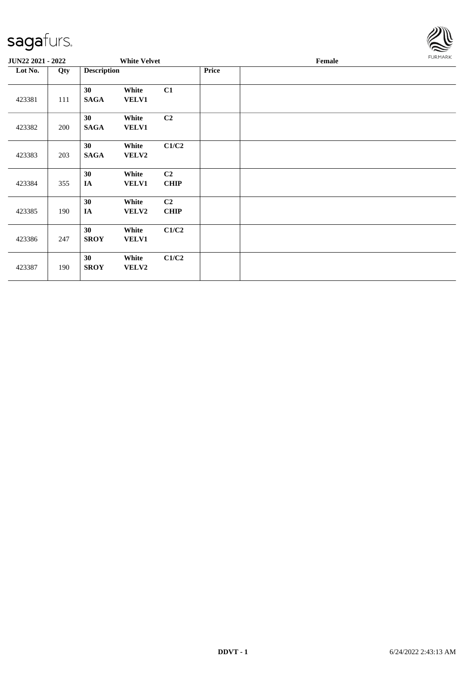

| JUN22 2021 - 2022 |     |                    | <b>White Velvet</b>   |                               |       | Female |  |  |
|-------------------|-----|--------------------|-----------------------|-------------------------------|-------|--------|--|--|
| Lot No.           | Qty | <b>Description</b> |                       |                               | Price |        |  |  |
| 423381            | 111 | 30<br><b>SAGA</b>  | White<br><b>VELV1</b> | C1                            |       |        |  |  |
| 423382            | 200 | 30<br><b>SAGA</b>  | White<br><b>VELV1</b> | C2                            |       |        |  |  |
| 423383            | 203 | 30<br><b>SAGA</b>  | White<br><b>VELV2</b> | C1/C2                         |       |        |  |  |
| 423384            | 355 | 30<br>IA           | White<br><b>VELV1</b> | C2<br><b>CHIP</b>             |       |        |  |  |
| 423385            | 190 | 30<br>IA           | White<br><b>VELV2</b> | C <sub>2</sub><br><b>CHIP</b> |       |        |  |  |
| 423386            | 247 | 30<br><b>SROY</b>  | White<br><b>VELV1</b> | C1/C2                         |       |        |  |  |
| 423387            | 190 | 30<br><b>SROY</b>  | White<br><b>VELV2</b> | C1/C2                         |       |        |  |  |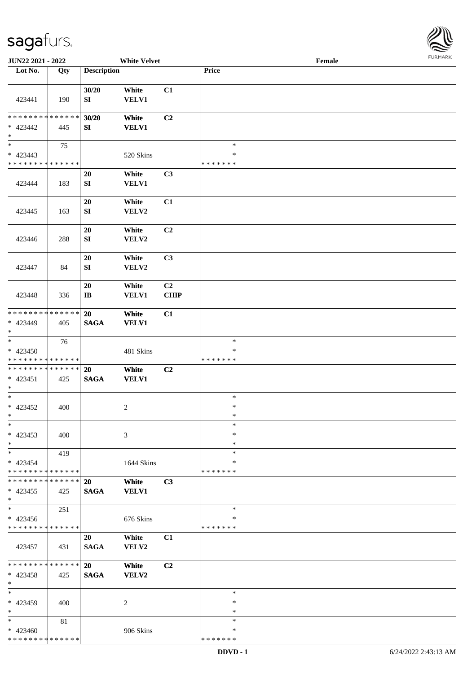

| JUN22 2021 - 2022                                          |     |                        | <b>White Velvet</b> |             |               | Female |  |
|------------------------------------------------------------|-----|------------------------|---------------------|-------------|---------------|--------|--|
| Lot No.                                                    | Qty | <b>Description</b>     |                     |             | Price         |        |  |
|                                                            |     |                        |                     |             |               |        |  |
|                                                            |     | 30/20                  | White               | C1          |               |        |  |
| 423441                                                     | 190 | SI                     | VELV1               |             |               |        |  |
|                                                            |     |                        |                     |             |               |        |  |
| * * * * * * * * * * * * * *                                |     | 30/20                  | White               | C2          |               |        |  |
| * 423442                                                   | 445 | SI                     | <b>VELV1</b>        |             |               |        |  |
| $\ast$                                                     |     |                        |                     |             |               |        |  |
| $_{\ast}^{-}$                                              | 75  |                        |                     |             | $\ast$        |        |  |
| $* 423443$                                                 |     |                        | 520 Skins           |             | $\ast$        |        |  |
| * * * * * * * * * * * * * *                                |     |                        |                     |             | * * * * * * * |        |  |
|                                                            |     | 20                     | White               | C3          |               |        |  |
| 423444                                                     | 183 | ${\bf S}{\bf I}$       | <b>VELV1</b>        |             |               |        |  |
|                                                            |     |                        |                     |             |               |        |  |
|                                                            |     | 20                     | White               | C1          |               |        |  |
| 423445                                                     | 163 | ${\bf SI}$             | VELV2               |             |               |        |  |
|                                                            |     |                        |                     |             |               |        |  |
|                                                            |     | 20                     | White               | C2          |               |        |  |
| 423446                                                     | 288 | SI                     | VELV2               |             |               |        |  |
|                                                            |     |                        |                     |             |               |        |  |
|                                                            |     | 20                     | White               | C3          |               |        |  |
|                                                            |     |                        | VELV2               |             |               |        |  |
| 423447                                                     | 84  | ${\bf S}{\bf I}$       |                     |             |               |        |  |
|                                                            |     | 20                     |                     | C2          |               |        |  |
|                                                            |     |                        | White               |             |               |        |  |
| 423448                                                     | 336 | $\mathbf{I}\mathbf{B}$ | <b>VELV1</b>        | <b>CHIP</b> |               |        |  |
| * * * * * * * * * * * * * *                                |     |                        |                     |             |               |        |  |
|                                                            |     | 20                     | White               | C1          |               |        |  |
| * 423449<br>$\ast$                                         | 405 | <b>SAGA</b>            | <b>VELV1</b>        |             |               |        |  |
| $\overline{\phantom{1}}$                                   |     |                        |                     |             | $\ast$        |        |  |
|                                                            | 76  |                        |                     |             | $\ast$        |        |  |
| $* 423450$                                                 |     |                        | 481 Skins           |             | *******       |        |  |
| * * * * * * * * * * * * * *<br>* * * * * * * * * * * * * * |     |                        |                     |             |               |        |  |
|                                                            |     | 20                     | White               | C2          |               |        |  |
| $* 423451$                                                 | 425 | <b>SAGA</b>            | <b>VELV1</b>        |             |               |        |  |
| $\ast$                                                     |     |                        |                     |             |               |        |  |
| $*$                                                        |     |                        |                     |             | $\ast$        |        |  |
| $* 423452$                                                 | 400 |                        | $\overline{c}$      |             | $\ast$        |        |  |
| $*$                                                        |     |                        |                     |             | $\ast$        |        |  |
| $*$                                                        |     |                        |                     |             | $\ast$        |        |  |
| $* 423453$                                                 | 400 |                        | 3                   |             | $\ast$        |        |  |
| $\ast$                                                     |     |                        |                     |             | $\ast$        |        |  |
| $\ast$                                                     | 419 |                        |                     |             | $\ast$        |        |  |
| $* 423454$                                                 |     |                        | 1644 Skins          |             | ∗             |        |  |
| * * * * * * * * * * * * * *                                |     |                        |                     |             | * * * * * * * |        |  |
| * * * * * * * * * * * * * *                                |     | <b>20</b>              | White               | C3          |               |        |  |
| $* 423455$                                                 | 425 | <b>SAGA</b>            | <b>VELV1</b>        |             |               |        |  |
| $\ast$<br>$\overline{\phantom{1}}$                         |     |                        |                     |             |               |        |  |
|                                                            | 251 |                        |                     |             | $\ast$        |        |  |
| * 423456                                                   |     |                        | 676 Skins           |             | ∗             |        |  |
| * * * * * * * * * * * * * *                                |     |                        |                     |             | * * * * * * * |        |  |
|                                                            |     | 20                     | White               | C1          |               |        |  |
| 423457                                                     | 431 | <b>SAGA</b>            | VELV2               |             |               |        |  |
|                                                            |     |                        |                     |             |               |        |  |
| * * * * * * * * * * * * * *                                |     | <b>20</b>              | White               | C2          |               |        |  |
| $* 423458$                                                 | 425 | <b>SAGA</b>            | VELV2               |             |               |        |  |
| $\ast$                                                     |     |                        |                     |             |               |        |  |
| $\ast$                                                     |     |                        |                     |             | $\ast$        |        |  |
| * 423459                                                   | 400 |                        | 2                   |             | ∗             |        |  |
| $\ast$                                                     |     |                        |                     |             | $\ast$        |        |  |
| $\ast$                                                     | 81  |                        |                     |             | $\ast$        |        |  |
| $* 423460$                                                 |     |                        | 906 Skins           |             | ∗             |        |  |
| * * * * * * * * * * * * * *                                |     |                        |                     |             | * * * * * * * |        |  |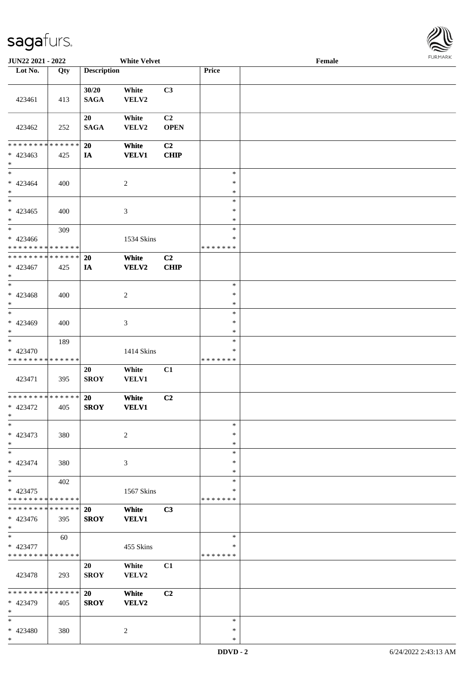

| JUN22 2021 - 2022                                  |     |                      | <b>White Velvet</b>   |                               |                                   | Female |  |
|----------------------------------------------------|-----|----------------------|-----------------------|-------------------------------|-----------------------------------|--------|--|
| Lot No.                                            | Qty | <b>Description</b>   |                       |                               | Price                             |        |  |
| 423461                                             | 413 | 30/20<br><b>SAGA</b> | White<br>VELV2        | C3                            |                                   |        |  |
|                                                    |     |                      |                       |                               |                                   |        |  |
| 423462                                             | 252 | 20<br><b>SAGA</b>    | White<br>VELV2        | C <sub>2</sub><br><b>OPEN</b> |                                   |        |  |
| * * * * * * * * * * * * * *                        |     | 20                   | White                 | C2                            |                                   |        |  |
| * 423463<br>$*$                                    | 425 | IA                   | <b>VELV1</b>          | <b>CHIP</b>                   |                                   |        |  |
| $\ast$<br>$* 423464$<br>$*$                        | 400 |                      | $\sqrt{2}$            |                               | $\ast$<br>$\ast$<br>$\ast$        |        |  |
| $\overline{\phantom{0}}$<br>$* 423465$<br>$\ast$   | 400 |                      | $\mathfrak{Z}$        |                               | $\ast$<br>$\ast$<br>$\ast$        |        |  |
| $*$<br>$* 423466$<br>* * * * * * * * * * * * * *   | 309 |                      | 1534 Skins            |                               | $\ast$<br>$\ast$<br>* * * * * * * |        |  |
| * * * * * * * * * * * * * *                        |     | 20                   | White                 | C <sub>2</sub>                |                                   |        |  |
| * 423467<br>$*$<br>$*$                             | 425 | IA                   | <b>VELV2</b>          | CHIP                          | $\ast$                            |        |  |
| * 423468<br>$\ast$                                 | 400 |                      | $\sqrt{2}$            |                               | $\ast$<br>$\ast$                  |        |  |
| $*$<br>$* 423469$<br>$*$                           | 400 |                      | 3                     |                               | $\ast$<br>$\ast$<br>$\ast$        |        |  |
| $*$<br>* 423470<br>* * * * * * * * * * * * * *     | 189 |                      | 1414 Skins            |                               | $\ast$<br>$\ast$<br>*******       |        |  |
|                                                    |     |                      |                       |                               |                                   |        |  |
| 423471                                             | 395 | 20<br><b>SROY</b>    | White<br><b>VELV1</b> | C1                            |                                   |        |  |
| * * * * * * * * * * * * * * *<br>$* 423472$<br>$*$ | 405 | 20<br><b>SROY</b>    | White<br><b>VELV1</b> | C2                            |                                   |        |  |
| $*$<br>* 423473<br>$*$                             | 380 |                      | 2                     |                               | $\ast$<br>$\ast$<br>$\ast$        |        |  |
| $\ast$<br>$* 423474$<br>$*$                        | 380 |                      | 3                     |                               | $\ast$<br>$\ast$<br>∗             |        |  |
| $\ast$<br>* 423475<br>* * * * * * * * * * * * * *  | 402 |                      | 1567 Skins            |                               | $\ast$<br>$\ast$<br>* * * * * * * |        |  |
| * * * * * * * * * * * * * * *                      |     | <b>20</b>            | White                 | C3                            |                                   |        |  |
| * 423476<br>$*$                                    | 395 | <b>SROY</b>          | <b>VELV1</b>          |                               |                                   |        |  |
| $*$<br>* 423477<br>* * * * * * * * * * * * * *     | 60  |                      | 455 Skins             |                               | $\ast$<br>$\ast$<br>*******       |        |  |
| 423478                                             | 293 | 20<br><b>SROY</b>    | White<br>VELV2        | C1                            |                                   |        |  |
| * * * * * * * * * * * * * *<br>* 423479<br>$\ast$  | 405 | 20<br><b>SROY</b>    | White<br>VELV2        | C <sub>2</sub>                |                                   |        |  |
| $\ast$<br>* 423480<br>$*$                          | 380 |                      | $\overline{c}$        |                               | $\ast$<br>$\ast$<br>$\ast$        |        |  |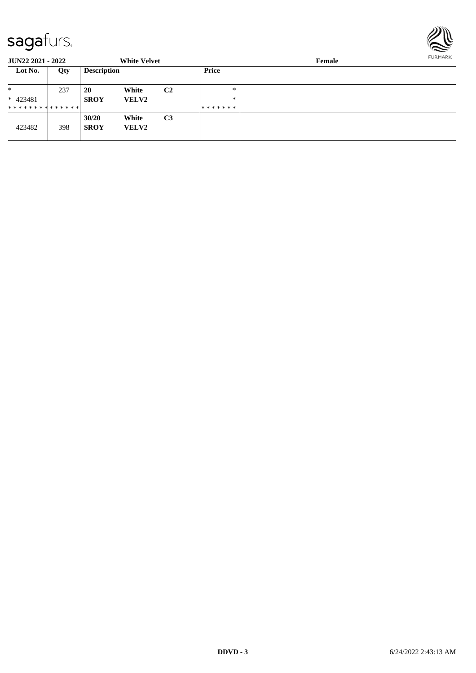

| <b>JUN22 2021 - 2022</b>      |     |                      | <b>White Velvet</b>   |                |               | Female |  |  |  |
|-------------------------------|-----|----------------------|-----------------------|----------------|---------------|--------|--|--|--|
| Lot No.                       | Qty | <b>Description</b>   |                       |                | <b>Price</b>  |        |  |  |  |
| $\ast$<br>$* 423481$          | 237 | 20<br><b>SROY</b>    | White<br><b>VELV2</b> | C <sub>2</sub> | $*$<br>$\ast$ |        |  |  |  |
| * * * * * * * * * * * * * * * |     |                      |                       |                | *******       |        |  |  |  |
| 423482                        | 398 | 30/20<br><b>SROY</b> | White<br><b>VELV2</b> | C <sub>3</sub> |               |        |  |  |  |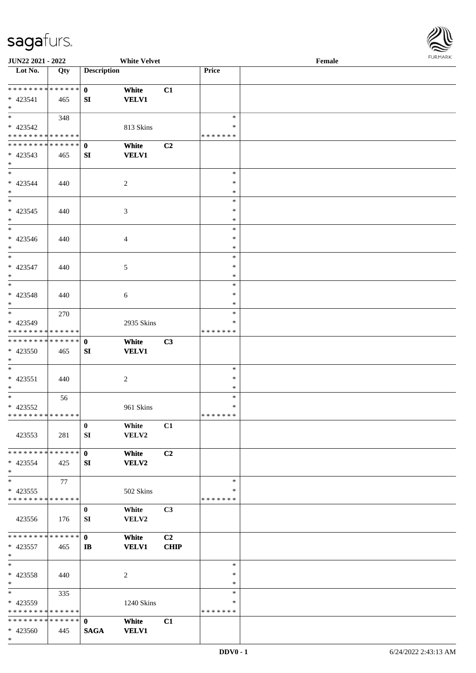

| JUN22 2021 - 2022             |     |                    | <b>White Velvet</b> |                |               | Female |  |
|-------------------------------|-----|--------------------|---------------------|----------------|---------------|--------|--|
| Lot No.                       | Qty | <b>Description</b> |                     |                | Price         |        |  |
|                               |     |                    |                     |                |               |        |  |
| ******** <mark>******</mark>  |     | $\mathbf{0}$       | White               | C1             |               |        |  |
| $* 423541$                    | 465 | SI                 | <b>VELV1</b>        |                |               |        |  |
| $*$                           |     |                    |                     |                |               |        |  |
|                               | 348 |                    |                     |                | $\ast$        |        |  |
| $* 423542$                    |     |                    | 813 Skins           |                | *             |        |  |
| * * * * * * * * * * * * * *   |     |                    |                     |                | *******       |        |  |
| * * * * * * * * * * * * * * * |     | $\mathbf{0}$       | White               | C2             |               |        |  |
|                               |     |                    |                     |                |               |        |  |
| * 423543                      | 465 | SI                 | <b>VELV1</b>        |                |               |        |  |
| $*$                           |     |                    |                     |                |               |        |  |
| $*$                           |     |                    |                     |                | $\ast$        |        |  |
| $* 423544$                    | 440 |                    | 2                   |                | $\ast$        |        |  |
| $*$                           |     |                    |                     |                | $\ast$        |        |  |
| $\overline{\phantom{0}}$      |     |                    |                     |                | $\ast$        |        |  |
| $* 423545$                    | 440 |                    | $\mathfrak{Z}$      |                | $\ast$        |        |  |
| $*$                           |     |                    |                     |                | $\ast$        |        |  |
| $*$                           |     |                    |                     |                | $\ast$        |        |  |
| $* 423546$                    | 440 |                    | $\overline{4}$      |                | $\ast$        |        |  |
| $*$                           |     |                    |                     |                | $\ast$        |        |  |
| $\ast$                        |     |                    |                     |                | $\ast$        |        |  |
| * 423547                      | 440 |                    | 5                   |                | $\ast$        |        |  |
| $*$                           |     |                    |                     |                | $\ast$        |        |  |
| $*$                           |     |                    |                     |                | $\ast$        |        |  |
|                               |     |                    |                     |                |               |        |  |
| * 423548                      | 440 |                    | 6                   |                | $\ast$        |        |  |
| $*$                           |     |                    |                     |                | $\ast$        |        |  |
|                               | 270 |                    |                     |                | $\ast$        |        |  |
| * 423549                      |     |                    | 2935 Skins          |                | $\ast$        |        |  |
| * * * * * * * * * * * * * *   |     |                    |                     |                | * * * * * * * |        |  |
| * * * * * * * * * * * * * * * |     | $\mathbf{0}$       | White               | C3             |               |        |  |
| * 423550                      | 465 | SI                 | <b>VELV1</b>        |                |               |        |  |
| $*$                           |     |                    |                     |                |               |        |  |
| $*$                           |     |                    |                     |                | $\ast$        |        |  |
| * 423551                      | 440 |                    | $\overline{2}$      |                | $\ast$        |        |  |
| $*$                           |     |                    |                     |                | $\ast$        |        |  |
| $*$                           | 56  |                    |                     |                | $\ast$        |        |  |
| $* 423552$                    |     |                    | 961 Skins           |                | $\ast$        |        |  |
| * * * * * * * * * * * * * * * |     |                    |                     |                | *******       |        |  |
|                               |     | $\bf{0}$           | White               | C1             |               |        |  |
|                               |     |                    |                     |                |               |        |  |
| 423553                        | 281 | SI                 | VELV2               |                |               |        |  |
|                               |     |                    |                     |                |               |        |  |
| * * * * * * * * * * * * * * * |     | $\mathbf{0}$       | White               | C2             |               |        |  |
| * 423554                      | 425 | SI                 | VELV2               |                |               |        |  |
| $*$                           |     |                    |                     |                |               |        |  |
| $*$                           | 77  |                    |                     |                | $\ast$        |        |  |
| $* 423555$                    |     |                    | 502 Skins           |                | $\ast$        |        |  |
| * * * * * * * * * * * * * *   |     |                    |                     |                | *******       |        |  |
|                               |     | $\bf{0}$           | White               | C <sub>3</sub> |               |        |  |
| 423556                        | 176 | SI                 | VELV2               |                |               |        |  |
|                               |     |                    |                     |                |               |        |  |
| * * * * * * * * * * * * * * * |     | $\mathbf{0}$       | White               | C2             |               |        |  |
| * 423557                      | 465 | IB                 | <b>VELV1</b>        | <b>CHIP</b>    |               |        |  |
| $*$                           |     |                    |                     |                |               |        |  |
| $*$                           |     |                    |                     |                | $\ast$        |        |  |
|                               |     |                    |                     |                | $\ast$        |        |  |
| $* 423558$                    | 440 |                    | 2                   |                |               |        |  |
| $*$                           |     |                    |                     |                | $\ast$        |        |  |
| $*$                           | 335 |                    |                     |                | $\ast$        |        |  |
| * 423559                      |     |                    | 1240 Skins          |                | ∗             |        |  |
| * * * * * * * * * * * * * *   |     |                    |                     |                | *******       |        |  |
| * * * * * * * * * * * * * * * |     | $\mathbf{0}$       | White               | C1             |               |        |  |
| * 423560                      | 445 | <b>SAGA</b>        | <b>VELV1</b>        |                |               |        |  |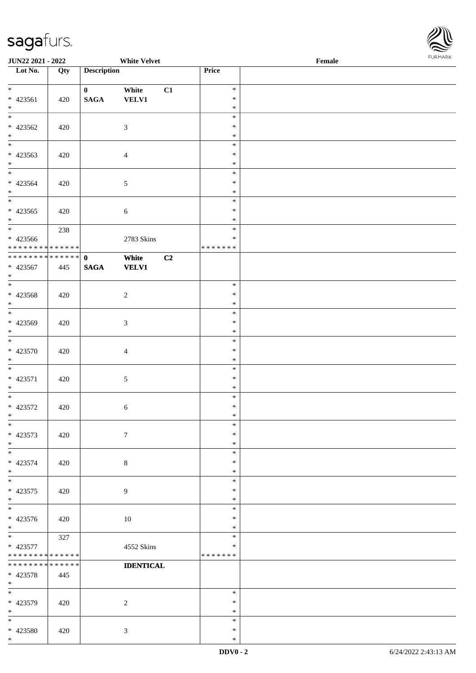

| <b>JUN22 2021 - 2022</b>                               |     |                    | <b>White Velvet</b> |    |                         | Female |  |
|--------------------------------------------------------|-----|--------------------|---------------------|----|-------------------------|--------|--|
| Lot No.                                                | Qty | <b>Description</b> |                     |    | Price                   |        |  |
|                                                        |     |                    |                     |    |                         |        |  |
| $*$                                                    |     | $\mathbf{0}$       | White               | C1 | $\ast$                  |        |  |
| $* 423561$<br>$*$                                      | 420 | $\mathbf{SAGA}$    | <b>VELV1</b>        |    | $\ast$<br>$\ast$        |        |  |
| $\overline{\ast}$                                      |     |                    |                     |    | $\ast$                  |        |  |
| $* 423562$                                             | 420 |                    | $\mathfrak{Z}$      |    | $\ast$                  |        |  |
| $*$                                                    |     |                    |                     |    | $\ast$                  |        |  |
|                                                        |     |                    |                     |    | $\ast$                  |        |  |
| * 423563                                               | 420 |                    | $\overline{4}$      |    | $\ast$                  |        |  |
| $*$                                                    |     |                    |                     |    | $\ast$                  |        |  |
| $*$                                                    |     |                    |                     |    | $\ast$                  |        |  |
| * 423564                                               | 420 |                    | $\mathfrak{S}$      |    | $\ast$                  |        |  |
| $*$                                                    |     |                    |                     |    | $\ast$                  |        |  |
| $\overline{\ast}$                                      |     |                    |                     |    | $\ast$                  |        |  |
| $* 423565$                                             | 420 |                    | $\sqrt{6}$          |    | $\ast$                  |        |  |
| $*$                                                    |     |                    |                     |    | $\ast$<br>$\ast$        |        |  |
| * 423566                                               | 238 |                    |                     |    | $\ast$                  |        |  |
| * * * * * * * * <mark>* * * * * *</mark> *             |     |                    | 2783 Skins          |    | * * * * * * *           |        |  |
| * * * * * * * * * * * * * * <mark>*</mark>             |     | $\mathbf{0}$       | White               | C2 |                         |        |  |
| * 423567                                               | 445 | <b>SAGA</b>        | <b>VELV1</b>        |    |                         |        |  |
| $*$                                                    |     |                    |                     |    |                         |        |  |
|                                                        |     |                    |                     |    | $\ast$                  |        |  |
| $* 423568$                                             | 420 |                    | $\overline{c}$      |    | $\ast$                  |        |  |
| $\ast$                                                 |     |                    |                     |    | $\ast$                  |        |  |
|                                                        |     |                    |                     |    | $\ast$                  |        |  |
| $* 423569$                                             | 420 |                    | 3                   |    | $\ast$                  |        |  |
| $\ast$<br>$*$                                          |     |                    |                     |    | $\ast$<br>$\ast$        |        |  |
| * 423570                                               | 420 |                    | $\overline{4}$      |    | $\ast$                  |        |  |
| $*$                                                    |     |                    |                     |    | $\ast$                  |        |  |
| $*$                                                    |     |                    |                     |    | $\ast$                  |        |  |
| * 423571                                               | 420 |                    | $\sqrt{5}$          |    | $\ast$                  |        |  |
| $*$                                                    |     |                    |                     |    | $\ast$                  |        |  |
| $\overline{\ast}$                                      |     |                    |                     |    | $\ast$                  |        |  |
| $* 423572$                                             | 420 |                    | $\sqrt{6}$          |    | $\ast$                  |        |  |
| $*$                                                    |     |                    |                     |    | $\ast$                  |        |  |
| $\ast$                                                 |     |                    |                     |    | $\ast$                  |        |  |
| * 423573                                               | 420 |                    | $\tau$              |    | $\ast$                  |        |  |
| $*$<br>$\ddot{x}$                                      |     |                    |                     |    | $\ast$<br>$\ast$        |        |  |
| * 423574                                               | 420 |                    | $8\,$               |    | $\ast$                  |        |  |
| $\ddot{x}$                                             |     |                    |                     |    | $\ast$                  |        |  |
| $*$                                                    |     |                    |                     |    | $\ast$                  |        |  |
| * 423575                                               | 420 |                    | $\overline{9}$      |    | $\ast$                  |        |  |
| $\ddot{x}$                                             |     |                    |                     |    | $\ast$                  |        |  |
| $\overline{\ }$                                        |     |                    |                     |    | $\ast$                  |        |  |
| * 423576                                               | 420 |                    | 10                  |    | $\ast$                  |        |  |
| $*$                                                    |     |                    |                     |    | $\ast$                  |        |  |
| $\overline{\mathbf{r}}$                                | 327 |                    |                     |    | $\ast$                  |        |  |
| * 423577<br>* * * * * * * * <mark>* * * * * * *</mark> |     |                    | 4552 Skins          |    | $\ast$<br>* * * * * * * |        |  |
| * * * * * * * * <mark>* * * * * *</mark>               |     |                    | <b>IDENTICAL</b>    |    |                         |        |  |
| $* 423578$                                             | 445 |                    |                     |    |                         |        |  |
| $*$                                                    |     |                    |                     |    |                         |        |  |
| $*$                                                    |     |                    |                     |    | $\ast$                  |        |  |
| * 423579                                               | 420 |                    | 2                   |    | $\ast$                  |        |  |
| $*$                                                    |     |                    |                     |    | $\ast$                  |        |  |
| $\ast$                                                 |     |                    |                     |    | $\ast$                  |        |  |
| * 423580                                               | 420 |                    | $\mathbf{3}$        |    | $\ast$                  |        |  |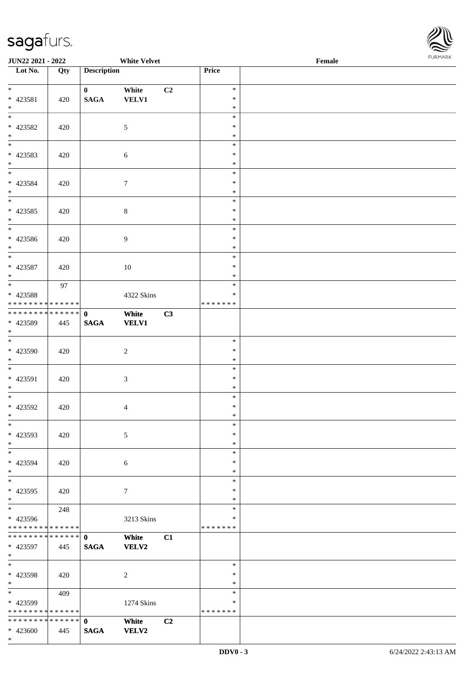

| <b>JUN22 2021 - 2022</b>                                      |                   |                             | <b>White Velvet</b>   |                |                             | Female | $. 0.0147$ $. 0.0147$ |
|---------------------------------------------------------------|-------------------|-----------------------------|-----------------------|----------------|-----------------------------|--------|-----------------------|
| Lot No.                                                       | $\overline{Q}$ ty | <b>Description</b>          |                       |                | Price                       |        |                       |
| $\ddot{x}$<br>$* 423581$                                      | 420               | $\mathbf{0}$<br><b>SAGA</b> | White<br><b>VELV1</b> | C2             | $\ast$<br>$\ast$            |        |                       |
| $*$<br>$\overline{\ast}$                                      |                   |                             |                       |                | $\ast$                      |        |                       |
| * 423582<br>$*$                                               | 420               |                             | 5                     |                | $\ast$<br>$\ast$<br>$\ast$  |        |                       |
| * 423583<br>$*$                                               | 420               |                             | 6                     |                | $\ast$<br>$\ast$<br>$\ast$  |        |                       |
| $\overline{\mathbf{r}}$<br>* 423584<br>$*$                    | 420               |                             | $\boldsymbol{7}$      |                | $\ast$<br>$\ast$<br>$\ast$  |        |                       |
| * 423585                                                      | 420               |                             | $\,8\,$               |                | $\ast$<br>$\ast$<br>$\ast$  |        |                       |
| $*$<br>$\overline{\phantom{0}}$<br>* 423586                   | 420               |                             | $\overline{9}$        |                | $\ast$<br>$\ast$            |        |                       |
| $*$<br>* 423587                                               | 420               |                             | 10                    |                | $\ast$<br>$\ast$<br>$\ast$  |        |                       |
| $*$<br>$\overline{\ }$<br>* 423588                            | 97                |                             | 4322 Skins            |                | $\ast$<br>$\ast$<br>$\ast$  |        |                       |
| * * * * * * * * * * * * * * <mark>*</mark>                    |                   |                             |                       |                | * * * * * * *               |        |                       |
| * * * * * * * * <mark>* * * * * * *</mark><br>* 423589<br>$*$ | 445               | $\mathbf{0}$<br><b>SAGA</b> | White<br><b>VELV1</b> | C3             |                             |        |                       |
| $*$<br>* 423590<br>$*$                                        | 420               |                             | $\overline{c}$        |                | $\ast$<br>$\ast$<br>$\ast$  |        |                       |
| * 423591<br>$*$                                               | 420               |                             | $\mathfrak{Z}$        |                | $\ast$<br>$\ast$<br>$\ast$  |        |                       |
| $*$<br>* 423592<br>$\ast$                                     | 420               |                             | $\overline{4}$        |                | $\ast$<br>$\ast$<br>$\ast$  |        |                       |
| $\ast$<br>* 423593<br>$\ast$                                  | 420               |                             | 5                     |                | $\ast$<br>$\ast$<br>$\ast$  |        |                       |
| $\ast$<br>* 423594<br>$\ast$                                  | 420               |                             | 6                     |                | $\ast$<br>$\ast$<br>$\ast$  |        |                       |
| * 423595<br>$*$                                               | 420               |                             | $\tau$                |                | $\ast$<br>$\ast$<br>$\ast$  |        |                       |
| $*$<br>* 423596<br>* * * * * * * * <mark>* * * * * *</mark>   | 248               |                             | 3213 Skins            |                | $\ast$<br>$\ast$<br>******* |        |                       |
| * 423597<br>$*$                                               | 445               | <b>SAGA</b>                 | White<br><b>VELV2</b> | C1             |                             |        |                       |
| $*$<br>* 423598<br>$*$                                        | 420               |                             | 2                     |                | $\ast$<br>$\ast$<br>$\ast$  |        |                       |
| * 423599<br>* * * * * * * * <mark>* * * * * *</mark>          | 409               |                             | 1274 Skins            |                | $\ast$<br>$\ast$<br>******* |        |                       |
|                                                               |                   |                             | White                 | C <sub>2</sub> |                             |        |                       |
| $* 423600$                                                    | 445               | <b>SAGA</b>                 | <b>VELV2</b>          |                |                             |        |                       |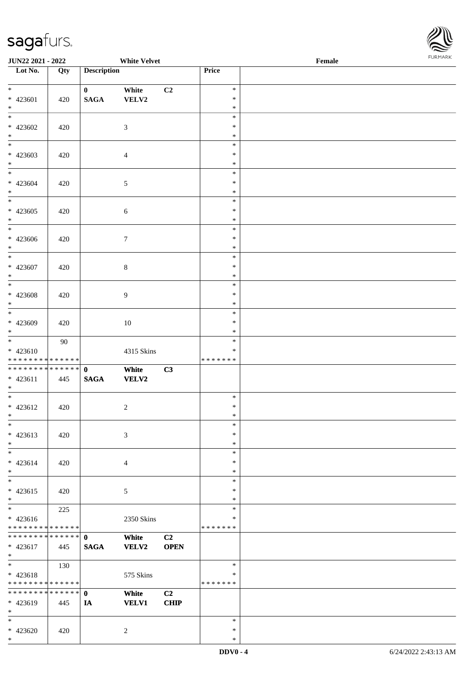

| <b>JUN22 2021 - 2022</b>                                             |     |                             | <b>White Velvet</b>   |                               |                             | Female | $. 0.0147$ $. 0.0147$ |
|----------------------------------------------------------------------|-----|-----------------------------|-----------------------|-------------------------------|-----------------------------|--------|-----------------------|
| Lot No.                                                              | Qty | <b>Description</b>          |                       |                               | Price                       |        |                       |
| $\ddot{x}$<br>* 423601<br>$*$                                        | 420 | $\mathbf{0}$<br><b>SAGA</b> | White<br>VELV2        | C2                            | $\ast$<br>$\ast$<br>$\ast$  |        |                       |
| $\overline{\ast}$<br>$* 423602$<br>$*$                               | 420 |                             | $\mathfrak{Z}$        |                               | $\ast$<br>$\ast$<br>$\ast$  |        |                       |
| $* 423603$<br>$*$                                                    | 420 |                             | $\overline{4}$        |                               | $\ast$<br>$\ast$<br>$\ast$  |        |                       |
| $\overline{\ast}$<br>$* 423604$<br>$*$                               | 420 |                             | $\mathfrak{S}$        |                               | $\ast$<br>$\ast$<br>$\ast$  |        |                       |
| * 423605<br>$*$                                                      | 420 |                             | $\sqrt{6}$            |                               | $\ast$<br>$\ast$<br>$\ast$  |        |                       |
| $*$<br>* 423606<br>$\ast$                                            | 420 |                             | $\tau$                |                               | $\ast$<br>$\ast$<br>$\ast$  |        |                       |
| * 423607<br>$*$<br>$\overline{\phantom{0}}$                          | 420 |                             | $\,8\,$               |                               | $\ast$<br>$\ast$<br>$\ast$  |        |                       |
| $* 423608$<br>$\ast$                                                 | 420 |                             | 9                     |                               | $\ast$<br>$\ast$<br>$\ast$  |        |                       |
| $* 423609$<br>$*$                                                    | 420 |                             | 10                    |                               | $\ast$<br>$\ast$<br>$\ast$  |        |                       |
| $*$<br>$* 423610$<br>* * * * * * * * <mark>* * * * * *</mark>        | 90  |                             | 4315 Skins            |                               | $\ast$<br>∗<br>*******      |        |                       |
| $* 423611$<br>$*$                                                    | 445 | <b>SAGA</b>                 | White<br>VELV2        | C3                            |                             |        |                       |
| $*$<br>$* 423612$<br>$\ast$                                          | 420 |                             | $\overline{2}$        |                               | $\ast$<br>$\ast$<br>$\ast$  |        |                       |
| $\ast$<br>$* 423613$<br>$\ast$                                       | 420 |                             | 3                     |                               | $\ast$<br>$\ast$<br>$\ast$  |        |                       |
| $\ast$<br>$* 423614$<br>$\ast$                                       | 420 |                             | $\overline{4}$        |                               | $\ast$<br>$\ast$<br>$\ast$  |        |                       |
| $\overline{\mathbf{r}}$<br>$* 423615$<br>$*$                         | 420 |                             | 5                     |                               | $\ast$<br>$\ast$<br>$\ast$  |        |                       |
| $\ddot{x}$<br>$* 423616$<br>* * * * * * * * <mark>* * * * * *</mark> | 225 |                             | 2350 Skins            |                               | $\ast$<br>$\ast$<br>******* |        |                       |
| * 423617<br>$*$                                                      | 445 | <b>SAGA</b>                 | White<br><b>VELV2</b> | C2<br><b>OPEN</b>             |                             |        |                       |
| $*$<br>$* 423618$<br>* * * * * * * * <mark>* * * * * *</mark>        | 130 |                             | 575 Skins             |                               | $\ast$<br>$\ast$<br>******* |        |                       |
| * * * * * * * * <mark>* * * * * * *</mark><br>* 423619<br>$*$        | 445 | $\mathbf{0}$<br>IA          | White<br><b>VELV1</b> | C <sub>2</sub><br><b>CHIP</b> |                             |        |                       |
| $\ast$<br>* 423620                                                   | 420 |                             | 2                     |                               | $\ast$<br>$\ast$            |        |                       |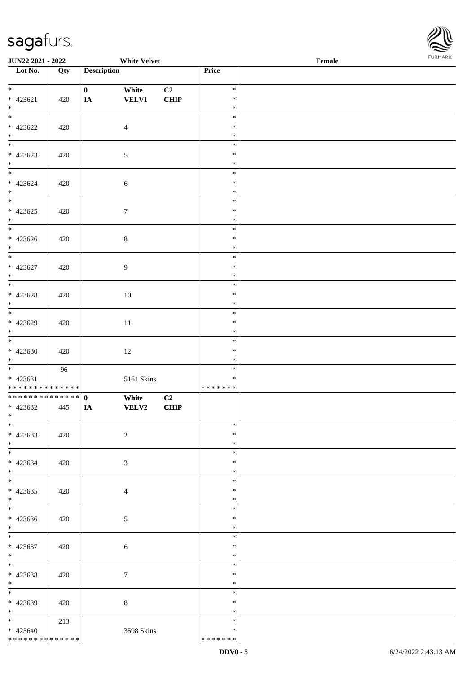\* \* \* \* \* \* \* \* \* \* \* \* \* \*



| <b>JUN22 2021 - 2022</b>                                            |     |                          | <b>White Velvet</b>   |                   |                             | Female |  |
|---------------------------------------------------------------------|-----|--------------------------|-----------------------|-------------------|-----------------------------|--------|--|
| Lot No.                                                             | Qty | <b>Description</b>       |                       |                   | Price                       |        |  |
| $*$<br>* 423621<br>$*$                                              | 420 | $\mathbf{0}$<br>$I\!\!A$ | White<br><b>VELV1</b> | C2<br><b>CHIP</b> | $\ast$<br>$\ast$<br>$\ast$  |        |  |
| $* 423622$<br>$*$                                                   | 420 |                          | $\overline{4}$        |                   | $\ast$<br>$\ast$<br>$\ast$  |        |  |
| $\overline{\phantom{0}}$<br>* 423623<br>$*$                         | 420 |                          | $\mathfrak{S}$        |                   | $\ast$<br>$\ast$<br>$\ast$  |        |  |
| $\overline{\ast}$<br>* 423624<br>$*$                                | 420 |                          | $\sqrt{6}$            |                   | $\ast$<br>$\ast$<br>$\ast$  |        |  |
| $* 423625$<br>$*$                                                   | 420 |                          | $\boldsymbol{7}$      |                   | $\ast$<br>$\ast$<br>$\ast$  |        |  |
| $\overline{\phantom{0}}$<br>$* 423626$<br>$\ast$                    | 420 |                          | $\,8\,$               |                   | $\ast$<br>$\ast$<br>$\ast$  |        |  |
| * 423627<br>$*$                                                     | 420 |                          | $\overline{9}$        |                   | $\ast$<br>$\ast$<br>$\ast$  |        |  |
| $* 423628$<br>$\ast$                                                | 420 |                          | 10                    |                   | $\ast$<br>$\ast$<br>$\ast$  |        |  |
| $* 423629$<br>$\ast$                                                | 420 |                          | $11\,$                |                   | $\ast$<br>$\ast$<br>$\ast$  |        |  |
| $*$<br>$* 423630$<br>$*$                                            | 420 |                          | 12                    |                   | $\ast$<br>$\ast$<br>$\ast$  |        |  |
| $* 423631$<br>* * * * * * * * <mark>* * * * * * *</mark>            | 96  |                          | 5161 Skins            |                   | $\ast$<br>$\ast$<br>******* |        |  |
| * * * * * * * * <mark>* * * * * * *</mark><br>$* 423632$<br>$*$ $-$ | 445 | $\mathbf{0}$<br>IA       | White<br><b>VELV2</b> | C2<br><b>CHIP</b> |                             |        |  |
| $\overline{\ast}$<br>$* 423633$<br>$*$                              | 420 |                          | $\overline{2}$        |                   | $\ast$<br>$\ast$<br>$\ast$  |        |  |
| * 423634<br>$*$                                                     | 420 |                          | 3                     |                   | $\ast$<br>$\ast$<br>$\ast$  |        |  |
| $*$<br>$* 423635$<br>$*$                                            | 420 |                          | $\overline{4}$        |                   | $\ast$<br>$\ast$<br>$\ast$  |        |  |
| $\overline{\mathbf{r}}$<br>* 423636<br>$*$                          | 420 |                          | $\mathfrak{S}$        |                   | $\ast$<br>$\ast$<br>$\ast$  |        |  |
| $* 423637$<br>$*$                                                   | 420 |                          | $\sqrt{6}$            |                   | $\ast$<br>$\ast$<br>$\ast$  |        |  |
| $*$<br>* 423638<br>$*$ $-$                                          | 420 |                          | $\tau$                |                   | $\ast$<br>$\ast$<br>$\ast$  |        |  |
| * 423639<br>$*$                                                     | 420 |                          | $8\,$                 |                   | $\ast$<br>$\ast$<br>$\ast$  |        |  |
| $*$ $-$<br>$* 423640$                                               | 213 |                          | 3598 Skins            |                   | $\ast$<br>$\ast$            |        |  |

\* \* \* \* \* \* \*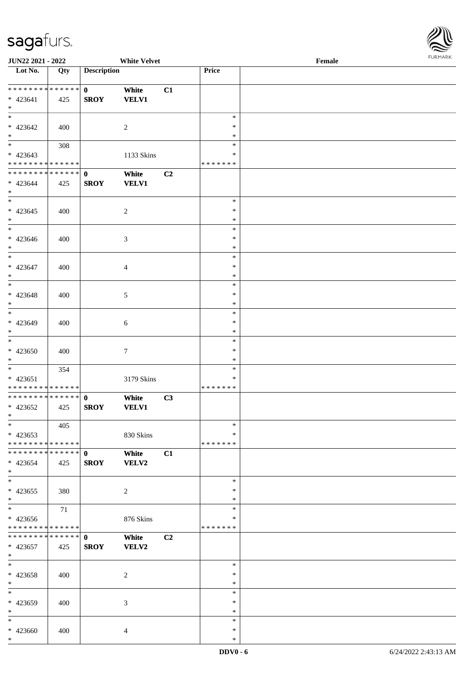

| <b>JUN22 2021 - 2022</b>                   |     |                    | <b>White Velvet</b> |    |               | Female |  |
|--------------------------------------------|-----|--------------------|---------------------|----|---------------|--------|--|
| Lot No.                                    | Qty | <b>Description</b> |                     |    | Price         |        |  |
|                                            |     |                    |                     |    |               |        |  |
| * * * * * * * * * * * * * * *              |     | $\mathbf{0}$       | White               | C1 |               |        |  |
| * 423641                                   | 425 | <b>SROY</b>        | <b>VELV1</b>        |    |               |        |  |
| $\ast$                                     |     |                    |                     |    |               |        |  |
|                                            |     |                    |                     |    | $\ast$        |        |  |
|                                            |     |                    |                     |    |               |        |  |
| $* 423642$                                 | 400 |                    | $\overline{2}$      |    | $\ast$        |        |  |
| $*$                                        |     |                    |                     |    | $\ast$        |        |  |
|                                            | 308 |                    |                     |    | $\ast$        |        |  |
| $* 423643$                                 |     |                    | 1133 Skins          |    | $\ast$        |        |  |
| * * * * * * * * * * * * * *                |     |                    |                     |    | * * * * * * * |        |  |
| ******** <mark>******</mark>               |     | $\mathbf{0}$       | White               | C2 |               |        |  |
| * 423644                                   |     | <b>SROY</b>        | <b>VELV1</b>        |    |               |        |  |
| $*$                                        | 425 |                    |                     |    |               |        |  |
|                                            |     |                    |                     |    |               |        |  |
| $*$                                        |     |                    |                     |    | $\ast$        |        |  |
| $* 423645$                                 | 400 |                    | $\overline{2}$      |    | $\ast$        |        |  |
| $*$                                        |     |                    |                     |    | $\ast$        |        |  |
| $\overline{\phantom{0}}$                   |     |                    |                     |    | $\ast$        |        |  |
| $* 423646$                                 | 400 |                    | 3                   |    | $\ast$        |        |  |
| $\ast$                                     |     |                    |                     |    | $\ast$        |        |  |
| $\ast$                                     |     |                    |                     |    | $\ast$        |        |  |
|                                            |     |                    |                     |    | $\ast$        |        |  |
| $* 423647$                                 | 400 |                    | $\overline{4}$      |    |               |        |  |
| $*$                                        |     |                    |                     |    | $\ast$        |        |  |
|                                            |     |                    |                     |    | $\ast$        |        |  |
| $* 423648$                                 | 400 |                    | 5                   |    | $\ast$        |        |  |
| $*$                                        |     |                    |                     |    | $\ast$        |        |  |
| $\overline{\phantom{0}}$                   |     |                    |                     |    | $\ast$        |        |  |
| * 423649                                   | 400 |                    | 6                   |    | $\ast$        |        |  |
| $\ast$                                     |     |                    |                     |    | $\ast$        |        |  |
|                                            |     |                    |                     |    | $\ast$        |        |  |
|                                            |     |                    |                     |    |               |        |  |
| $* 423650$                                 | 400 |                    | $\tau$              |    | $\ast$        |        |  |
| $*$                                        |     |                    |                     |    | $\ast$        |        |  |
| $*$                                        | 354 |                    |                     |    | $\ast$        |        |  |
| $* 423651$                                 |     |                    | 3179 Skins          |    | $\ast$        |        |  |
| * * * * * * * * <mark>* * * * * * *</mark> |     |                    |                     |    | *******       |        |  |
| * * * * * * * * * * * * * * *              |     | $\mathbf{0}$       | White               | C3 |               |        |  |
| * 423652                                   | 425 | <b>SROY</b>        | <b>VELV1</b>        |    |               |        |  |
| $*$                                        |     |                    |                     |    |               |        |  |
|                                            |     |                    |                     |    |               |        |  |
| $*$                                        | 405 |                    |                     |    | $\ast$        |        |  |
| $* 423653$                                 |     |                    | 830 Skins           |    | ∗             |        |  |
| * * * * * * * * * * * * * * *              |     |                    |                     |    | * * * * * * * |        |  |
| * * * * * * * * * * * * * * *              |     | $\mathbf{0}$       | White               | C1 |               |        |  |
| $* 423654$                                 | 425 | <b>SROY</b>        | VELV2               |    |               |        |  |
| $*$                                        |     |                    |                     |    |               |        |  |
| $*$                                        |     |                    |                     |    | $\ast$        |        |  |
| $* 423655$                                 | 380 |                    |                     |    | $\ast$        |        |  |
|                                            |     |                    | $\overline{c}$      |    |               |        |  |
| $*$                                        |     |                    |                     |    | $\ast$        |        |  |
| $*$                                        | 71  |                    |                     |    | $\ast$        |        |  |
| $* 423656$                                 |     |                    | 876 Skins           |    | ∗             |        |  |
| * * * * * * * * * * * * * * *              |     |                    |                     |    | *******       |        |  |
|                                            |     |                    | White               | C2 |               |        |  |
| * 423657                                   | 425 | <b>SROY</b>        | VELV2               |    |               |        |  |
| $*$                                        |     |                    |                     |    |               |        |  |
| $*$                                        |     |                    |                     |    | $\ast$        |        |  |
|                                            |     |                    |                     |    | $\ast$        |        |  |
| $* 423658$                                 | 400 |                    | $\overline{c}$      |    |               |        |  |
| $*$                                        |     |                    |                     |    | $\ast$        |        |  |
| $*$                                        |     |                    |                     |    | $\ast$        |        |  |
| * 423659                                   | 400 |                    | 3                   |    | $\ast$        |        |  |
| $\ast$                                     |     |                    |                     |    | $\ast$        |        |  |
| $*$                                        |     |                    |                     |    | $\ast$        |        |  |
| * 423660                                   | 400 |                    | $\overline{4}$      |    | $\ast$        |        |  |
| $\ast$                                     |     |                    |                     |    | $\ast$        |        |  |
|                                            |     |                    |                     |    |               |        |  |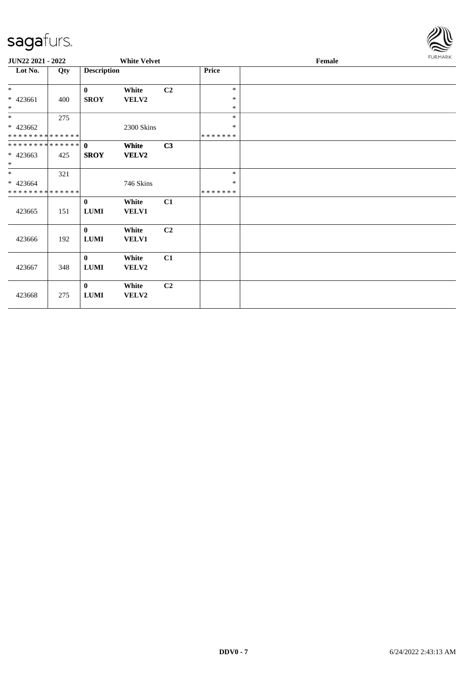

| <b>JUN22 2021 - 2022</b>     |     |                    | <b>White Velvet</b> |                |               | Female |  |  |  |  |
|------------------------------|-----|--------------------|---------------------|----------------|---------------|--------|--|--|--|--|
| Lot No.                      | Qty | <b>Description</b> |                     |                | <b>Price</b>  |        |  |  |  |  |
| $*$                          |     | $\bf{0}$           | White               | C <sub>2</sub> | $\ast$        |        |  |  |  |  |
| $* 423661$                   | 400 | <b>SROY</b>        | VELV2               |                | $\ast$        |        |  |  |  |  |
| $*$                          |     |                    |                     |                | $\ast$        |        |  |  |  |  |
| $*$                          | 275 |                    |                     |                | $\ast$        |        |  |  |  |  |
| $* 423662$                   |     |                    | 2300 Skins          |                | $\ast$        |        |  |  |  |  |
| * * * * * * * * * * * * * *  |     |                    |                     |                | *******       |        |  |  |  |  |
| ******** <mark>******</mark> |     | $\mathbf{0}$       | White               | C3             |               |        |  |  |  |  |
| $* 423663$                   | 425 | <b>SROY</b>        | <b>VELV2</b>        |                |               |        |  |  |  |  |
| $*$                          |     |                    |                     |                |               |        |  |  |  |  |
| $*$                          | 321 |                    |                     |                | $\ast$        |        |  |  |  |  |
| $* 423664$                   |     |                    | 746 Skins           |                | $\ast$        |        |  |  |  |  |
| * * * * * * * * * * * * * *  |     |                    |                     |                | * * * * * * * |        |  |  |  |  |
|                              |     | $\bf{0}$           | White               | C1             |               |        |  |  |  |  |
| 423665                       | 151 | <b>LUMI</b>        | VELV1               |                |               |        |  |  |  |  |
|                              |     | $\mathbf{0}$       | White               | C2             |               |        |  |  |  |  |
| 423666                       | 192 | $\bf LUMI$         | VELV1               |                |               |        |  |  |  |  |
|                              |     |                    |                     |                |               |        |  |  |  |  |
|                              |     | $\mathbf{0}$       | White               | C1             |               |        |  |  |  |  |
| 423667                       | 348 | $\bf LUMI$         | VELV2               |                |               |        |  |  |  |  |
|                              |     |                    |                     |                |               |        |  |  |  |  |
|                              |     | $\bf{0}$           | White               | C2             |               |        |  |  |  |  |
| 423668                       | 275 | <b>LUMI</b>        | VELV2               |                |               |        |  |  |  |  |
|                              |     |                    |                     |                |               |        |  |  |  |  |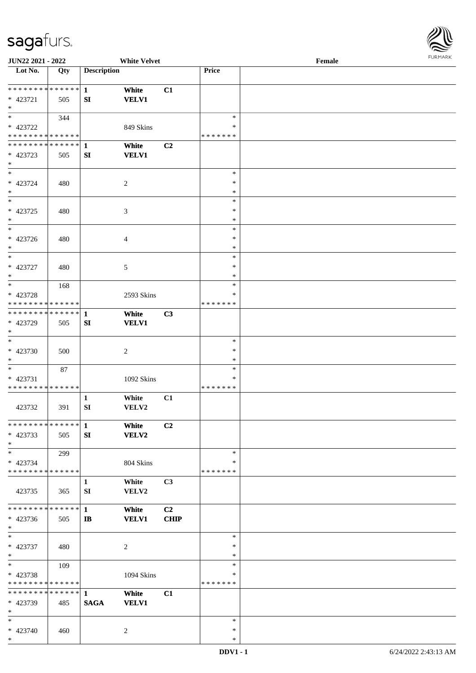

| <b>JUN22 2021 - 2022</b>                   |     |                    | <b>White Velvet</b> |                |               | Female |  |
|--------------------------------------------|-----|--------------------|---------------------|----------------|---------------|--------|--|
| Lot No.                                    | Qty | <b>Description</b> |                     |                | Price         |        |  |
|                                            |     |                    |                     |                |               |        |  |
| ******** <mark>******</mark>               |     | $\mathbf{1}$       | White               | C1             |               |        |  |
| * 423721                                   | 505 | SI                 | <b>VELV1</b>        |                |               |        |  |
| $\ast$                                     |     |                    |                     |                |               |        |  |
|                                            |     |                    |                     |                | $\ast$        |        |  |
|                                            | 344 |                    |                     |                |               |        |  |
| * 423722                                   |     |                    | 849 Skins           |                | ∗             |        |  |
| * * * * * * * * * * * * * *                |     |                    |                     |                | * * * * * * * |        |  |
| * * * * * * * * * * * * * * *              |     | 1                  | White               | C2             |               |        |  |
| * 423723                                   | 505 | SI                 | <b>VELV1</b>        |                |               |        |  |
| $*$                                        |     |                    |                     |                |               |        |  |
| $*$                                        |     |                    |                     |                | $\ast$        |        |  |
| $* 423724$                                 | 480 |                    | 2                   |                | $\ast$        |        |  |
| $*$                                        |     |                    |                     |                | $\ast$        |        |  |
| $\overline{\ast}$                          |     |                    |                     |                | $\ast$        |        |  |
| * 423725                                   | 480 |                    | $\mathfrak{Z}$      |                | $\ast$        |        |  |
| $*$                                        |     |                    |                     |                | $\ast$        |        |  |
|                                            |     |                    |                     |                |               |        |  |
| $*$                                        |     |                    |                     |                | $\ast$        |        |  |
| $* 423726$                                 | 480 |                    | $\overline{4}$      |                | $\ast$        |        |  |
| $*$                                        |     |                    |                     |                | $\ast$        |        |  |
| $\ast$                                     |     |                    |                     |                | $\ast$        |        |  |
| * 423727                                   | 480 |                    | 5                   |                | $\ast$        |        |  |
| $*$                                        |     |                    |                     |                | $\ast$        |        |  |
| $*$                                        | 168 |                    |                     |                | $\ast$        |        |  |
| * 423728                                   |     |                    | 2593 Skins          |                | ∗             |        |  |
| * * * * * * * * * * * * * *                |     |                    |                     |                | * * * * * * * |        |  |
| * * * * * * * * * * * * * * *              |     | $\mathbf{1}$       | White               | C3             |               |        |  |
|                                            |     |                    |                     |                |               |        |  |
| * 423729                                   | 505 | SI                 | <b>VELV1</b>        |                |               |        |  |
| $\ast$                                     |     |                    |                     |                |               |        |  |
| $*$                                        |     |                    |                     |                | $\ast$        |        |  |
| $* 423730$                                 | 500 |                    | $\overline{2}$      |                | $\ast$        |        |  |
| $*$                                        |     |                    |                     |                | $\ast$        |        |  |
| $*$                                        | 87  |                    |                     |                | $\ast$        |        |  |
| * 423731                                   |     |                    | 1092 Skins          |                | $\ast$        |        |  |
| * * * * * * * * <mark>* * * * * * *</mark> |     |                    |                     |                | *******       |        |  |
|                                            |     | 1                  | White               | C1             |               |        |  |
| 423732                                     | 391 | SI                 | VELV2               |                |               |        |  |
|                                            |     |                    |                     |                |               |        |  |
| * * * * * * * * * * * * * * *              |     | $\mathbf 1$        | White               | C2             |               |        |  |
|                                            |     |                    |                     |                |               |        |  |
| * 423733                                   | 505 | SI                 | <b>VELV2</b>        |                |               |        |  |
| $*$                                        |     |                    |                     |                |               |        |  |
| $*$                                        | 299 |                    |                     |                | $\ast$        |        |  |
| * 423734                                   |     |                    | 804 Skins           |                | ∗             |        |  |
| * * * * * * * * * * * * * *                |     |                    |                     |                | * * * * * * * |        |  |
|                                            |     | $\mathbf{1}$       | White               | C <sub>3</sub> |               |        |  |
| 423735                                     | 365 | SI                 | VELV2               |                |               |        |  |
|                                            |     |                    |                     |                |               |        |  |
| * * * * * * * * * * * * * * *              |     | $\mathbf{1}$       | White               | C2             |               |        |  |
| * 423736                                   | 505 | $\mathbf{I}$       | <b>VELV1</b>        | <b>CHIP</b>    |               |        |  |
| $*$                                        |     |                    |                     |                |               |        |  |
| $*$                                        |     |                    |                     |                | $\ast$        |        |  |
|                                            |     |                    |                     |                |               |        |  |
| * 423737                                   | 480 |                    | $\overline{2}$      |                | $\ast$        |        |  |
| $*$                                        |     |                    |                     |                | $\ast$        |        |  |
| $*$                                        | 109 |                    |                     |                | $\ast$        |        |  |
| * 423738                                   |     |                    | 1094 Skins          |                | $\ast$        |        |  |
| * * * * * * * * * * * * * *                |     |                    |                     |                | * * * * * * * |        |  |
| * * * * * * * * * * * * * * *              |     | $\mathbf{1}$       | White               | C1             |               |        |  |
| * 423739                                   | 485 | <b>SAGA</b>        | <b>VELV1</b>        |                |               |        |  |
| $*$                                        |     |                    |                     |                |               |        |  |
| $*$                                        |     |                    |                     |                | $\ast$        |        |  |
| * 423740                                   | 460 |                    | $\overline{2}$      |                | $\ast$        |        |  |
| $*$                                        |     |                    |                     |                | $\ast$        |        |  |
|                                            |     |                    |                     |                |               |        |  |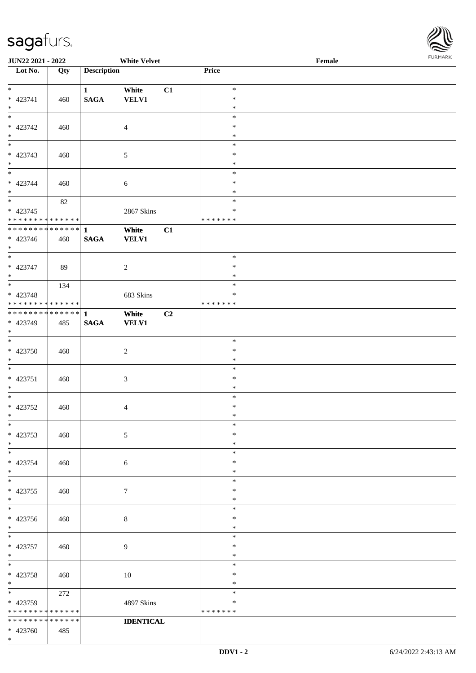

| <b>JUN22 2021 - 2022</b>                   |     |                    | <b>White Velvet</b> |    |               | Female |  |
|--------------------------------------------|-----|--------------------|---------------------|----|---------------|--------|--|
| Lot No.                                    | Qty | <b>Description</b> |                     |    | Price         |        |  |
|                                            |     |                    |                     |    |               |        |  |
| $*$                                        |     | $\mathbf{1}$       | White               | C1 | $\ast$        |        |  |
| * 423741                                   | 460 | <b>SAGA</b>        | <b>VELV1</b>        |    | $\ast$        |        |  |
| $*$                                        |     |                    |                     |    | $\ast$        |        |  |
|                                            |     |                    |                     |    | $\ast$        |        |  |
| * 423742                                   | 460 |                    | $\overline{4}$      |    | $\ast$        |        |  |
| $\ast$                                     |     |                    |                     |    | $\ast$        |        |  |
|                                            |     |                    |                     |    | $\ast$        |        |  |
| * 423743                                   | 460 |                    | $\mathfrak{S}$      |    | $\ast$        |        |  |
| $*$                                        |     |                    |                     |    | $\ast$        |        |  |
|                                            |     |                    |                     |    | $\ast$        |        |  |
| * 423744                                   | 460 |                    | $\sqrt{6}$          |    | $\ast$        |        |  |
| $*$                                        |     |                    |                     |    | $\ast$        |        |  |
|                                            | 82  |                    |                     |    | $\ast$        |        |  |
| $* 423745$                                 |     |                    | 2867 Skins          |    | $\ast$        |        |  |
| * * * * * * * * <mark>* * * * * * *</mark> |     |                    |                     |    | *******       |        |  |
| * * * * * * * * * * * * * * <mark>*</mark> |     |                    |                     |    |               |        |  |
|                                            |     | $\mathbf{1}$       | White               | C1 |               |        |  |
| * 423746                                   | 460 | <b>SAGA</b>        | <b>VELV1</b>        |    |               |        |  |
| $*$                                        |     |                    |                     |    |               |        |  |
|                                            |     |                    |                     |    | $\ast$        |        |  |
| * 423747                                   | 89  |                    | 2                   |    | $\ast$        |        |  |
| $*$                                        |     |                    |                     |    | $\ast$        |        |  |
|                                            | 134 |                    |                     |    | $\ast$        |        |  |
| * 423748                                   |     |                    | 683 Skins           |    | $\ast$        |        |  |
| * * * * * * * * <mark>* * * * * * *</mark> |     |                    |                     |    | *******       |        |  |
| * * * * * * * * * * * * * * <mark>*</mark> |     | $\mathbf{1}$       | White               | C2 |               |        |  |
| * 423749                                   | 485 | <b>SAGA</b>        | <b>VELV1</b>        |    |               |        |  |
| $*$                                        |     |                    |                     |    |               |        |  |
|                                            |     |                    |                     |    | $\ast$        |        |  |
| $* 423750$                                 | 460 |                    | $\overline{2}$      |    | $\ast$        |        |  |
| $*$                                        |     |                    |                     |    | $\ast$        |        |  |
| $*$                                        |     |                    |                     |    | $\ast$        |        |  |
| $* 423751$                                 | 460 |                    | $\mathfrak{Z}$      |    | $\ast$        |        |  |
| $*$                                        |     |                    |                     |    | $\ast$        |        |  |
| $*$                                        |     |                    |                     |    | $\ast$        |        |  |
| * 423752                                   | 460 |                    | $\overline{4}$      |    | $\ast$        |        |  |
| $*$ $-$                                    |     |                    |                     |    | $\ast$        |        |  |
| $*$                                        |     |                    |                     |    | $\ast$        |        |  |
| * 423753                                   | 460 |                    | $\mathfrak{S}$      |    | $\ast$        |        |  |
| $*$                                        |     |                    |                     |    | $\ast$        |        |  |
| $*$                                        |     |                    |                     |    | $\ast$        |        |  |
| * 423754                                   |     |                    |                     |    | $\ast$        |        |  |
| $*$                                        | 460 |                    | $\boldsymbol{6}$    |    | $\ast$        |        |  |
|                                            |     |                    |                     |    | $\ast$        |        |  |
|                                            |     |                    |                     |    | $\ast$        |        |  |
| $* 423755$                                 | 460 |                    | $\tau$              |    | $\ast$        |        |  |
| $*$<br>$\ast$                              |     |                    |                     |    |               |        |  |
|                                            |     |                    |                     |    | $\ast$        |        |  |
| * 423756                                   | 460 |                    | $\,8\,$             |    | $\ast$        |        |  |
| $*$                                        |     |                    |                     |    | $\ast$        |        |  |
| $*$                                        |     |                    |                     |    | $\ast$        |        |  |
| * 423757                                   | 460 |                    | 9                   |    | $\ast$        |        |  |
| $*$                                        |     |                    |                     |    | $\ast$        |        |  |
| $*$                                        |     |                    |                     |    | $\ast$        |        |  |
| * 423758                                   | 460 |                    | 10                  |    | $\ast$        |        |  |
| $*$                                        |     |                    |                     |    | $\ast$        |        |  |
| $*$                                        | 272 |                    |                     |    | $\ast$        |        |  |
| * 423759                                   |     |                    | 4897 Skins          |    | ∗             |        |  |
| * * * * * * * * * * * * * *                |     |                    |                     |    | * * * * * * * |        |  |
| * * * * * * * * * * * * * *                |     |                    | <b>IDENTICAL</b>    |    |               |        |  |
| $* 423760$                                 | 485 |                    |                     |    |               |        |  |
| $\ast$                                     |     |                    |                     |    |               |        |  |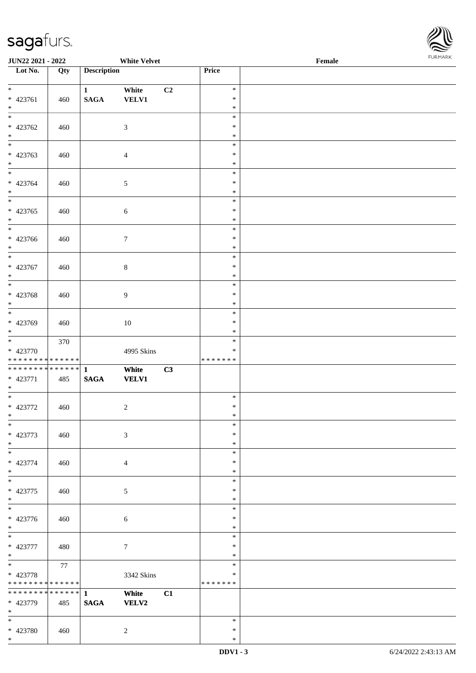

| <b>JUN22 2021 - 2022</b>                                      |     |                             | <b>White Velvet</b>   |                |                                   | Female |  |
|---------------------------------------------------------------|-----|-----------------------------|-----------------------|----------------|-----------------------------------|--------|--|
| Lot No.                                                       | Qty | <b>Description</b>          |                       |                | Price                             |        |  |
| $*$<br>* 423761                                               | 460 | $\mathbf{1}$<br><b>SAGA</b> | White<br><b>VELV1</b> | C <sub>2</sub> | $\ast$<br>$\ast$                  |        |  |
| $\ast$                                                        |     |                             |                       |                | $\ast$<br>$\ast$                  |        |  |
| * 423762<br>$\ast$                                            | 460 |                             | $\mathfrak{Z}$        |                | $\ast$<br>$\ast$                  |        |  |
| * 423763<br>$\ast$                                            | 460 |                             | $\overline{4}$        |                | $\ast$<br>$\ast$<br>$\ast$        |        |  |
| $*$<br>* 423764<br>$*$                                        | 460 |                             | $\mathfrak{S}$        |                | $\ast$<br>$\ast$<br>$\ast$        |        |  |
| $*$<br>* 423765<br>$*$                                        | 460 |                             | $\sqrt{6}$            |                | $\ast$<br>$\ast$<br>$\ast$        |        |  |
| * 423766<br>$\ast$                                            | 460 |                             | $\tau$                |                | $\ast$<br>$\ast$<br>$\ast$        |        |  |
| $\overline{\ast}$<br>* 423767<br>$\ast$                       | 460 |                             | $\,8\,$               |                | $\ast$<br>$\ast$<br>$\ast$        |        |  |
| $* 423768$<br>$\ast$                                          | 460 |                             | $\overline{9}$        |                | $\ast$<br>$\ast$<br>$\ast$        |        |  |
| * 423769<br>$*$                                               | 460 |                             | $10\,$                |                | $\ast$<br>$\ast$<br>$\ast$        |        |  |
| $*$<br>* 423770<br>* * * * * * * * <mark>* * * * * * *</mark> | 370 |                             | 4995 Skins            |                | $\ast$<br>$\ast$<br>* * * * * * * |        |  |
| * 423771<br>$*$                                               | 485 | <b>SAGA</b>                 | White<br><b>VELV1</b> | C3             |                                   |        |  |
| $\overline{\ast}$<br>* 423772<br>$*$                          | 460 |                             | 2                     |                | $\ast$<br>$\ast$<br>$\ast$        |        |  |
| $\ast$<br>* 423773<br>$*$                                     | 460 |                             | $\mathfrak{Z}$        |                | $\ast$<br>$\ast$<br>$\ast$        |        |  |
| * 423774<br>$\ast$                                            | 460 |                             | $\overline{4}$        |                | $\ast$<br>$\ast$<br>$\ast$        |        |  |
| $\overline{\mathbf{r}}$<br>* 423775<br>$*$                    | 460 |                             | 5                     |                | $\ast$<br>$\ast$<br>$\ast$        |        |  |
| $\overline{\ast}$<br>* 423776<br>$*$                          | 460 |                             | 6                     |                | $\ast$<br>$\ast$<br>$\ast$        |        |  |
| $\overline{\mathbf{r}}$<br>* 423777<br>$*$                    | 480 |                             | $7\phantom{.0}$       |                | $\ast$<br>$\ast$<br>$\ast$        |        |  |
| $*$<br>* 423778<br>* * * * * * * * <mark>* * * * * * *</mark> | 77  |                             | 3342 Skins            |                | $\ast$<br>$\ast$<br>* * * * * * * |        |  |
| * * * * * * * * <mark>* * * * * * *</mark><br>* 423779<br>$*$ | 485 | $\mathbf{1}$<br><b>SAGA</b> | White<br><b>VELV2</b> | C1             |                                   |        |  |
| $*$<br>* 423780                                               | 460 |                             | $\overline{2}$        |                | $\ast$<br>$\ast$                  |        |  |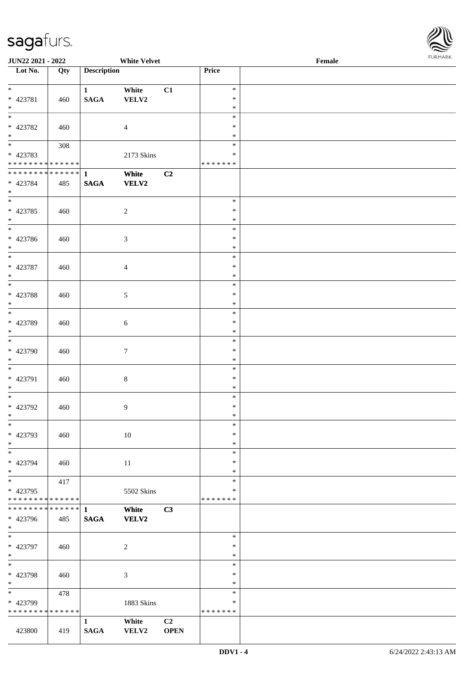

| <b>JUN22 2021 - 2022</b>                   |     |                    | <b>White Velvet</b> |                |               | Female |
|--------------------------------------------|-----|--------------------|---------------------|----------------|---------------|--------|
| Lot No.                                    | Qty | <b>Description</b> |                     |                | Price         |        |
|                                            |     |                    |                     |                |               |        |
| $*$                                        |     | $\mathbf{1}$       | White               | C1             | $\ast$        |        |
| * 423781                                   | 460 | <b>SAGA</b>        | VELV2               |                | $\ast$        |        |
| $*$                                        |     |                    |                     |                | $\ast$        |        |
|                                            |     |                    |                     |                | $\ast$        |        |
|                                            |     |                    |                     |                |               |        |
| * 423782                                   | 460 |                    | $\overline{4}$      |                | $\ast$        |        |
| $\ast$                                     |     |                    |                     |                | $\ast$        |        |
| $\overline{\phantom{0}}$                   | 308 |                    |                     |                | $\ast$        |        |
| * 423783                                   |     |                    | 2173 Skins          |                | $\ast$        |        |
| * * * * * * * * * * * * * *                |     |                    |                     |                | * * * * * * * |        |
| ******** <mark>******</mark>               |     | $\mathbf{1}$       | White               | C2             |               |        |
|                                            |     |                    |                     |                |               |        |
| * 423784                                   | 485 | <b>SAGA</b>        | <b>VELV2</b>        |                |               |        |
| $*$                                        |     |                    |                     |                |               |        |
| $\overline{\ }$                            |     |                    |                     |                | $\ast$        |        |
| * 423785                                   | 460 |                    | $\sqrt{2}$          |                | $\ast$        |        |
| $*$                                        |     |                    |                     |                | $\ast$        |        |
| $\overline{\phantom{0}}$                   |     |                    |                     |                | $\ast$        |        |
|                                            |     |                    |                     |                | $\ast$        |        |
| * 423786                                   | 460 |                    | $\mathfrak{Z}$      |                |               |        |
| $*$                                        |     |                    |                     |                | $\ast$        |        |
|                                            |     |                    |                     |                | $\ast$        |        |
| * 423787                                   | 460 |                    | $\overline{4}$      |                | $\ast$        |        |
| $*$                                        |     |                    |                     |                | $\ast$        |        |
|                                            |     |                    |                     |                | $\ast$        |        |
|                                            |     |                    |                     |                | $\ast$        |        |
| * 423788                                   | 460 |                    | $\sqrt{5}$          |                |               |        |
| $*$                                        |     |                    |                     |                | $\ast$        |        |
| $\overline{\phantom{0}}$                   |     |                    |                     |                | $\ast$        |        |
| * 423789                                   | 460 |                    | 6                   |                | $\ast$        |        |
| $*$                                        |     |                    |                     |                | $\ast$        |        |
| $\overline{\phantom{0}}$                   |     |                    |                     |                | $\ast$        |        |
| * 423790                                   | 460 |                    | $\boldsymbol{7}$    |                | $\ast$        |        |
|                                            |     |                    |                     |                |               |        |
| $*$                                        |     |                    |                     |                | $\ast$        |        |
| $*$                                        |     |                    |                     |                | $\ast$        |        |
| * 423791                                   | 460 |                    | $\,8\,$             |                | $\ast$        |        |
| $*$                                        |     |                    |                     |                | $\ast$        |        |
| $*$                                        |     |                    |                     |                | $\ast$        |        |
| * 423792                                   | 460 |                    | $\overline{9}$      |                | $\ast$        |        |
| $*$                                        |     |                    |                     |                | $\ast$        |        |
|                                            |     |                    |                     |                |               |        |
| $*$                                        |     |                    |                     |                | $\ast$        |        |
| * 423793                                   | 460 |                    | 10                  |                | $\ast$        |        |
| $*$                                        |     |                    |                     |                | $\ast$        |        |
| $*$                                        |     |                    |                     |                | $\ast$        |        |
| * 423794                                   | 460 |                    | 11                  |                | $\ast$        |        |
| $*$                                        |     |                    |                     |                | $\ast$        |        |
|                                            |     |                    |                     |                |               |        |
|                                            | 417 |                    |                     |                | $\ast$        |        |
| * 423795                                   |     |                    | 5502 Skins          |                | $\ast$        |        |
| * * * * * * * * <mark>* * * * * * *</mark> |     |                    |                     |                | *******       |        |
|                                            |     |                    | White               | C3             |               |        |
| * 423796                                   | 485 | <b>SAGA</b>        | <b>VELV2</b>        |                |               |        |
| $*$                                        |     |                    |                     |                |               |        |
| $*$                                        |     |                    |                     |                | $\ast$        |        |
|                                            |     |                    |                     |                |               |        |
| * 423797                                   | 460 |                    | $\overline{c}$      |                | $\ast$        |        |
| $*$                                        |     |                    |                     |                | $\ast$        |        |
| $*$                                        |     |                    |                     |                | $\ast$        |        |
| * 423798                                   | 460 |                    | $\mathfrak{Z}$      |                | $\ast$        |        |
| $*$                                        |     |                    |                     |                | $\ast$        |        |
| $*$                                        | 478 |                    |                     |                | $\ast$        |        |
|                                            |     |                    |                     |                | $\ast$        |        |
| * 423799                                   |     |                    | 1883 Skins          |                |               |        |
| * * * * * * * * * * * * * *                |     |                    |                     |                | * * * * * * * |        |
|                                            |     | $\mathbf{1}$       | White               | C <sub>2</sub> |               |        |
| 423800                                     | 419 | <b>SAGA</b>        | VELV2               | <b>OPEN</b>    |               |        |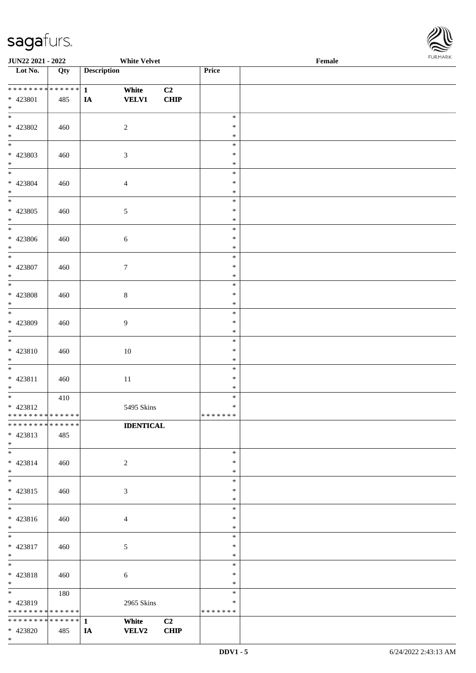

| JUN22 2021 - 2022                |     |                    | <b>White Velvet</b> |                |                  | Female |  |
|----------------------------------|-----|--------------------|---------------------|----------------|------------------|--------|--|
| $\overline{\phantom{1}}$ Lot No. | Qty | <b>Description</b> |                     |                | Price            |        |  |
|                                  |     |                    |                     |                |                  |        |  |
|                                  |     |                    | White               | C2             |                  |        |  |
| * 423801                         | 485 | IA                 | <b>VELV1</b>        | <b>CHIP</b>    |                  |        |  |
| $*$<br>$*$                       |     |                    |                     |                | $\ast$           |        |  |
| * 423802                         | 460 |                    | $\sqrt{2}$          |                | $\ast$           |        |  |
| $*$                              |     |                    |                     |                | $\ast$           |        |  |
|                                  |     |                    |                     |                | $\ast$           |        |  |
| * 423803                         | 460 |                    | $\mathfrak{Z}$      |                | $\ast$           |        |  |
| $*$                              |     |                    |                     |                | $\ast$           |        |  |
| $*$                              |     |                    |                     |                | $\ast$           |        |  |
| * 423804                         | 460 |                    | $\overline{4}$      |                | $\ast$           |        |  |
| $*$                              |     |                    |                     |                | $\ast$           |        |  |
|                                  |     |                    |                     |                | $\ast$           |        |  |
| $* 423805$                       | 460 |                    | $\sqrt{5}$          |                | $\ast$           |        |  |
| $*$<br>$\overline{\phantom{0}}$  |     |                    |                     |                | $\ast$<br>$\ast$ |        |  |
| $* 423806$                       | 460 |                    | $\sqrt{6}$          |                | $\ast$           |        |  |
| $*$                              |     |                    |                     |                | $\ast$           |        |  |
| $\overline{\ast}$                |     |                    |                     |                | $\ast$           |        |  |
| $* 423807$                       | 460 |                    | $\tau$              |                | $\ast$           |        |  |
| $*$                              |     |                    |                     |                | $\ast$           |        |  |
| $\overline{\phantom{0}}$         |     |                    |                     |                | $\ast$           |        |  |
| $* 423808$                       | 460 |                    | $8\,$               |                | $\ast$           |        |  |
| $*$                              |     |                    |                     |                | $\ast$           |        |  |
| $\overline{\ast}$                |     |                    |                     |                | $\ast$           |        |  |
| * 423809                         | 460 |                    | 9                   |                | $\ast$           |        |  |
| $*$<br>$\overline{\ast}$         |     |                    |                     |                | $\ast$<br>$\ast$ |        |  |
| * 423810                         | 460 |                    | $10\,$              |                | $\ast$           |        |  |
| $*$                              |     |                    |                     |                | $\ast$           |        |  |
| $*$                              |     |                    |                     |                | $\ast$           |        |  |
| * 423811                         | 460 |                    | $11\,$              |                | $\ast$           |        |  |
| $*$                              |     |                    |                     |                | $\ast$           |        |  |
| $*$                              | 410 |                    |                     |                | $\ast$           |        |  |
| * 423812                         |     |                    | 5495 Skins          |                | $\ast$           |        |  |
| * * * * * * * * * * * * * * *    |     |                    |                     |                | *******          |        |  |
| * * * * * * * * * * * * * * *    |     |                    | <b>IDENTICAL</b>    |                |                  |        |  |
| * 423813                         | 485 |                    |                     |                |                  |        |  |
| $*$<br>$*$                       |     |                    |                     |                | $\ast$           |        |  |
| * 423814                         | 460 |                    | 2                   |                | $\ast$           |        |  |
| $*$                              |     |                    |                     |                | $\ast$           |        |  |
| $*$                              |     |                    |                     |                | $\ast$           |        |  |
| * 423815                         | 460 |                    | 3                   |                | $\ast$           |        |  |
| $*$                              |     |                    |                     |                | $\ast$           |        |  |
| $*$                              |     |                    |                     |                | $\ast$           |        |  |
| * 423816                         | 460 |                    | 4                   |                | $\ast$           |        |  |
| $*$                              |     |                    |                     |                | $\ast$           |        |  |
| $\ast$                           |     |                    |                     |                | $\ast$           |        |  |
| $* 423817$                       | 460 |                    | 5                   |                | $\ast$           |        |  |
| $*$<br>$*$                       |     |                    |                     |                | $\ast$<br>$\ast$ |        |  |
| * 423818                         | 460 |                    | 6                   |                | $\ast$           |        |  |
| $*$                              |     |                    |                     |                | $\ast$           |        |  |
| $*$ and $*$                      | 180 |                    |                     |                | $\ast$           |        |  |
| * 423819                         |     |                    | 2965 Skins          |                | $\ast$           |        |  |
| * * * * * * * * * * * * * *      |     |                    |                     |                | * * * * * * *    |        |  |
|                                  |     |                    | White               | C <sub>2</sub> |                  |        |  |
| * 423820                         | 485 | IA                 | <b>VELV2</b>        | <b>CHIP</b>    |                  |        |  |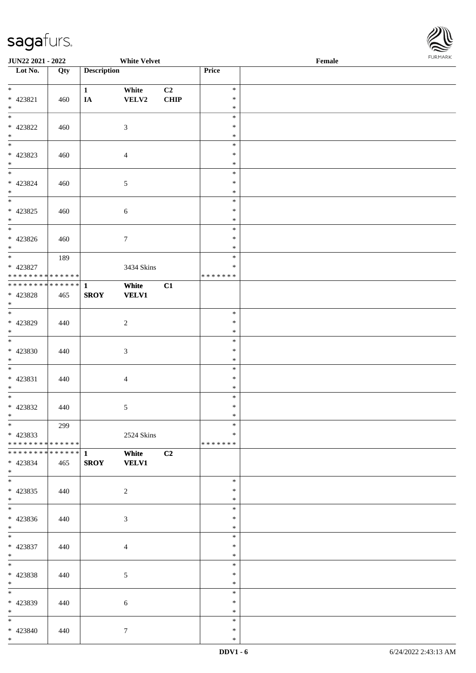

| <b>JUN22 2021 - 2022</b>                             |     |                    | <b>White Velvet</b> |      |                  | Female |  |
|------------------------------------------------------|-----|--------------------|---------------------|------|------------------|--------|--|
| Lot No.                                              | Qty | <b>Description</b> |                     |      | Price            |        |  |
|                                                      |     |                    |                     |      |                  |        |  |
| $*$                                                  |     | $\mathbf{1}$       | White               | C2   | $\ast$           |        |  |
| * 423821                                             | 460 | IA                 | VELV2               | CHIP | $\ast$           |        |  |
| $*$                                                  |     |                    |                     |      | $\ast$           |        |  |
|                                                      |     |                    |                     |      | $\ast$           |        |  |
| * 423822                                             | 460 |                    | 3                   |      | $\ast$           |        |  |
| $\ddot{x}$                                           |     |                    |                     |      | $\ast$           |        |  |
|                                                      |     |                    |                     |      | $\ast$           |        |  |
| * 423823                                             | 460 |                    | $\overline{4}$      |      | $\ast$           |        |  |
| $*$<br>$*$                                           |     |                    |                     |      | $\ast$           |        |  |
|                                                      |     |                    |                     |      | $\ast$           |        |  |
| * 423824                                             | 460 |                    | $\mathfrak{S}$      |      | $\ast$           |        |  |
| $*$<br>$\overline{\ast}$                             |     |                    |                     |      | $\ast$           |        |  |
|                                                      |     |                    |                     |      | $\ast$           |        |  |
| * 423825                                             | 460 |                    | $\sqrt{6}$          |      | $\ast$           |        |  |
| $*$                                                  |     |                    |                     |      | $\ast$           |        |  |
|                                                      |     |                    |                     |      | $\ast$           |        |  |
| $* 423826$                                           | 460 |                    | $\tau$              |      | $\ast$           |        |  |
| $*$                                                  |     |                    |                     |      | $\ast$<br>$\ast$ |        |  |
|                                                      | 189 |                    |                     |      | $\ast$           |        |  |
| * 423827<br>* * * * * * * * <mark>* * * * * *</mark> |     |                    | 3434 Skins          |      | *******          |        |  |
|                                                      |     |                    |                     |      |                  |        |  |
|                                                      |     |                    | White               | C1   |                  |        |  |
| * 423828<br>$\ast$                                   | 465 | <b>SROY</b>        | <b>VELV1</b>        |      |                  |        |  |
|                                                      |     |                    |                     |      | $\ast$           |        |  |
| * 423829                                             | 440 |                    | $\overline{2}$      |      | $\ast$           |        |  |
| $\ast$                                               |     |                    |                     |      | $\ast$           |        |  |
| $\ddot{x}$                                           |     |                    |                     |      | $\ast$           |        |  |
| * 423830                                             | 440 |                    | $\mathfrak{Z}$      |      | $\ast$           |        |  |
| $*$                                                  |     |                    |                     |      | $\ast$           |        |  |
| $*$                                                  |     |                    |                     |      | $\ast$           |        |  |
| * 423831                                             | 440 |                    | $\overline{4}$      |      | $\ast$           |        |  |
| $*$                                                  |     |                    |                     |      | $\ast$           |        |  |
| $*$                                                  |     |                    |                     |      | $\ast$           |        |  |
| * 423832                                             | 440 |                    | $\mathfrak{S}$      |      | $\ast$           |        |  |
| $*$ $-$                                              |     |                    |                     |      | $\ast$           |        |  |
| $*$                                                  | 299 |                    |                     |      | $\ast$           |        |  |
| * 423833                                             |     |                    | 2524 Skins          |      | $\ast$           |        |  |
| * * * * * * * * <mark>* * * * * * *</mark>           |     |                    |                     |      | *******          |        |  |
|                                                      |     |                    | White               | C2   |                  |        |  |
| * 423834                                             | 465 | <b>SROY</b>        | <b>VELV1</b>        |      |                  |        |  |
| $\ast$                                               |     |                    |                     |      |                  |        |  |
| $\ddot{x}$                                           |     |                    |                     |      | $\ast$           |        |  |
| * 423835                                             | 440 |                    | $\overline{2}$      |      | $\ast$           |        |  |
| $\ddot{x}$                                           |     |                    |                     |      | $\ast$           |        |  |
| $\overline{\ast}$                                    |     |                    |                     |      | $\ast$           |        |  |
| * 423836                                             | 440 |                    | 3                   |      | $\ast$           |        |  |
| $*$                                                  |     |                    |                     |      | $\ast$           |        |  |
| $*$                                                  |     |                    |                     |      | $\ast$           |        |  |
| * 423837                                             | 440 |                    | $\overline{4}$      |      | $\ast$           |        |  |
| $*$ $-$                                              |     |                    |                     |      | $\ast$           |        |  |
| $*$ $*$                                              |     |                    |                     |      | $\ast$           |        |  |
| * 423838                                             | 440 |                    | 5                   |      | $\ast$           |        |  |
| $*$ $-$                                              |     |                    |                     |      | $\ast$           |        |  |
| $*$                                                  |     |                    |                     |      | $\ast$           |        |  |
| * 423839                                             | 440 |                    | $\sqrt{6}$          |      | $\ast$           |        |  |
| $*$ $-$                                              |     |                    |                     |      | $\ast$           |        |  |
| $\ast$                                               |     |                    |                     |      | $\ast$           |        |  |
| * 423840                                             | 440 |                    | $\tau$              |      | $\ast$           |        |  |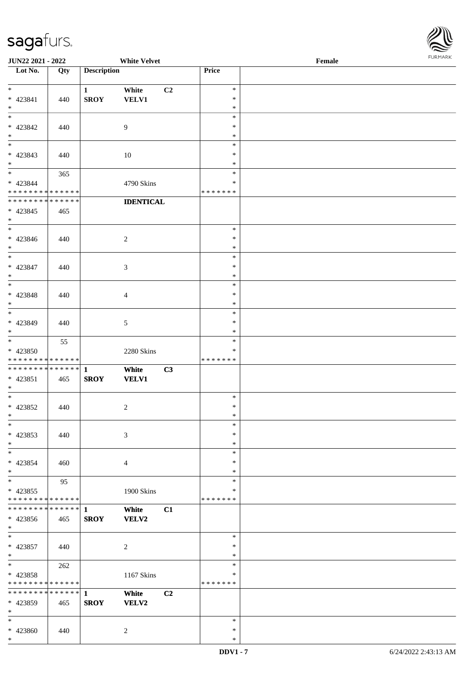

| <b>JUN22 2021 - 2022</b>                             |     |                    | <b>White Velvet</b>     |         | Female |  |
|------------------------------------------------------|-----|--------------------|-------------------------|---------|--------|--|
| Lot No.                                              | Qty | <b>Description</b> |                         | Price   |        |  |
|                                                      |     |                    |                         |         |        |  |
| $\ast$                                               |     | $\mathbf{1}$       | White<br>C <sub>2</sub> | $\ast$  |        |  |
| $* 423841$                                           | 440 | <b>SROY</b>        | <b>VELV1</b>            | $\ast$  |        |  |
| $*$                                                  |     |                    |                         | $\ast$  |        |  |
|                                                      |     |                    |                         | $\ast$  |        |  |
| * 423842                                             | 440 |                    | $\overline{9}$          | $\ast$  |        |  |
| $\ast$                                               |     |                    |                         | $\ast$  |        |  |
| $\overline{\phantom{0}}$                             |     |                    |                         | $\ast$  |        |  |
| * 423843                                             | 440 |                    | 10                      | $\ast$  |        |  |
| $\ast$                                               |     |                    |                         | $\ast$  |        |  |
| $*$                                                  | 365 |                    |                         | $\ast$  |        |  |
| * 423844                                             |     |                    | 4790 Skins              | $\ast$  |        |  |
| * * * * * * * * <mark>* * * * * * *</mark>           |     |                    |                         | ******* |        |  |
| * * * * * * * * <mark>* * * * * * *</mark>           |     |                    | <b>IDENTICAL</b>        |         |        |  |
| * 423845                                             | 465 |                    |                         |         |        |  |
| $\ast$                                               |     |                    |                         |         |        |  |
| $\ast$                                               |     |                    |                         | $\ast$  |        |  |
| * 423846                                             | 440 |                    | $\overline{c}$          | $\ast$  |        |  |
| $\ast$                                               |     |                    |                         | $\ast$  |        |  |
| $\overline{\phantom{0}}$                             |     |                    |                         | $\ast$  |        |  |
| * 423847                                             | 440 |                    | 3                       | $\ast$  |        |  |
| $*$                                                  |     |                    |                         | $\ast$  |        |  |
| $\overline{\mathbf{r}}$                              |     |                    |                         | $\ast$  |        |  |
| * 423848                                             |     |                    |                         | $\ast$  |        |  |
| $\ast$                                               | 440 |                    | $\overline{4}$          | $\ast$  |        |  |
|                                                      |     |                    |                         | $\ast$  |        |  |
| * 423849                                             | 440 |                    | $\mathfrak{S}$          | $\ast$  |        |  |
| $\ast$                                               |     |                    |                         | $\ast$  |        |  |
| $*$                                                  |     |                    |                         | $\ast$  |        |  |
|                                                      | 55  |                    |                         | ∗       |        |  |
| * 423850<br>* * * * * * * * <mark>* * * * * *</mark> |     |                    | 2280 Skins              | ******* |        |  |
|                                                      |     |                    |                         |         |        |  |
|                                                      |     |                    | White<br>C3             |         |        |  |
| $* 423851$<br>$\ast$                                 | 465 | <b>SROY</b>        | <b>VELV1</b>            |         |        |  |
| $*$                                                  |     |                    |                         | $\ast$  |        |  |
|                                                      |     |                    |                         | $\ast$  |        |  |
| * 423852<br>$*$ $-$                                  | 440 |                    | $\overline{c}$          | $\ast$  |        |  |
| $\ast$                                               |     |                    |                         | $\ast$  |        |  |
|                                                      |     |                    |                         | $\ast$  |        |  |
| * 423853                                             | 440 |                    | $\mathfrak{Z}$          |         |        |  |
| $\ast$                                               |     |                    |                         | $\ast$  |        |  |
| $\ddot{x}$                                           |     |                    |                         | $\ast$  |        |  |
| $* 423854$                                           | 460 |                    | $\overline{4}$          | $\ast$  |        |  |
| $\ast$<br>$*$                                        |     |                    |                         | ∗       |        |  |
|                                                      | 95  |                    |                         | $\ast$  |        |  |
| * 423855                                             |     |                    | 1900 Skins              | ∗       |        |  |
| * * * * * * * * * * * * * * *                        |     |                    |                         | ******* |        |  |
|                                                      |     |                    | White<br>C1             |         |        |  |
| * 423856                                             | 465 | <b>SROY</b>        | <b>VELV2</b>            |         |        |  |
| $*$                                                  |     |                    |                         |         |        |  |
| $*$                                                  |     |                    |                         | $\ast$  |        |  |
| * 423857                                             | 440 |                    | 2                       | $\ast$  |        |  |
| $*$<br>$*$                                           |     |                    |                         | $\ast$  |        |  |
|                                                      | 262 |                    |                         | $\ast$  |        |  |
| * 423858                                             |     |                    | 1167 Skins              | $\ast$  |        |  |
| * * * * * * * * <mark>* * * * * *</mark>             |     |                    |                         | ******* |        |  |
|                                                      |     |                    | White<br>C2             |         |        |  |
| * 423859                                             | 465 | <b>SROY</b>        | <b>VELV2</b>            |         |        |  |
| $*$                                                  |     |                    |                         |         |        |  |
| $\ast$                                               |     |                    |                         | $\ast$  |        |  |
| * 423860                                             | 440 |                    | 2                       | $\ast$  |        |  |
| $\ast$                                               |     |                    |                         | $\ast$  |        |  |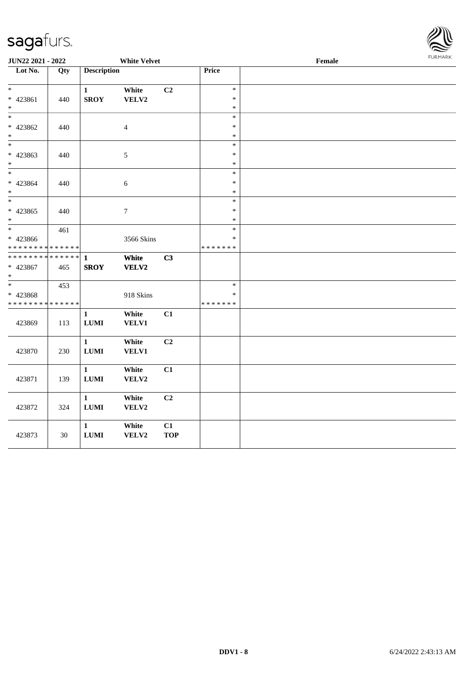

| <b>JUN22 2021 - 2022</b>                               |             | <b>White Velvet</b> |                 |            |               | <b>FURPIARR</b><br>Female |  |  |  |
|--------------------------------------------------------|-------------|---------------------|-----------------|------------|---------------|---------------------------|--|--|--|
| Lot No.                                                | Qty         | <b>Description</b>  |                 |            | Price         |                           |  |  |  |
|                                                        |             |                     |                 |            |               |                           |  |  |  |
| $\ast$                                                 |             | $\mathbf{1}$        | White           | C2         | $\ast$        |                           |  |  |  |
| $* 423861$                                             | 440         | <b>SROY</b>         | VELV2           |            | $\ast$        |                           |  |  |  |
| $\ast$                                                 |             |                     |                 |            | $\ast$        |                           |  |  |  |
| $\ast$                                                 |             |                     |                 |            | $\ast$        |                           |  |  |  |
| * 423862                                               | 440         |                     | $\overline{4}$  |            | $\ast$        |                           |  |  |  |
| $\ast$                                                 |             |                     |                 |            | $\ast$        |                           |  |  |  |
|                                                        |             |                     |                 |            | $\ast$        |                           |  |  |  |
| * 423863                                               | 440         |                     | $\sqrt{5}$      |            | $\ast$        |                           |  |  |  |
| $\ast$                                                 |             |                     |                 |            | $\ast$        |                           |  |  |  |
| $\ast$                                                 |             |                     |                 |            | $\ast$        |                           |  |  |  |
| * 423864                                               | 440         |                     | $\sqrt{6}$      |            | $\ast$        |                           |  |  |  |
| $\ast$                                                 |             |                     |                 |            | $\ast$        |                           |  |  |  |
| $\ast$                                                 |             |                     |                 |            | $\ast$        |                           |  |  |  |
| $* 423865$                                             | 440         |                     | $7\phantom{.0}$ |            | $\ast$        |                           |  |  |  |
| $*$                                                    |             |                     |                 |            | $\ast$        |                           |  |  |  |
|                                                        | 461         |                     |                 |            | $\ast$        |                           |  |  |  |
| * 423866                                               |             |                     | 3566 Skins      |            | *             |                           |  |  |  |
| * * * * * * * * <mark>* * * * * * *</mark>             |             |                     |                 |            | * * * * * * * |                           |  |  |  |
| * * * * * * * *                                        | * * * * * * | $\mathbf{1}$        | White           | C3         |               |                           |  |  |  |
| * 423867<br>$\ast$                                     | 465         | <b>SROY</b>         | VELV2           |            |               |                           |  |  |  |
| $\overline{\ast}$                                      |             |                     |                 |            | $\ast$        |                           |  |  |  |
|                                                        | 453         |                     |                 |            | $\ast$        |                           |  |  |  |
| * 423868<br>* * * * * * * * <mark>* * * * * * *</mark> |             |                     | 918 Skins       |            | * * * * * * * |                           |  |  |  |
|                                                        |             |                     |                 |            |               |                           |  |  |  |
|                                                        |             | $\mathbf{1}$        | White           | C1         |               |                           |  |  |  |
| 423869                                                 | 113         | <b>LUMI</b>         | <b>VELV1</b>    |            |               |                           |  |  |  |
|                                                        |             | $\mathbf{1}$        | White           | C2         |               |                           |  |  |  |
| 423870                                                 | 230         | <b>LUMI</b>         | VELV1           |            |               |                           |  |  |  |
|                                                        |             |                     |                 |            |               |                           |  |  |  |
|                                                        |             | $\mathbf{1}$        | White           | C1         |               |                           |  |  |  |
| 423871                                                 | 139         | $\bf LUMI$          | VELV2           |            |               |                           |  |  |  |
|                                                        |             |                     |                 |            |               |                           |  |  |  |
|                                                        |             | $\mathbf{1}$        | White           | C2         |               |                           |  |  |  |
| 423872                                                 | 324         | $\bf LUMI$          | VELV2           |            |               |                           |  |  |  |
|                                                        |             |                     |                 |            |               |                           |  |  |  |
|                                                        |             | $\mathbf{1}$        | White           | C1         |               |                           |  |  |  |
| 423873                                                 | 30          | <b>LUMI</b>         | VELV2           | <b>TOP</b> |               |                           |  |  |  |
|                                                        |             |                     |                 |            |               |                           |  |  |  |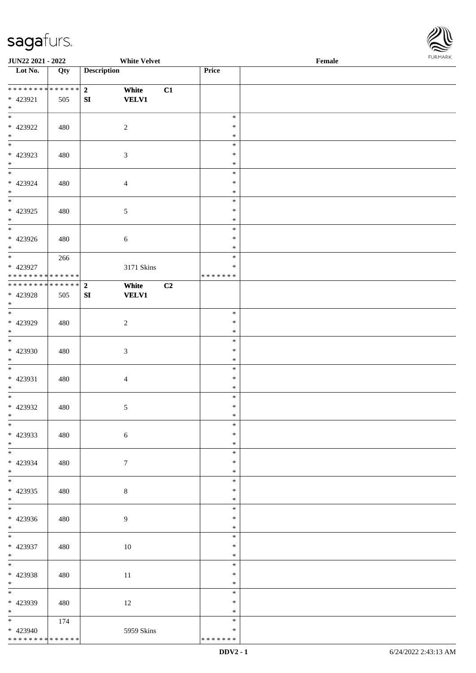

| JUN22 2021 - 2022                         |     |                         | <b>White Velvet</b> |                         | Female | $1 \times 1 \times 1 \times 1 \times 1$ |
|-------------------------------------------|-----|-------------------------|---------------------|-------------------------|--------|-----------------------------------------|
| $\overline{\phantom{1}}$ Lot No.          | Qty | <b>Description</b>      |                     | Price                   |        |                                         |
|                                           |     |                         |                     |                         |        |                                         |
| **************                            |     | $2^{\circ}$<br>White    | C1                  |                         |        |                                         |
| * 423921                                  | 505 | <b>VELV1</b><br>SI      |                     |                         |        |                                         |
| $\ast$                                    |     |                         |                     |                         |        |                                         |
| $\overline{\phantom{a}^*}$                |     |                         |                     | $\ast$                  |        |                                         |
| * 423922                                  | 480 | $\sqrt{2}$              |                     | $\ast$                  |        |                                         |
| $*$ $*$                                   |     |                         |                     | $\ast$                  |        |                                         |
|                                           |     |                         |                     | $\ast$                  |        |                                         |
| * 423923                                  | 480 | $\mathfrak{Z}$          |                     | $\ast$                  |        |                                         |
| $\ast$<br>$\overline{\phantom{a}^*}$      |     |                         |                     | $\ast$                  |        |                                         |
|                                           |     |                         |                     | $\ast$                  |        |                                         |
| * 423924<br>$\ast$                        | 480 | $\overline{4}$          |                     | $\ast$<br>$\ast$        |        |                                         |
| $\overline{\phantom{a}^*}$                |     |                         |                     | $\ast$                  |        |                                         |
| $* 423925$                                |     |                         |                     | $\ast$                  |        |                                         |
| $\ast$                                    | 480 | $\sqrt{5}$              |                     | $\ast$                  |        |                                         |
| $\overline{\ast}$                         |     |                         |                     | $\ast$                  |        |                                         |
| $* 423926$                                | 480 | $\sqrt{6}$              |                     | $\ast$                  |        |                                         |
| $*$                                       |     |                         |                     | $\ast$                  |        |                                         |
| $\overline{\phantom{0}}$                  | 266 |                         |                     | $\ast$                  |        |                                         |
| * 423927                                  |     |                         | 3171 Skins          | $\ast$                  |        |                                         |
| * * * * * * * * * * * * * * *             |     |                         |                     | * * * * * * *           |        |                                         |
| ******** <mark>******</mark>              |     | $\overline{2}$<br>White | C2                  |                         |        |                                         |
| * 423928                                  | 505 | <b>VELV1</b><br>SI      |                     |                         |        |                                         |
| $*$                                       |     |                         |                     |                         |        |                                         |
| $\overline{\ast}$                         |     |                         |                     | $\ast$                  |        |                                         |
| * 423929                                  | 480 | $\overline{c}$          |                     | ∗                       |        |                                         |
| $\ast$<br>$\overline{\phantom{a}^*}$      |     |                         |                     | $\ast$                  |        |                                         |
|                                           |     |                         |                     | $\ast$                  |        |                                         |
| * 423930<br>$\ast$                        | 480 | $\mathfrak{Z}$          |                     | $\ast$<br>$\ast$        |        |                                         |
| $\ast$                                    |     |                         |                     | $\ast$                  |        |                                         |
| * 423931                                  | 480 | $\overline{4}$          |                     | $\ast$                  |        |                                         |
| $\ast$                                    |     |                         |                     | $\ast$                  |        |                                         |
| $\ast$                                    |     |                         |                     | $\ast$                  |        |                                         |
| $* 423932$                                | 480 | $\sqrt{5}$              |                     | $\ast$                  |        |                                         |
| $*$ $-$                                   |     |                         |                     | $\ast$                  |        |                                         |
| $*$                                       |     |                         |                     | $\ast$                  |        |                                         |
| * 423933                                  | 480 | $\sqrt{6}$              |                     | $\ast$                  |        |                                         |
| $*$                                       |     |                         |                     | $\ast$                  |        |                                         |
| $\overline{\phantom{0}}$                  |     |                         |                     | $\ast$                  |        |                                         |
| * 423934                                  | 480 | $\tau$                  |                     | $\ast$                  |        |                                         |
| $*$                                       |     |                         |                     | $\ast$                  |        |                                         |
| $\overline{\phantom{a}^*}$                |     |                         |                     | $\ast$                  |        |                                         |
| * 423935                                  | 480 | $8\,$                   |                     | $\ast$                  |        |                                         |
| $*$<br>$\overline{\phantom{a}^*}$         |     |                         |                     | $\ast$<br>$\ast$        |        |                                         |
|                                           |     |                         |                     | $\ast$                  |        |                                         |
| * 423936<br>$*$                           | 480 | 9                       |                     | $\ast$                  |        |                                         |
| $\overline{\phantom{0}}$                  |     |                         |                     | $\ast$                  |        |                                         |
| * 423937                                  | 480 | $10\,$                  |                     | $\ast$                  |        |                                         |
| $*$ $*$                                   |     |                         |                     | $\ast$                  |        |                                         |
| $*$                                       |     |                         |                     | $\ast$                  |        |                                         |
| * 423938                                  | 480 | 11                      |                     | $\ast$                  |        |                                         |
| $*$                                       |     |                         |                     | $\ast$                  |        |                                         |
| $\overline{\phantom{0}}$                  |     |                         |                     | $\ast$                  |        |                                         |
| * 423939                                  | 480 | 12                      |                     | $\ast$                  |        |                                         |
| $*$                                       |     |                         |                     | $\ast$                  |        |                                         |
| $*$ and $*$                               | 174 |                         |                     | $\ast$                  |        |                                         |
| $* 423940$<br>* * * * * * * * * * * * * * |     |                         | 5959 Skins          | $\ast$<br>* * * * * * * |        |                                         |
|                                           |     |                         |                     |                         |        |                                         |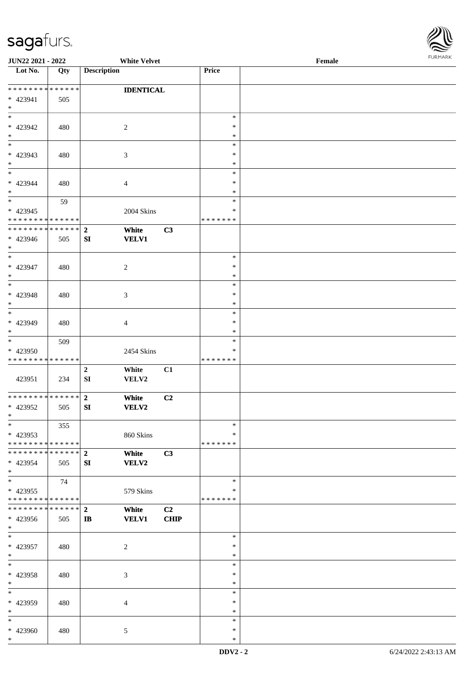

| JUN22 2021 - 2022             |                   | <b>White Velvet</b>              |                |               | Female |  |
|-------------------------------|-------------------|----------------------------------|----------------|---------------|--------|--|
| Lot No.                       | $\overline{Q}$ ty | <b>Description</b>               |                | Price         |        |  |
|                               |                   |                                  |                |               |        |  |
| * * * * * * * * * * * * * *   |                   | <b>IDENTICAL</b>                 |                |               |        |  |
| * 423941                      | 505               |                                  |                |               |        |  |
| $*$                           |                   |                                  |                |               |        |  |
| $*$                           |                   |                                  |                | $\ast$        |        |  |
| $* 423942$                    | 480               | 2                                |                | ∗             |        |  |
| $\ast$                        |                   |                                  |                | $\ast$        |        |  |
| $\overline{\phantom{0}}$      |                   |                                  |                | $\ast$        |        |  |
| * 423943                      | 480               | 3                                |                | $\ast$        |        |  |
| $*$                           |                   |                                  |                | $\ast$        |        |  |
| $*$                           |                   |                                  |                | $\ast$        |        |  |
|                               |                   |                                  |                |               |        |  |
| $* 423944$                    | 480               | 4                                |                | $\ast$        |        |  |
| $*$                           |                   |                                  |                | $\ast$        |        |  |
| $\overline{\ast}$             | 59                |                                  |                | $\ast$        |        |  |
| $* 423945$                    |                   | 2004 Skins                       |                | $\ast$        |        |  |
| * * * * * * * * * * * * * *   |                   |                                  |                | * * * * * * * |        |  |
| * * * * * * * * * * * * * * * |                   | $\mathbf{2}$<br>White            | C3             |               |        |  |
| * 423946                      | 505               | <b>VELV1</b><br>SI               |                |               |        |  |
| $*$                           |                   |                                  |                |               |        |  |
| $*$                           |                   |                                  |                | $\ast$        |        |  |
| $* 423947$                    | 480               | $\overline{c}$                   |                | $\ast$        |        |  |
| $*$                           |                   |                                  |                | $\ast$        |        |  |
| $\ast$                        |                   |                                  |                | $\ast$        |        |  |
| * 423948                      | 480               | 3                                |                | $\ast$        |        |  |
| $*$                           |                   |                                  |                | ∗             |        |  |
| $*$                           |                   |                                  |                | $\ast$        |        |  |
| $* 423949$                    | 480               | 4                                |                | $\ast$        |        |  |
| $*$                           |                   |                                  |                | $\ast$        |        |  |
| $\overline{\ast}$             |                   |                                  |                | $\ast$        |        |  |
|                               | 509               |                                  |                | ∗             |        |  |
| * 423950                      |                   | 2454 Skins                       |                |               |        |  |
| * * * * * * * * * * * * * *   |                   |                                  |                | * * * * * * * |        |  |
|                               |                   | $\mathbf 2$<br>White             | C1             |               |        |  |
| 423951                        | 234               | SI<br>VELV2                      |                |               |        |  |
|                               |                   |                                  |                |               |        |  |
| * * * * * * * * * * * * * * * |                   | $\overline{\mathbf{2}}$<br>White | C <sub>2</sub> |               |        |  |
| $* 423952$                    | 505               | VELV2<br>SI                      |                |               |        |  |
| $*$                           |                   |                                  |                |               |        |  |
| $\ast$                        | 355               |                                  |                | $\ast$        |        |  |
| * 423953                      |                   | 860 Skins                        |                | ∗             |        |  |
| * * * * * * * * * * * * * * * |                   |                                  |                | * * * * * * * |        |  |
| * * * * * * * * * * * * * * * |                   | White<br>$\boldsymbol{2}$        | C3             |               |        |  |
| * 423954                      | 505               | SI<br>VELV2                      |                |               |        |  |
| $*$                           |                   |                                  |                |               |        |  |
| $*$                           | 74                |                                  |                | $\ast$        |        |  |
| $* 423955$                    |                   | 579 Skins                        |                | ∗             |        |  |
| * * * * * * * * * * * * * * * |                   |                                  |                | * * * * * * * |        |  |
| * * * * * * * * * * * * * * * |                   | $\overline{2}$<br>White          | C2             |               |        |  |
| * 423956                      | 505               | <b>VELV1</b><br>$\mathbf{I}$     | <b>CHIP</b>    |               |        |  |
| $*$                           |                   |                                  |                |               |        |  |
| $*$                           |                   |                                  |                | $\ast$        |        |  |
|                               |                   |                                  |                | $\ast$        |        |  |
| $* 423957$                    | 480               | $\overline{c}$                   |                |               |        |  |
| $*$                           |                   |                                  |                | $\ast$        |        |  |
| $*$                           |                   |                                  |                | $\ast$        |        |  |
| $* 423958$                    | 480               | 3                                |                | $\ast$        |        |  |
| $*$                           |                   |                                  |                | $\ast$        |        |  |
| $\ast$                        |                   |                                  |                | $\ast$        |        |  |
| * 423959                      | 480               | 4                                |                | ∗             |        |  |
| $*$                           |                   |                                  |                | $\ast$        |        |  |
| $*$                           |                   |                                  |                | $\ast$        |        |  |
| * 423960                      | 480               | 5                                |                | $\ast$        |        |  |
| $\ast$                        |                   |                                  |                | $\ast$        |        |  |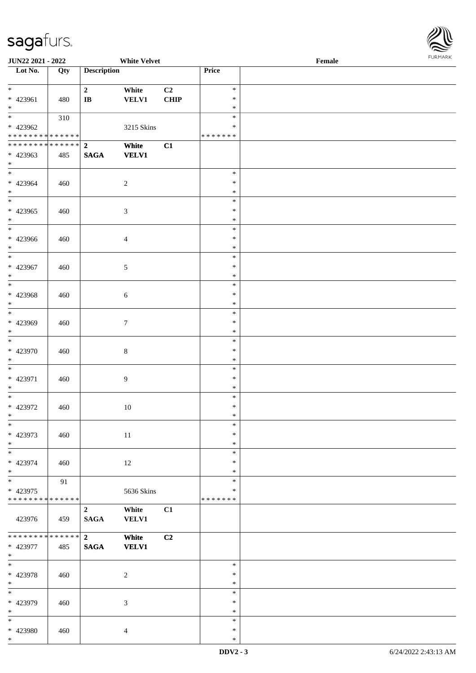

| <b>JUN22 2021 - 2022</b>                   |     |                         | <b>White Velvet</b> |      |               | Female |
|--------------------------------------------|-----|-------------------------|---------------------|------|---------------|--------|
| Lot No.                                    | Qty | <b>Description</b>      |                     |      | Price         |        |
|                                            |     |                         |                     |      |               |        |
| $*$                                        |     | $\overline{2}$          | White               | C2   | $\ast$        |        |
| * 423961                                   | 480 | $\mathbf{I}\mathbf{B}$  | <b>VELV1</b>        | CHIP | $\ast$        |        |
| $*$                                        |     |                         |                     |      | $\ast$        |        |
| $\ddot{x}$                                 | 310 |                         |                     |      | $\ast$        |        |
| * 423962                                   |     |                         |                     |      | ∗             |        |
|                                            |     |                         | 3215 Skins          |      |               |        |
| * * * * * * * * <mark>* * * * * * *</mark> |     |                         |                     |      | * * * * * * * |        |
|                                            |     |                         | White               | C1   |               |        |
| * 423963                                   | 485 | <b>SAGA</b>             | <b>VELV1</b>        |      |               |        |
| $\ast$                                     |     |                         |                     |      |               |        |
| $*$                                        |     |                         |                     |      | $\ast$        |        |
| * 423964                                   | 460 |                         | $\overline{c}$      |      | $\ast$        |        |
| $*$                                        |     |                         |                     |      | $\ast$        |        |
|                                            |     |                         |                     |      | $\ast$        |        |
|                                            |     |                         |                     |      |               |        |
| * 423965                                   | 460 |                         | $\sqrt{3}$          |      | $\ast$        |        |
| $*$                                        |     |                         |                     |      | $\ast$        |        |
|                                            |     |                         |                     |      | $\ast$        |        |
| * 423966                                   | 460 |                         | $\overline{4}$      |      | $\ast$        |        |
| $*$                                        |     |                         |                     |      | $\ast$        |        |
| $\overline{\ast}$                          |     |                         |                     |      | $\ast$        |        |
| * 423967                                   | 460 |                         | 5                   |      | $\ast$        |        |
| $*$                                        |     |                         |                     |      | $\ast$        |        |
|                                            |     |                         |                     |      | $\ast$        |        |
|                                            |     |                         |                     |      |               |        |
| * 423968                                   | 460 |                         | 6                   |      | $\ast$        |        |
| $\ast$                                     |     |                         |                     |      | $\ast$        |        |
|                                            |     |                         |                     |      | $\ast$        |        |
| * 423969                                   | 460 |                         | $\tau$              |      | $\ast$        |        |
| $\ast$                                     |     |                         |                     |      | $\ast$        |        |
| $\overline{\ast}$                          |     |                         |                     |      | $\ast$        |        |
| * 423970                                   | 460 |                         | $\,8\,$             |      | $\ast$        |        |
| $*$                                        |     |                         |                     |      | $\ast$        |        |
| $*$                                        |     |                         |                     |      | $\ast$        |        |
|                                            |     |                         |                     |      |               |        |
| * 423971                                   | 460 |                         | $\overline{9}$      |      | $\ast$        |        |
| $*$                                        |     |                         |                     |      | $\ast$        |        |
| $\overline{\ast}$                          |     |                         |                     |      | $\ast$        |        |
| * 423972                                   | 460 |                         | 10                  |      | $\ast$        |        |
| $\ast$                                     |     |                         |                     |      | $\ast$        |        |
| $\ast$                                     |     |                         |                     |      | $\ast$        |        |
| * 423973                                   | 460 |                         | 11                  |      | $\ast$        |        |
| $*$                                        |     |                         |                     |      | $\ast$        |        |
|                                            |     |                         |                     |      |               |        |
|                                            |     |                         |                     |      | $\ast$        |        |
| * 423974                                   | 460 |                         | 12                  |      | $\ast$        |        |
| $\ast$                                     |     |                         |                     |      | $\ast$        |        |
| $*$                                        | 91  |                         |                     |      | $\ast$        |        |
| * 423975                                   |     |                         | 5636 Skins          |      | $\ast$        |        |
| * * * * * * * * <mark>* * * * * * *</mark> |     |                         |                     |      | * * * * * * * |        |
|                                            |     | $\overline{2}$          | White               | C1   |               |        |
| 423976                                     | 459 | $\mathbf{SAGA}$         | <b>VELV1</b>        |      |               |        |
|                                            |     |                         |                     |      |               |        |
| * * * * * * * * * * * * * * *              |     | $\overline{\mathbf{2}}$ |                     |      |               |        |
|                                            |     |                         | White               | C2   |               |        |
| * 423977                                   | 485 | <b>SAGA</b>             | <b>VELV1</b>        |      |               |        |
| $*$                                        |     |                         |                     |      |               |        |
| $\overline{\phantom{0}}$                   |     |                         |                     |      | $\ast$        |        |
| * 423978                                   | 460 |                         | $\sqrt{2}$          |      | $\ast$        |        |
| $*$                                        |     |                         |                     |      | $\ast$        |        |
| $\overline{\ }$                            |     |                         |                     |      | $\ast$        |        |
| * 423979                                   | 460 |                         | 3                   |      | $\ast$        |        |
| $*$                                        |     |                         |                     |      | $\ast$        |        |
| $\overline{\ast}$                          |     |                         |                     |      | $\ast$        |        |
|                                            |     |                         |                     |      |               |        |
| * 423980                                   | 460 |                         | $\overline{4}$      |      | $\ast$        |        |
| $\ast$                                     |     |                         |                     |      | $\ast$        |        |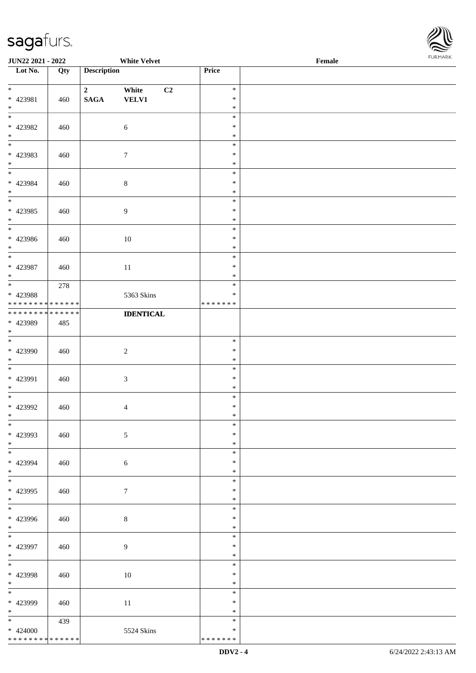

| <b>JUN22 2021 - 2022</b>                                                   |     |                                   | <b>White Velvet</b>                     |                                      | Female |  |
|----------------------------------------------------------------------------|-----|-----------------------------------|-----------------------------------------|--------------------------------------|--------|--|
| Lot No.                                                                    | Qty | <b>Description</b>                |                                         | Price                                |        |  |
| $*$<br>* 423981                                                            | 460 | $\overline{2}$<br>$\mathbf{SAGA}$ | White<br>C <sub>2</sub><br><b>VELV1</b> | $\ast$<br>$\ast$                     |        |  |
| $*$<br>$\overline{\phantom{0}}$<br>$* 423982$<br>$\ast$                    | 460 |                                   | $\sqrt{6}$                              | $\ast$<br>$\ast$<br>$\ast$<br>$\ast$ |        |  |
| $\overline{\phantom{0}}$<br>* 423983<br>$*$                                | 460 |                                   | $\boldsymbol{7}$                        | $\ast$<br>$\ast$<br>$\ast$           |        |  |
| $\overline{\phantom{0}}$<br>* 423984<br>$*$                                | 460 |                                   | $\,8\,$                                 | $\ast$<br>$\ast$<br>$\ast$           |        |  |
| $\overline{\phantom{0}}$<br>$* 423985$<br>$*$                              | 460 |                                   | $\overline{9}$                          | $\ast$<br>$\ast$<br>$\ast$           |        |  |
| $\overline{\ast}$<br>$* 423986$<br>$*$                                     | 460 |                                   | 10                                      | $\ast$<br>$\ast$<br>$\ast$           |        |  |
| $*$<br>$* 423987$<br>$*$                                                   | 460 |                                   | 11                                      | $\ast$<br>$\ast$<br>$\ast$           |        |  |
| * 423988<br>* * * * * * * * * * * * * *                                    | 278 |                                   | 5363 Skins                              | $\ast$<br>$\ast$<br>* * * * * * *    |        |  |
| * * * * * * * * * * * * * *<br>* 423989<br>$*$<br>$\overline{\phantom{0}}$ | 485 |                                   | <b>IDENTICAL</b>                        |                                      |        |  |
| * 423990<br>$*$                                                            | 460 |                                   | $\sqrt{2}$                              | $\ast$<br>$\ast$<br>$\ast$           |        |  |
| $*$<br>* 423991<br>$*$                                                     | 460 |                                   | 3                                       | $\ast$<br>$\ast$<br>$\ast$           |        |  |
| $*$<br>* 423992<br>$*$                                                     | 460 |                                   | 4                                       | $\ast$<br>$\ast$<br>$\ast$           |        |  |
| $*$<br>* 423993<br>$*$                                                     | 460 |                                   | 5                                       | $\ast$<br>$\ast$<br>$\ast$           |        |  |
| * 423994<br>$*$<br>$\overline{\ast}$                                       | 460 |                                   | 6                                       | $\ast$<br>$\ast$<br>$\ast$           |        |  |
| * 423995<br>$*$                                                            | 460 |                                   | $\tau$                                  | $\ast$<br>$\ast$<br>$\ast$           |        |  |
| * 423996<br>$*$                                                            | 460 |                                   | $\,8\,$                                 | $\ast$<br>$\ast$<br>$\ast$           |        |  |
| $*$<br>* 423997<br>$*$                                                     | 460 |                                   | 9                                       | $\ast$<br>$\ast$<br>$\ast$           |        |  |
| $*$<br>* 423998<br>$*$<br>$\overline{\phantom{0}}$                         | 460 |                                   | 10                                      | $\ast$<br>$\ast$<br>$\ast$           |        |  |
| * 423999<br>$*$                                                            | 460 |                                   | 11                                      | $\ast$<br>$\ast$<br>$\ast$           |        |  |
| $* 424000$<br>* * * * * * * * * * * * * *                                  | 439 |                                   | 5524 Skins                              | $\ast$<br>$\ast$<br>* * * * * * *    |        |  |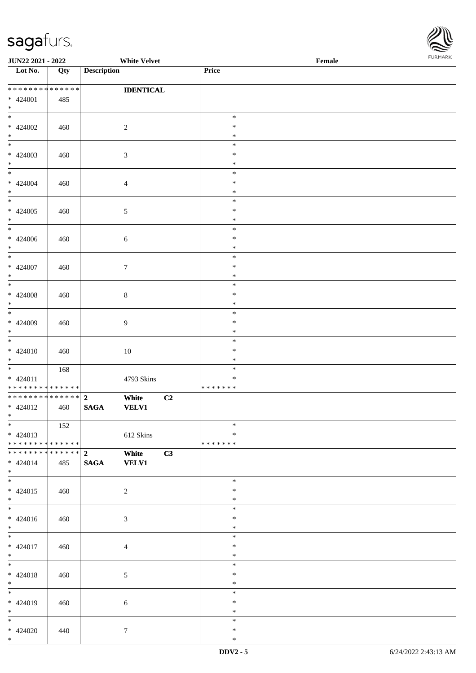

| <b>JUN22 2021 - 2022</b>                   |     |                         | <b>White Velvet</b>   |    |                  | Female | <b>FUNITANN</b> |
|--------------------------------------------|-----|-------------------------|-----------------------|----|------------------|--------|-----------------|
| Lot No.                                    | Qty | <b>Description</b>      |                       |    | <b>Price</b>     |        |                 |
|                                            |     |                         |                       |    |                  |        |                 |
| ******** <mark>******</mark><br>$* 424001$ |     |                         | <b>IDENTICAL</b>      |    |                  |        |                 |
| $*$                                        | 485 |                         |                       |    |                  |        |                 |
|                                            |     |                         |                       |    | $\ast$           |        |                 |
| $* 424002$                                 | 460 |                         | 2                     |    | $\ast$           |        |                 |
| $*$                                        |     |                         |                       |    | $\ast$           |        |                 |
| $\overline{\ast}$                          |     |                         |                       |    | $\ast$           |        |                 |
| $* 424003$                                 | 460 |                         | $\mathfrak{Z}$        |    | $\ast$           |        |                 |
| $\ast$                                     |     |                         |                       |    | $\ast$           |        |                 |
|                                            |     |                         |                       |    | $\ast$           |        |                 |
| * 424004                                   | 460 |                         | $\overline{4}$        |    | $\ast$           |        |                 |
| $\ast$<br>$*$                              |     |                         |                       |    | $\ast$<br>$\ast$ |        |                 |
| $* 424005$                                 |     |                         | $\mathfrak{S}$        |    | $\ast$           |        |                 |
| $*$                                        | 460 |                         |                       |    | $\ast$           |        |                 |
| $\overline{\ }$                            |     |                         |                       |    | $\ast$           |        |                 |
| $* 424006$                                 | 460 |                         | $\sqrt{6}$            |    | $\ast$           |        |                 |
| $*$                                        |     |                         |                       |    | $\ast$           |        |                 |
| $\overline{\ast}$                          |     |                         |                       |    | $\ast$           |        |                 |
| $* 424007$                                 | 460 |                         | $\tau$                |    | $\ast$           |        |                 |
| $\ast$<br>$\overline{\phantom{0}}$         |     |                         |                       |    | $\ast$           |        |                 |
|                                            |     |                         |                       |    | $\ast$           |        |                 |
| * 424008<br>$*$                            | 460 |                         | $\,8\,$               |    | $\ast$<br>$\ast$ |        |                 |
|                                            |     |                         |                       |    | $\ast$           |        |                 |
| * 424009                                   | 460 |                         | 9                     |    | $\ast$           |        |                 |
| $\ast$                                     |     |                         |                       |    | $\ast$           |        |                 |
| $\overline{\ast}$                          |     |                         |                       |    | $\ast$           |        |                 |
| $* 424010$                                 | 460 |                         | 10                    |    | $\ast$           |        |                 |
| $*$                                        |     |                         |                       |    | $\ast$           |        |                 |
| $\overline{\mathbf{r}}$                    | 168 |                         |                       |    | $\ast$           |        |                 |
| $* 424011$                                 |     |                         | 4793 Skins            |    | $\ast$           |        |                 |
| * * * * * * * * <mark>* * * * * * *</mark> |     |                         |                       |    | *******          |        |                 |
| * 424012                                   | 460 | <b>SAGA</b>             | White<br><b>VELV1</b> | C2 |                  |        |                 |
| $*$ $-$                                    |     |                         |                       |    |                  |        |                 |
| $\ast$                                     | 152 |                         |                       |    | $\ast$           |        |                 |
| $* 424013$                                 |     |                         | 612 Skins             |    | $\ast$           |        |                 |
| * * * * * * * * * * * * * * <mark>*</mark> |     |                         |                       |    | *******          |        |                 |
| ******** <mark>******</mark>               |     | $\overline{\mathbf{2}}$ | White                 | C3 |                  |        |                 |
| $* 424014$                                 | 485 | <b>SAGA</b>             | <b>VELV1</b>          |    |                  |        |                 |
| $*$ $-$                                    |     |                         |                       |    |                  |        |                 |
| $* 424015$                                 |     |                         |                       |    | $\ast$<br>∗      |        |                 |
| $\ast$                                     | 460 |                         | $\overline{2}$        |    | $\ast$           |        |                 |
|                                            |     |                         |                       |    | $\ast$           |        |                 |
| $* 424016$                                 | 460 |                         | 3                     |    | $\ast$           |        |                 |
| $*$                                        |     |                         |                       |    | $\ast$           |        |                 |
| $\overline{\ast}$                          |     |                         |                       |    | $\ast$           |        |                 |
| * 424017                                   | 460 |                         | $\overline{4}$        |    | $\ast$           |        |                 |
| $*$                                        |     |                         |                       |    | $\ast$           |        |                 |
| $\ast$                                     |     |                         |                       |    | $\ast$           |        |                 |
| $* 424018$<br>$*$                          | 460 |                         | $\mathfrak{S}$        |    | $\ast$<br>$\ast$ |        |                 |
| $\overline{\ast}$                          |     |                         |                       |    | $\ast$           |        |                 |
| * 424019                                   | 460 |                         | $\sqrt{6}$            |    | $\ast$           |        |                 |
| $*$                                        |     |                         |                       |    | $\ast$           |        |                 |
| $\ddot{x}$                                 |     |                         |                       |    | $\ast$           |        |                 |
| $* 424020$                                 | 440 |                         | $\tau$                |    | $\ast$           |        |                 |
| $*$                                        |     |                         |                       |    | $\ast$           |        |                 |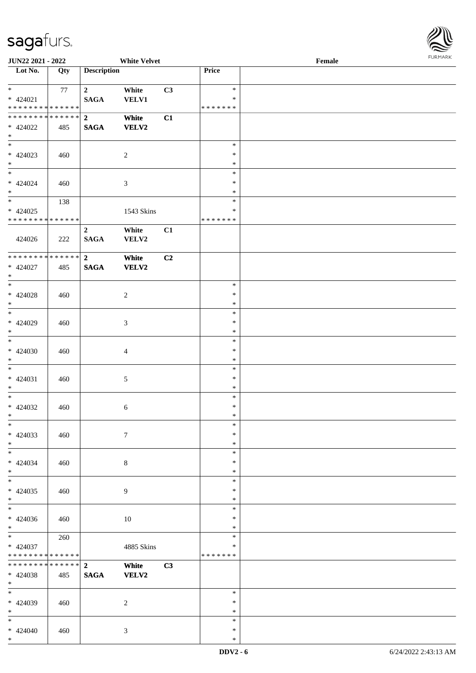

| <b>JUN22 2021 - 2022</b>                   |     |                    | <b>White Velvet</b> |    |               | Female |  |
|--------------------------------------------|-----|--------------------|---------------------|----|---------------|--------|--|
| Lot No.                                    | Qty | <b>Description</b> |                     |    | Price         |        |  |
|                                            |     |                    |                     |    |               |        |  |
| $*$                                        | 77  | $\overline{2}$     | White               | C3 | $\ast$        |        |  |
| $* 424021$                                 |     | <b>SAGA</b>        | <b>VELV1</b>        |    | $\ast$        |        |  |
| * * * * * * * * * * * * * *                |     |                    |                     |    | * * * * * * * |        |  |
| * * * * * * * * * * * * * * <mark>*</mark> |     | $\overline{2}$     | White               | C1 |               |        |  |
| * 424022                                   | 485 | <b>SAGA</b>        | <b>VELV2</b>        |    |               |        |  |
| $*$                                        |     |                    |                     |    |               |        |  |
|                                            |     |                    |                     |    | $\ast$        |        |  |
| $* 424023$                                 | 460 |                    | $\overline{2}$      |    | $\ast$        |        |  |
| $*$                                        |     |                    |                     |    | $\ast$        |        |  |
| $\overline{\ast}$                          |     |                    |                     |    | $\ast$        |        |  |
| $* 424024$                                 | 460 |                    | $\sqrt{3}$          |    | $\ast$        |        |  |
| $*$                                        |     |                    |                     |    | $\ast$        |        |  |
|                                            | 138 |                    |                     |    | $\ast$        |        |  |
| $* 424025$                                 |     |                    | 1543 Skins          |    | $\ast$        |        |  |
| * * * * * * * * <mark>* * * * * * *</mark> |     |                    |                     |    | *******       |        |  |
|                                            |     | $\overline{2}$     | White               | C1 |               |        |  |
| 424026                                     | 222 | <b>SAGA</b>        | VELV2               |    |               |        |  |
|                                            |     |                    |                     |    |               |        |  |
| **************                             |     | $\overline{2}$     | White               | C2 |               |        |  |
| $* 424027$                                 | 485 | <b>SAGA</b>        | <b>VELV2</b>        |    |               |        |  |
| $*$                                        |     |                    |                     |    |               |        |  |
|                                            |     |                    |                     |    | $\ast$        |        |  |
| $* 424028$                                 | 460 |                    | 2                   |    | $\ast$        |        |  |
| $*$                                        |     |                    |                     |    | $\ast$        |        |  |
| $\overline{\phantom{0}}$                   |     |                    |                     |    | $\ast$        |        |  |
| * 424029                                   | 460 |                    | $\mathfrak{Z}$      |    | $\ast$        |        |  |
| $*$                                        |     |                    |                     |    | $\ast$        |        |  |
| $\overline{\ast}$                          |     |                    |                     |    | $\ast$        |        |  |
| $* 424030$                                 | 460 |                    | $\overline{4}$      |    | $\ast$        |        |  |
| $*$                                        |     |                    |                     |    | $\ast$        |        |  |
| $*$                                        |     |                    |                     |    | $\ast$        |        |  |
| $* 424031$                                 | 460 |                    | $\sqrt{5}$          |    | $\ast$        |        |  |
| $*$                                        |     |                    |                     |    | $\ast$        |        |  |
| $*$                                        |     |                    |                     |    | $\ast$        |        |  |
|                                            |     |                    |                     |    | $\ast$        |        |  |
| * 424032<br>$*$ $*$                        | 460 |                    | $\sqrt{6}$          |    | $\ast$        |        |  |
| $*$                                        |     |                    |                     |    | $\ast$        |        |  |
|                                            |     |                    |                     |    |               |        |  |
| $* 424033$                                 | 460 |                    | $\tau$              |    | $\ast$        |        |  |
| $*$                                        |     |                    |                     |    | $\ast$        |        |  |
| $*$                                        |     |                    |                     |    | $\ast$        |        |  |
| $* 424034$                                 | 460 |                    | 8                   |    | $\ast$        |        |  |
| $*$                                        |     |                    |                     |    | $\ast$        |        |  |
| $*$                                        |     |                    |                     |    | $\ast$        |        |  |
| $* 424035$                                 | 460 |                    | 9                   |    | $\ast$        |        |  |
| $*$                                        |     |                    |                     |    | $\ast$        |        |  |
| $*$                                        |     |                    |                     |    | $\ast$        |        |  |
| $* 424036$                                 | 460 |                    | 10                  |    | $\ast$        |        |  |
| $*$                                        |     |                    |                     |    | $\ast$        |        |  |
| $*$                                        | 260 |                    |                     |    | $\ast$        |        |  |
| * 424037                                   |     |                    | 4885 Skins          |    | $\ast$        |        |  |
| * * * * * * * * <mark>* * * * * *</mark>   |     |                    |                     |    | *******       |        |  |
| * * * * * * * * <mark>* * * * * * *</mark> |     | $\overline{2}$     | White               | C3 |               |        |  |
| * 424038                                   | 485 | <b>SAGA</b>        | <b>VELV2</b>        |    |               |        |  |
| $*$                                        |     |                    |                     |    |               |        |  |
| $*$                                        |     |                    |                     |    | $\ast$        |        |  |
| * 424039                                   | 460 |                    | 2                   |    | $\ast$        |        |  |
| $*$                                        |     |                    |                     |    | $\ast$        |        |  |
| $*$                                        |     |                    |                     |    | $\ast$        |        |  |
| $* 424040$                                 | 460 |                    | $\mathfrak{Z}$      |    | $\ast$        |        |  |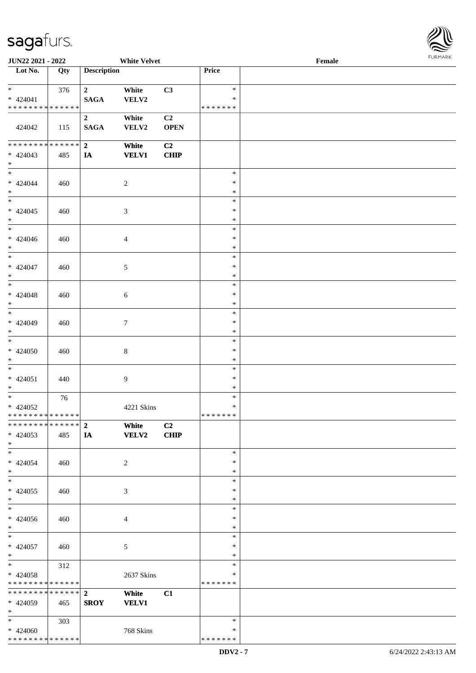

| JUN22 2021 - 2022               |                   |                    | <b>White Velvet</b> |                |               | Female |  |
|---------------------------------|-------------------|--------------------|---------------------|----------------|---------------|--------|--|
| Lot No.                         | $\overline{Q}$ ty | <b>Description</b> |                     |                | Price         |        |  |
|                                 |                   |                    |                     |                |               |        |  |
| $*$                             | 376               | $\mathbf{2}$       | White               | C3             | $\ast$        |        |  |
| $* 424041$                      |                   | <b>SAGA</b>        | VELV2               |                | $\ast$        |        |  |
| * * * * * * * * * * * * * *     |                   |                    |                     |                | * * * * * * * |        |  |
|                                 |                   |                    |                     | C2             |               |        |  |
|                                 |                   | $\mathbf{2}$       | White               |                |               |        |  |
| 424042                          | 115               | <b>SAGA</b>        | VELV2               | <b>OPEN</b>    |               |        |  |
|                                 |                   |                    |                     |                |               |        |  |
| ******** <mark>******</mark>    |                   | $2^{\circ}$        | White               | C2             |               |        |  |
| $* 424043$                      | 485               | <b>IA</b>          | <b>VELV1</b>        | <b>CHIP</b>    |               |        |  |
| $*$                             |                   |                    |                     |                |               |        |  |
| $\overline{\ast}$               |                   |                    |                     |                | $\ast$        |        |  |
| $* 424044$                      | 460               |                    | $\overline{c}$      |                | $\ast$        |        |  |
| $*$                             |                   |                    |                     |                | $\ast$        |        |  |
| $\overline{\phantom{a}^*}$      |                   |                    |                     |                | $\ast$        |        |  |
| $* 424045$                      | 460               |                    | 3                   |                | $\ast$        |        |  |
| $*$                             |                   |                    |                     |                | $\ast$        |        |  |
| $\overline{\ast}$               |                   |                    |                     |                | $\ast$        |        |  |
|                                 |                   |                    |                     |                |               |        |  |
| $* 424046$                      | 460               |                    | 4                   |                | $\ast$        |        |  |
| $*$<br>$\overline{\phantom{0}}$ |                   |                    |                     |                | $\ast$        |        |  |
|                                 |                   |                    |                     |                | $\ast$        |        |  |
| $* 424047$                      | 460               |                    | 5                   |                | $\ast$        |        |  |
| $\ast$                          |                   |                    |                     |                | $\ast$        |        |  |
| $\overline{\ast}$               |                   |                    |                     |                | $\ast$        |        |  |
| $* 424048$                      | 460               |                    | 6                   |                | $\ast$        |        |  |
| $*$                             |                   |                    |                     |                | $\ast$        |        |  |
| $\overline{\phantom{0}}$        |                   |                    |                     |                | $\ast$        |        |  |
| * 424049                        |                   |                    |                     |                | $\ast$        |        |  |
|                                 | 460               |                    | $\tau$              |                |               |        |  |
| $*$<br>$\overline{\phantom{0}}$ |                   |                    |                     |                | $\ast$        |        |  |
|                                 |                   |                    |                     |                | $\ast$        |        |  |
| $* 424050$                      | 460               |                    | $8\,$               |                | $\ast$        |        |  |
| $*$                             |                   |                    |                     |                | $\ast$        |        |  |
| $\ast$                          |                   |                    |                     |                | $\ast$        |        |  |
| $* 424051$                      | 440               |                    | 9                   |                | $\ast$        |        |  |
| $*$                             |                   |                    |                     |                | $\ast$        |        |  |
| $\ast$                          | 76                |                    |                     |                | $\ast$        |        |  |
| * 424052                        |                   |                    | 4221 Skins          |                | $\ast$        |        |  |
| ******** <mark>******</mark>    |                   |                    |                     |                | *******       |        |  |
| ******** <mark>******</mark>    |                   | $\overline{2}$     | White               | C <sub>2</sub> |               |        |  |
|                                 |                   |                    |                     |                |               |        |  |
| $* 424053$                      | 485               | IA                 | <b>VELV2</b>        | <b>CHIP</b>    |               |        |  |
| $*$                             |                   |                    |                     |                |               |        |  |
| $*$                             |                   |                    |                     |                | $\ast$        |        |  |
| $* 424054$                      | 460               |                    | 2                   |                | $\ast$        |        |  |
| $*$                             |                   |                    |                     |                | $\ast$        |        |  |
| $\overline{\phantom{0}}$        |                   |                    |                     |                | $\ast$        |        |  |
| $* 424055$                      | 460               |                    | 3                   |                | $\ast$        |        |  |
| $*$                             |                   |                    |                     |                | $\ast$        |        |  |
| $\overline{\phantom{0}}$        |                   |                    |                     |                | $\ast$        |        |  |
| $* 424056$                      | 460               |                    | 4                   |                | $\ast$        |        |  |
| $*$                             |                   |                    |                     |                | $\ast$        |        |  |
| $*$                             |                   |                    |                     |                | $\ast$        |        |  |
|                                 |                   |                    |                     |                |               |        |  |
| $* 424057$                      | 460               |                    | 5                   |                | $\ast$        |        |  |
| $*$                             |                   |                    |                     |                | $\ast$        |        |  |
| $*$                             | 312               |                    |                     |                | $\ast$        |        |  |
| * 424058                        |                   |                    | 2637 Skins          |                | $\ast$        |        |  |
| **************                  |                   |                    |                     |                | * * * * * * * |        |  |
| ******** <mark>******</mark>    |                   | $\overline{2}$     | White               | C1             |               |        |  |
| * 424059                        | 465               | <b>SROY</b>        | <b>VELV1</b>        |                |               |        |  |
| $*$                             |                   |                    |                     |                |               |        |  |
| $*$                             | 303               |                    |                     |                | $\ast$        |        |  |
| $* 424060$                      |                   |                    | 768 Skins           |                | ∗             |        |  |
| * * * * * * * * * * * * * *     |                   |                    |                     |                | * * * * * * * |        |  |
|                                 |                   |                    |                     |                |               |        |  |